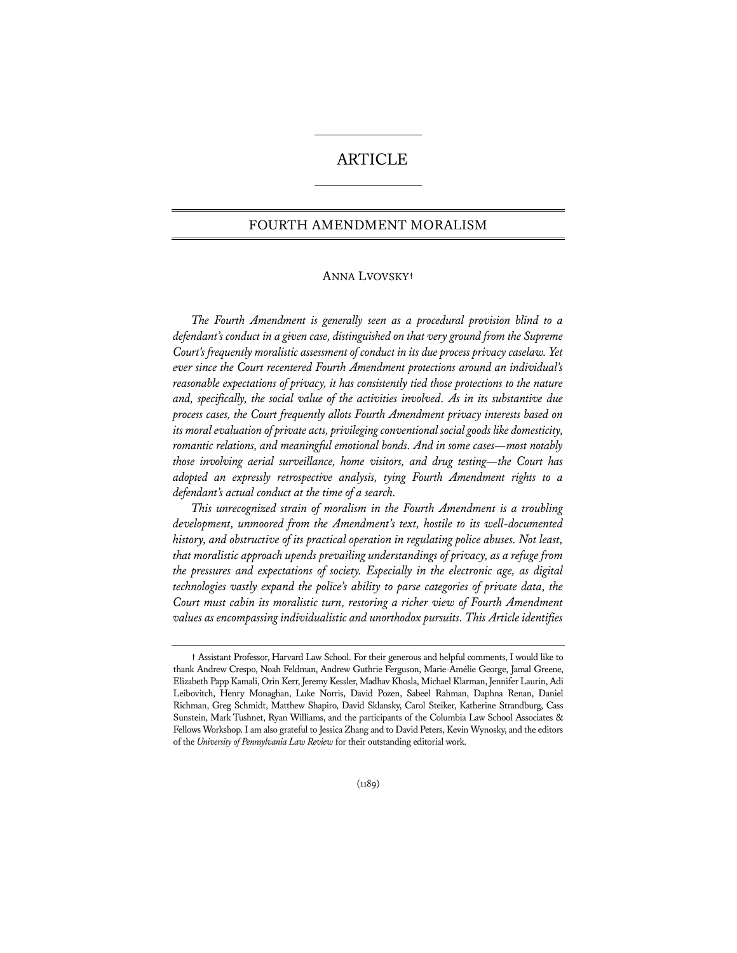# ARTICLE

# FOURTH AMENDMENT MORALISM

## ANNA LVOVSKY**†**

*The Fourth Amendment is generally seen as a procedural provision blind to a defendant's conduct in a given case, distinguished on that very ground from the Supreme Court's frequently moralistic assessment of conduct in its due process privacy caselaw. Yet ever since the Court recentered Fourth Amendment protections around an individual's reasonable expectations of privacy, it has consistently tied those protections to the nature and, specifically, the social value of the activities involved. As in its substantive due process cases, the Court frequently allots Fourth Amendment privacy interests based on its moral evaluation of private acts, privileging conventional social goods like domesticity, romantic relations, and meaningful emotional bonds. And in some cases—most notably those involving aerial surveillance, home visitors, and drug testing—the Court has adopted an expressly retrospective analysis, tying Fourth Amendment rights to a defendant's actual conduct at the time of a search.* 

*This unrecognized strain of moralism in the Fourth Amendment is a troubling development, unmoored from the Amendment's text, hostile to its well-documented history, and obstructive of its practical operation in regulating police abuses. Not least, that moralistic approach upends prevailing understandings of privacy, as a refuge from the pressures and expectations of society. Especially in the electronic age, as digital technologies vastly expand the police's ability to parse categories of private data, the Court must cabin its moralistic turn, restoring a richer view of Fourth Amendment values as encompassing individualistic and unorthodox pursuits. This Article identifies* 

**<sup>†</sup>** Assistant Professor, Harvard Law School. For their generous and helpful comments, I would like to thank Andrew Crespo, Noah Feldman, Andrew Guthrie Ferguson, Marie-Amélie George, Jamal Greene, Elizabeth Papp Kamali, Orin Kerr, Jeremy Kessler, Madhav Khosla, Michael Klarman, Jennifer Laurin, Adi Leibovitch, Henry Monaghan, Luke Norris, David Pozen, Sabeel Rahman, Daphna Renan, Daniel Richman, Greg Schmidt, Matthew Shapiro, David Sklansky, Carol Steiker, Katherine Strandburg, Cass Sunstein, Mark Tushnet, Ryan Williams, and the participants of the Columbia Law School Associates & Fellows Workshop. I am also grateful to Jessica Zhang and to David Peters, Kevin Wynosky, and the editors of the *University of Pennsylvania Law Review* for their outstanding editorial work.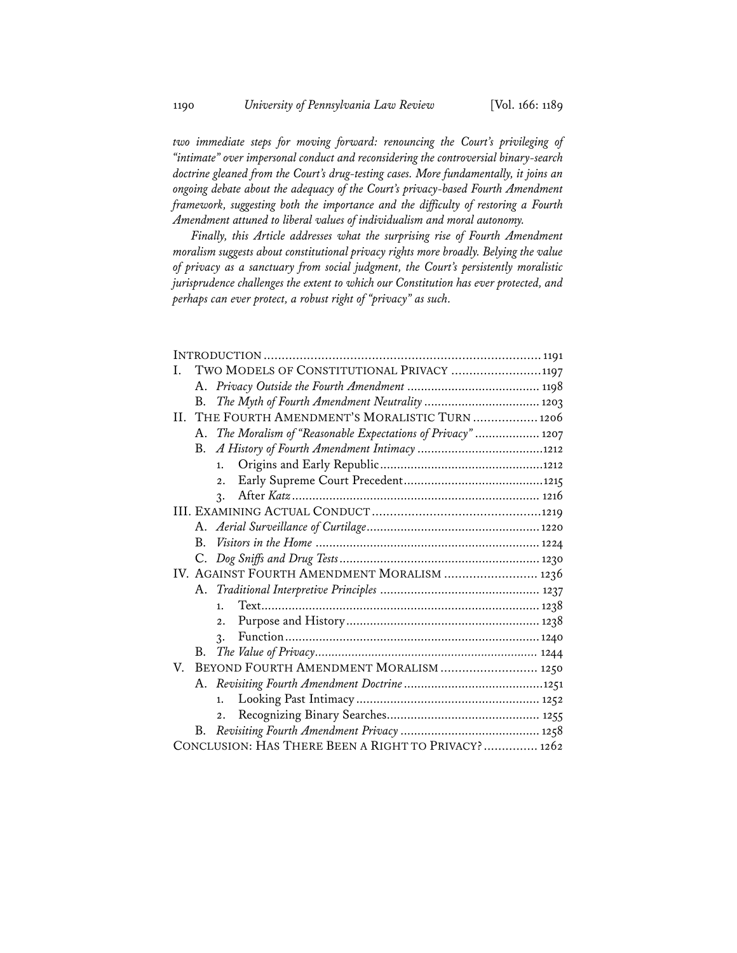*two immediate steps for moving forward: renouncing the Court's privileging of "intimate" over impersonal conduct and reconsidering the controversial binary-search doctrine gleaned from the Court's drug-testing cases. More fundamentally, it joins an ongoing debate about the adequacy of the Court's privacy-based Fourth Amendment framework, suggesting both the importance and the difficulty of restoring a Fourth Amendment attuned to liberal values of individualism and moral autonomy.* 

*Finally, this Article addresses what the surprising rise of Fourth Amendment moralism suggests about constitutional privacy rights more broadly. Belying the value of privacy as a sanctuary from social judgment, the Court's persistently moralistic jurisprudence challenges the extent to which our Constitution has ever protected, and perhaps can ever protect, a robust right of "privacy" as such.* 

| TWO MODELS OF CONSTITUTIONAL PRIVACY 1197<br>L                |
|---------------------------------------------------------------|
|                                                               |
| The Myth of Fourth Amendment Neutrality  1203<br>B.           |
| II. THE FOURTH AMENDMENT'S MORALISTIC TURN  1206              |
| A. The Moralism of "Reasonable Expectations of Privacy"  1207 |
|                                                               |
| 1.                                                            |
| $\overline{2}$ .                                              |
| $\mathbf{r}$ .                                                |
|                                                               |
|                                                               |
|                                                               |
|                                                               |
| IV. AGAINST FOURTH AMENDMENT MORALISM  1236                   |
|                                                               |
| 1.                                                            |
| 2.                                                            |
| $\mathcal{R}$ .                                               |
| B.                                                            |
| BEYOND FOURTH AMENDMENT MORALISM  1250<br>V.                  |
|                                                               |
| 1.                                                            |
|                                                               |
| B.                                                            |
| CONCLUSION: HAS THERE BEEN A RIGHT TO PRIVACY?  1262          |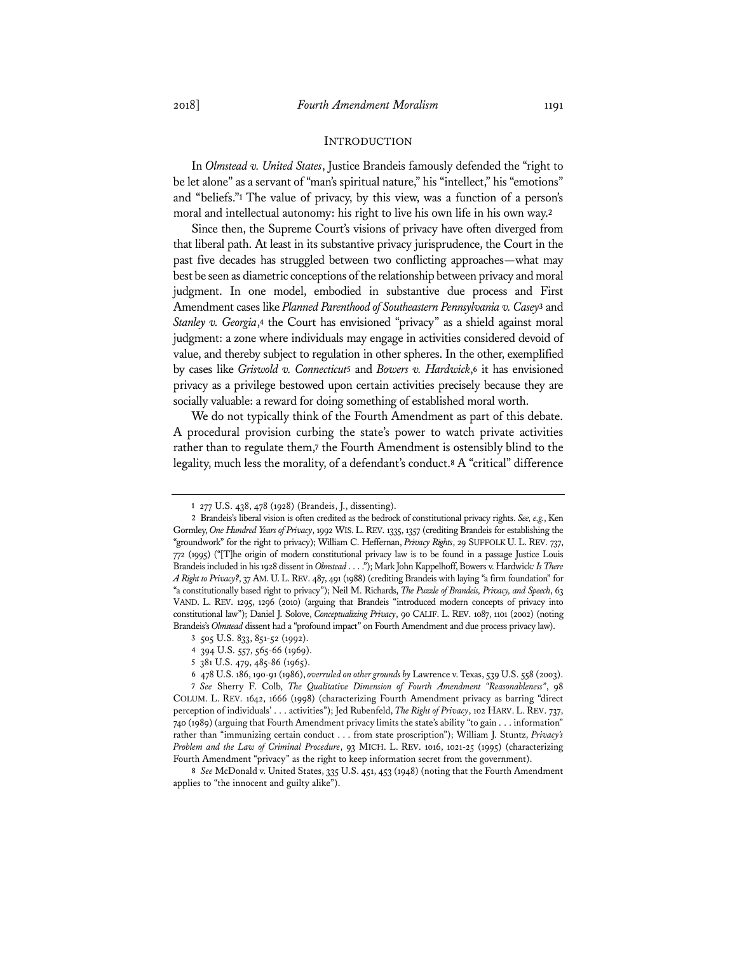#### INTRODUCTION

In *Olmstead v. United States*, Justice Brandeis famously defended the "right to be let alone" as a servant of "man's spiritual nature," his "intellect," his "emotions" and "beliefs."**<sup>1</sup>** The value of privacy, by this view, was a function of a person's moral and intellectual autonomy: his right to live his own life in his own way.**<sup>2</sup>**

Since then, the Supreme Court's visions of privacy have often diverged from that liberal path. At least in its substantive privacy jurisprudence, the Court in the past five decades has struggled between two conflicting approaches—what may best be seen as diametric conceptions of the relationship between privacy and moral judgment. In one model, embodied in substantive due process and First Amendment cases like *Planned Parenthood of Southeastern Pennsylvania v. Casey***<sup>3</sup>** and *Stanley v. Georgia*,**<sup>4</sup>** the Court has envisioned "privacy" as a shield against moral judgment: a zone where individuals may engage in activities considered devoid of value, and thereby subject to regulation in other spheres. In the other, exemplified by cases like *Griswold v. Connecticut***<sup>5</sup>** and *Bowers v. Hardwick*,**<sup>6</sup>** it has envisioned privacy as a privilege bestowed upon certain activities precisely because they are socially valuable: a reward for doing something of established moral worth.

We do not typically think of the Fourth Amendment as part of this debate. A procedural provision curbing the state's power to watch private activities rather than to regulate them,**<sup>7</sup>** the Fourth Amendment is ostensibly blind to the legality, much less the morality, of a defendant's conduct.**<sup>8</sup>** A "critical" difference

**8** *See* McDonald v. United States, 335 U.S. 451, 453 (1948) (noting that the Fourth Amendment applies to "the innocent and guilty alike").

**<sup>1</sup>** 277 U.S. 438, 478 (1928) (Brandeis, J., dissenting).

**<sup>2</sup>** Brandeis's liberal vision is often credited as the bedrock of constitutional privacy rights. *See, e.g.*, Ken Gormley, *One Hundred Years of Privacy*, 1992 WIS. L.REV. 1335, 1357 (crediting Brandeis for establishing the "groundwork" for the right to privacy); William C. Heffernan, *Privacy Rights*, 29 SUFFOLK U. L. REV. 737, 772 (1995) ("[T]he origin of modern constitutional privacy law is to be found in a passage Justice Louis Brandeis included in his 1928 dissent in *Olmstead* . . . ."); Mark John Kappelhoff, Bowers v. Hardwick*: Is There A Right to Privacy?*, 37 AM.U.L.REV. 487, 491 (1988) (crediting Brandeis with laying "a firm foundation" for "a constitutionally based right to privacy"); Neil M. Richards, *The Puzzle of Brandeis, Privacy, and Speech*, 63 VAND. L. REV. 1295, 1296 (2010) (arguing that Brandeis "introduced modern concepts of privacy into constitutional law"); Daniel J. Solove, *Conceptualizing Privacy*, 90 CALIF. L. REV. 1087, 1101 (2002) (noting Brandeis's *Olmstead* dissent had a "profound impact" on Fourth Amendment and due process privacy law).

**<sup>3</sup>** 505 U.S. 833, 851-52 (1992).

**<sup>4</sup>** 394 U.S. 557, 565-66 (1969).

**<sup>5</sup>** 381 U.S. 479, 485-86 (1965).

**<sup>6</sup>** 478 U.S. 186, 190-91 (1986), *overruled on other grounds by* Lawrence v. Texas, 539 U.S. 558 (2003).

**<sup>7</sup>** *See* Sherry F. Colb, *The Qualitative Dimension of Fourth Amendment "Reasonableness"*, 98 COLUM. L. REV. 1642, 1666 (1998) (characterizing Fourth Amendment privacy as barring "direct perception of individuals' . . . activities"); Jed Rubenfeld, *The Right of Privacy*, 102 HARV. L. REV. 737, 740 (1989) (arguing that Fourth Amendment privacy limits the state's ability "to gain . . . information" rather than "immunizing certain conduct . . . from state proscription"); William J. Stuntz, *Privacy's Problem and the Law of Criminal Procedure*, 93 MICH. L. REV. 1016, 1021-25 (1995) (characterizing Fourth Amendment "privacy" as the right to keep information secret from the government).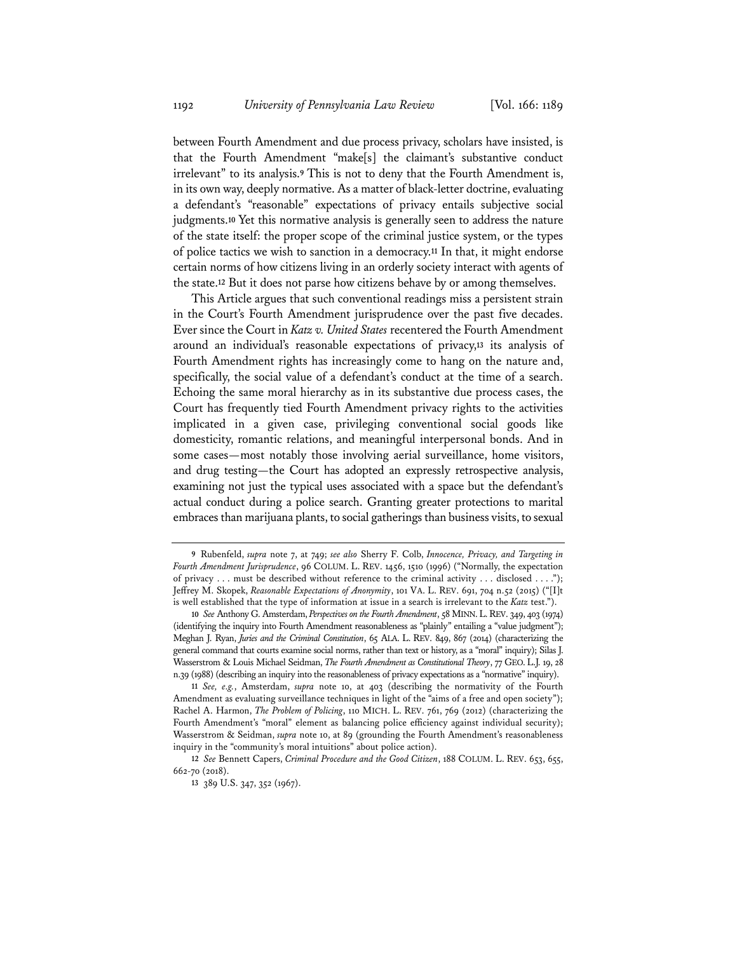between Fourth Amendment and due process privacy, scholars have insisted, is that the Fourth Amendment "make[s] the claimant's substantive conduct irrelevant" to its analysis.**<sup>9</sup>** This is not to deny that the Fourth Amendment is, in its own way, deeply normative. As a matter of black-letter doctrine, evaluating a defendant's "reasonable" expectations of privacy entails subjective social judgments.**<sup>10</sup>** Yet this normative analysis is generally seen to address the nature of the state itself: the proper scope of the criminal justice system, or the types of police tactics we wish to sanction in a democracy.**<sup>11</sup>** In that, it might endorse certain norms of how citizens living in an orderly society interact with agents of the state.**<sup>12</sup>** But it does not parse how citizens behave by or among themselves.

This Article argues that such conventional readings miss a persistent strain in the Court's Fourth Amendment jurisprudence over the past five decades. Ever since the Court in *Katz v. United States* recentered the Fourth Amendment around an individual's reasonable expectations of privacy,**<sup>13</sup>** its analysis of Fourth Amendment rights has increasingly come to hang on the nature and, specifically, the social value of a defendant's conduct at the time of a search. Echoing the same moral hierarchy as in its substantive due process cases, the Court has frequently tied Fourth Amendment privacy rights to the activities implicated in a given case, privileging conventional social goods like domesticity, romantic relations, and meaningful interpersonal bonds. And in some cases—most notably those involving aerial surveillance, home visitors, and drug testing—the Court has adopted an expressly retrospective analysis, examining not just the typical uses associated with a space but the defendant's actual conduct during a police search. Granting greater protections to marital embraces than marijuana plants, to social gatherings than business visits, to sexual

**<sup>9</sup>** Rubenfeld, *supra* note 7, at 749; *see also* Sherry F. Colb, *Innocence, Privacy, and Targeting in Fourth Amendment Jurisprudence*, 96 COLUM. L. REV. 1456, 1510 (1996) ("Normally, the expectation of privacy ... must be described without reference to the criminal activity ... disclosed ...."); Jeffrey M. Skopek, *Reasonable Expectations of Anonymity*, 101 VA. L. REV. 691, 704 n.52 (2015) ("[I]t is well established that the type of information at issue in a search is irrelevant to the *Katz* test.").

**<sup>10</sup>** *See* Anthony G. Amsterdam, *Perspectives on the Fourth Amendment*, 58 MINN.L.REV. 349, 403 (1974) (identifying the inquiry into Fourth Amendment reasonableness as "plainly" entailing a "value judgment"); Meghan J. Ryan, *Juries and the Criminal Constitution*, 65 ALA. L. REV. 849, 867 (2014) (characterizing the general command that courts examine social norms, rather than text or history, as a "moral" inquiry); Silas J. Wasserstrom & Louis Michael Seidman, *The Fourth Amendment as Constitutional Theory*, 77 GEO. L.J. 19, 28 n.39 (1988) (describing an inquiry into the reasonableness of privacy expectations as a "normative" inquiry).

**<sup>11</sup>** *See, e.g.*, Amsterdam, *supra* note 10, at 403 (describing the normativity of the Fourth Amendment as evaluating surveillance techniques in light of the "aims of a free and open society"); Rachel A. Harmon, *The Problem of Policing*, 110 MICH. L. REV. 761, 769 (2012) (characterizing the Fourth Amendment's "moral" element as balancing police efficiency against individual security); Wasserstrom & Seidman, *supra* note 10, at 89 (grounding the Fourth Amendment's reasonableness inquiry in the "community's moral intuitions" about police action).

**<sup>12</sup>** *See* Bennett Capers, *Criminal Procedure and the Good Citizen*, 188 COLUM. L. REV. 653, 655, 662-70 (2018).

**<sup>13</sup>** 389 U.S. 347, 352 (1967).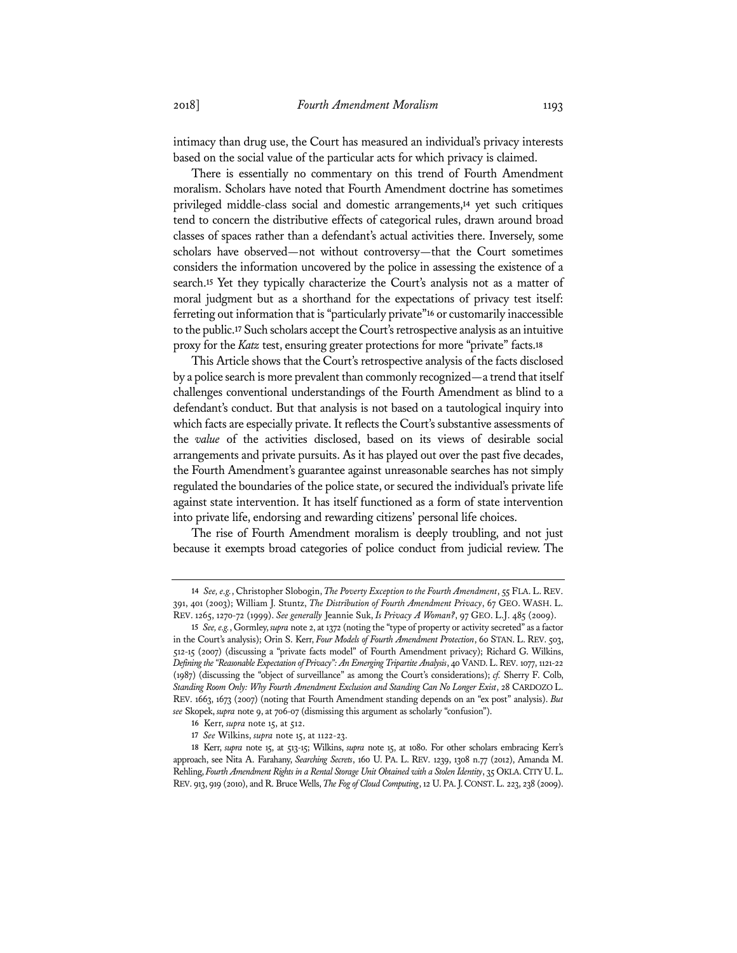intimacy than drug use, the Court has measured an individual's privacy interests based on the social value of the particular acts for which privacy is claimed.

There is essentially no commentary on this trend of Fourth Amendment moralism. Scholars have noted that Fourth Amendment doctrine has sometimes privileged middle-class social and domestic arrangements,**<sup>14</sup>** yet such critiques tend to concern the distributive effects of categorical rules, drawn around broad classes of spaces rather than a defendant's actual activities there. Inversely, some scholars have observed—not without controversy—that the Court sometimes considers the information uncovered by the police in assessing the existence of a search.**<sup>15</sup>** Yet they typically characterize the Court's analysis not as a matter of moral judgment but as a shorthand for the expectations of privacy test itself: ferreting out information that is "particularly private"**<sup>16</sup>** or customarily inaccessible to the public.**<sup>17</sup>** Such scholars accept the Court's retrospective analysis as an intuitive proxy for the *Katz* test, ensuring greater protections for more "private" facts.**<sup>18</sup>**

This Article shows that the Court's retrospective analysis of the facts disclosed by a police search is more prevalent than commonly recognized—a trend that itself challenges conventional understandings of the Fourth Amendment as blind to a defendant's conduct. But that analysis is not based on a tautological inquiry into which facts are especially private. It reflects the Court's substantive assessments of the *value* of the activities disclosed, based on its views of desirable social arrangements and private pursuits. As it has played out over the past five decades, the Fourth Amendment's guarantee against unreasonable searches has not simply regulated the boundaries of the police state, or secured the individual's private life against state intervention. It has itself functioned as a form of state intervention into private life, endorsing and rewarding citizens' personal life choices.

The rise of Fourth Amendment moralism is deeply troubling, and not just because it exempts broad categories of police conduct from judicial review. The

**<sup>14</sup>** *See, e.g.*, Christopher Slobogin, *The Poverty Exception to the Fourth Amendment*, 55 FLA. L.REV. 391, 401 (2003); William J. Stuntz, *The Distribution of Fourth Amendment Privacy*, 67 GEO. WASH. L. REV. 1265, 1270-72 (1999). *See generally* Jeannie Suk, *Is Privacy A Woman?*, 97 GEO. L.J. 485 (2009).

**<sup>15</sup>** *See, e.g.*, Gormley, *supra* note 2, at 1372 (noting the "type of property or activity secreted" as a factor in the Court's analysis); Orin S. Kerr, *Four Models of Fourth Amendment Protection*, 60 STAN. L. REV. 503, 512-15 (2007) (discussing a "private facts model" of Fourth Amendment privacy); Richard G. Wilkins, *Defining the "Reasonable Expectation of Privacy": An Emerging Tripartite Analysis*, 40 VAND.L.REV. 1077, 1121-22 (1987) (discussing the "object of surveillance" as among the Court's considerations); *cf.* Sherry F. Colb, Standing Room Only: Why Fourth Amendment Exclusion and Standing Can No Longer Exist, 28 CARDOZO L. REV. 1663, 1673 (2007) (noting that Fourth Amendment standing depends on an "ex post" analysis). *But see* Skopek, *supra* note 9, at 706-07 (dismissing this argument as scholarly "confusion").

**<sup>16</sup>** Kerr, *supra* note 15, at 512.

**<sup>17</sup>** *See* Wilkins, *supra* note 15, at 1122-23.

**<sup>18</sup>** Kerr, *supra* note 15, at 513-15; Wilkins, *supra* note 15, at 1080. For other scholars embracing Kerr's approach, see Nita A. Farahany, *Searching Secrets*, 160 U. PA. L. REV. 1239, 1308 n.77 (2012), Amanda M. Rehling, *Fourth Amendment Rights in a Rental Storage Unit Obtained with a Stolen Identity*, 35 OKLA. CITY U.L. REV. 913, 919 (2010), and R. Bruce Wells, *The Fog of Cloud Computing*, 12 U.PA.J.CONST.L. 223, 238 (2009).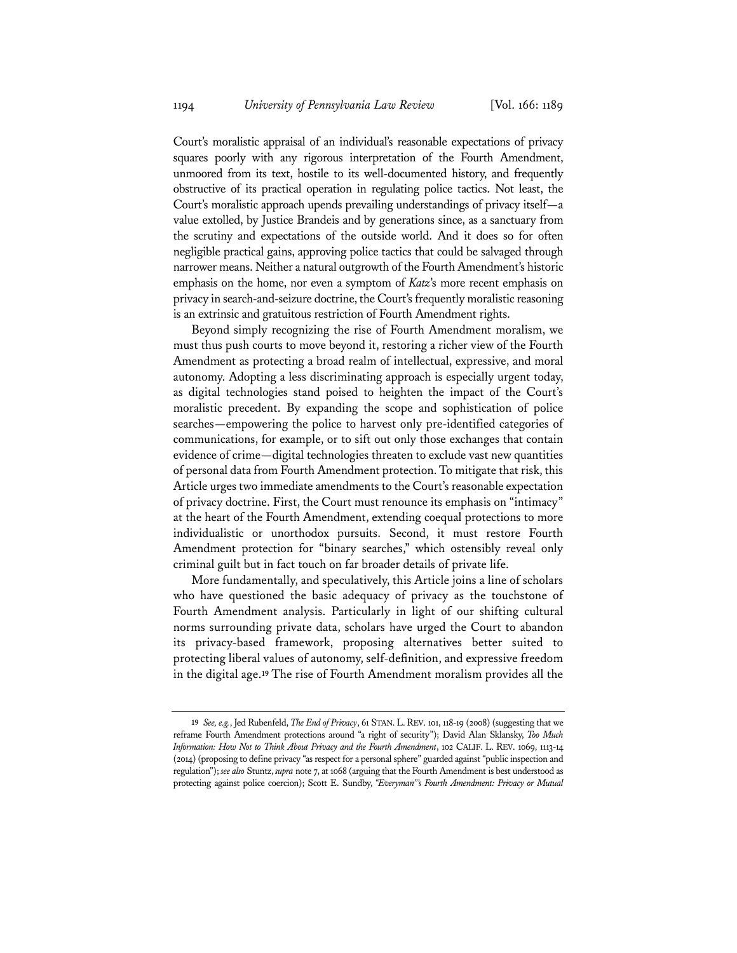Court's moralistic appraisal of an individual's reasonable expectations of privacy squares poorly with any rigorous interpretation of the Fourth Amendment, unmoored from its text, hostile to its well-documented history, and frequently obstructive of its practical operation in regulating police tactics. Not least, the Court's moralistic approach upends prevailing understandings of privacy itself—a value extolled, by Justice Brandeis and by generations since, as a sanctuary from the scrutiny and expectations of the outside world. And it does so for often negligible practical gains, approving police tactics that could be salvaged through narrower means. Neither a natural outgrowth of the Fourth Amendment's historic emphasis on the home, nor even a symptom of *Katz*'s more recent emphasis on privacy in search-and-seizure doctrine, the Court's frequently moralistic reasoning is an extrinsic and gratuitous restriction of Fourth Amendment rights.

Beyond simply recognizing the rise of Fourth Amendment moralism, we must thus push courts to move beyond it, restoring a richer view of the Fourth Amendment as protecting a broad realm of intellectual, expressive, and moral autonomy. Adopting a less discriminating approach is especially urgent today, as digital technologies stand poised to heighten the impact of the Court's moralistic precedent. By expanding the scope and sophistication of police searches—empowering the police to harvest only pre-identified categories of communications, for example, or to sift out only those exchanges that contain evidence of crime—digital technologies threaten to exclude vast new quantities of personal data from Fourth Amendment protection. To mitigate that risk, this Article urges two immediate amendments to the Court's reasonable expectation of privacy doctrine. First, the Court must renounce its emphasis on "intimacy" at the heart of the Fourth Amendment, extending coequal protections to more individualistic or unorthodox pursuits. Second, it must restore Fourth Amendment protection for "binary searches," which ostensibly reveal only criminal guilt but in fact touch on far broader details of private life.

More fundamentally, and speculatively, this Article joins a line of scholars who have questioned the basic adequacy of privacy as the touchstone of Fourth Amendment analysis. Particularly in light of our shifting cultural norms surrounding private data, scholars have urged the Court to abandon its privacy-based framework, proposing alternatives better suited to protecting liberal values of autonomy, self-definition, and expressive freedom in the digital age.**<sup>19</sup>** The rise of Fourth Amendment moralism provides all the

**<sup>19</sup>** *See, e.g.*, Jed Rubenfeld, *The End of Privacy*, 61 STAN.L.REV. 101, 118-19 (2008) (suggesting that we reframe Fourth Amendment protections around "a right of security"); David Alan Sklansky, *Too Much Information: How Not to Think About Privacy and the Fourth Amendment*, 102 CALIF. L. REV. 1069, 1113-14 (2014) (proposing to define privacy "as respect for a personal sphere" guarded against "public inspection and regulation"); *see also* Stuntz, *supra* note 7, at 1068 (arguing that the Fourth Amendment is best understood as protecting against police coercion); Scott E. Sundby, *"Everyman"'s Fourth Amendment: Privacy or Mutual*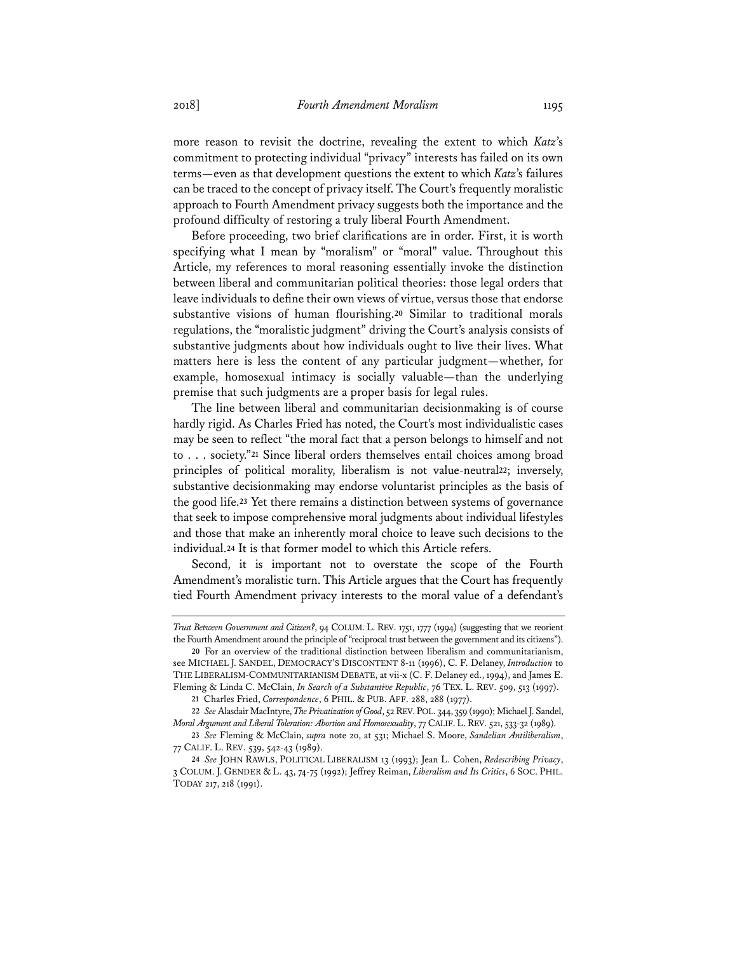more reason to revisit the doctrine, revealing the extent to which *Katz*'s commitment to protecting individual "privacy" interests has failed on its own terms—even as that development questions the extent to which *Katz*'s failures can be traced to the concept of privacy itself. The Court's frequently moralistic approach to Fourth Amendment privacy suggests both the importance and the profound difficulty of restoring a truly liberal Fourth Amendment.

Before proceeding, two brief clarifications are in order. First, it is worth specifying what I mean by "moralism" or "moral" value. Throughout this Article, my references to moral reasoning essentially invoke the distinction between liberal and communitarian political theories: those legal orders that leave individuals to define their own views of virtue, versus those that endorse substantive visions of human flourishing.**<sup>20</sup>** Similar to traditional morals regulations, the "moralistic judgment" driving the Court's analysis consists of substantive judgments about how individuals ought to live their lives. What matters here is less the content of any particular judgment—whether, for example, homosexual intimacy is socially valuable—than the underlying premise that such judgments are a proper basis for legal rules.

The line between liberal and communitarian decisionmaking is of course hardly rigid. As Charles Fried has noted, the Court's most individualistic cases may be seen to reflect "the moral fact that a person belongs to himself and not to . . . society."**<sup>21</sup>** Since liberal orders themselves entail choices among broad principles of political morality, liberalism is not value-neutral**<sup>22</sup>**; inversely, substantive decisionmaking may endorse voluntarist principles as the basis of the good life.**<sup>23</sup>** Yet there remains a distinction between systems of governance that seek to impose comprehensive moral judgments about individual lifestyles and those that make an inherently moral choice to leave such decisions to the individual.**<sup>24</sup>** It is that former model to which this Article refers.

Second, it is important not to overstate the scope of the Fourth Amendment's moralistic turn. This Article argues that the Court has frequently tied Fourth Amendment privacy interests to the moral value of a defendant's

*Trust Between Government and Citizen?*, 94 COLUM. L. REV. 1751, 1777 (1994) (suggesting that we reorient the Fourth Amendment around the principle of "reciprocal trust between the government and its citizens").

**<sup>20</sup>** For an overview of the traditional distinction between liberalism and communitarianism, see MICHAEL J. SANDEL, DEMOCRACY'S DISCONTENT 8-11 (1996), C. F. Delaney, *Introduction* to THE LIBERALISM-COMMUNITARIANISM DEBATE, at vii-x (C. F. Delaney ed., 1994), and James E. Fleming & Linda C. McClain, *In Search of a Substantive Republic*, 76 TEX. L. REV. 509, 513 (1997).

**<sup>21</sup>** Charles Fried, *Correspondence*, 6 PHIL. & PUB. AFF. 288, 288 (1977).

**<sup>22</sup>** *See* Alasdair MacIntyre, *The Privatization of Good*, 52 REV.POL. 344, 359 (1990); Michael J. Sandel, *Moral Argument and Liberal Toleration: Abortion and Homosexuality*, 77 CALIF. L. REV. 521, 533-32 (1989).

**<sup>23</sup>** *See* Fleming & McClain, *supra* note 20, at 531; Michael S. Moore, *Sandelian Antiliberalism*, 77 CALIF. L. REV. 539, 542-43 (1989).

**<sup>24</sup>** *See* JOHN RAWLS, POLITICAL LIBERALISM 13 (1993); Jean L. Cohen, *Redescribing Privacy*, 3 COLUM. J. GENDER & L. 43, 74-75 (1992); Jeffrey Reiman, *Liberalism and Its Critics*, 6 SOC. PHIL. TODAY 217, 218 (1991).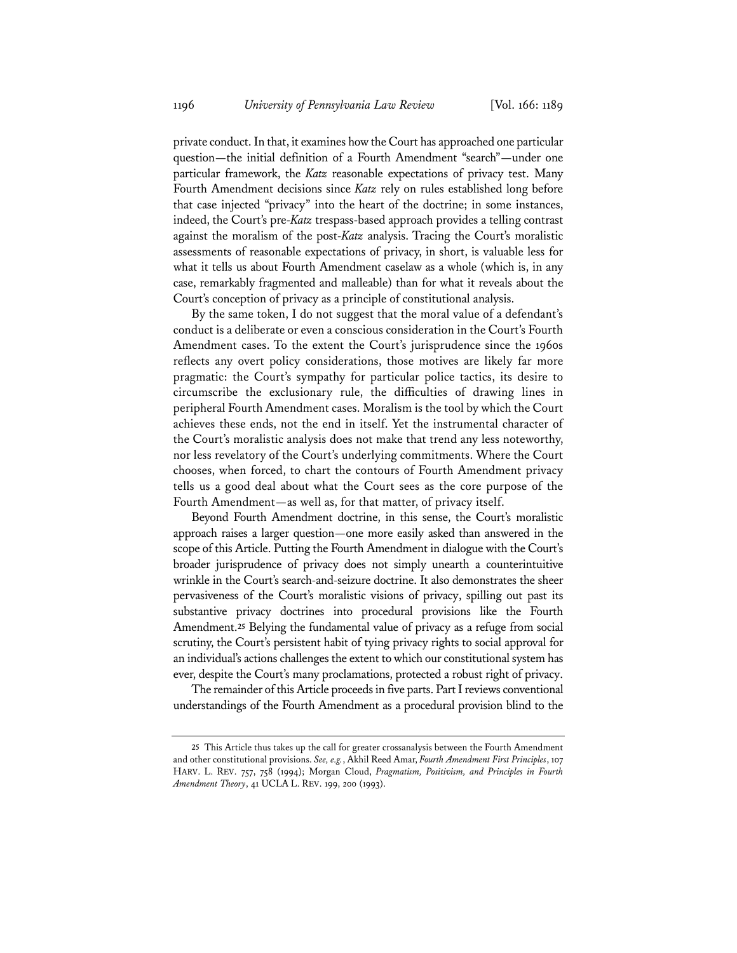private conduct. In that, it examines how the Court has approached one particular question—the initial definition of a Fourth Amendment "search"—under one particular framework, the *Katz* reasonable expectations of privacy test. Many Fourth Amendment decisions since *Katz* rely on rules established long before that case injected "privacy" into the heart of the doctrine; in some instances, indeed, the Court's pre-*Katz* trespass-based approach provides a telling contrast against the moralism of the post-*Katz* analysis. Tracing the Court's moralistic assessments of reasonable expectations of privacy, in short, is valuable less for what it tells us about Fourth Amendment caselaw as a whole (which is, in any case, remarkably fragmented and malleable) than for what it reveals about the Court's conception of privacy as a principle of constitutional analysis.

By the same token, I do not suggest that the moral value of a defendant's conduct is a deliberate or even a conscious consideration in the Court's Fourth Amendment cases. To the extent the Court's jurisprudence since the 1960s reflects any overt policy considerations, those motives are likely far more pragmatic: the Court's sympathy for particular police tactics, its desire to circumscribe the exclusionary rule, the difficulties of drawing lines in peripheral Fourth Amendment cases. Moralism is the tool by which the Court achieves these ends, not the end in itself. Yet the instrumental character of the Court's moralistic analysis does not make that trend any less noteworthy, nor less revelatory of the Court's underlying commitments. Where the Court chooses, when forced, to chart the contours of Fourth Amendment privacy tells us a good deal about what the Court sees as the core purpose of the Fourth Amendment—as well as, for that matter, of privacy itself.

Beyond Fourth Amendment doctrine, in this sense, the Court's moralistic approach raises a larger question—one more easily asked than answered in the scope of this Article. Putting the Fourth Amendment in dialogue with the Court's broader jurisprudence of privacy does not simply unearth a counterintuitive wrinkle in the Court's search-and-seizure doctrine. It also demonstrates the sheer pervasiveness of the Court's moralistic visions of privacy, spilling out past its substantive privacy doctrines into procedural provisions like the Fourth Amendment.**<sup>25</sup>** Belying the fundamental value of privacy as a refuge from social scrutiny, the Court's persistent habit of tying privacy rights to social approval for an individual's actions challenges the extent to which our constitutional system has ever, despite the Court's many proclamations, protected a robust right of privacy.

The remainder of this Article proceeds in five parts. Part I reviews conventional understandings of the Fourth Amendment as a procedural provision blind to the

**<sup>25</sup>** This Article thus takes up the call for greater crossanalysis between the Fourth Amendment and other constitutional provisions. *See, e.g.*, Akhil Reed Amar, *Fourth Amendment First Principles*, 107 HARV. L. REV. 757, 758 (1994); Morgan Cloud, *Pragmatism, Positivism, and Principles in Fourth Amendment Theory*, 41 UCLA L. REV. 199, 200 (1993).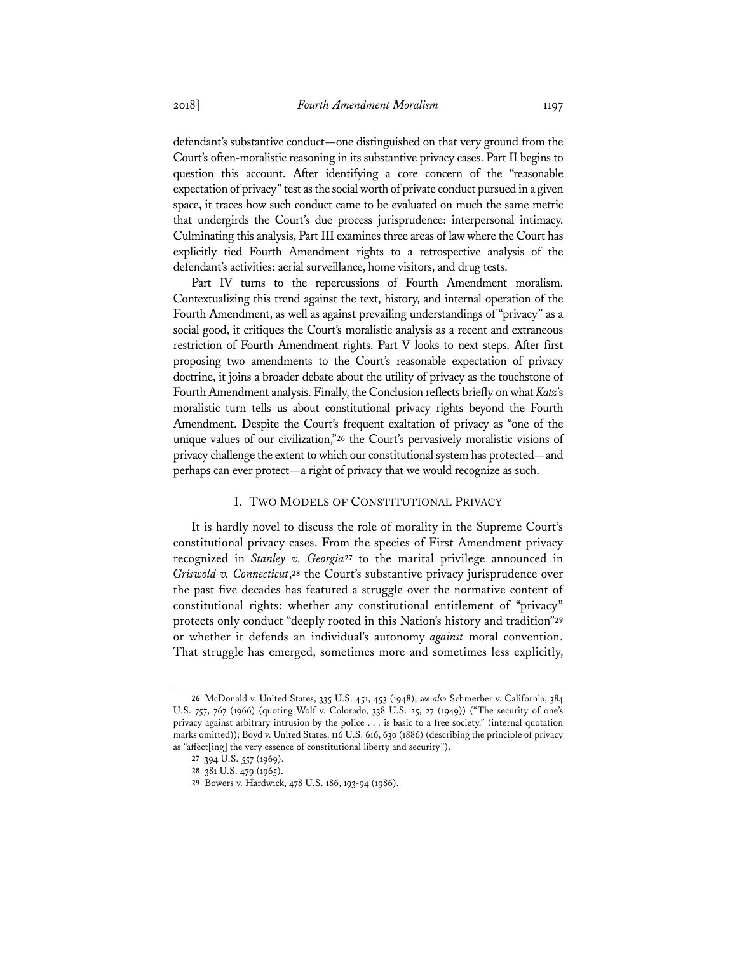defendant's substantive conduct—one distinguished on that very ground from the Court's often-moralistic reasoning in its substantive privacy cases. Part II begins to question this account. After identifying a core concern of the "reasonable expectation of privacy" test as the social worth of private conduct pursued in a given space, it traces how such conduct came to be evaluated on much the same metric that undergirds the Court's due process jurisprudence: interpersonal intimacy. Culminating this analysis, Part III examines three areas of law where the Court has explicitly tied Fourth Amendment rights to a retrospective analysis of the defendant's activities: aerial surveillance, home visitors, and drug tests.

Part IV turns to the repercussions of Fourth Amendment moralism. Contextualizing this trend against the text, history, and internal operation of the Fourth Amendment, as well as against prevailing understandings of "privacy" as a social good, it critiques the Court's moralistic analysis as a recent and extraneous restriction of Fourth Amendment rights. Part V looks to next steps. After first proposing two amendments to the Court's reasonable expectation of privacy doctrine, it joins a broader debate about the utility of privacy as the touchstone of Fourth Amendment analysis. Finally, the Conclusion reflects briefly on what *Katz*'s moralistic turn tells us about constitutional privacy rights beyond the Fourth Amendment. Despite the Court's frequent exaltation of privacy as "one of the unique values of our civilization,"**<sup>26</sup>** the Court's pervasively moralistic visions of privacy challenge the extent to which our constitutional system has protected—and perhaps can ever protect—a right of privacy that we would recognize as such.

## I. TWO MODELS OF CONSTITUTIONAL PRIVACY

It is hardly novel to discuss the role of morality in the Supreme Court's constitutional privacy cases. From the species of First Amendment privacy recognized in *Stanley v. Georgia***<sup>27</sup>** to the marital privilege announced in *Griswold v. Connecticut*,**<sup>28</sup>** the Court's substantive privacy jurisprudence over the past five decades has featured a struggle over the normative content of constitutional rights: whether any constitutional entitlement of "privacy" protects only conduct "deeply rooted in this Nation's history and tradition"**<sup>29</sup>** or whether it defends an individual's autonomy *against* moral convention. That struggle has emerged, sometimes more and sometimes less explicitly,

**<sup>26</sup>** McDonald v. United States, 335 U.S. 451, 453 (1948); *see also* Schmerber v. California, 384 U.S. 757, 767 (1966) (quoting Wolf v. Colorado, 338 U.S. 25, 27 (1949)) ("The security of one's privacy against arbitrary intrusion by the police . . . is basic to a free society." (internal quotation marks omitted)); Boyd v. United States, 116 U.S. 616, 630 (1886) (describing the principle of privacy as "affect[ing] the very essence of constitutional liberty and security").

**<sup>27</sup>** 394 U.S. 557 (1969).

**<sup>28</sup>** 381 U.S. 479 (1965).

**<sup>29</sup>** Bowers v. Hardwick, 478 U.S. 186, 193-94 (1986).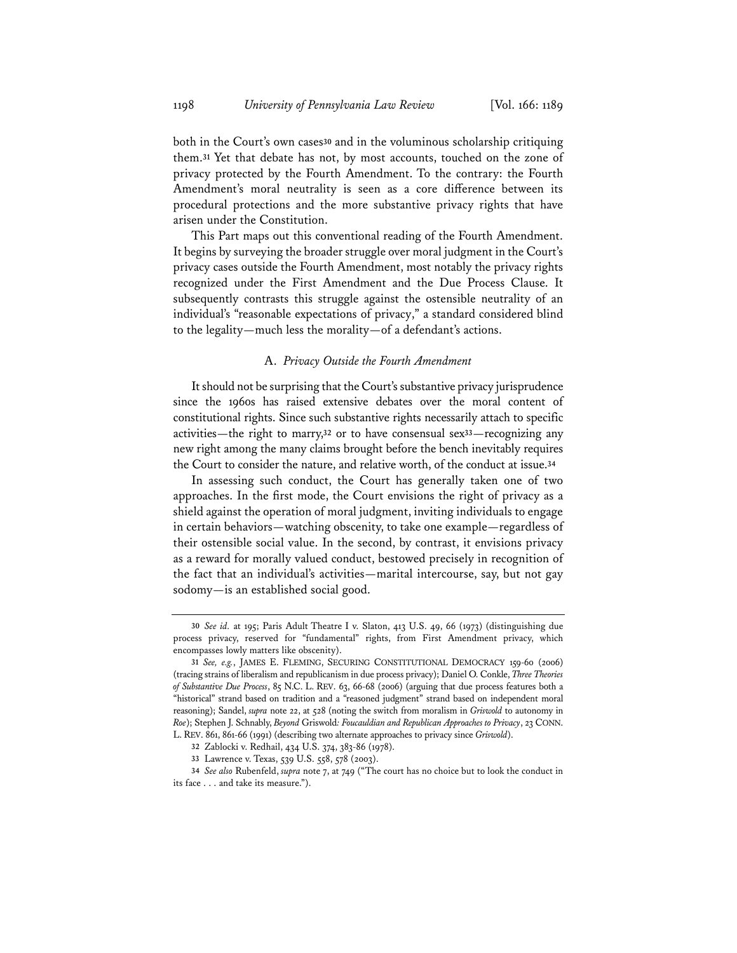both in the Court's own cases**<sup>30</sup>** and in the voluminous scholarship critiquing them.**<sup>31</sup>** Yet that debate has not, by most accounts, touched on the zone of privacy protected by the Fourth Amendment. To the contrary: the Fourth Amendment's moral neutrality is seen as a core difference between its procedural protections and the more substantive privacy rights that have arisen under the Constitution.

This Part maps out this conventional reading of the Fourth Amendment. It begins by surveying the broader struggle over moral judgment in the Court's privacy cases outside the Fourth Amendment, most notably the privacy rights recognized under the First Amendment and the Due Process Clause. It subsequently contrasts this struggle against the ostensible neutrality of an individual's "reasonable expectations of privacy," a standard considered blind to the legality—much less the morality—of a defendant's actions.

#### A. *Privacy Outside the Fourth Amendment*

It should not be surprising that the Court's substantive privacy jurisprudence since the 1960s has raised extensive debates over the moral content of constitutional rights. Since such substantive rights necessarily attach to specific activities—the right to marry,**<sup>32</sup>** or to have consensual sex**<sup>33</sup>**—recognizing any new right among the many claims brought before the bench inevitably requires the Court to consider the nature, and relative worth, of the conduct at issue.**<sup>34</sup>**

In assessing such conduct, the Court has generally taken one of two approaches. In the first mode, the Court envisions the right of privacy as a shield against the operation of moral judgment, inviting individuals to engage in certain behaviors—watching obscenity, to take one example—regardless of their ostensible social value. In the second, by contrast, it envisions privacy as a reward for morally valued conduct, bestowed precisely in recognition of the fact that an individual's activities—marital intercourse, say, but not gay sodomy—is an established social good.

**<sup>30</sup>** *See id.* at 195; Paris Adult Theatre I v. Slaton, 413 U.S. 49, 66 (1973) (distinguishing due process privacy, reserved for "fundamental" rights, from First Amendment privacy, which encompasses lowly matters like obscenity).

**<sup>31</sup>** *See, e.g.*, JAMES E. FLEMING, SECURING CONSTITUTIONAL DEMOCRACY 159-60 (2006) (tracing strains of liberalism and republicanism in due process privacy); Daniel O. Conkle, *Three Theories of Substantive Due Process*, 85 N.C. L. REV. 63, 66-68 (2006) (arguing that due process features both a "historical" strand based on tradition and a "reasoned judgment" strand based on independent moral reasoning); Sandel, *supra* note 22, at 528 (noting the switch from moralism in *Griswold* to autonomy in *Roe*); Stephen J. Schnably, *Beyond* Griswold*: Foucauldian and Republican Approaches to Privacy*, 23 CONN. L. REV. 861, 861-66 (1991) (describing two alternate approaches to privacy since *Griswold*).

**<sup>32</sup>** Zablocki v. Redhail, 434 U.S. 374, 383-86 (1978).

**<sup>33</sup>** Lawrence v. Texas, 539 U.S. 558, 578 (2003).

**<sup>34</sup>** *See also* Rubenfeld, *supra* note 7, at 749 ("The court has no choice but to look the conduct in its face . . . and take its measure.").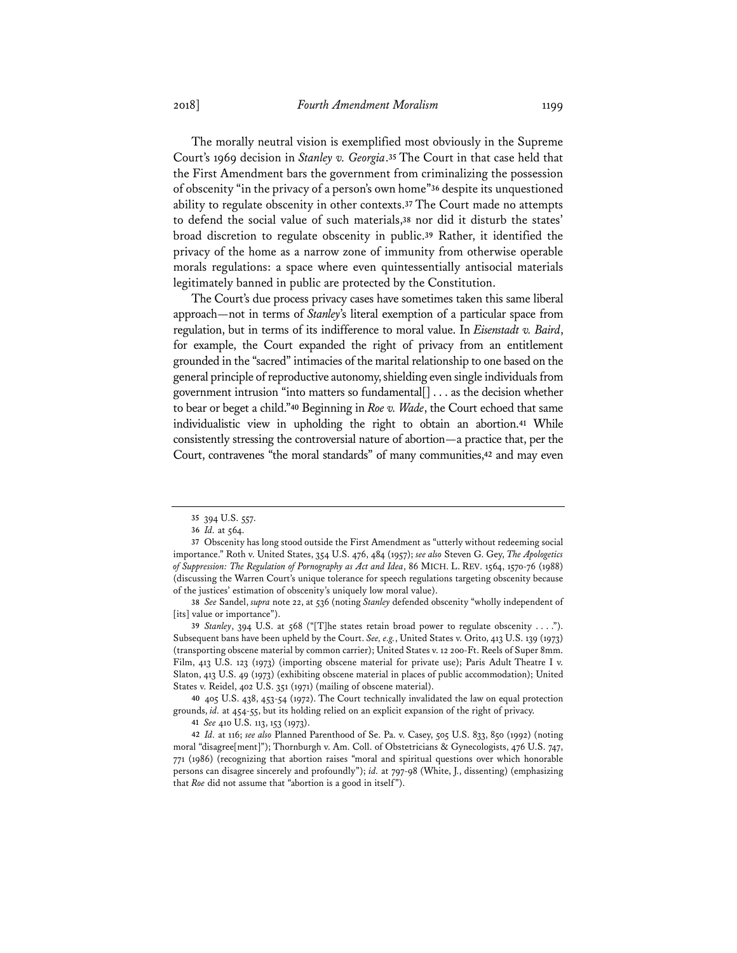The morally neutral vision is exemplified most obviously in the Supreme Court's 1969 decision in *Stanley v. Georgia*.**<sup>35</sup>** The Court in that case held that the First Amendment bars the government from criminalizing the possession of obscenity "in the privacy of a person's own home"**<sup>36</sup>** despite its unquestioned ability to regulate obscenity in other contexts.**<sup>37</sup>** The Court made no attempts to defend the social value of such materials,**<sup>38</sup>** nor did it disturb the states' broad discretion to regulate obscenity in public.**<sup>39</sup>** Rather, it identified the privacy of the home as a narrow zone of immunity from otherwise operable morals regulations: a space where even quintessentially antisocial materials legitimately banned in public are protected by the Constitution.

The Court's due process privacy cases have sometimes taken this same liberal approach—not in terms of *Stanley*'s literal exemption of a particular space from regulation, but in terms of its indifference to moral value. In *Eisenstadt v. Baird*, for example, the Court expanded the right of privacy from an entitlement grounded in the "sacred" intimacies of the marital relationship to one based on the general principle of reproductive autonomy, shielding even single individuals from government intrusion "into matters so fundamental[] . . . as the decision whether to bear or beget a child."**<sup>40</sup>** Beginning in *Roe v. Wade*, the Court echoed that same individualistic view in upholding the right to obtain an abortion.**<sup>41</sup>** While consistently stressing the controversial nature of abortion—a practice that, per the Court, contravenes "the moral standards" of many communities,**<sup>42</sup>** and may even

**<sup>35</sup>** 394 U.S. 557.

**<sup>36</sup>** *Id.* at 564.

**<sup>37</sup>** Obscenity has long stood outside the First Amendment as "utterly without redeeming social importance." Roth v. United States, 354 U.S. 476, 484 (1957); *see also* Steven G. Gey, *The Apologetics of Suppression: The Regulation of Pornography as Act and Idea*, 86 MICH. L. REV. 1564, 1570-76 (1988) (discussing the Warren Court's unique tolerance for speech regulations targeting obscenity because of the justices' estimation of obscenity's uniquely low moral value).

**<sup>38</sup>** *See* Sandel, *supra* note 22, at 536 (noting *Stanley* defended obscenity "wholly independent of [its] value or importance").

**<sup>39</sup>** *Stanley*, 394 U.S. at 568 ("[T]he states retain broad power to regulate obscenity . . . ."). Subsequent bans have been upheld by the Court. *See, e.g.*, United States v. Orito, 413 U.S. 139 (1973) (transporting obscene material by common carrier); United States v. 12 200-Ft. Reels of Super 8mm. Film, 413 U.S. 123 (1973) (importing obscene material for private use); Paris Adult Theatre I v. Slaton, 413 U.S. 49 (1973) (exhibiting obscene material in places of public accommodation); United States v. Reidel, 402 U.S. 351 (1971) (mailing of obscene material).

**<sup>40</sup>** 405 U.S. 438, 453-54 (1972). The Court technically invalidated the law on equal protection grounds, *id.* at 454-55, but its holding relied on an explicit expansion of the right of privacy.

**<sup>41</sup>** *See* 410 U.S. 113, 153 (1973).

**<sup>42</sup>** *Id.* at 116; *see also* Planned Parenthood of Se. Pa. v. Casey, 505 U.S. 833, 850 (1992) (noting moral "disagree[ment]"); Thornburgh v. Am. Coll. of Obstetricians & Gynecologists, 476 U.S. 747, 771 (1986) (recognizing that abortion raises "moral and spiritual questions over which honorable persons can disagree sincerely and profoundly"); *id.* at 797-98 (White, J., dissenting) (emphasizing that *Roe* did not assume that "abortion is a good in itself").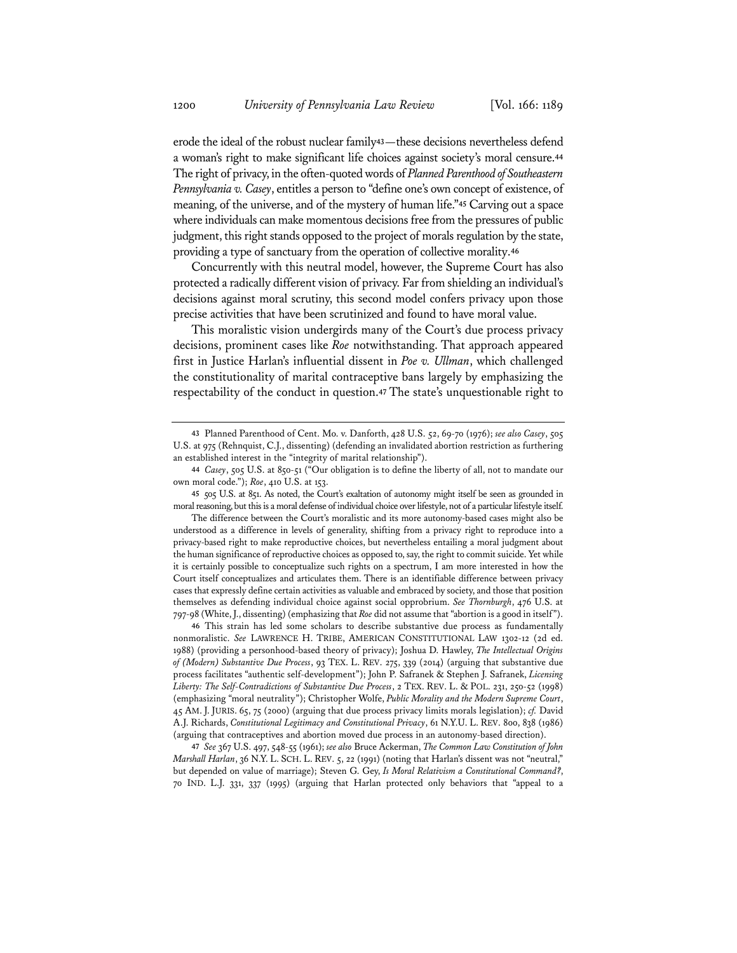erode the ideal of the robust nuclear family**<sup>43</sup>**—these decisions nevertheless defend a woman's right to make significant life choices against society's moral censure.**<sup>44</sup>** The right of privacy, in the often-quoted words of *Planned Parenthood of Southeastern Pennsylvania v. Casey*, entitles a person to "define one's own concept of existence, of meaning, of the universe, and of the mystery of human life."**<sup>45</sup>** Carving out a space where individuals can make momentous decisions free from the pressures of public judgment, this right stands opposed to the project of morals regulation by the state, providing a type of sanctuary from the operation of collective morality.**<sup>46</sup>**

Concurrently with this neutral model, however, the Supreme Court has also protected a radically different vision of privacy. Far from shielding an individual's decisions against moral scrutiny, this second model confers privacy upon those precise activities that have been scrutinized and found to have moral value.

This moralistic vision undergirds many of the Court's due process privacy decisions, prominent cases like *Roe* notwithstanding. That approach appeared first in Justice Harlan's influential dissent in *Poe v. Ullman*, which challenged the constitutionality of marital contraceptive bans largely by emphasizing the respectability of the conduct in question.**<sup>47</sup>** The state's unquestionable right to

**46** This strain has led some scholars to describe substantive due process as fundamentally nonmoralistic. *See* LAWRENCE H. TRIBE, AMERICAN CONSTITUTIONAL LAW 1302-12 (2d ed. 1988) (providing a personhood-based theory of privacy); Joshua D. Hawley, *The Intellectual Origins of (Modern) Substantive Due Process*, 93 TEX. L. REV. 275, 339 (2014) (arguing that substantive due process facilitates "authentic self-development"); John P. Safranek & Stephen J. Safranek, *Licensing Liberty: The Self-Contradictions of Substantive Due Process*, 2 TEX. REV. L. & POL. 231, 250-52 (1998) (emphasizing "moral neutrality"); Christopher Wolfe, *Public Morality and the Modern Supreme Court*, 45 AM. J. JURIS. 65, 75 (2000) (arguing that due process privacy limits morals legislation); *cf.* David A.J. Richards, *Constitutional Legitimacy and Constitutional Privacy*, 61 N.Y.U. L. REV. 800, 838 (1986) (arguing that contraceptives and abortion moved due process in an autonomy-based direction).

**47** *See* 367 U.S. 497, 548-55 (1961); *see also* Bruce Ackerman, *The Common Law Constitution of John Marshall Harlan*, 36 N.Y. L. SCH. L. REV. 5, 22 (1991) (noting that Harlan's dissent was not "neutral," but depended on value of marriage); Steven G. Gey, *Is Moral Relativism a Constitutional Command?*, 70 IND. L.J. 331, 337 (1995) (arguing that Harlan protected only behaviors that "appeal to a

**<sup>43</sup>** Planned Parenthood of Cent. Mo. v. Danforth, 428 U.S. 52, 69-70 (1976); *see also Casey*, 505 U.S. at 975 (Rehnquist, C.J., dissenting) (defending an invalidated abortion restriction as furthering an established interest in the "integrity of marital relationship").

**<sup>44</sup>** *Casey*, 505 U.S. at 850-51 ("Our obligation is to define the liberty of all, not to mandate our own moral code."); *Roe*, 410 U.S. at 153.

**<sup>45</sup>** 505 U.S. at 851. As noted, the Court's exaltation of autonomy might itself be seen as grounded in moral reasoning, but this is a moral defense of individual choice over lifestyle, not of a particular lifestyle itself.

The difference between the Court's moralistic and its more autonomy-based cases might also be understood as a difference in levels of generality, shifting from a privacy right to reproduce into a privacy-based right to make reproductive choices, but nevertheless entailing a moral judgment about the human significance of reproductive choices as opposed to, say, the right to commit suicide. Yet while it is certainly possible to conceptualize such rights on a spectrum, I am more interested in how the Court itself conceptualizes and articulates them. There is an identifiable difference between privacy cases that expressly define certain activities as valuable and embraced by society, and those that position themselves as defending individual choice against social opprobrium. *See Thornburgh*, 476 U.S. at 797-98 (White, J., dissenting) (emphasizing that *Roe* did not assume that "abortion is a good in itself").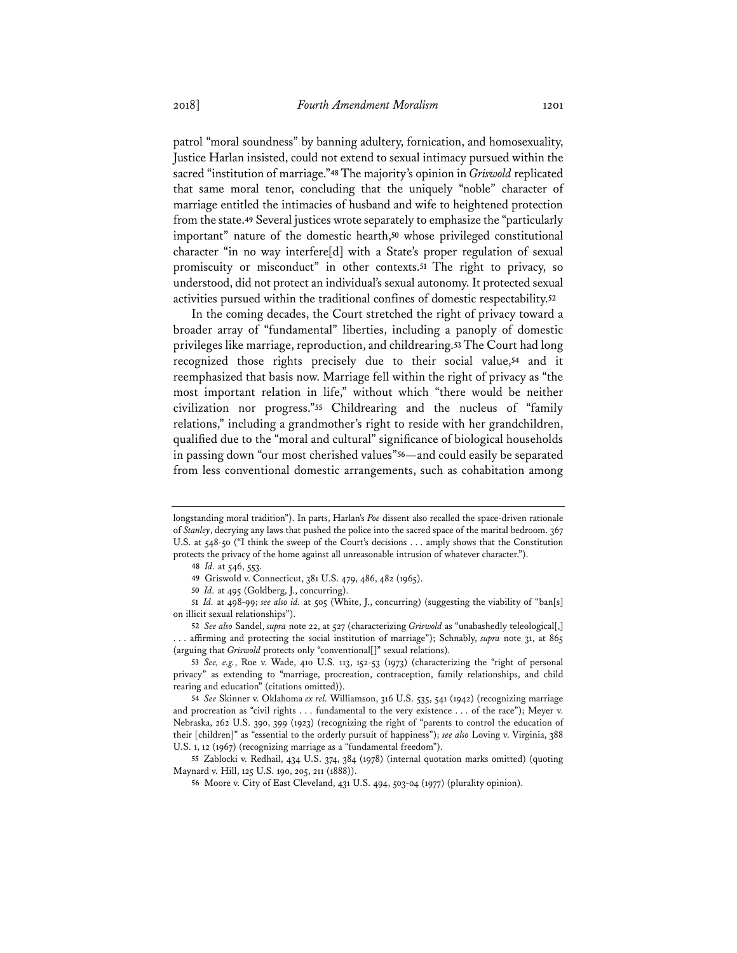patrol "moral soundness" by banning adultery, fornication, and homosexuality, Justice Harlan insisted, could not extend to sexual intimacy pursued within the sacred "institution of marriage."**<sup>48</sup>** The majority's opinion in *Griswold* replicated that same moral tenor, concluding that the uniquely "noble" character of marriage entitled the intimacies of husband and wife to heightened protection from the state.**<sup>49</sup>** Several justices wrote separately to emphasize the "particularly important" nature of the domestic hearth,**<sup>50</sup>** whose privileged constitutional character "in no way interfere[d] with a State's proper regulation of sexual promiscuity or misconduct" in other contexts.**<sup>51</sup>** The right to privacy, so understood, did not protect an individual's sexual autonomy. It protected sexual activities pursued within the traditional confines of domestic respectability.**<sup>52</sup>**

In the coming decades, the Court stretched the right of privacy toward a broader array of "fundamental" liberties, including a panoply of domestic privileges like marriage, reproduction, and childrearing.**<sup>53</sup>** The Court had long recognized those rights precisely due to their social value,**<sup>54</sup>** and it reemphasized that basis now. Marriage fell within the right of privacy as "the most important relation in life," without which "there would be neither civilization nor progress."**<sup>55</sup>** Childrearing and the nucleus of "family relations," including a grandmother's right to reside with her grandchildren, qualified due to the "moral and cultural" significance of biological households in passing down "our most cherished values"**<sup>56</sup>**—and could easily be separated from less conventional domestic arrangements, such as cohabitation among

**51** *Id.* at 498-99; *see also id.* at 505 (White, J., concurring) (suggesting the viability of "ban[s] on illicit sexual relationships").

longstanding moral tradition"). In parts, Harlan's *Poe* dissent also recalled the space-driven rationale of *Stanley*, decrying any laws that pushed the police into the sacred space of the marital bedroom. 367 U.S. at 548-50 ("I think the sweep of the Court's decisions . . . amply shows that the Constitution protects the privacy of the home against all unreasonable intrusion of whatever character.").

**<sup>48</sup>** *Id.* at 546, 553.

**<sup>49</sup>** Griswold v. Connecticut, 381 U.S. 479, 486, 482 (1965).

**<sup>50</sup>** *Id.* at 495 (Goldberg, J., concurring).

**<sup>52</sup>** *See also* Sandel, *supra* note 22, at 527 (characterizing *Griswold* as "unabashedly teleological[,] . . . affirming and protecting the social institution of marriage"); Schnably, *supra* note 31, at 865 (arguing that *Griswold* protects only "conventional[]" sexual relations).

**<sup>53</sup>** *See, e.g.*, Roe v. Wade, 410 U.S. 113, 152-53 (1973) (characterizing the "right of personal privacy" as extending to "marriage, procreation, contraception, family relationships, and child rearing and education" (citations omitted)).

**<sup>54</sup>** *See* Skinner v. Oklahoma *ex rel.* Williamson, 316 U.S. 535, 541 (1942) (recognizing marriage and procreation as "civil rights . . . fundamental to the very existence . . . of the race"); Meyer v. Nebraska, 262 U.S. 390, 399 (1923) (recognizing the right of "parents to control the education of their [children]" as "essential to the orderly pursuit of happiness"); *see also* Loving v. Virginia, 388 U.S. 1, 12 (1967) (recognizing marriage as a "fundamental freedom").

**<sup>55</sup>** Zablocki v. Redhail, 434 U.S. 374, 384 (1978) (internal quotation marks omitted) (quoting Maynard v. Hill, 125 U.S. 190, 205, 211 (1888)).

**<sup>56</sup>** Moore v. City of East Cleveland, 431 U.S. 494, 503-04 (1977) (plurality opinion).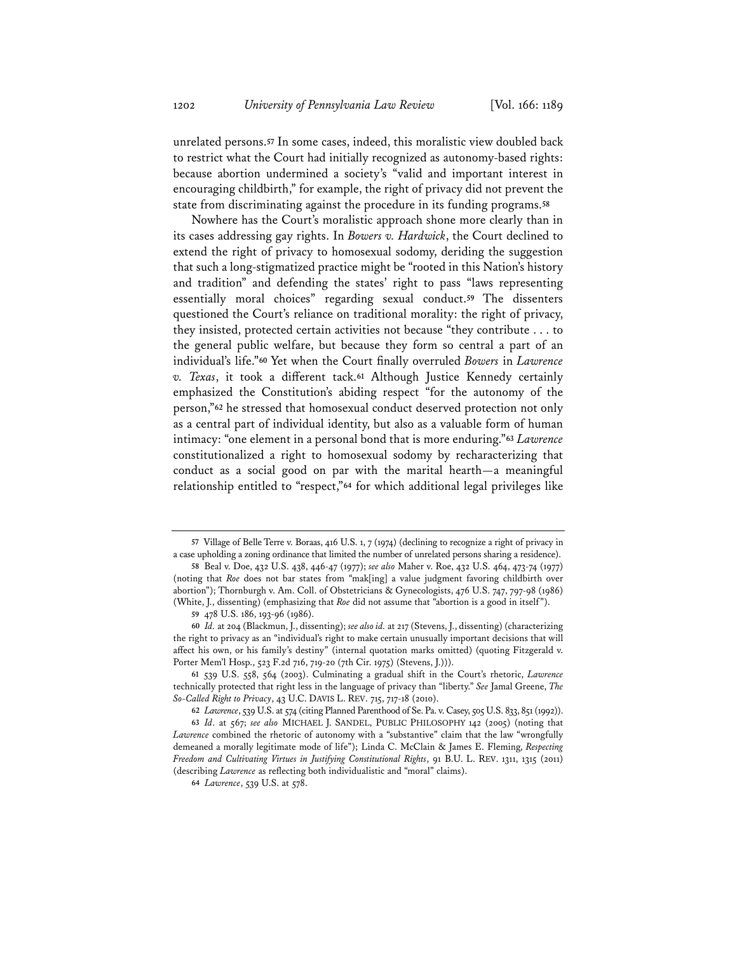unrelated persons.**<sup>57</sup>** In some cases, indeed, this moralistic view doubled back to restrict what the Court had initially recognized as autonomy-based rights: because abortion undermined a society's "valid and important interest in encouraging childbirth," for example, the right of privacy did not prevent the state from discriminating against the procedure in its funding programs.**<sup>58</sup>**

Nowhere has the Court's moralistic approach shone more clearly than in its cases addressing gay rights. In *Bowers v. Hardwick*, the Court declined to extend the right of privacy to homosexual sodomy, deriding the suggestion that such a long-stigmatized practice might be "rooted in this Nation's history and tradition" and defending the states' right to pass "laws representing essentially moral choices" regarding sexual conduct.**<sup>59</sup>** The dissenters questioned the Court's reliance on traditional morality: the right of privacy, they insisted, protected certain activities not because "they contribute . . . to the general public welfare, but because they form so central a part of an individual's life."**<sup>60</sup>** Yet when the Court finally overruled *Bowers* in *Lawrence v. Texas*, it took a different tack.**<sup>61</sup>** Although Justice Kennedy certainly emphasized the Constitution's abiding respect "for the autonomy of the person,"**<sup>62</sup>** he stressed that homosexual conduct deserved protection not only as a central part of individual identity, but also as a valuable form of human intimacy: "one element in a personal bond that is more enduring."**<sup>63</sup>** *Lawrence* constitutionalized a right to homosexual sodomy by recharacterizing that conduct as a social good on par with the marital hearth—a meaningful relationship entitled to "respect,"**<sup>64</sup>** for which additional legal privileges like

**<sup>57</sup>** Village of Belle Terre v. Boraas, 416 U.S. 1, 7 (1974) (declining to recognize a right of privacy in a case upholding a zoning ordinance that limited the number of unrelated persons sharing a residence).

**<sup>58</sup>** Beal v. Doe, 432 U.S. 438, 446-47 (1977); *see also* Maher v. Roe, 432 U.S. 464, 473-74 (1977) (noting that *Roe* does not bar states from "mak[ing] a value judgment favoring childbirth over abortion"); Thornburgh v. Am. Coll. of Obstetricians & Gynecologists, 476 U.S. 747, 797-98 (1986) (White, J., dissenting) (emphasizing that *Roe* did not assume that "abortion is a good in itself").

**<sup>59</sup>** 478 U.S. 186, 193-96 (1986).

**<sup>60</sup>** *Id.* at 204 (Blackmun, J., dissenting); *see alsoid.* at 217 (Stevens, J., dissenting) (characterizing the right to privacy as an "individual's right to make certain unusually important decisions that will affect his own, or his family's destiny" (internal quotation marks omitted) (quoting Fitzgerald v. Porter Mem'l Hosp., 523 F.2d 716, 719-20 (7th Cir. 1975) (Stevens, J.))).

**<sup>61</sup>** 539 U.S. 558, 564 (2003). Culminating a gradual shift in the Court's rhetoric, *Lawrence* technically protected that right less in the language of privacy than "liberty." *See* Jamal Greene, *The So-Called Right to Privacy*, 43 U.C. DAVIS L. REV. 715, 717-18 (2010).

**<sup>62</sup>** *Lawrence*, 539 U.S. at 574 (citing Planned Parenthood of Se. Pa. v. Casey, 505 U.S. 833, 851 (1992)). **63** *Id*. at 567; *see also* MICHAEL J. SANDEL, PUBLIC PHILOSOPHY 142 (2005) (noting that *Lawrence* combined the rhetoric of autonomy with a "substantive" claim that the law "wrongfully demeaned a morally legitimate mode of life"); Linda C. McClain & James E. Fleming, *Respecting Freedom and Cultivating Virtues in Justifying Constitutional Rights*, 91 B.U. L. REV. 1311, 1315 (2011) (describing *Lawrence* as reflecting both individualistic and "moral" claims).

**<sup>64</sup>** *Lawrence*, 539 U.S. at 578.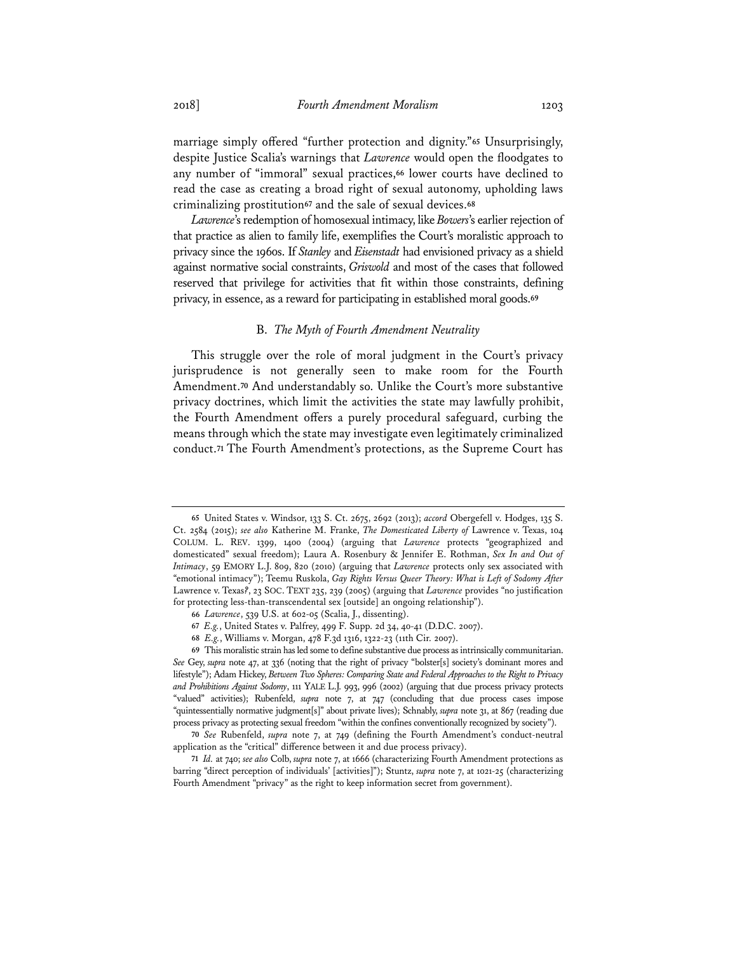marriage simply offered "further protection and dignity."**<sup>65</sup>** Unsurprisingly, despite Justice Scalia's warnings that *Lawrence* would open the floodgates to any number of "immoral" sexual practices,**<sup>66</sup>** lower courts have declined to read the case as creating a broad right of sexual autonomy, upholding laws criminalizing prostitution**<sup>67</sup>** and the sale of sexual devices.**<sup>68</sup>**

*Lawrence*'s redemption of homosexual intimacy, like *Bowers*'s earlier rejection of that practice as alien to family life, exemplifies the Court's moralistic approach to privacy since the 1960s. If *Stanley* and *Eisenstadt* had envisioned privacy as a shield against normative social constraints, *Griswold* and most of the cases that followed reserved that privilege for activities that fit within those constraints, defining privacy, in essence, as a reward for participating in established moral goods.**<sup>69</sup>**

#### B. *The Myth of Fourth Amendment Neutrality*

This struggle over the role of moral judgment in the Court's privacy jurisprudence is not generally seen to make room for the Fourth Amendment.**<sup>70</sup>** And understandably so. Unlike the Court's more substantive privacy doctrines, which limit the activities the state may lawfully prohibit, the Fourth Amendment offers a purely procedural safeguard, curbing the means through which the state may investigate even legitimately criminalized conduct.**<sup>71</sup>** The Fourth Amendment's protections, as the Supreme Court has

**69** This moralistic strain has led some to define substantive due process as intrinsically communitarian. *See* Gey, *supra* note 47, at 336 (noting that the right of privacy "bolster[s] society's dominant mores and lifestyle"); Adam Hickey, *Between Two Spheres: Comparing State and Federal Approaches to the Right to Privacy and Prohibitions Against Sodomy*, 111 YALE L.J. 993, 996 (2002) (arguing that due process privacy protects "valued" activities); Rubenfeld, *supra* note 7, at 747 (concluding that due process cases impose "quintessentially normative judgment[s]" about private lives); Schnably, *supra* note 31, at 867 (reading due process privacy as protecting sexual freedom "within the confines conventionally recognized by society").

**71** *Id.* at 740; *see also* Colb, *supra* note 7, at 1666 (characterizing Fourth Amendment protections as barring "direct perception of individuals' [activities]"); Stuntz, *supra* note 7, at 1021-25 (characterizing Fourth Amendment "privacy" as the right to keep information secret from government).

**<sup>65</sup>** United States v. Windsor, 133 S. Ct. 2675, 2692 (2013); *accord* Obergefell v. Hodges, 135 S. Ct. 2584 (2015); *see also* Katherine M. Franke, *The Domesticated Liberty of* Lawrence v. Texas, 104 COLUM. L. REV. 1399, 1400 (2004) (arguing that *Lawrence* protects "geographized and domesticated" sexual freedom); Laura A. Rosenbury & Jennifer E. Rothman, *Sex In and Out of Intimacy*, 59 EMORY L.J. 809, 820 (2010) (arguing that *Lawrence* protects only sex associated with "emotional intimacy"); Teemu Ruskola, *Gay Rights Versus Queer Theory: What is Left of Sodomy After*  Lawrence v. Texas*?*, 23 SOC. TEXT 235, 239 (2005) (arguing that *Lawrence* provides "no justification for protecting less-than-transcendental sex [outside] an ongoing relationship").

**<sup>66</sup>** *Lawrence*, 539 U.S. at 602-05 (Scalia, J., dissenting).

**<sup>67</sup>** *E.g.*, United States v. Palfrey, 499 F. Supp. 2d 34, 40-41 (D.D.C. 2007).

**<sup>68</sup>** *E.g.*, Williams v. Morgan, 478 F.3d 1316, 1322-23 (11th Cir. 2007).

**<sup>70</sup>** *See* Rubenfeld, *supra* note 7, at 749 (defining the Fourth Amendment's conduct-neutral application as the "critical" difference between it and due process privacy).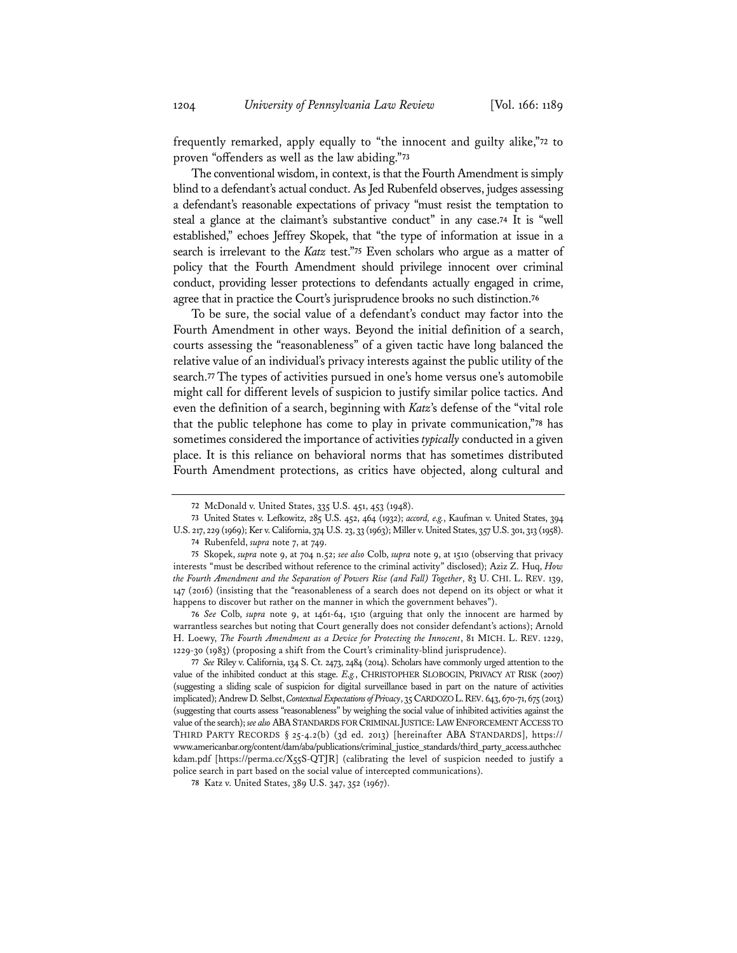frequently remarked, apply equally to "the innocent and guilty alike,"**<sup>72</sup>** to proven "offenders as well as the law abiding."**<sup>73</sup>**

The conventional wisdom, in context, is that the Fourth Amendment is simply blind to a defendant's actual conduct. As Jed Rubenfeld observes, judges assessing a defendant's reasonable expectations of privacy "must resist the temptation to steal a glance at the claimant's substantive conduct" in any case.**<sup>74</sup>** It is "well established," echoes Jeffrey Skopek, that "the type of information at issue in a search is irrelevant to the *Katz* test."**<sup>75</sup>** Even scholars who argue as a matter of policy that the Fourth Amendment should privilege innocent over criminal conduct, providing lesser protections to defendants actually engaged in crime, agree that in practice the Court's jurisprudence brooks no such distinction.**<sup>76</sup>**

To be sure, the social value of a defendant's conduct may factor into the Fourth Amendment in other ways. Beyond the initial definition of a search, courts assessing the "reasonableness" of a given tactic have long balanced the relative value of an individual's privacy interests against the public utility of the search.**<sup>77</sup>** The types of activities pursued in one's home versus one's automobile might call for different levels of suspicion to justify similar police tactics. And even the definition of a search, beginning with *Katz*'s defense of the "vital role that the public telephone has come to play in private communication,"**<sup>78</sup>** has sometimes considered the importance of activities *typically* conducted in a given place. It is this reliance on behavioral norms that has sometimes distributed Fourth Amendment protections, as critics have objected, along cultural and

**<sup>72</sup>** McDonald v. United States, 335 U.S. 451, 453 (1948).

**<sup>73</sup>** United States v. Lefkowitz, 285 U.S. 452, 464 (1932); *accord, e.g.*, Kaufman v. United States, 394 U.S. 217, 229 (1969); Ker v. California, 374 U.S. 23, 33 (1963); Miller v. United States, 357 U.S. 301, 313 (1958).

**<sup>74</sup>** Rubenfeld, *supra* note 7, at 749.

**<sup>75</sup>** Skopek, *supra* note 9, at 704 n.52; *see also* Colb, *supra* note 9, at 1510 (observing that privacy interests "must be described without reference to the criminal activity" disclosed); Aziz Z. Huq, *How the Fourth Amendment and the Separation of Powers Rise (and Fall) Together*, 83 U. CHI. L. REV. 139, 147 (2016) (insisting that the "reasonableness of a search does not depend on its object or what it happens to discover but rather on the manner in which the government behaves").

**<sup>76</sup>** *See* Colb, *supra* note 9, at 1461-64, 1510 (arguing that only the innocent are harmed by warrantless searches but noting that Court generally does not consider defendant's actions); Arnold H. Loewy, *The Fourth Amendment as a Device for Protecting the Innocent*, 81 MICH. L. REV. 1229, 1229-30 (1983) (proposing a shift from the Court's criminality-blind jurisprudence).

**<sup>77</sup>** *See* Riley v. California, 134 S. Ct. 2473, 2484 (2014). Scholars have commonly urged attention to the value of the inhibited conduct at this stage. *E.g.*, CHRISTOPHER SLOBOGIN, PRIVACY AT RISK (2007) (suggesting a sliding scale of suspicion for digital surveillance based in part on the nature of activities implicated); Andrew D. Selbst, *Contextual Expectations of Privacy*, 35 CARDOZO L.REV. 643, 670-71, 675 (2013) (suggesting that courts assess "reasonableness" by weighing the social value of inhibited activities against the value of the search); *see also* ABASTANDARDS FOR CRIMINAL JUSTICE:LAW ENFORCEMENT ACCESS TO THIRD PARTY RECORDS § 25-4.2(b) (3d ed. 2013) [hereinafter ABA STANDARDS], https:// www.americanbar.org/content/dam/aba/publications/criminal\_justice\_standards/third\_party\_access.authchec kdam.pdf [https://perma.cc/X55S-QTJR] (calibrating the level of suspicion needed to justify a police search in part based on the social value of intercepted communications).

**<sup>78</sup>** Katz v. United States, 389 U.S. 347, 352 (1967).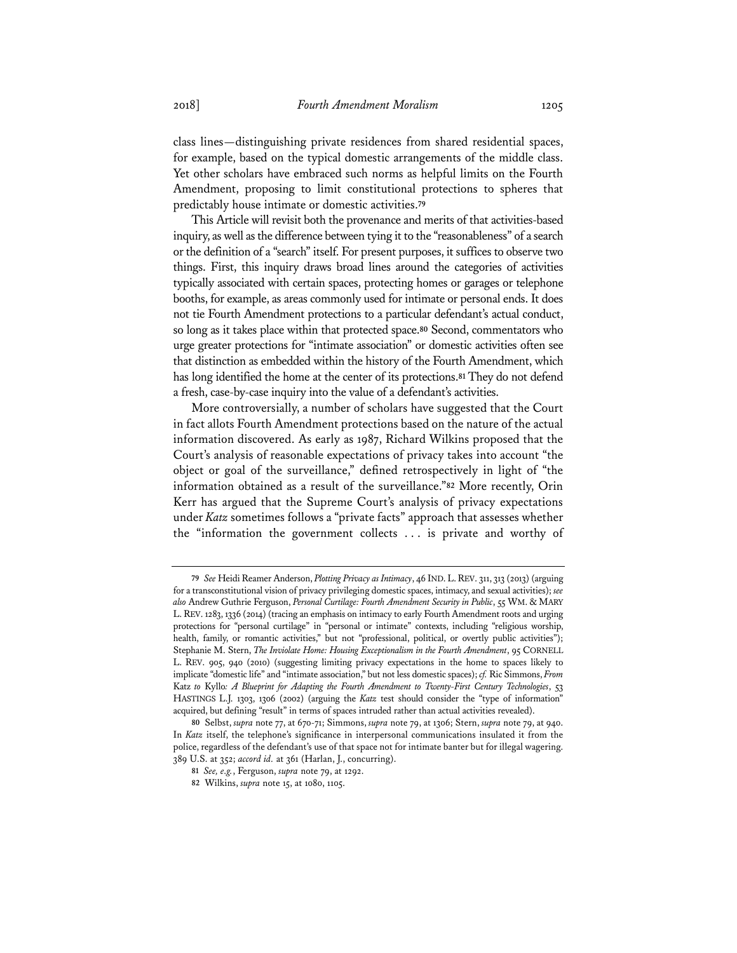class lines—distinguishing private residences from shared residential spaces, for example, based on the typical domestic arrangements of the middle class. Yet other scholars have embraced such norms as helpful limits on the Fourth Amendment, proposing to limit constitutional protections to spheres that predictably house intimate or domestic activities.**<sup>79</sup>**

This Article will revisit both the provenance and merits of that activities-based inquiry, as well as the difference between tying it to the "reasonableness" of a search or the definition of a "search" itself. For present purposes, it suffices to observe two things. First, this inquiry draws broad lines around the categories of activities typically associated with certain spaces, protecting homes or garages or telephone booths, for example, as areas commonly used for intimate or personal ends. It does not tie Fourth Amendment protections to a particular defendant's actual conduct, so long as it takes place within that protected space.**<sup>80</sup>** Second, commentators who urge greater protections for "intimate association" or domestic activities often see that distinction as embedded within the history of the Fourth Amendment, which has long identified the home at the center of its protections.**<sup>81</sup>** They do not defend a fresh, case-by-case inquiry into the value of a defendant's activities.

More controversially, a number of scholars have suggested that the Court in fact allots Fourth Amendment protections based on the nature of the actual information discovered. As early as 1987, Richard Wilkins proposed that the Court's analysis of reasonable expectations of privacy takes into account "the object or goal of the surveillance," defined retrospectively in light of "the information obtained as a result of the surveillance."**<sup>82</sup>** More recently, Orin Kerr has argued that the Supreme Court's analysis of privacy expectations under *Katz* sometimes follows a "private facts" approach that assesses whether the "information the government collects . . . is private and worthy of

**<sup>79</sup>** *See* Heidi Reamer Anderson, *Plotting Privacy as Intimacy*, 46 IND.L.REV. 311, 313 (2013) (arguing for a transconstitutional vision of privacy privileging domestic spaces, intimacy, and sexual activities); *see also* Andrew Guthrie Ferguson, *Personal Curtilage: Fourth Amendment Security in Public*, 55 WM. & MARY L.REV. 1283, 1336 (2014) (tracing an emphasis on intimacy to early Fourth Amendment roots and urging protections for "personal curtilage" in "personal or intimate" contexts, including "religious worship, health, family, or romantic activities," but not "professional, political, or overtly public activities"); Stephanie M. Stern, *The Inviolate Home: Housing Exceptionalism in the Fourth Amendment*, 95 CORNELL L. REV. 905, 940 (2010) (suggesting limiting privacy expectations in the home to spaces likely to implicate "domestic life" and "intimate association," but not less domestic spaces); *cf.* Ric Simmons, *From*  Katz *to* Kyllo*: A Blueprint for Adapting the Fourth Amendment to Twenty-First Century Technologies*, 53 HASTINGS L.J. 1303, 1306 (2002) (arguing the *Katz* test should consider the "type of information" acquired, but defining "result" in terms of spaces intruded rather than actual activities revealed).

**<sup>80</sup>** Selbst, *supra* note 77, at 670-71; Simmons, *supra* note 79, at 1306; Stern, *supra* note 79, at 940. In *Katz* itself, the telephone's significance in interpersonal communications insulated it from the police, regardless of the defendant's use of that space not for intimate banter but for illegal wagering. 389 U.S. at 352; *accord id.* at 361 (Harlan, J., concurring).

**<sup>81</sup>** *See, e.g.*, Ferguson, *supra* note 79, at 1292.

**<sup>82</sup>** Wilkins, *supra* note 15, at 1080, 1105.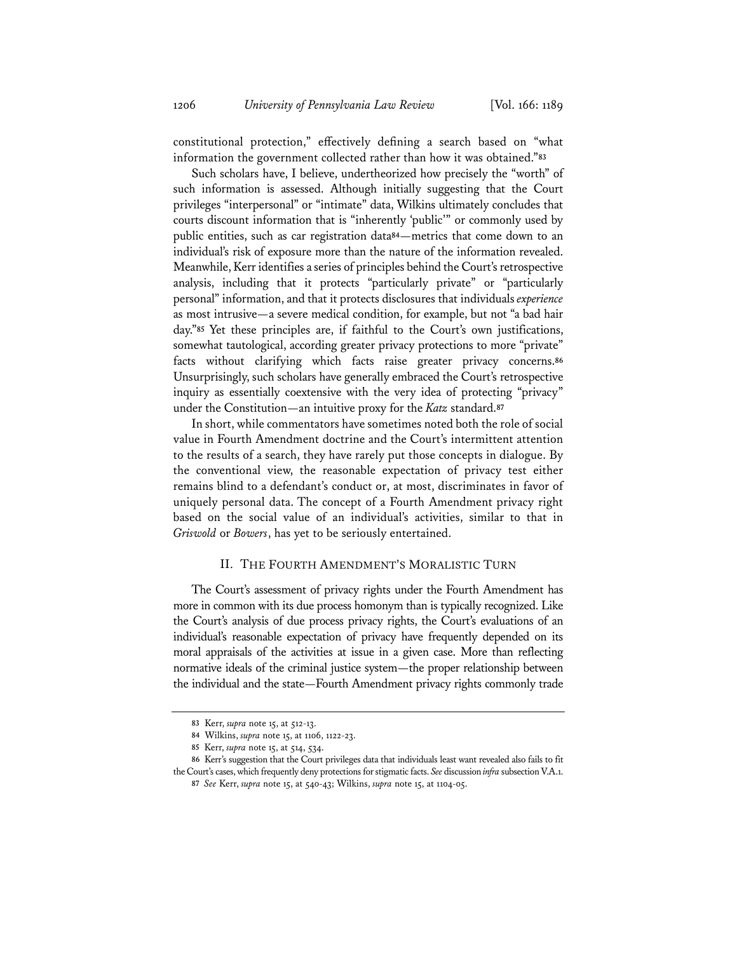constitutional protection," effectively defining a search based on "what information the government collected rather than how it was obtained."**<sup>83</sup>**

Such scholars have, I believe, undertheorized how precisely the "worth" of such information is assessed. Although initially suggesting that the Court privileges "interpersonal" or "intimate" data, Wilkins ultimately concludes that courts discount information that is "inherently 'public'" or commonly used by public entities, such as car registration data**<sup>84</sup>**—metrics that come down to an individual's risk of exposure more than the nature of the information revealed. Meanwhile, Kerr identifies a series of principles behind the Court's retrospective analysis, including that it protects "particularly private" or "particularly personal" information, and that it protects disclosures that individuals *experience* as most intrusive—a severe medical condition, for example, but not "a bad hair day."**<sup>85</sup>** Yet these principles are, if faithful to the Court's own justifications, somewhat tautological, according greater privacy protections to more "private" facts without clarifying which facts raise greater privacy concerns.**<sup>86</sup>** Unsurprisingly, such scholars have generally embraced the Court's retrospective inquiry as essentially coextensive with the very idea of protecting "privacy" under the Constitution—an intuitive proxy for the *Katz* standard.**<sup>87</sup>**

In short, while commentators have sometimes noted both the role of social value in Fourth Amendment doctrine and the Court's intermittent attention to the results of a search, they have rarely put those concepts in dialogue. By the conventional view, the reasonable expectation of privacy test either remains blind to a defendant's conduct or, at most, discriminates in favor of uniquely personal data. The concept of a Fourth Amendment privacy right based on the social value of an individual's activities, similar to that in *Griswold* or *Bowers*, has yet to be seriously entertained.

## II. THE FOURTH AMENDMENT'S MORALISTIC TURN

The Court's assessment of privacy rights under the Fourth Amendment has more in common with its due process homonym than is typically recognized. Like the Court's analysis of due process privacy rights, the Court's evaluations of an individual's reasonable expectation of privacy have frequently depended on its moral appraisals of the activities at issue in a given case. More than reflecting normative ideals of the criminal justice system—the proper relationship between the individual and the state—Fourth Amendment privacy rights commonly trade

**<sup>83</sup>** Kerr, *supra* note 15, at 512-13.

**<sup>84</sup>** Wilkins, *supra* note 15, at 1106, 1122-23.

**<sup>85</sup>** Kerr, *supra* note 15, at 514, 534.

**<sup>86</sup>** Kerr's suggestion that the Court privileges data that individuals least want revealed also fails to fit the Court's cases, which frequently deny protections for stigmatic facts. *See* discussion *infra* subsection V.A.1. **87** *See* Kerr, *supra* note 15, at 540-43; Wilkins, *supra* note 15, at 1104-05.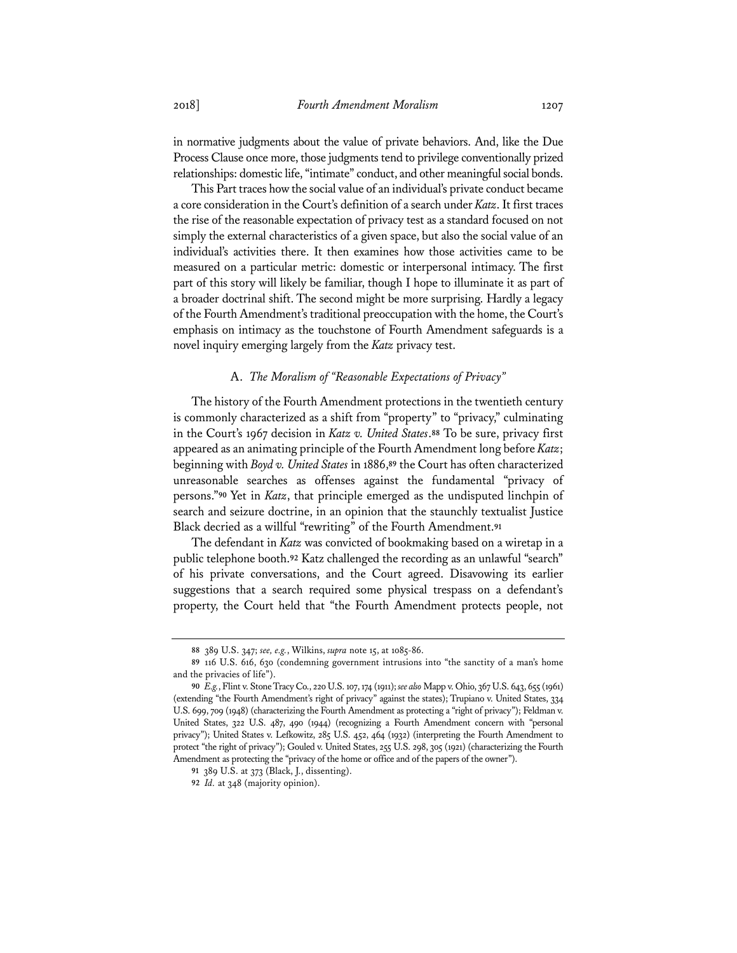in normative judgments about the value of private behaviors. And, like the Due Process Clause once more, those judgments tend to privilege conventionally prized relationships: domestic life, "intimate" conduct, and other meaningful social bonds.

This Part traces how the social value of an individual's private conduct became a core consideration in the Court's definition of a search under *Katz*. It first traces the rise of the reasonable expectation of privacy test as a standard focused on not simply the external characteristics of a given space, but also the social value of an individual's activities there. It then examines how those activities came to be measured on a particular metric: domestic or interpersonal intimacy. The first part of this story will likely be familiar, though I hope to illuminate it as part of a broader doctrinal shift. The second might be more surprising. Hardly a legacy of the Fourth Amendment's traditional preoccupation with the home, the Court's emphasis on intimacy as the touchstone of Fourth Amendment safeguards is a novel inquiry emerging largely from the *Katz* privacy test.

## A. *The Moralism of "Reasonable Expectations of Privacy"*

The history of the Fourth Amendment protections in the twentieth century is commonly characterized as a shift from "property" to "privacy," culminating in the Court's 1967 decision in *Katz v. United States*.**<sup>88</sup>** To be sure, privacy first appeared as an animating principle of the Fourth Amendment long before *Katz*; beginning with *Boyd v. United States* in 1886,**<sup>89</sup>** the Court has often characterized unreasonable searches as offenses against the fundamental "privacy of persons."**<sup>90</sup>** Yet in *Katz*, that principle emerged as the undisputed linchpin of search and seizure doctrine, in an opinion that the staunchly textualist Justice Black decried as a willful "rewriting" of the Fourth Amendment.**<sup>91</sup>**

The defendant in *Katz* was convicted of bookmaking based on a wiretap in a public telephone booth.**<sup>92</sup>** Katz challenged the recording as an unlawful "search" of his private conversations, and the Court agreed. Disavowing its earlier suggestions that a search required some physical trespass on a defendant's property, the Court held that "the Fourth Amendment protects people, not

**<sup>88</sup>** 389 U.S. 347; *see, e.g.*, Wilkins, *supra* note 15, at 1085-86.

**<sup>89</sup>** 116 U.S. 616, 630 (condemning government intrusions into "the sanctity of a man's home and the privacies of life").

**<sup>90</sup>** *E.g.*, Flint v. Stone Tracy Co., 220 U.S. 107, 174 (1911); *see also* Mapp v. Ohio, 367 U.S. 643, 655 (1961) (extending "the Fourth Amendment's right of privacy" against the states); Trupiano v. United States, 334 U.S. 699, 709 (1948) (characterizing the Fourth Amendment as protecting a "right of privacy"); Feldman v. United States, 322 U.S. 487, 490 (1944) (recognizing a Fourth Amendment concern with "personal privacy"); United States v. Lefkowitz, 285 U.S. 452, 464 (1932) (interpreting the Fourth Amendment to protect "the right of privacy"); Gouled v. United States, 255 U.S. 298, 305 (1921) (characterizing the Fourth Amendment as protecting the "privacy of the home or office and of the papers of the owner").

**<sup>91</sup>** 389 U.S. at 373 (Black, J., dissenting).

**<sup>92</sup>** *Id.* at 348 (majority opinion).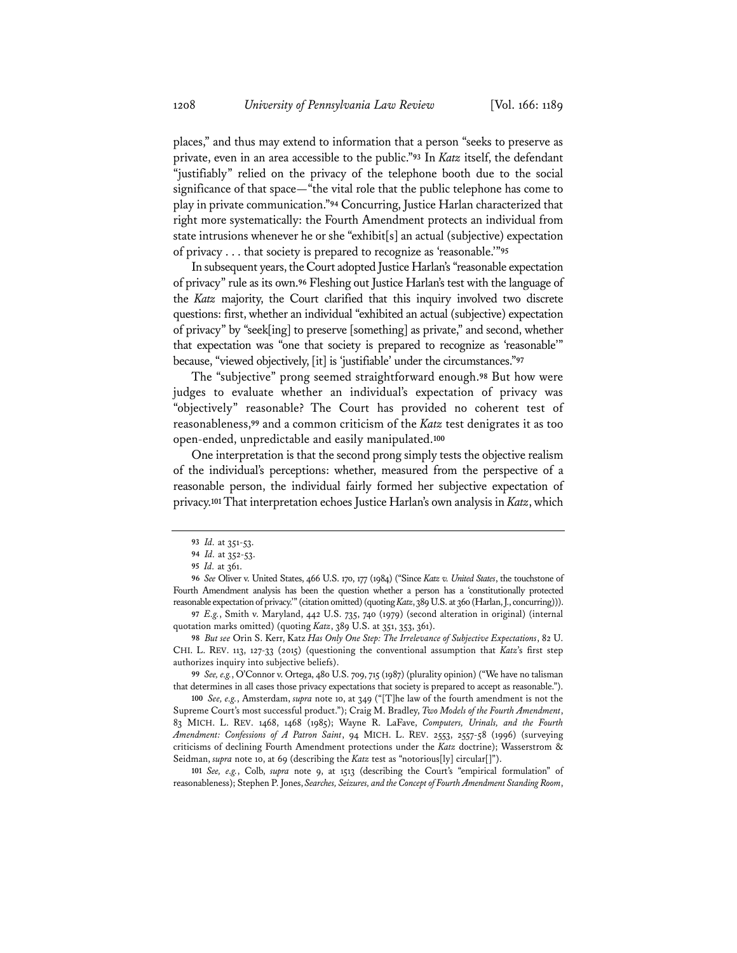places," and thus may extend to information that a person "seeks to preserve as private, even in an area accessible to the public."**<sup>93</sup>** In *Katz* itself, the defendant "justifiably" relied on the privacy of the telephone booth due to the social significance of that space—"the vital role that the public telephone has come to play in private communication."**<sup>94</sup>** Concurring, Justice Harlan characterized that right more systematically: the Fourth Amendment protects an individual from state intrusions whenever he or she "exhibit[s] an actual (subjective) expectation of privacy . . . that society is prepared to recognize as 'reasonable.'"**<sup>95</sup>**

In subsequent years, the Court adopted Justice Harlan's "reasonable expectation of privacy" rule as its own.**<sup>96</sup>** Fleshing out Justice Harlan's test with the language of the *Katz* majority, the Court clarified that this inquiry involved two discrete questions: first, whether an individual "exhibited an actual (subjective) expectation of privacy" by "seek[ing] to preserve [something] as private," and second, whether that expectation was "one that society is prepared to recognize as 'reasonable'" because, "viewed objectively, [it] is 'justifiable' under the circumstances."**<sup>97</sup>**

The "subjective" prong seemed straightforward enough.**<sup>98</sup>** But how were judges to evaluate whether an individual's expectation of privacy was "objectively" reasonable? The Court has provided no coherent test of reasonableness,**<sup>99</sup>** and a common criticism of the *Katz* test denigrates it as too open-ended, unpredictable and easily manipulated.**<sup>100</sup>**

One interpretation is that the second prong simply tests the objective realism of the individual's perceptions: whether, measured from the perspective of a reasonable person, the individual fairly formed her subjective expectation of privacy.**<sup>101</sup>** That interpretation echoes Justice Harlan's own analysis in *Katz*, which

**97** *E.g.*, Smith v. Maryland, 442 U.S. 735, 740 (1979) (second alteration in original) (internal quotation marks omitted) (quoting *Katz*, 389 U.S. at 351, 353, 361).

**98** *But see* Orin S. Kerr, Katz *Has Only One Step: The Irrelevance of Subjective Expectations*, 82 U. CHI. L. REV. 113, 127-33 (2015) (questioning the conventional assumption that *Katz*'s first step authorizes inquiry into subjective beliefs).

**99** *See, e.g.*, O'Connor v. Ortega, 480 U.S. 709, 715 (1987) (plurality opinion) ("We have no talisman that determines in all cases those privacy expectations that society is prepared to accept as reasonable.").

**100** *See, e.g.*, Amsterdam, *supra* note 10, at 349 ("[T]he law of the fourth amendment is not the Supreme Court's most successful product."); Craig M. Bradley, *Two Models of the Fourth Amendment*, 83 MICH. L. REV. 1468, 1468 (1985); Wayne R. LaFave, *Computers, Urinals, and the Fourth Amendment: Confessions of A Patron Saint*, 94 MICH. L. REV. 2553, 2557-58 (1996) (surveying criticisms of declining Fourth Amendment protections under the *Katz* doctrine); Wasserstrom & Seidman, *supra* note 10, at 69 (describing the *Katz* test as "notorious[ly] circular[]").

**101** *See, e.g.*, Colb, *supra* note 9, at 1513 (describing the Court's "empirical formulation" of reasonableness); Stephen P. Jones, *Searches, Seizures, and the Concept of Fourth Amendment Standing Room*,

**<sup>93</sup>** *Id.* at 351-53.

**<sup>94</sup>** *Id.* at 352-53.

**<sup>95</sup>** *Id.* at 361.

**<sup>96</sup>** *See* Oliver v. United States, 466 U.S. 170, 177 (1984) ("Since *Katz v. United States*, the touchstone of Fourth Amendment analysis has been the question whether a person has a 'constitutionally protected reasonable expectation of privacy.'" (citation omitted) (quoting *Katz*, 389 U.S. at 360 (Harlan, J., concurring))).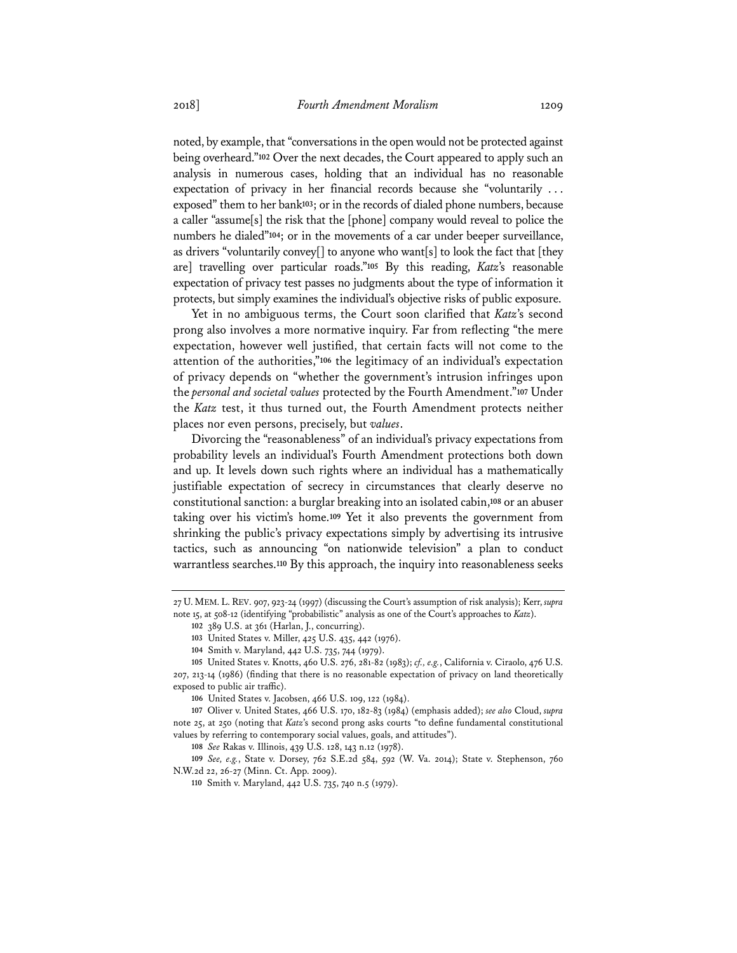noted, by example, that "conversations in the open would not be protected against being overheard."**<sup>102</sup>** Over the next decades, the Court appeared to apply such an analysis in numerous cases, holding that an individual has no reasonable expectation of privacy in her financial records because she "voluntarily . . . exposed" them to her bank**<sup>103</sup>**; or in the records of dialed phone numbers, because a caller "assume[s] the risk that the [phone] company would reveal to police the numbers he dialed"**<sup>104</sup>**; or in the movements of a car under beeper surveillance, as drivers "voluntarily convey[] to anyone who want[s] to look the fact that [they are] travelling over particular roads."**<sup>105</sup>** By this reading, *Katz*'s reasonable expectation of privacy test passes no judgments about the type of information it protects, but simply examines the individual's objective risks of public exposure.

Yet in no ambiguous terms, the Court soon clarified that *Katz*'s second prong also involves a more normative inquiry. Far from reflecting "the mere expectation, however well justified, that certain facts will not come to the attention of the authorities,"**<sup>106</sup>** the legitimacy of an individual's expectation of privacy depends on "whether the government's intrusion infringes upon the *personal and societal values* protected by the Fourth Amendment."**<sup>107</sup>** Under the *Katz* test, it thus turned out, the Fourth Amendment protects neither places nor even persons, precisely, but *values*.

Divorcing the "reasonableness" of an individual's privacy expectations from probability levels an individual's Fourth Amendment protections both down and up. It levels down such rights where an individual has a mathematically justifiable expectation of secrecy in circumstances that clearly deserve no constitutional sanction: a burglar breaking into an isolated cabin,**<sup>108</sup>** or an abuser taking over his victim's home.**<sup>109</sup>** Yet it also prevents the government from shrinking the public's privacy expectations simply by advertising its intrusive tactics, such as announcing "on nationwide television" a plan to conduct warrantless searches.**<sup>110</sup>** By this approach, the inquiry into reasonableness seeks

<sup>27</sup> U. MEM. L. REV. 907, 923-24 (1997) (discussing the Court's assumption of risk analysis); Kerr, *supra* note 15, at 508-12 (identifying "probabilistic" analysis as one of the Court's approaches to *Katz*).

**<sup>102</sup>** 389 U.S. at 361 (Harlan, J., concurring).

**<sup>103</sup>** United States v. Miller, 425 U.S. 435, 442 (1976).

**<sup>104</sup>** Smith v. Maryland, 442 U.S. 735, 744 (1979).

**<sup>105</sup>** United States v. Knotts, 460 U.S. 276, 281-82 (1983); *cf., e.g.*, California v. Ciraolo, 476 U.S. 207, 213-14 (1986) (finding that there is no reasonable expectation of privacy on land theoretically exposed to public air traffic).

**<sup>106</sup>** United States v. Jacobsen, 466 U.S. 109, 122 (1984).

**<sup>107</sup>** Oliver v. United States, 466 U.S. 170, 182-83 (1984) (emphasis added); *see also* Cloud, *supra* note 25, at 250 (noting that *Katz*'s second prong asks courts "to define fundamental constitutional values by referring to contemporary social values, goals, and attitudes").

**<sup>108</sup>** *See* Rakas v. Illinois, 439 U.S. 128, 143 n.12 (1978).

**<sup>109</sup>** *See, e.g.*, State v. Dorsey, 762 S.E.2d 584, 592 (W. Va. 2014); State v. Stephenson, 760 N.W.2d 22, 26-27 (Minn. Ct. App. 2009).

**<sup>110</sup>** Smith v. Maryland, 442 U.S. 735, 740 n.5 (1979).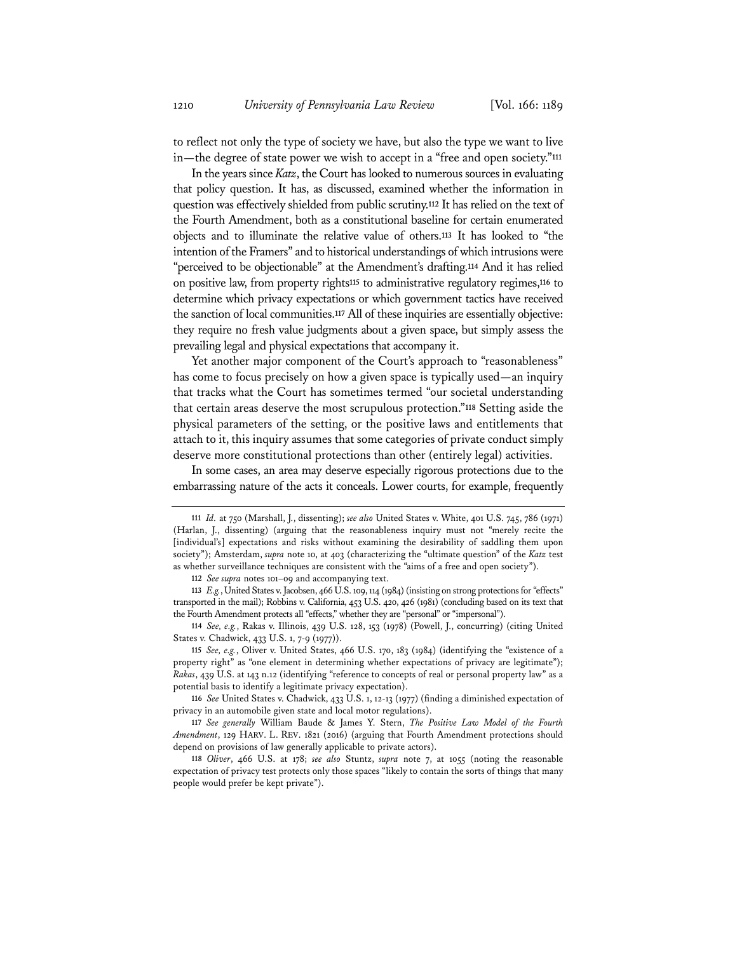to reflect not only the type of society we have, but also the type we want to live in—the degree of state power we wish to accept in a "free and open society."**<sup>111</sup>**

In the years since *Katz*, the Court has looked to numerous sources in evaluating that policy question. It has, as discussed, examined whether the information in question was effectively shielded from public scrutiny.**<sup>112</sup>** It has relied on the text of the Fourth Amendment, both as a constitutional baseline for certain enumerated objects and to illuminate the relative value of others.**<sup>113</sup>** It has looked to "the intention of the Framers" and to historical understandings of which intrusions were "perceived to be objectionable" at the Amendment's drafting.**<sup>114</sup>** And it has relied on positive law, from property rights**<sup>115</sup>** to administrative regulatory regimes,**<sup>116</sup>** to determine which privacy expectations or which government tactics have received the sanction of local communities.**<sup>117</sup>** All of these inquiries are essentially objective: they require no fresh value judgments about a given space, but simply assess the prevailing legal and physical expectations that accompany it.

Yet another major component of the Court's approach to "reasonableness" has come to focus precisely on how a given space is typically used—an inquiry that tracks what the Court has sometimes termed "our societal understanding that certain areas deserve the most scrupulous protection."**<sup>118</sup>** Setting aside the physical parameters of the setting, or the positive laws and entitlements that attach to it, this inquiry assumes that some categories of private conduct simply deserve more constitutional protections than other (entirely legal) activities.

In some cases, an area may deserve especially rigorous protections due to the embarrassing nature of the acts it conceals. Lower courts, for example, frequently

**112** *See supra* notes 101–09 and accompanying text.

**<sup>111</sup>** *Id.* at 750 (Marshall, J., dissenting); *see also* United States v. White, 401 U.S. 745, 786 (1971) (Harlan, J., dissenting) (arguing that the reasonableness inquiry must not "merely recite the [individual's] expectations and risks without examining the desirability of saddling them upon society"); Amsterdam, *supra* note 10, at 403 (characterizing the "ultimate question" of the *Katz* test as whether surveillance techniques are consistent with the "aims of a free and open society").

**<sup>113</sup>** *E.g.*, United States v. Jacobsen, 466 U.S. 109, 114 (1984) (insisting on strong protections for "effects" transported in the mail); Robbins v. California, 453 U.S. 420, 426 (1981) (concluding based on its text that the Fourth Amendment protects all "effects," whether they are "personal" or "impersonal").

**<sup>114</sup>** *See, e.g.*, Rakas v. Illinois, 439 U.S. 128, 153 (1978) (Powell, J., concurring) (citing United States v. Chadwick, 433 U.S. 1, 7-9 (1977)).

**<sup>115</sup>** *See, e.g.*, Oliver v. United States, 466 U.S. 170, 183 (1984) (identifying the "existence of a property right" as "one element in determining whether expectations of privacy are legitimate"); *Rakas*, 439 U.S. at 143 n.12 (identifying "reference to concepts of real or personal property law" as a potential basis to identify a legitimate privacy expectation).

**<sup>116</sup>** *See* United States v. Chadwick, 433 U.S. 1, 12-13 (1977) (finding a diminished expectation of privacy in an automobile given state and local motor regulations).

**<sup>117</sup>** *See generally* William Baude & James Y. Stern, *The Positive Law Model of the Fourth Amendment*, 129 HARV. L. REV. 1821 (2016) (arguing that Fourth Amendment protections should depend on provisions of law generally applicable to private actors).

**<sup>118</sup>** *Oliver*, 466 U.S. at 178; *see also* Stuntz, *supra* note 7, at 1055 (noting the reasonable expectation of privacy test protects only those spaces "likely to contain the sorts of things that many people would prefer be kept private").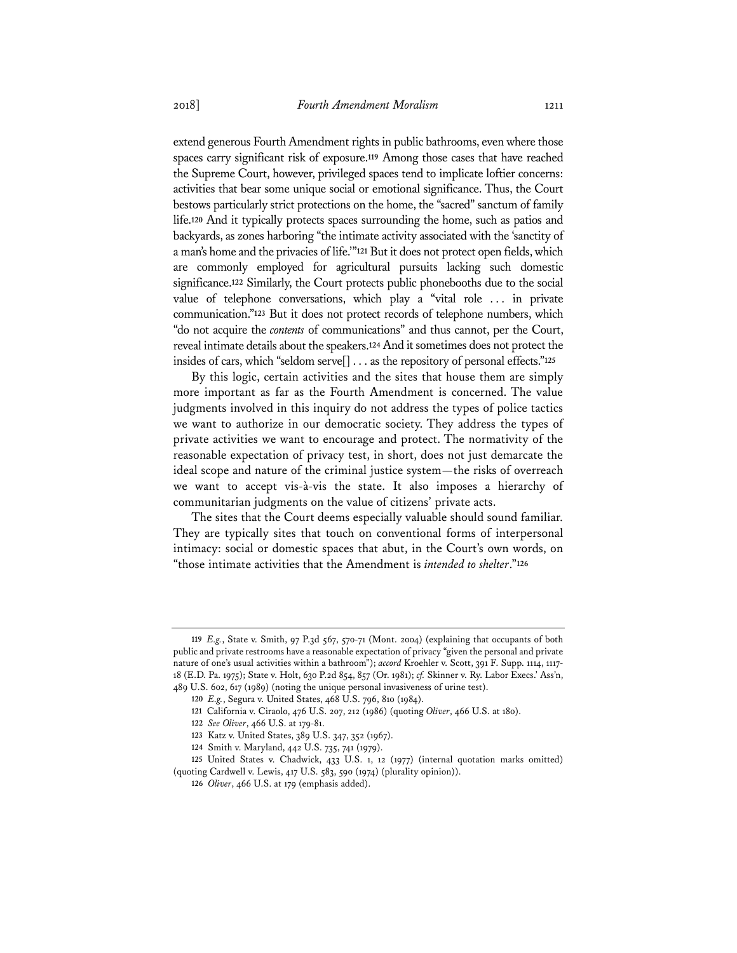extend generous Fourth Amendment rights in public bathrooms, even where those spaces carry significant risk of exposure.**<sup>119</sup>** Among those cases that have reached the Supreme Court, however, privileged spaces tend to implicate loftier concerns: activities that bear some unique social or emotional significance. Thus, the Court bestows particularly strict protections on the home, the "sacred" sanctum of family life.**<sup>120</sup>** And it typically protects spaces surrounding the home, such as patios and backyards, as zones harboring "the intimate activity associated with the 'sanctity of a man's home and the privacies of life.'"**<sup>121</sup>** But it does not protect open fields, which are commonly employed for agricultural pursuits lacking such domestic significance.**<sup>122</sup>** Similarly, the Court protects public phonebooths due to the social value of telephone conversations, which play a "vital role . . . in private communication."**<sup>123</sup>** But it does not protect records of telephone numbers, which "do not acquire the *contents* of communications" and thus cannot, per the Court, reveal intimate details about the speakers.**<sup>124</sup>** And it sometimes does not protect the insides of cars, which "seldom serve[] . . . as the repository of personal effects."**<sup>125</sup>**

By this logic, certain activities and the sites that house them are simply more important as far as the Fourth Amendment is concerned. The value judgments involved in this inquiry do not address the types of police tactics we want to authorize in our democratic society. They address the types of private activities we want to encourage and protect. The normativity of the reasonable expectation of privacy test, in short, does not just demarcate the ideal scope and nature of the criminal justice system—the risks of overreach we want to accept vis-à-vis the state. It also imposes a hierarchy of communitarian judgments on the value of citizens' private acts.

The sites that the Court deems especially valuable should sound familiar. They are typically sites that touch on conventional forms of interpersonal intimacy: social or domestic spaces that abut, in the Court's own words, on "those intimate activities that the Amendment is *intended to shelter*."**<sup>126</sup>**

**<sup>119</sup>** *E.g.*, State v. Smith, 97 P.3d 567, 570-71 (Mont. 2004) (explaining that occupants of both public and private restrooms have a reasonable expectation of privacy "given the personal and private nature of one's usual activities within a bathroom"); *accord* Kroehler v. Scott, 391 F. Supp. 1114, 1117- 18 (E.D. Pa. 1975); State v. Holt, 630 P.2d 854, 857 (Or. 1981); *cf.* Skinner v. Ry. Labor Execs.' Ass'n, 489 U.S. 602, 617 (1989) (noting the unique personal invasiveness of urine test).

**<sup>120</sup>** *E.g.*, Segura v. United States, 468 U.S. 796, 810 (1984).

**<sup>121</sup>** California v. Ciraolo, 476 U.S. 207, 212 (1986) (quoting *Oliver*, 466 U.S. at 180).

**<sup>122</sup>** *See Oliver*, 466 U.S. at 179-81.

**<sup>123</sup>** Katz v. United States, 389 U.S. 347, 352 (1967).

**<sup>124</sup>** Smith v. Maryland, 442 U.S. 735, 741 (1979).

**<sup>125</sup>** United States v. Chadwick, 433 U.S. 1, 12 (1977) (internal quotation marks omitted) (quoting Cardwell v. Lewis, 417 U.S. 583, 590 (1974) (plurality opinion)).

**<sup>126</sup>** *Oliver*, 466 U.S. at 179 (emphasis added).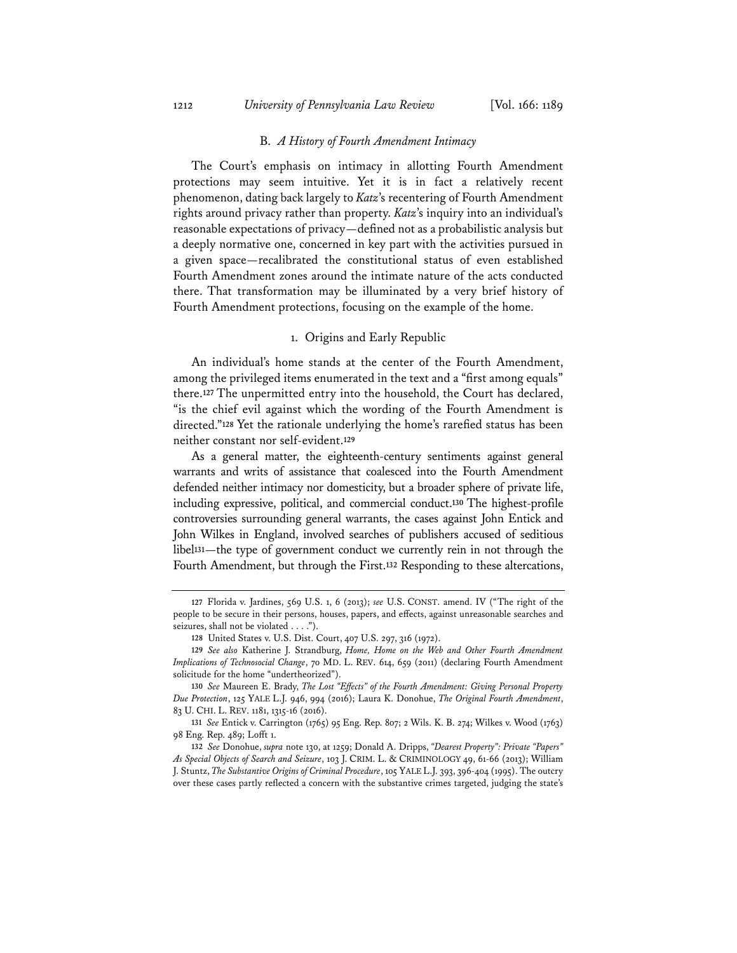1212 *University of Pennsylvania Law Review* [Vol. 166: 1189

#### B. *A History of Fourth Amendment Intimacy*

The Court's emphasis on intimacy in allotting Fourth Amendment protections may seem intuitive. Yet it is in fact a relatively recent phenomenon, dating back largely to *Katz*'s recentering of Fourth Amendment rights around privacy rather than property. *Katz*'s inquiry into an individual's reasonable expectations of privacy—defined not as a probabilistic analysis but a deeply normative one, concerned in key part with the activities pursued in a given space—recalibrated the constitutional status of even established Fourth Amendment zones around the intimate nature of the acts conducted there. That transformation may be illuminated by a very brief history of Fourth Amendment protections, focusing on the example of the home.

## 1. Origins and Early Republic

An individual's home stands at the center of the Fourth Amendment, among the privileged items enumerated in the text and a "first among equals" there.**<sup>127</sup>** The unpermitted entry into the household, the Court has declared, "is the chief evil against which the wording of the Fourth Amendment is directed."**<sup>128</sup>** Yet the rationale underlying the home's rarefied status has been neither constant nor self-evident.**<sup>129</sup>**

As a general matter, the eighteenth-century sentiments against general warrants and writs of assistance that coalesced into the Fourth Amendment defended neither intimacy nor domesticity, but a broader sphere of private life, including expressive, political, and commercial conduct.**<sup>130</sup>** The highest-profile controversies surrounding general warrants, the cases against John Entick and John Wilkes in England, involved searches of publishers accused of seditious libel**<sup>131</sup>**—the type of government conduct we currently rein in not through the Fourth Amendment, but through the First.**<sup>132</sup>** Responding to these altercations,

**<sup>127</sup>** Florida v. Jardines, 569 U.S. 1, 6 (2013); *see* U.S. CONST. amend. IV ("The right of the people to be secure in their persons, houses, papers, and effects, against unreasonable searches and seizures, shall not be violated . . . .").

**<sup>128</sup>** United States v. U.S. Dist. Court, 407 U.S. 297, 316 (1972).

**<sup>129</sup>** *See also* Katherine J. Strandburg, *Home, Home on the Web and Other Fourth Amendment Implications of Technosocial Change*, 70 MD. L. REV. 614, 659 (2011) (declaring Fourth Amendment solicitude for the home "undertheorized").

**<sup>130</sup>** *See* Maureen E. Brady, *The Lost "Effects" of the Fourth Amendment: Giving Personal Property Due Protection*, 125 YALE L.J. 946, 994 (2016); Laura K. Donohue, *The Original Fourth Amendment*, 83 U. CHI. L. REV. 1181, 1315-16 (2016).

**<sup>131</sup>** *See* Entick v. Carrington (1765) 95 Eng. Rep. 807; 2 Wils. K. B. 274; Wilkes v. Wood (1763) 98 Eng. Rep. 489; Lofft 1.

**<sup>132</sup>** *See* Donohue, *supra* note 130, at 1259; Donald A. Dripps, *"Dearest Property": Private "Papers" As Special Objects of Search and Seizure*, 103 J. CRIM. L. & CRIMINOLOGY 49, 61-66 (2013); William J. Stuntz, *The Substantive Origins of Criminal Procedure*, 105 YALE L.J. 393, 396-404 (1995). The outcry over these cases partly reflected a concern with the substantive crimes targeted, judging the state's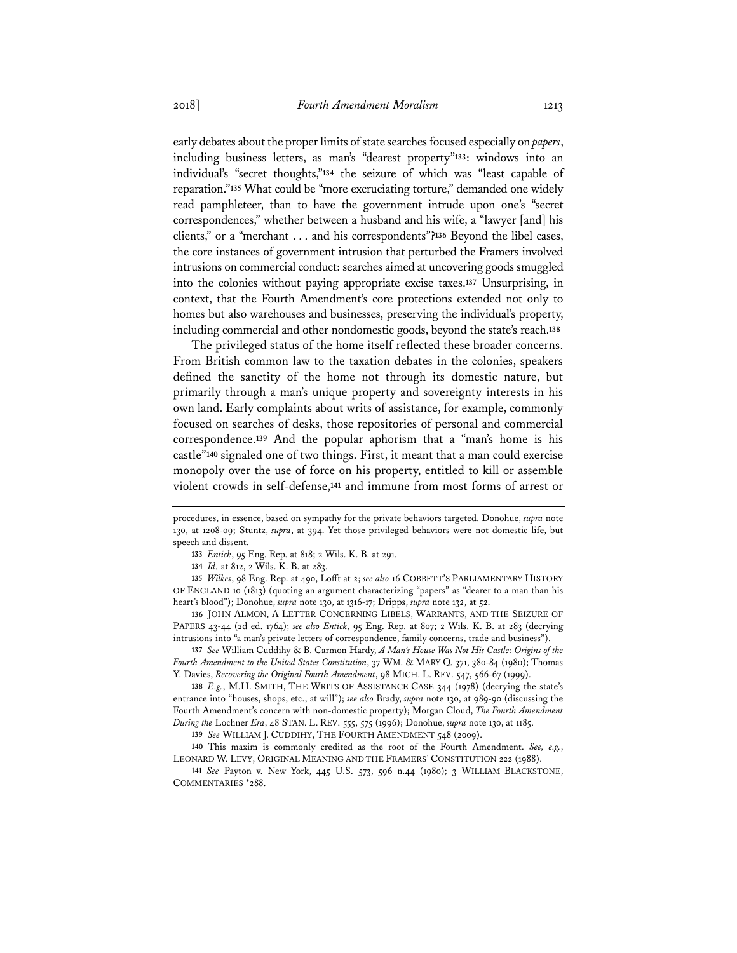early debates about the proper limits of state searches focused especially on *papers*, including business letters, as man's "dearest property"**<sup>133</sup>**: windows into an individual's "secret thoughts,"**<sup>134</sup>** the seizure of which was "least capable of reparation."**<sup>135</sup>** What could be "more excruciating torture," demanded one widely read pamphleteer, than to have the government intrude upon one's "secret correspondences," whether between a husband and his wife, a "lawyer [and] his clients," or a "merchant . . . and his correspondents"?**<sup>136</sup>** Beyond the libel cases, the core instances of government intrusion that perturbed the Framers involved intrusions on commercial conduct: searches aimed at uncovering goods smuggled into the colonies without paying appropriate excise taxes.**<sup>137</sup>** Unsurprising, in context, that the Fourth Amendment's core protections extended not only to homes but also warehouses and businesses, preserving the individual's property, including commercial and other nondomestic goods, beyond the state's reach.**<sup>138</sup>**

The privileged status of the home itself reflected these broader concerns. From British common law to the taxation debates in the colonies, speakers defined the sanctity of the home not through its domestic nature, but primarily through a man's unique property and sovereignty interests in his own land. Early complaints about writs of assistance, for example, commonly focused on searches of desks, those repositories of personal and commercial correspondence.**<sup>139</sup>** And the popular aphorism that a "man's home is his castle"**<sup>140</sup>** signaled one of two things. First, it meant that a man could exercise monopoly over the use of force on his property, entitled to kill or assemble violent crowds in self-defense,**<sup>141</sup>** and immune from most forms of arrest or

**135** *Wilkes*, 98 Eng. Rep. at 490, Lofft at 2; *see also* 16 COBBETT'S PARLIAMENTARY HISTORY OF ENGLAND 10 (1813) (quoting an argument characterizing "papers" as "dearer to a man than his heart's blood"); Donohue, *supra* note 130, at 1316-17; Dripps, *supra* note 132, at 52.

**136** JOHN ALMON, A LETTER CONCERNING LIBELS, WARRANTS, AND THE SEIZURE OF PAPERS 43-44 (2d ed. 1764); *see also Entick*, 95 Eng. Rep. at 807; 2 Wils. K. B. at 283 (decrying intrusions into "a man's private letters of correspondence, family concerns, trade and business").

**137** *See* William Cuddihy & B. Carmon Hardy, *A Man's House Was Not His Castle: Origins of the Fourth Amendment to the United States Constitution*, 37 WM. & MARY Q. 371, 380-84 (1980); Thomas Y. Davies, *Recovering the Original Fourth Amendment*, 98 MICH. L. REV. 547, 566-67 (1999).

**138** *E.g.*, M.H. SMITH, THE WRITS OF ASSISTANCE CASE 344 (1978) (decrying the state's entrance into "houses, shops, etc., at will"); *see also* Brady, *supra* note 130, at 989-90 (discussing the Fourth Amendment's concern with non-domestic property); Morgan Cloud, *The Fourth Amendment During the* Lochner *Era*, 48 STAN. L. REV. 555, 575 (1996); Donohue, *supra* note 130, at 1185.

**139** *See* WILLIAM J. CUDDIHY, THE FOURTH AMENDMENT 548 (2009).

**140** This maxim is commonly credited as the root of the Fourth Amendment. *See, e.g.*, LEONARD W. LEVY, ORIGINAL MEANING AND THE FRAMERS' CONSTITUTION 222 (1988).

**141** *See* Payton v. New York, 445 U.S. 573, 596 n.44 (1980); 3 WILLIAM BLACKSTONE, COMMENTARIES \*288.

procedures, in essence, based on sympathy for the private behaviors targeted. Donohue, *supra* note 130, at 1208-09; Stuntz, *supra*, at 394. Yet those privileged behaviors were not domestic life, but speech and dissent.

**<sup>133</sup>** *Entick*, 95 Eng. Rep. at 818; 2 Wils. K. B. at 291.

**<sup>134</sup>** *Id.* at 812, 2 Wils. K. B. at 283.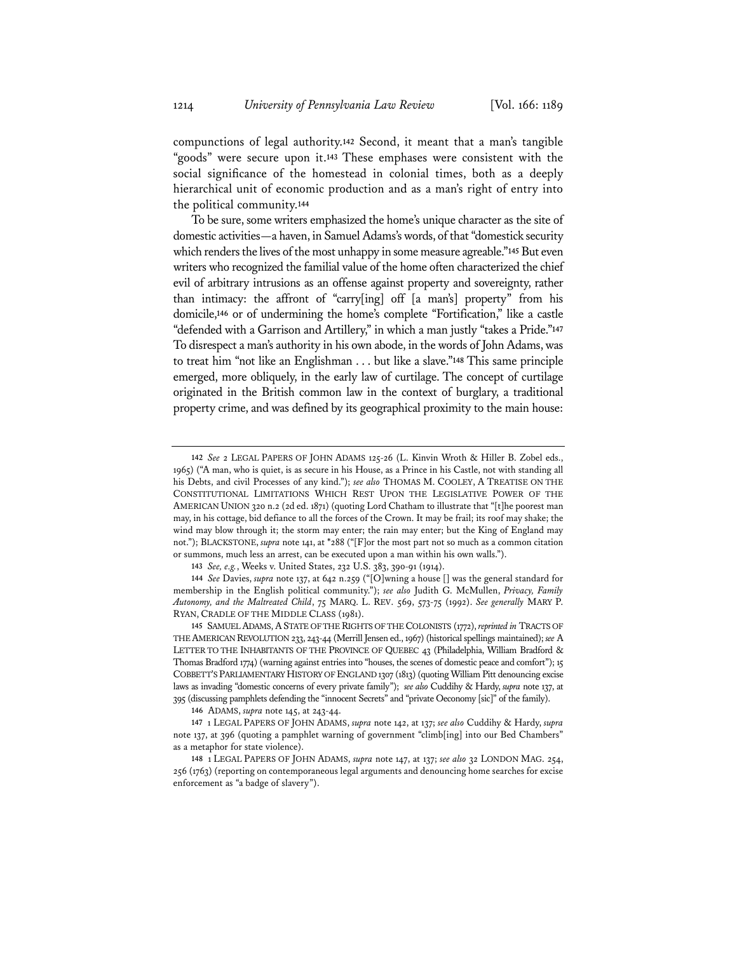compunctions of legal authority.**<sup>142</sup>** Second, it meant that a man's tangible "goods" were secure upon it.**<sup>143</sup>** These emphases were consistent with the social significance of the homestead in colonial times, both as a deeply hierarchical unit of economic production and as a man's right of entry into the political community.**<sup>144</sup>**

To be sure, some writers emphasized the home's unique character as the site of domestic activities—a haven, in Samuel Adams's words, of that "domestick security which renders the lives of the most unhappy in some measure agreable."**<sup>145</sup>** But even writers who recognized the familial value of the home often characterized the chief evil of arbitrary intrusions as an offense against property and sovereignty, rather than intimacy: the affront of "carry[ing] off [a man's] property" from his domicile,**<sup>146</sup>** or of undermining the home's complete "Fortification," like a castle "defended with a Garrison and Artillery," in which a man justly "takes a Pride."**<sup>147</sup>** To disrespect a man's authority in his own abode, in the words of John Adams, was to treat him "not like an Englishman . . . but like a slave."**<sup>148</sup>** This same principle emerged, more obliquely, in the early law of curtilage. The concept of curtilage originated in the British common law in the context of burglary, a traditional property crime, and was defined by its geographical proximity to the main house:

**<sup>142</sup>** *See* 2 LEGAL PAPERS OF JOHN ADAMS 125-26 (L. Kinvin Wroth & Hiller B. Zobel eds., 1965) ("A man, who is quiet, is as secure in his House, as a Prince in his Castle, not with standing all his Debts, and civil Processes of any kind."); *see also* THOMAS M. COOLEY, A TREATISE ON THE CONSTITUTIONAL LIMITATIONS WHICH REST UPON THE LEGISLATIVE POWER OF THE AMERICAN UNION 320 n.2 (2d ed. 1871) (quoting Lord Chatham to illustrate that "[t]he poorest man may, in his cottage, bid defiance to all the forces of the Crown. It may be frail; its roof may shake; the wind may blow through it; the storm may enter; the rain may enter; but the King of England may not."); BLACKSTONE, *supra* note 141, at \*288 ("[F]or the most part not so much as a common citation or summons, much less an arrest, can be executed upon a man within his own walls.").

**<sup>143</sup>** *See, e.g.*, Weeks v. United States, 232 U.S. 383, 390-91 (1914).

**<sup>144</sup>** *See* Davies, *supra* note 137, at 642 n.259 ("[O]wning a house [] was the general standard for membership in the English political community."); *see also* Judith G. McMullen, *Privacy, Family Autonomy, and the Maltreated Child*, 75 MARQ. L. REV. 569, 573-75 (1992). *See generally* MARY P. RYAN, CRADLE OF THE MIDDLE CLASS (1981).

**<sup>145</sup>** SAMUEL ADAMS, ASTATE OF THE RIGHTS OF THE COLONISTS (1772), *reprinted in* TRACTS OF THE AMERICAN REVOLUTION 233, 243-44 (Merrill Jensen ed., 1967) (historical spellings maintained); *see* A LETTER TO THE INHABITANTS OF THE PROVINCE OF QUEBEC 43 (Philadelphia, William Bradford & Thomas Bradford 1774) (warning against entries into "houses, the scenes of domestic peace and comfort"); 15 COBBETT'S PARLIAMENTARY HISTORY OF ENGLAND 1307 (1813) (quoting William Pitt denouncing excise laws as invading "domestic concerns of every private family"); *see also* Cuddihy & Hardy, *supra* note 137, at 395 (discussing pamphlets defending the "innocent Secrets" and "private Oeconomy [sic]" of the family).

**<sup>146</sup>** ADAMS, *supra* note 145, at 243-44.

**<sup>147</sup>** 1 LEGAL PAPERS OF JOHN ADAMS, *supra* note 142, at 137; *see also* Cuddihy & Hardy, *supra* note 137, at 396 (quoting a pamphlet warning of government "climb[ing] into our Bed Chambers" as a metaphor for state violence).

**<sup>148</sup>** 1 LEGAL PAPERS OF JOHN ADAMS, *supra* note 147, at 137; *see also* 32 LONDON MAG. 254, 256 (1763) (reporting on contemporaneous legal arguments and denouncing home searches for excise enforcement as "a badge of slavery").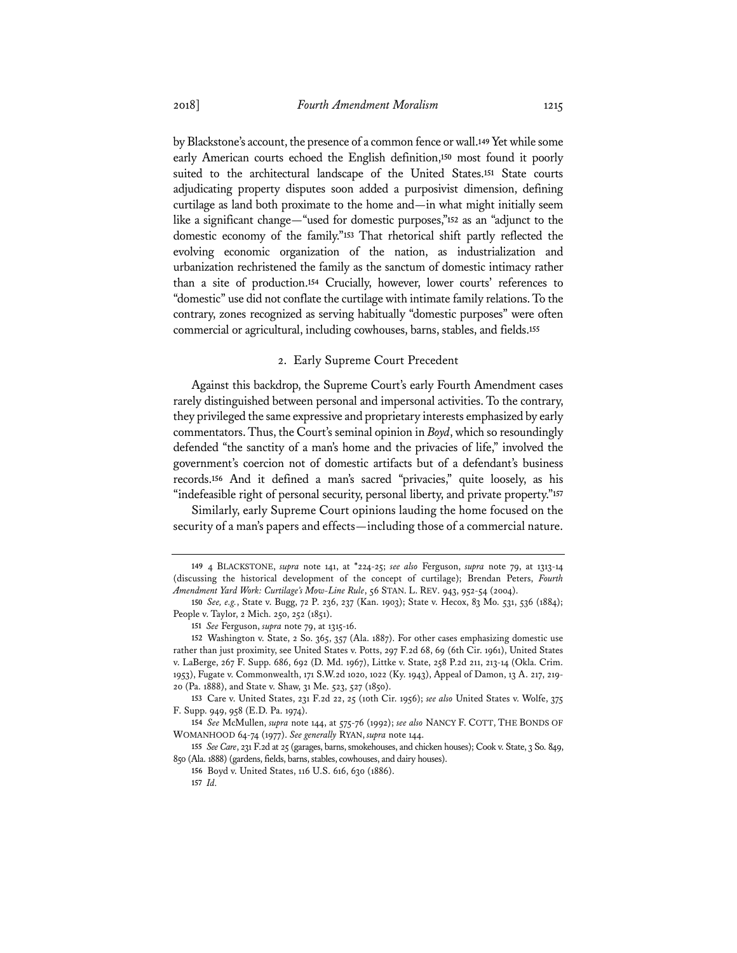by Blackstone's account, the presence of a common fence or wall.**<sup>149</sup>** Yet while some early American courts echoed the English definition,**<sup>150</sup>** most found it poorly suited to the architectural landscape of the United States.**<sup>151</sup>** State courts adjudicating property disputes soon added a purposivist dimension, defining curtilage as land both proximate to the home and—in what might initially seem like a significant change—"used for domestic purposes,"**<sup>152</sup>** as an "adjunct to the domestic economy of the family."**<sup>153</sup>** That rhetorical shift partly reflected the evolving economic organization of the nation, as industrialization and urbanization rechristened the family as the sanctum of domestic intimacy rather than a site of production.**<sup>154</sup>** Crucially, however, lower courts' references to "domestic" use did not conflate the curtilage with intimate family relations. To the contrary, zones recognized as serving habitually "domestic purposes" were often commercial or agricultural, including cowhouses, barns, stables, and fields.**<sup>155</sup>**

## 2. Early Supreme Court Precedent

Against this backdrop, the Supreme Court's early Fourth Amendment cases rarely distinguished between personal and impersonal activities. To the contrary, they privileged the same expressive and proprietary interests emphasized by early commentators. Thus, the Court's seminal opinion in *Boyd*, which so resoundingly defended "the sanctity of a man's home and the privacies of life," involved the government's coercion not of domestic artifacts but of a defendant's business records.**<sup>156</sup>** And it defined a man's sacred "privacies," quite loosely, as his "indefeasible right of personal security, personal liberty, and private property."**<sup>157</sup>**

Similarly, early Supreme Court opinions lauding the home focused on the security of a man's papers and effects—including those of a commercial nature.

**<sup>149</sup>** 4 BLACKSTONE, *supra* note 141, at \*224-25; *see also* Ferguson, *supra* note 79, at 1313-14 (discussing the historical development of the concept of curtilage); Brendan Peters, *Fourth Amendment Yard Work: Curtilage's Mow-Line Rule*, 56 STAN. L. REV. 943, 952-54 (2004).

**<sup>150</sup>** *See, e.g.*, State v. Bugg, 72 P. 236, 237 (Kan. 1903); State v. Hecox, 83 Mo. 531, 536 (1884); People v. Taylor, 2 Mich. 250, 252 (1851).

**<sup>151</sup>** *See* Ferguson, *supra* note 79, at 1315-16.

**<sup>152</sup>** Washington v. State, 2 So. 365, 357 (Ala. 1887). For other cases emphasizing domestic use rather than just proximity, see United States v. Potts, 297 F.2d 68, 69 (6th Cir. 1961), United States v. LaBerge, 267 F. Supp. 686, 692 (D. Md. 1967), Littke v. State, 258 P.2d 211, 213-14 (Okla. Crim. 1953), Fugate v. Commonwealth, 171 S.W.2d 1020, 1022 (Ky. 1943), Appeal of Damon, 13 A. 217, 219- 20 (Pa. 1888), and State v. Shaw, 31 Me. 523, 527 (1850).

**<sup>153</sup>** Care v. United States, 231 F.2d 22, 25 (10th Cir. 1956); *see also* United States v. Wolfe, 375 F. Supp. 949, 958 (E.D. Pa. 1974).

**<sup>154</sup>** *See* McMullen, *supra* note 144, at 575-76 (1992); *see also* NANCY F. COTT, THE BONDS OF WOMANHOOD 64-74 (1977). *See generally* RYAN, *supra* note 144.

**<sup>155</sup>** *See Care*, 231 F.2d at 25 (garages, barns, smokehouses, and chicken houses); Cook v. State, 3 So. 849, 850 (Ala. 1888) (gardens, fields, barns, stables, cowhouses, and dairy houses).

**<sup>156</sup>** Boyd v. United States, 116 U.S. 616, 630 (1886). **157** *Id.*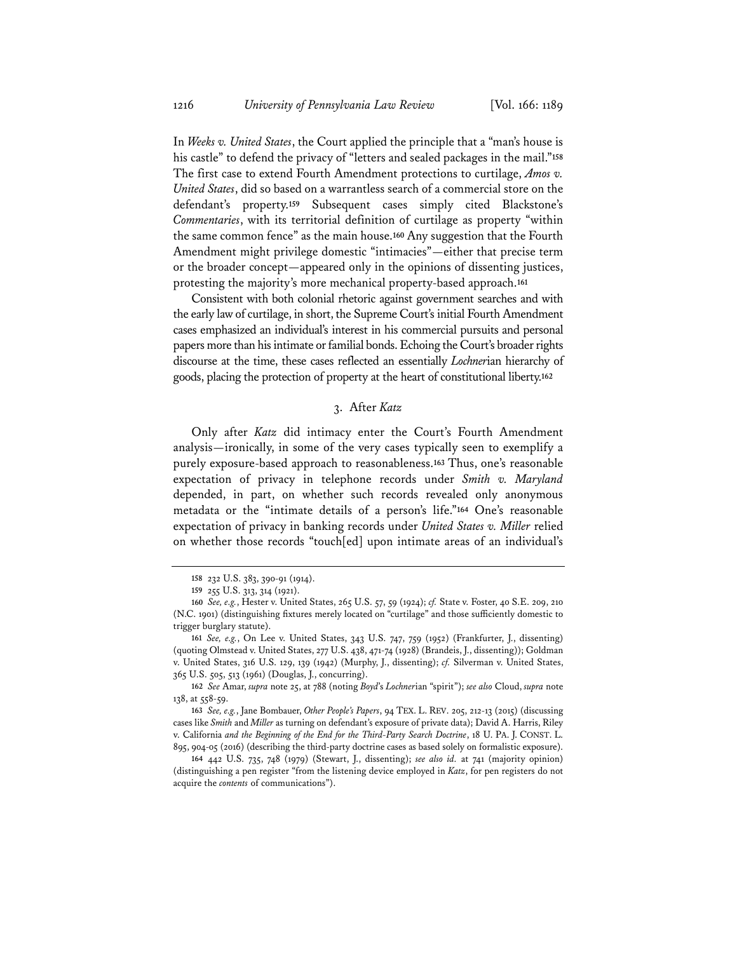In *Weeks v. United States*, the Court applied the principle that a "man's house is his castle" to defend the privacy of "letters and sealed packages in the mail."**<sup>158</sup>** The first case to extend Fourth Amendment protections to curtilage, *Amos v. United States*, did so based on a warrantless search of a commercial store on the defendant's property.**<sup>159</sup>** Subsequent cases simply cited Blackstone's *Commentaries*, with its territorial definition of curtilage as property "within the same common fence" as the main house.**<sup>160</sup>** Any suggestion that the Fourth Amendment might privilege domestic "intimacies"—either that precise term or the broader concept—appeared only in the opinions of dissenting justices, protesting the majority's more mechanical property-based approach.**<sup>161</sup>**

Consistent with both colonial rhetoric against government searches and with the early law of curtilage, in short, the Supreme Court's initial Fourth Amendment cases emphasized an individual's interest in his commercial pursuits and personal papers more than his intimate or familial bonds. Echoing the Court's broader rights discourse at the time, these cases reflected an essentially *Lochner*ian hierarchy of goods, placing the protection of property at the heart of constitutional liberty.**<sup>162</sup>**

## 3. After *Katz*

Only after *Katz* did intimacy enter the Court's Fourth Amendment analysis—ironically, in some of the very cases typically seen to exemplify a purely exposure-based approach to reasonableness.**<sup>163</sup>** Thus, one's reasonable expectation of privacy in telephone records under *Smith v. Maryland* depended, in part, on whether such records revealed only anonymous metadata or the "intimate details of a person's life."**<sup>164</sup>** One's reasonable expectation of privacy in banking records under *United States v. Miller* relied on whether those records "touch[ed] upon intimate areas of an individual's

**<sup>158</sup>** 232 U.S. 383, 390-91 (1914).

**<sup>159</sup>** 255 U.S. 313, 314 (1921).

**<sup>160</sup>** *See, e.g.*, Hester v. United States, 265 U.S. 57, 59 (1924); *cf.* State v. Foster, 40 S.E. 209, 210 (N.C. 1901) (distinguishing fixtures merely located on "curtilage" and those sufficiently domestic to trigger burglary statute).

**<sup>161</sup>** *See, e.g.*, On Lee v. United States, 343 U.S. 747, 759 (1952) (Frankfurter, J., dissenting) (quoting Olmstead v. United States, 277 U.S. 438, 471-74 (1928) (Brandeis, J., dissenting)); Goldman v. United States, 316 U.S. 129, 139 (1942) (Murphy, J., dissenting); *cf.* Silverman v. United States, 365 U.S. 505, 513 (1961) (Douglas, J., concurring).

**<sup>162</sup>** *See* Amar, *supra* note 25, at 788 (noting *Boyd*'s *Lochner*ian "spirit"); *see also* Cloud, *supra* note 138, at 558-59.

**<sup>163</sup>** *See, e.g.*, Jane Bombauer, *Other People's Papers*, 94 TEX. L. REV. 205, 212-13 (2015) (discussing cases like *Smith* and *Miller* as turning on defendant's exposure of private data); David A. Harris, Riley v. California *and the Beginning of the End for the Third-Party Search Doctrine*, 18 U. PA. J. CONST. L. 895, 904-05 (2016) (describing the third-party doctrine cases as based solely on formalistic exposure).

**<sup>164</sup>** 442 U.S. 735, 748 (1979) (Stewart, J., dissenting); *see also id.* at 741 (majority opinion) (distinguishing a pen register "from the listening device employed in *Katz*, for pen registers do not acquire the *contents* of communications").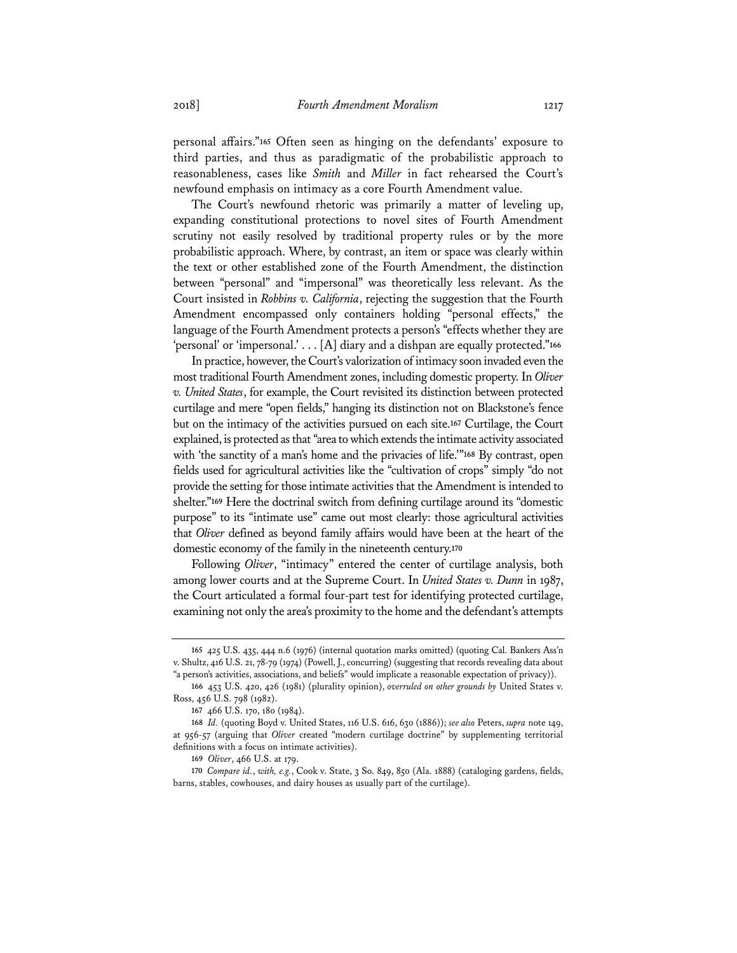personal affairs."**<sup>165</sup>** Often seen as hinging on the defendants' exposure to third parties, and thus as paradigmatic of the probabilistic approach to reasonableness, cases like *Smith* and *Miller* in fact rehearsed the Court's newfound emphasis on intimacy as a core Fourth Amendment value.

The Court's newfound rhetoric was primarily a matter of leveling up, expanding constitutional protections to novel sites of Fourth Amendment scrutiny not easily resolved by traditional property rules or by the more probabilistic approach. Where, by contrast, an item or space was clearly within the text or other established zone of the Fourth Amendment, the distinction between "personal" and "impersonal" was theoretically less relevant. As the Court insisted in *Robbins v. California*, rejecting the suggestion that the Fourth Amendment encompassed only containers holding "personal effects," the language of the Fourth Amendment protects a person's "effects whether they are 'personal' or 'impersonal.' . . . [A] diary and a dishpan are equally protected."**<sup>166</sup>**

In practice, however, the Court's valorization of intimacy soon invaded even the most traditional Fourth Amendment zones, including domestic property. In *Oliver v. United States*, for example, the Court revisited its distinction between protected curtilage and mere "open fields," hanging its distinction not on Blackstone's fence but on the intimacy of the activities pursued on each site.**<sup>167</sup>** Curtilage, the Court explained, is protected as that "area to which extends the intimate activity associated with 'the sanctity of a man's home and the privacies of life.'"**<sup>168</sup>** By contrast, open fields used for agricultural activities like the "cultivation of crops" simply "do not provide the setting for those intimate activities that the Amendment is intended to shelter."**<sup>169</sup>** Here the doctrinal switch from defining curtilage around its "domestic purpose" to its "intimate use" came out most clearly: those agricultural activities that *Oliver* defined as beyond family affairs would have been at the heart of the domestic economy of the family in the nineteenth century.**<sup>170</sup>**

Following *Oliver*, "intimacy" entered the center of curtilage analysis, both among lower courts and at the Supreme Court. In *United States v. Dunn* in 1987, the Court articulated a formal four-part test for identifying protected curtilage, examining not only the area's proximity to the home and the defendant's attempts

**<sup>165</sup>** 425 U.S. 435, 444 n.6 (1976) (internal quotation marks omitted) (quoting Cal. Bankers Ass'n v. Shultz, 416 U.S. 21, 78-79 (1974) (Powell, J., concurring) (suggesting that records revealing data about "a person's activities, associations, and beliefs" would implicate a reasonable expectation of privacy)).

**<sup>166</sup>** 453 U.S. 420, 426 (1981) (plurality opinion), *overruled on other grounds by* United States v. Ross, 456 U.S. 798 (1982).

**<sup>167</sup>** 466 U.S. 170, 180 (1984).

**<sup>168</sup>** *Id.* (quoting Boyd v. United States, 116 U.S. 616, 630 (1886)); *see also* Peters, *supra* note 149, at 956-57 (arguing that *Oliver* created "modern curtilage doctrine" by supplementing territorial definitions with a focus on intimate activities).

**<sup>169</sup>** *Oliver*, 466 U.S. at 179.

**<sup>170</sup>** *Compare id.*, *with, e.g.*, Cook v. State, 3 So. 849, 850 (Ala. 1888) (cataloging gardens, fields, barns, stables, cowhouses, and dairy houses as usually part of the curtilage).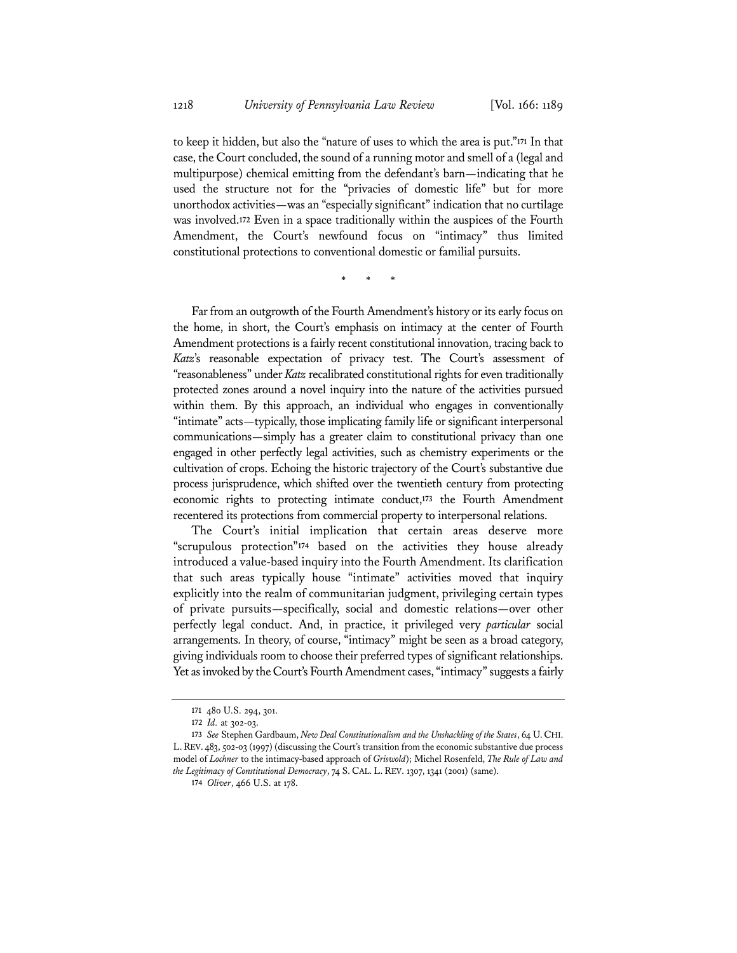to keep it hidden, but also the "nature of uses to which the area is put."**<sup>171</sup>** In that case, the Court concluded, the sound of a running motor and smell of a (legal and multipurpose) chemical emitting from the defendant's barn—indicating that he used the structure not for the "privacies of domestic life" but for more unorthodox activities—was an "especially significant" indication that no curtilage was involved.**<sup>172</sup>** Even in a space traditionally within the auspices of the Fourth Amendment, the Court's newfound focus on "intimacy" thus limited constitutional protections to conventional domestic or familial pursuits.

\* \* \*

Far from an outgrowth of the Fourth Amendment's history or its early focus on the home, in short, the Court's emphasis on intimacy at the center of Fourth Amendment protections is a fairly recent constitutional innovation, tracing back to *Katz*'s reasonable expectation of privacy test. The Court's assessment of "reasonableness" under *Katz* recalibrated constitutional rights for even traditionally protected zones around a novel inquiry into the nature of the activities pursued within them. By this approach, an individual who engages in conventionally "intimate" acts—typically, those implicating family life or significant interpersonal communications—simply has a greater claim to constitutional privacy than one engaged in other perfectly legal activities, such as chemistry experiments or the cultivation of crops. Echoing the historic trajectory of the Court's substantive due process jurisprudence, which shifted over the twentieth century from protecting economic rights to protecting intimate conduct,**<sup>173</sup>** the Fourth Amendment recentered its protections from commercial property to interpersonal relations.

The Court's initial implication that certain areas deserve more "scrupulous protection"**<sup>174</sup>** based on the activities they house already introduced a value-based inquiry into the Fourth Amendment. Its clarification that such areas typically house "intimate" activities moved that inquiry explicitly into the realm of communitarian judgment, privileging certain types of private pursuits—specifically, social and domestic relations—over other perfectly legal conduct. And, in practice, it privileged very *particular* social arrangements. In theory, of course, "intimacy" might be seen as a broad category, giving individuals room to choose their preferred types of significant relationships. Yet as invoked by the Court's Fourth Amendment cases, "intimacy" suggests a fairly

**<sup>171</sup>** 480 U.S. 294, 301.

**<sup>172</sup>** *Id.* at 302-03.

**<sup>173</sup>** *See* Stephen Gardbaum, *New Deal Constitutionalism and the Unshackling of the States*, 64 U.CHI. L.REV. 483, 502-03 (1997) (discussing the Court's transition from the economic substantive due process model of *Lochner* to the intimacy-based approach of *Griswold*); Michel Rosenfeld, *The Rule of Law and the Legitimacy of Constitutional Democracy*, 74 S. CAL. L. REV. 1307, 1341 (2001) (same).

**<sup>174</sup>** *Oliver*, 466 U.S. at 178.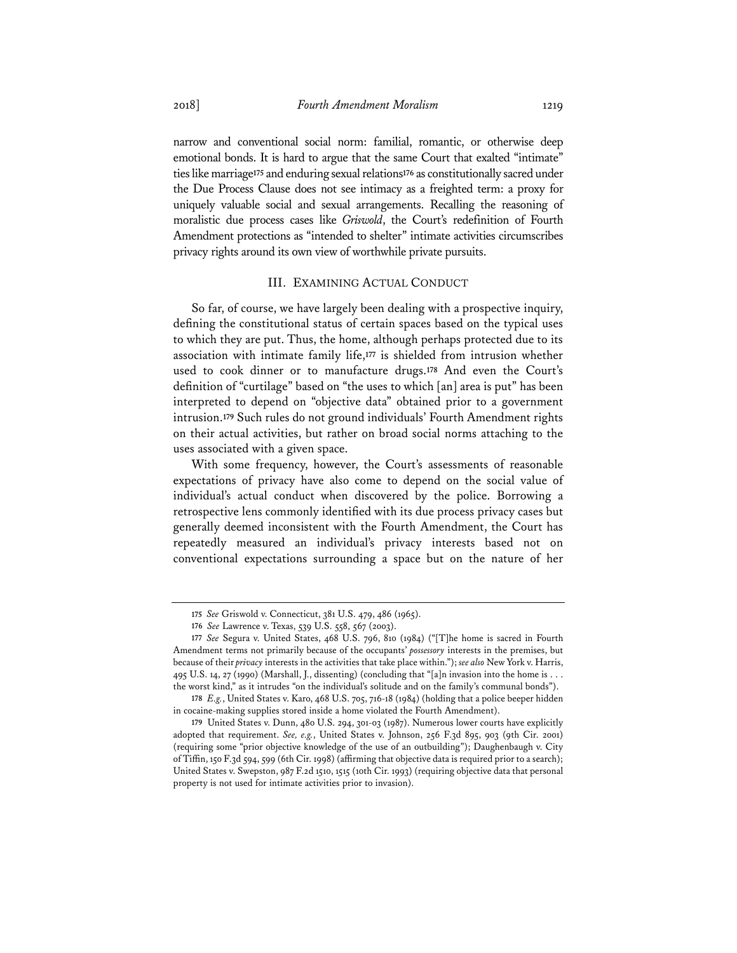narrow and conventional social norm: familial, romantic, or otherwise deep emotional bonds. It is hard to argue that the same Court that exalted "intimate" ties like marriage**<sup>175</sup>** and enduring sexual relations**<sup>176</sup>** as constitutionally sacred under the Due Process Clause does not see intimacy as a freighted term: a proxy for uniquely valuable social and sexual arrangements. Recalling the reasoning of moralistic due process cases like *Griswold*, the Court's redefinition of Fourth Amendment protections as "intended to shelter" intimate activities circumscribes privacy rights around its own view of worthwhile private pursuits.

#### III. EXAMINING ACTUAL CONDUCT

So far, of course, we have largely been dealing with a prospective inquiry, defining the constitutional status of certain spaces based on the typical uses to which they are put. Thus, the home, although perhaps protected due to its association with intimate family life,**<sup>177</sup>** is shielded from intrusion whether used to cook dinner or to manufacture drugs.**<sup>178</sup>** And even the Court's definition of "curtilage" based on "the uses to which [an] area is put" has been interpreted to depend on "objective data" obtained prior to a government intrusion.**<sup>179</sup>** Such rules do not ground individuals' Fourth Amendment rights on their actual activities, but rather on broad social norms attaching to the uses associated with a given space.

With some frequency, however, the Court's assessments of reasonable expectations of privacy have also come to depend on the social value of individual's actual conduct when discovered by the police. Borrowing a retrospective lens commonly identified with its due process privacy cases but generally deemed inconsistent with the Fourth Amendment, the Court has repeatedly measured an individual's privacy interests based not on conventional expectations surrounding a space but on the nature of her

**<sup>175</sup>** *See* Griswold v. Connecticut, 381 U.S. 479, 486 (1965).

**<sup>176</sup>** *See* Lawrence v. Texas, 539 U.S. 558, 567 (2003).

**<sup>177</sup>** *See* Segura v. United States, 468 U.S. 796, 810 (1984) ("[T]he home is sacred in Fourth Amendment terms not primarily because of the occupants' *possessory* interests in the premises, but because of their *privacy* interests in the activities that take place within."); *see also* New York v. Harris, 495 U.S. 14, 27 (1990) (Marshall, J., dissenting) (concluding that "[a]n invasion into the home is . . . the worst kind," as it intrudes "on the individual's solitude and on the family's communal bonds").

**<sup>178</sup>** *E.g.*, United States v. Karo, 468 U.S. 705, 716-18 (1984) (holding that a police beeper hidden in cocaine-making supplies stored inside a home violated the Fourth Amendment).

**<sup>179</sup>** United States v. Dunn, 480 U.S. 294, 301-03 (1987). Numerous lower courts have explicitly adopted that requirement. *See, e.g.*, United States v. Johnson, 256 F.3d 895, 903 (9th Cir. 2001) (requiring some "prior objective knowledge of the use of an outbuilding"); Daughenbaugh v. City of Tiffin, 150 F.3d 594, 599 (6th Cir. 1998) (affirming that objective data is required prior to a search); United States v. Swepston, 987 F.2d 1510, 1515 (10th Cir. 1993) (requiring objective data that personal property is not used for intimate activities prior to invasion).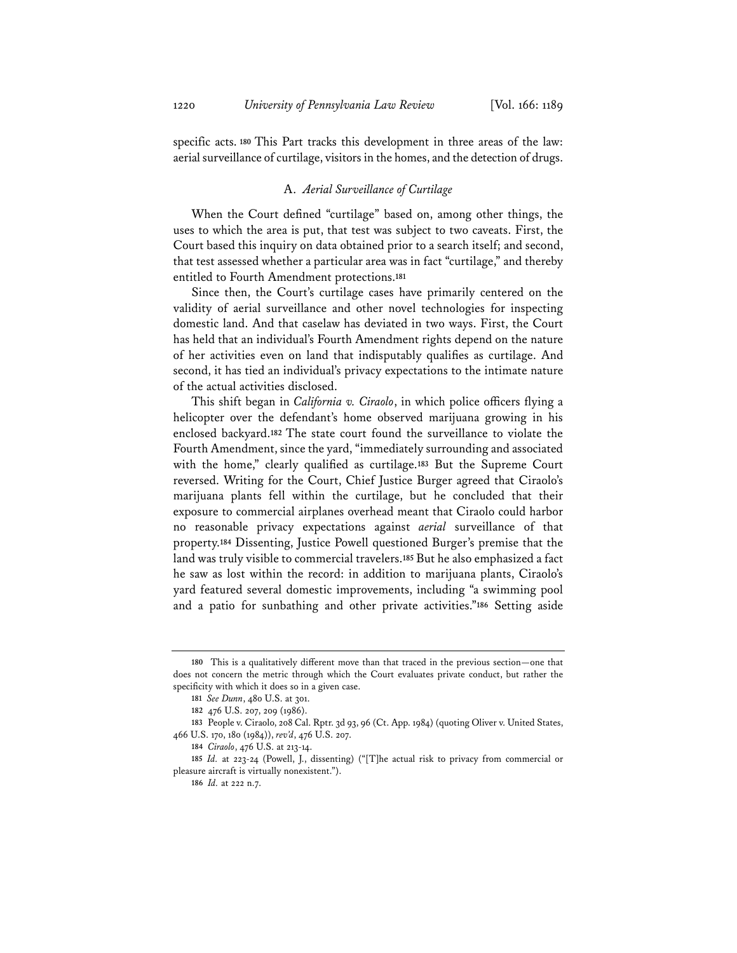specific acts.**<sup>180</sup>** This Part tracks this development in three areas of the law: aerial surveillance of curtilage, visitors in the homes, and the detection of drugs.

#### A. *Aerial Surveillance of Curtilage*

When the Court defined "curtilage" based on, among other things, the uses to which the area is put, that test was subject to two caveats. First, the Court based this inquiry on data obtained prior to a search itself; and second, that test assessed whether a particular area was in fact "curtilage," and thereby entitled to Fourth Amendment protections.**<sup>181</sup>**

Since then, the Court's curtilage cases have primarily centered on the validity of aerial surveillance and other novel technologies for inspecting domestic land. And that caselaw has deviated in two ways. First, the Court has held that an individual's Fourth Amendment rights depend on the nature of her activities even on land that indisputably qualifies as curtilage. And second, it has tied an individual's privacy expectations to the intimate nature of the actual activities disclosed.

This shift began in *California v. Ciraolo*, in which police officers flying a helicopter over the defendant's home observed marijuana growing in his enclosed backyard.**<sup>182</sup>** The state court found the surveillance to violate the Fourth Amendment, since the yard, "immediately surrounding and associated with the home," clearly qualified as curtilage.**<sup>183</sup>** But the Supreme Court reversed. Writing for the Court, Chief Justice Burger agreed that Ciraolo's marijuana plants fell within the curtilage, but he concluded that their exposure to commercial airplanes overhead meant that Ciraolo could harbor no reasonable privacy expectations against *aerial* surveillance of that property.**<sup>184</sup>** Dissenting, Justice Powell questioned Burger's premise that the land was truly visible to commercial travelers.**<sup>185</sup>** But he also emphasized a fact he saw as lost within the record: in addition to marijuana plants, Ciraolo's yard featured several domestic improvements, including "a swimming pool and a patio for sunbathing and other private activities."**<sup>186</sup>** Setting aside

**<sup>180</sup>** This is a qualitatively different move than that traced in the previous section—one that does not concern the metric through which the Court evaluates private conduct, but rather the specificity with which it does so in a given case.

**<sup>181</sup>** *See Dunn*, 480 U.S. at 301.

**<sup>182</sup>** 476 U.S. 207, 209 (1986).

**<sup>183</sup>** People v. Ciraolo, 208 Cal. Rptr. 3d 93, 96 (Ct. App. 1984) (quoting Oliver v. United States, 466 U.S. 170, 180 (1984)), *rev'd*, 476 U.S. 207.

**<sup>184</sup>** *Ciraolo*, 476 U.S. at 213-14.

**<sup>185</sup>** *Id.* at 223-24 (Powell, J., dissenting) ("[T]he actual risk to privacy from commercial or pleasure aircraft is virtually nonexistent.").

**<sup>186</sup>** *Id.* at 222 n.7.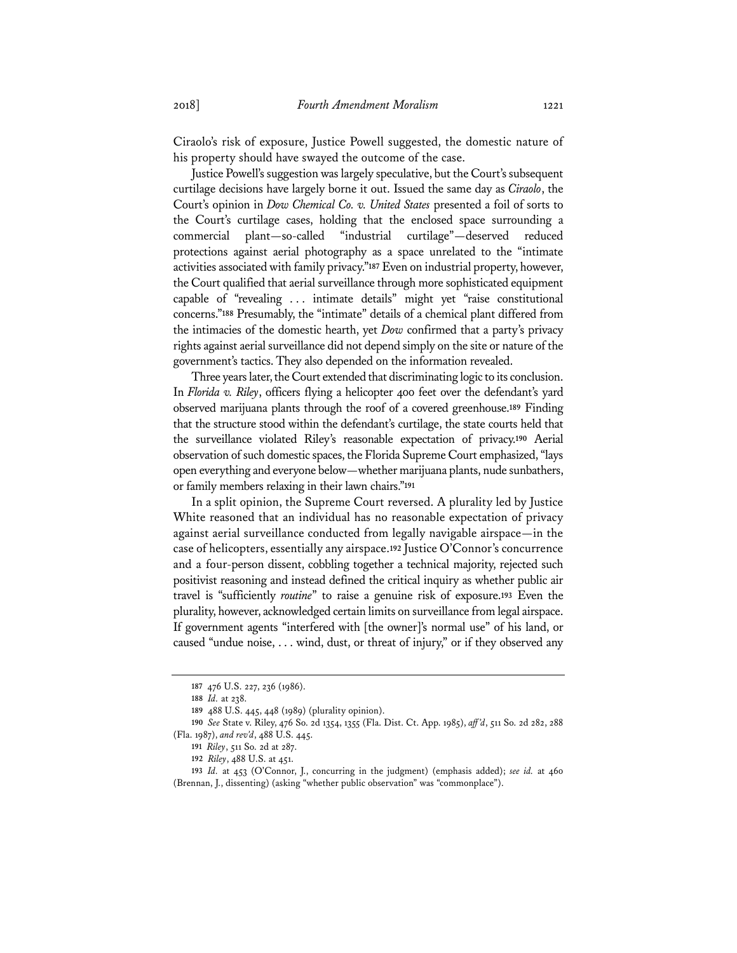Ciraolo's risk of exposure, Justice Powell suggested, the domestic nature of his property should have swayed the outcome of the case.

Justice Powell's suggestion was largely speculative, but the Court's subsequent curtilage decisions have largely borne it out. Issued the same day as *Ciraolo*, the Court's opinion in *Dow Chemical Co. v. United States* presented a foil of sorts to the Court's curtilage cases, holding that the enclosed space surrounding a commercial plant—so-called "industrial curtilage"—deserved reduced protections against aerial photography as a space unrelated to the "intimate activities associated with family privacy."**<sup>187</sup>** Even on industrial property, however, the Court qualified that aerial surveillance through more sophisticated equipment capable of "revealing . . . intimate details" might yet "raise constitutional concerns."**<sup>188</sup>** Presumably, the "intimate" details of a chemical plant differed from the intimacies of the domestic hearth, yet *Dow* confirmed that a party's privacy rights against aerial surveillance did not depend simply on the site or nature of the government's tactics. They also depended on the information revealed.

Three years later, the Court extended that discriminating logic to its conclusion. In *Florida v. Riley*, officers flying a helicopter 400 feet over the defendant's yard observed marijuana plants through the roof of a covered greenhouse.**<sup>189</sup>** Finding that the structure stood within the defendant's curtilage, the state courts held that the surveillance violated Riley's reasonable expectation of privacy.**<sup>190</sup>** Aerial observation of such domestic spaces, the Florida Supreme Court emphasized, "lays open everything and everyone below—whether marijuana plants, nude sunbathers, or family members relaxing in their lawn chairs."**<sup>191</sup>**

In a split opinion, the Supreme Court reversed. A plurality led by Justice White reasoned that an individual has no reasonable expectation of privacy against aerial surveillance conducted from legally navigable airspace—in the case of helicopters, essentially any airspace.**<sup>192</sup>** Justice O'Connor's concurrence and a four-person dissent, cobbling together a technical majority, rejected such positivist reasoning and instead defined the critical inquiry as whether public air travel is "sufficiently *routine*" to raise a genuine risk of exposure.**<sup>193</sup>** Even the plurality, however, acknowledged certain limits on surveillance from legal airspace. If government agents "interfered with [the owner]'s normal use" of his land, or caused "undue noise, . . . wind, dust, or threat of injury," or if they observed any

**<sup>187</sup>** 476 U.S. 227, 236 (1986).

**<sup>188</sup>** *Id.* at 238.

**<sup>189</sup>** 488 U.S. 445, 448 (1989) (plurality opinion).

**<sup>190</sup>** *See* State v. Riley, 476 So. 2d 1354, 1355 (Fla. Dist. Ct. App. 1985), *aff 'd*, 511 So. 2d 282, 288 (Fla. 1987), *and rev'd*, 488 U.S. 445.

**<sup>191</sup>** *Riley*, 511 So. 2d at 287.

**<sup>192</sup>** *Riley*, 488 U.S. at 451.

**<sup>193</sup>** *Id.* at 453 (O'Connor, J., concurring in the judgment) (emphasis added); *see id.* at 460 (Brennan, J., dissenting) (asking "whether public observation" was "commonplace").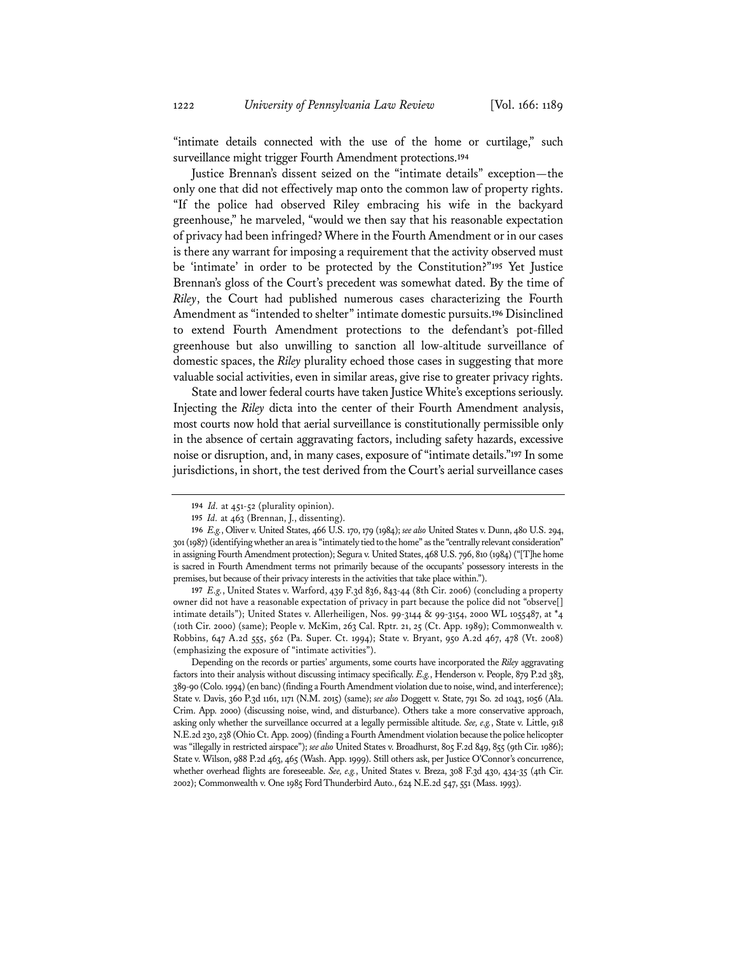"intimate details connected with the use of the home or curtilage," such surveillance might trigger Fourth Amendment protections.**<sup>194</sup>**

Justice Brennan's dissent seized on the "intimate details" exception—the only one that did not effectively map onto the common law of property rights. "If the police had observed Riley embracing his wife in the backyard greenhouse," he marveled, "would we then say that his reasonable expectation of privacy had been infringed? Where in the Fourth Amendment or in our cases is there any warrant for imposing a requirement that the activity observed must be 'intimate' in order to be protected by the Constitution?"**<sup>195</sup>** Yet Justice Brennan's gloss of the Court's precedent was somewhat dated. By the time of *Riley*, the Court had published numerous cases characterizing the Fourth Amendment as "intended to shelter" intimate domestic pursuits.**<sup>196</sup>** Disinclined to extend Fourth Amendment protections to the defendant's pot-filled greenhouse but also unwilling to sanction all low-altitude surveillance of domestic spaces, the *Riley* plurality echoed those cases in suggesting that more valuable social activities, even in similar areas, give rise to greater privacy rights.

State and lower federal courts have taken Justice White's exceptions seriously. Injecting the *Riley* dicta into the center of their Fourth Amendment analysis, most courts now hold that aerial surveillance is constitutionally permissible only in the absence of certain aggravating factors, including safety hazards, excessive noise or disruption, and, in many cases, exposure of "intimate details."**<sup>197</sup>** In some jurisdictions, in short, the test derived from the Court's aerial surveillance cases

**197** *E.g.*, United States v. Warford, 439 F.3d 836, 843-44 (8th Cir. 2006) (concluding a property owner did not have a reasonable expectation of privacy in part because the police did not "observe[] intimate details"); United States v. Allerheiligen, Nos. 99-3144 & 99-3154, 2000 WL 1055487, at \*4 (10th Cir. 2000) (same); People v. McKim, 263 Cal. Rptr. 21, 25 (Ct. App. 1989); Commonwealth v. Robbins, 647 A.2d 555, 562 (Pa. Super. Ct. 1994); State v. Bryant, 950 A.2d 467, 478 (Vt. 2008) (emphasizing the exposure of "intimate activities").

Depending on the records or parties' arguments, some courts have incorporated the *Riley* aggravating factors into their analysis without discussing intimacy specifically. *E.g.*, Henderson v. People, 879 P.2d 383, 389-90 (Colo. 1994) (en banc) (finding a Fourth Amendment violation due to noise, wind, and interference); State v. Davis, 360 P.3d 1161, 1171 (N.M. 2015) (same); *see also* Doggett v. State, 791 So. 2d 1043, 1056 (Ala. Crim. App. 2000) (discussing noise, wind, and disturbance). Others take a more conservative approach, asking only whether the surveillance occurred at a legally permissible altitude. *See, e.g.*, State v. Little, 918 N.E.2d 230, 238 (Ohio Ct. App. 2009) (finding a Fourth Amendment violation because the police helicopter was "illegally in restricted airspace"); *see also* United States v. Broadhurst, 805 F.2d 849, 855 (9th Cir. 1986); State v. Wilson, 988 P.2d 463, 465 (Wash. App. 1999). Still others ask, per Justice O'Connor's concurrence, whether overhead flights are foreseeable. *See, e.g.*, United States v. Breza, 308 F.3d 430, 434-35 (4th Cir. 2002); Commonwealth v. One 1985 Ford Thunderbird Auto., 624 N.E.2d 547, 551 (Mass. 1993).

**<sup>194</sup>** *Id.* at 451-52 (plurality opinion).

**<sup>195</sup>** *Id.* at 463 (Brennan, J., dissenting).

**<sup>196</sup>** *E.g.*, Oliver v. United States, 466 U.S. 170, 179 (1984); *see also* United States v. Dunn, 480 U.S. 294, 301 (1987) (identifying whether an area is "intimately tied to the home" as the "centrally relevant consideration" in assigning Fourth Amendment protection); Segura v. United States, 468 U.S. 796, 810 (1984) ("[T]he home is sacred in Fourth Amendment terms not primarily because of the occupants' possessory interests in the premises, but because of their privacy interests in the activities that take place within.").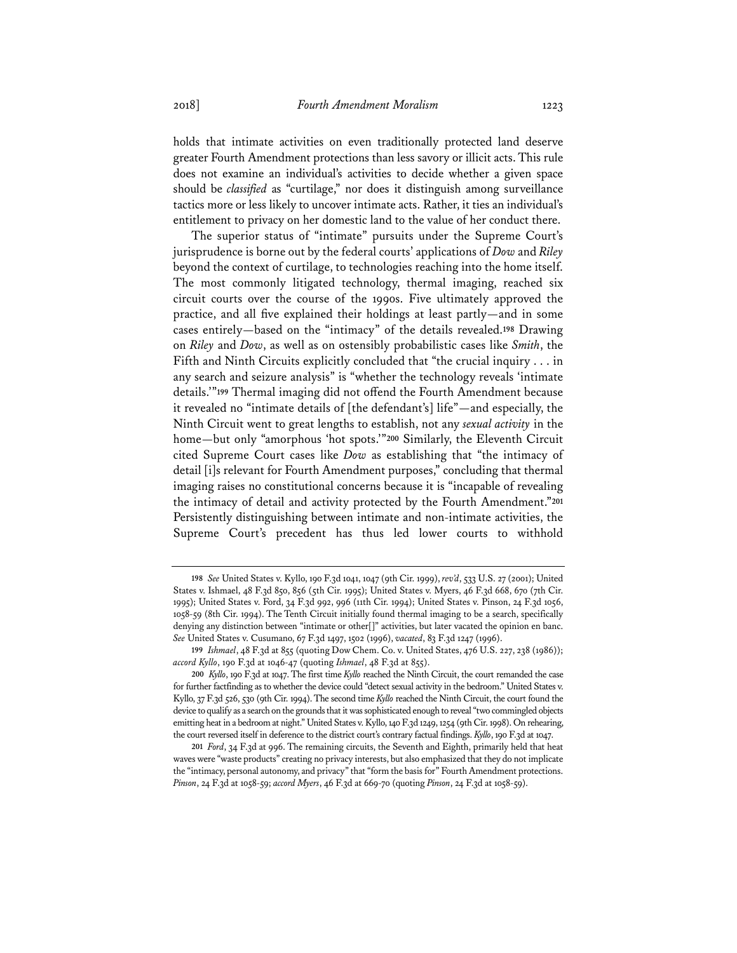holds that intimate activities on even traditionally protected land deserve greater Fourth Amendment protections than less savory or illicit acts. This rule does not examine an individual's activities to decide whether a given space should be *classified* as "curtilage," nor does it distinguish among surveillance tactics more or less likely to uncover intimate acts. Rather, it ties an individual's entitlement to privacy on her domestic land to the value of her conduct there.

The superior status of "intimate" pursuits under the Supreme Court's jurisprudence is borne out by the federal courts' applications of *Dow* and *Riley* beyond the context of curtilage, to technologies reaching into the home itself. The most commonly litigated technology, thermal imaging, reached six circuit courts over the course of the 1990s. Five ultimately approved the practice, and all five explained their holdings at least partly—and in some cases entirely—based on the "intimacy" of the details revealed.**<sup>198</sup>** Drawing on *Riley* and *Dow*, as well as on ostensibly probabilistic cases like *Smith*, the Fifth and Ninth Circuits explicitly concluded that "the crucial inquiry . . . in any search and seizure analysis" is "whether the technology reveals 'intimate details.'"**<sup>199</sup>** Thermal imaging did not offend the Fourth Amendment because it revealed no "intimate details of [the defendant's] life"—and especially, the Ninth Circuit went to great lengths to establish, not any *sexual activity* in the home—but only "amorphous 'hot spots.'"**<sup>200</sup>** Similarly, the Eleventh Circuit cited Supreme Court cases like *Dow* as establishing that "the intimacy of detail [i]s relevant for Fourth Amendment purposes," concluding that thermal imaging raises no constitutional concerns because it is "incapable of revealing the intimacy of detail and activity protected by the Fourth Amendment."**<sup>201</sup>** Persistently distinguishing between intimate and non-intimate activities, the Supreme Court's precedent has thus led lower courts to withhold

**<sup>198</sup>** *See* United States v. Kyllo, 190 F.3d 1041, 1047 (9th Cir. 1999), *rev'd*, 533 U.S. 27 (2001); United States v. Ishmael, 48 F.3d 850, 856 (5th Cir. 1995); United States v. Myers, 46 F.3d 668, 670 (7th Cir. 1995); United States v. Ford, 34 F.3d 992, 996 (11th Cir. 1994); United States v. Pinson, 24 F.3d 1056, 1058-59 (8th Cir. 1994). The Tenth Circuit initially found thermal imaging to be a search, specifically denying any distinction between "intimate or other[]" activities, but later vacated the opinion en banc. *See* United States v. Cusumano, 67 F.3d 1497, 1502 (1996), *vacated*, 83 F.3d 1247 (1996).

**<sup>199</sup>** *Ishmael*, 48 F.3d at 855 (quoting Dow Chem. Co. v. United States, 476 U.S. 227, 238 (1986)); *accord Kyllo*, 190 F.3d at 1046-47 (quoting *Ishmael*, 48 F.3d at 855).

**<sup>200</sup>** *Kyllo*, 190 F.3d at 1047. The first time *Kyllo* reached the Ninth Circuit, the court remanded the case for further factfinding as to whether the device could "detect sexual activity in the bedroom." United States v. Kyllo, 37 F.3d 526, 530 (9th Cir. 1994). The second time *Kyllo* reached the Ninth Circuit, the court found the device to qualify as a search on the grounds that it was sophisticated enough to reveal "two commingled objects emitting heat in a bedroom at night." United States v. Kyllo, 140 F.3d 1249, 1254 (9th Cir. 1998). On rehearing, the court reversed itself in deference to the district court's contrary factual findings. *Kyllo*, 190 F.3d at 1047.

**<sup>201</sup>** *Ford*, 34 F.3d at 996. The remaining circuits, the Seventh and Eighth, primarily held that heat waves were "waste products" creating no privacy interests, but also emphasized that they do not implicate the "intimacy, personal autonomy, and privacy" that "form the basis for" Fourth Amendment protections. *Pinson*, 24 F.3d at 1058-59; *accord Myers*, 46 F.3d at 669-70 (quoting *Pinson*, 24 F.3d at 1058-59).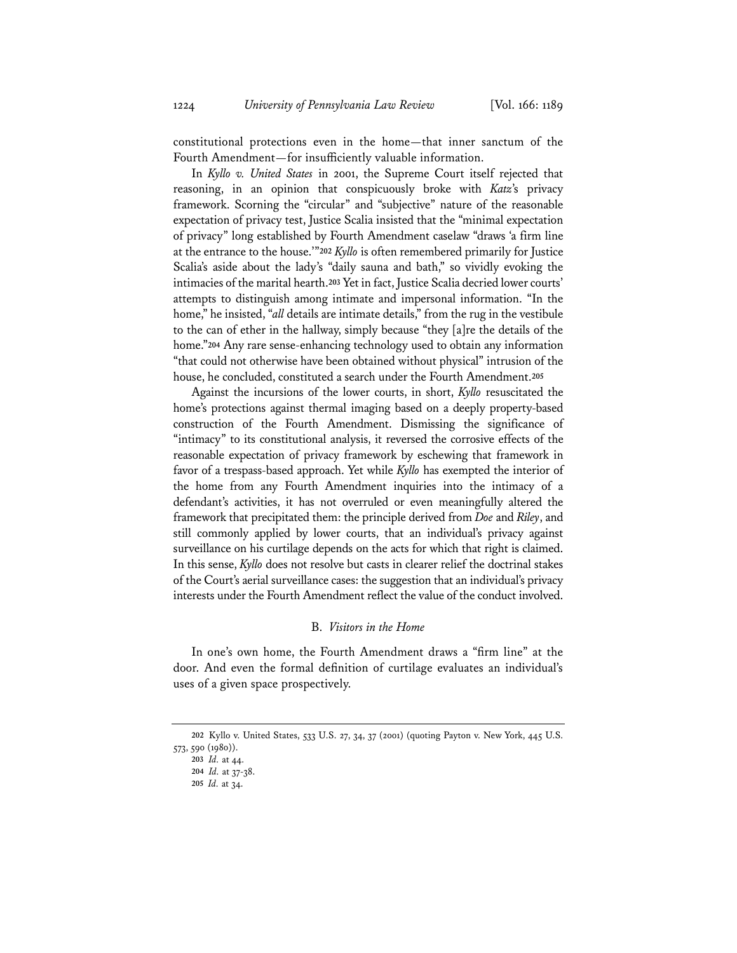constitutional protections even in the home—that inner sanctum of the Fourth Amendment—for insufficiently valuable information.

In *Kyllo v. United States* in 2001, the Supreme Court itself rejected that reasoning, in an opinion that conspicuously broke with *Katz*'s privacy framework. Scorning the "circular" and "subjective" nature of the reasonable expectation of privacy test, Justice Scalia insisted that the "minimal expectation of privacy" long established by Fourth Amendment caselaw "draws 'a firm line at the entrance to the house.'"**<sup>202</sup>** *Kyllo* is often remembered primarily for Justice Scalia's aside about the lady's "daily sauna and bath," so vividly evoking the intimacies of the marital hearth.**<sup>203</sup>** Yet in fact, Justice Scalia decried lower courts' attempts to distinguish among intimate and impersonal information. "In the home," he insisted, "*all* details are intimate details," from the rug in the vestibule to the can of ether in the hallway, simply because "they [a]re the details of the home."**<sup>204</sup>** Any rare sense-enhancing technology used to obtain any information "that could not otherwise have been obtained without physical" intrusion of the house, he concluded, constituted a search under the Fourth Amendment.**<sup>205</sup>**

Against the incursions of the lower courts, in short, *Kyllo* resuscitated the home's protections against thermal imaging based on a deeply property-based construction of the Fourth Amendment. Dismissing the significance of "intimacy" to its constitutional analysis, it reversed the corrosive effects of the reasonable expectation of privacy framework by eschewing that framework in favor of a trespass-based approach. Yet while *Kyllo* has exempted the interior of the home from any Fourth Amendment inquiries into the intimacy of a defendant's activities, it has not overruled or even meaningfully altered the framework that precipitated them: the principle derived from *Doe* and *Riley*, and still commonly applied by lower courts, that an individual's privacy against surveillance on his curtilage depends on the acts for which that right is claimed. In this sense, *Kyllo* does not resolve but casts in clearer relief the doctrinal stakes of the Court's aerial surveillance cases: the suggestion that an individual's privacy interests under the Fourth Amendment reflect the value of the conduct involved.

## B. *Visitors in the Home*

In one's own home, the Fourth Amendment draws a "firm line" at the door. And even the formal definition of curtilage evaluates an individual's uses of a given space prospectively.

**<sup>202</sup>** Kyllo v. United States, 533 U.S. 27, 34, 37 (2001) (quoting Payton v. New York, 445 U.S. 573, 590 (1980)).

**<sup>203</sup>** *Id.* at 44.

**<sup>204</sup>** *Id.* at 37-38.

**<sup>205</sup>** *Id.* at 34.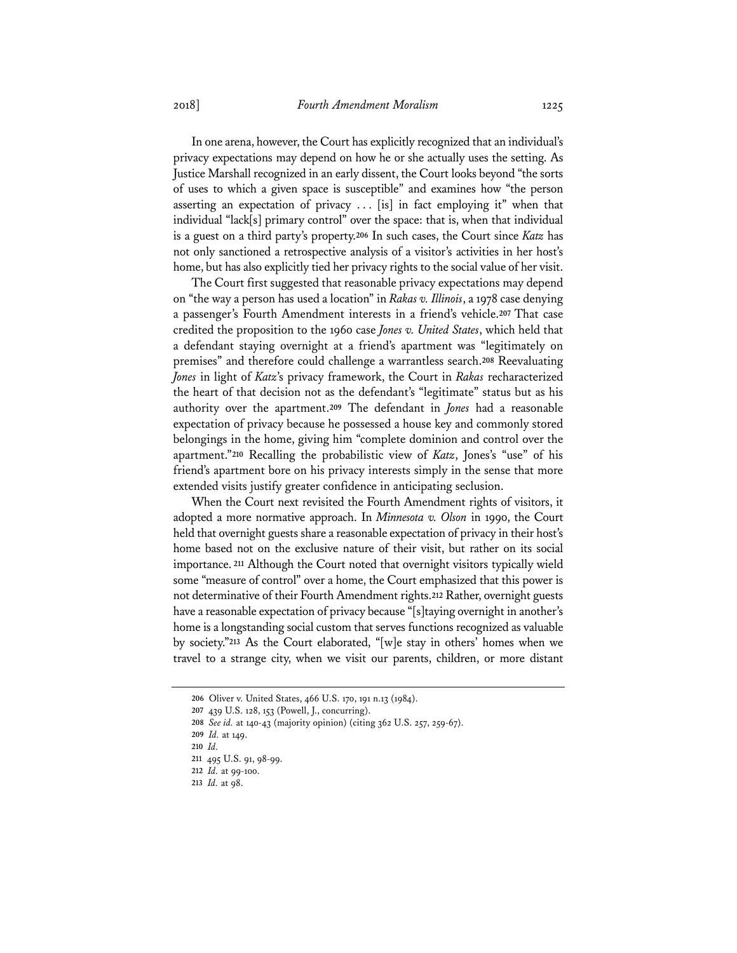In one arena, however, the Court has explicitly recognized that an individual's privacy expectations may depend on how he or she actually uses the setting. As Justice Marshall recognized in an early dissent, the Court looks beyond "the sorts of uses to which a given space is susceptible" and examines how "the person asserting an expectation of privacy . . . [is] in fact employing it" when that individual "lack[s] primary control" over the space: that is, when that individual is a guest on a third party's property.**<sup>206</sup>** In such cases, the Court since *Katz* has not only sanctioned a retrospective analysis of a visitor's activities in her host's home, but has also explicitly tied her privacy rights to the social value of her visit.

The Court first suggested that reasonable privacy expectations may depend on "the way a person has used a location" in *Rakas v. Illinois*, a 1978 case denying a passenger's Fourth Amendment interests in a friend's vehicle.**<sup>207</sup>** That case credited the proposition to the 1960 case *Jones v. United States*, which held that a defendant staying overnight at a friend's apartment was "legitimately on premises" and therefore could challenge a warrantless search.**<sup>208</sup>** Reevaluating *Jones* in light of *Katz*'s privacy framework, the Court in *Rakas* recharacterized the heart of that decision not as the defendant's "legitimate" status but as his authority over the apartment.**<sup>209</sup>** The defendant in *Jones* had a reasonable expectation of privacy because he possessed a house key and commonly stored belongings in the home, giving him "complete dominion and control over the apartment."**<sup>210</sup>** Recalling the probabilistic view of *Katz*, Jones's "use" of his friend's apartment bore on his privacy interests simply in the sense that more extended visits justify greater confidence in anticipating seclusion.

When the Court next revisited the Fourth Amendment rights of visitors, it adopted a more normative approach. In *Minnesota v. Olson* in 1990, the Court held that overnight guests share a reasonable expectation of privacy in their host's home based not on the exclusive nature of their visit, but rather on its social importance.**<sup>211</sup>** Although the Court noted that overnight visitors typically wield some "measure of control" over a home, the Court emphasized that this power is not determinative of their Fourth Amendment rights.**<sup>212</sup>** Rather, overnight guests have a reasonable expectation of privacy because "[s] taying overnight in another's home is a longstanding social custom that serves functions recognized as valuable by society."**<sup>213</sup>** As the Court elaborated, "[w]e stay in others' homes when we travel to a strange city, when we visit our parents, children, or more distant

**<sup>206</sup>** Oliver v. United States, 466 U.S. 170, 191 n.13 (1984).

**<sup>207</sup>** 439 U.S. 128, 153 (Powell, J., concurring).

**<sup>208</sup>** *See id.* at 140-43 (majority opinion) (citing 362 U.S. 257, 259-67).

**<sup>209</sup>** *Id.* at 149.

**<sup>210</sup>** *Id.*

**<sup>211</sup>** 495 U.S. 91, 98-99.

**<sup>212</sup>** *Id.* at 99-100.

**<sup>213</sup>** *Id.* at 98.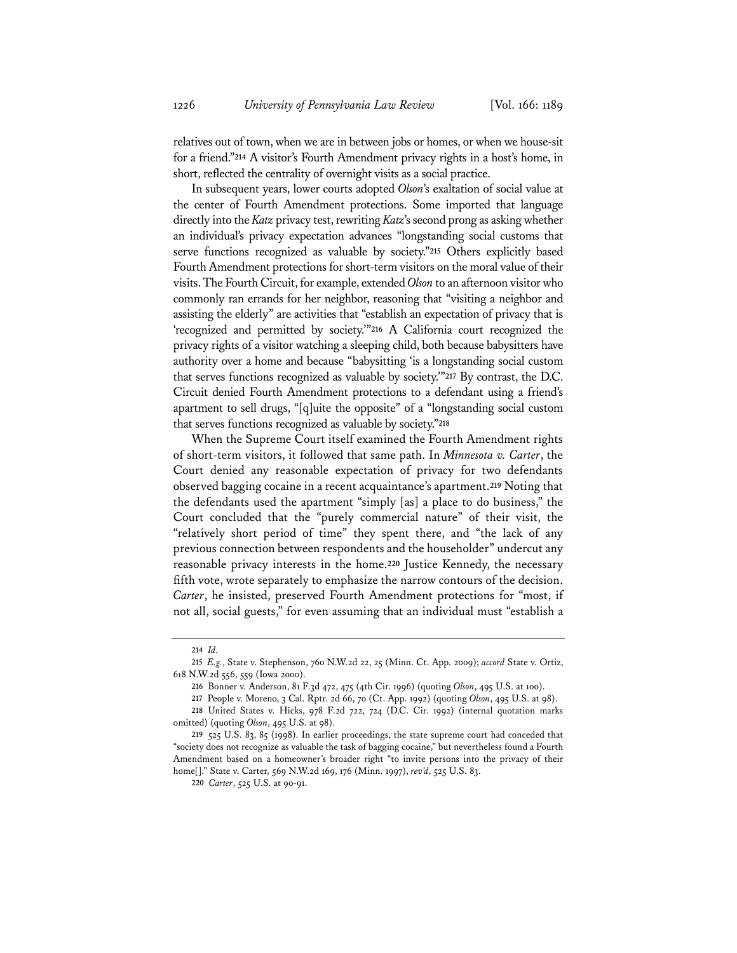relatives out of town, when we are in between jobs or homes, or when we house-sit for a friend."**<sup>214</sup>** A visitor's Fourth Amendment privacy rights in a host's home, in short, reflected the centrality of overnight visits as a social practice.

In subsequent years, lower courts adopted *Olson*'s exaltation of social value at the center of Fourth Amendment protections. Some imported that language directly into the *Katz* privacy test, rewriting *Katz*'s second prong as asking whether an individual's privacy expectation advances "longstanding social customs that serve functions recognized as valuable by society."**<sup>215</sup>** Others explicitly based Fourth Amendment protections for short-term visitors on the moral value of their visits. The Fourth Circuit, for example, extended *Olson* to an afternoon visitor who commonly ran errands for her neighbor, reasoning that "visiting a neighbor and assisting the elderly" are activities that "establish an expectation of privacy that is 'recognized and permitted by society.'"**<sup>216</sup>** A California court recognized the privacy rights of a visitor watching a sleeping child, both because babysitters have authority over a home and because "babysitting 'is a longstanding social custom that serves functions recognized as valuable by society.'"**<sup>217</sup>** By contrast, the D.C. Circuit denied Fourth Amendment protections to a defendant using a friend's apartment to sell drugs, "[q]uite the opposite" of a "longstanding social custom that serves functions recognized as valuable by society."**<sup>218</sup>**

When the Supreme Court itself examined the Fourth Amendment rights of short-term visitors, it followed that same path. In *Minnesota v. Carter*, the Court denied any reasonable expectation of privacy for two defendants observed bagging cocaine in a recent acquaintance's apartment.**<sup>219</sup>** Noting that the defendants used the apartment "simply [as] a place to do business," the Court concluded that the "purely commercial nature" of their visit, the "relatively short period of time" they spent there, and "the lack of any previous connection between respondents and the householder" undercut any reasonable privacy interests in the home.**<sup>220</sup>** Justice Kennedy, the necessary fifth vote, wrote separately to emphasize the narrow contours of the decision. *Carter*, he insisted, preserved Fourth Amendment protections for "most, if not all, social guests," for even assuming that an individual must "establish a

**<sup>214</sup>** *Id.*

**<sup>215</sup>** *E.g.*, State v. Stephenson, 760 N.W.2d 22, 25 (Minn. Ct. App. 2009); *accord* State v. Ortiz, 618 N.W.2d 556, 559 (Iowa 2000).

**<sup>216</sup>** Bonner v. Anderson, 81 F.3d 472, 475 (4th Cir. 1996) (quoting *Olson*, 495 U.S. at 100).

**<sup>217</sup>** People v. Moreno, 3 Cal. Rptr. 2d 66, 70 (Ct. App. 1992) (quoting *Olson*, 495 U.S. at 98).

**<sup>218</sup>** United States v. Hicks, 978 F.2d 722, 724 (D.C. Cir. 1992) (internal quotation marks omitted) (quoting *Olson*, 495 U.S. at 98).

**<sup>219</sup>** 525 U.S. 83, 85 (1998). In earlier proceedings, the state supreme court had conceded that "society does not recognize as valuable the task of bagging cocaine," but nevertheless found a Fourth Amendment based on a homeowner's broader right "to invite persons into the privacy of their home[]." State v. Carter, 569 N.W.2d 169, 176 (Minn. 1997), *rev'd*, 525 U.S. 83.

**<sup>220</sup>** *Carter*, 525 U.S. at 90-91.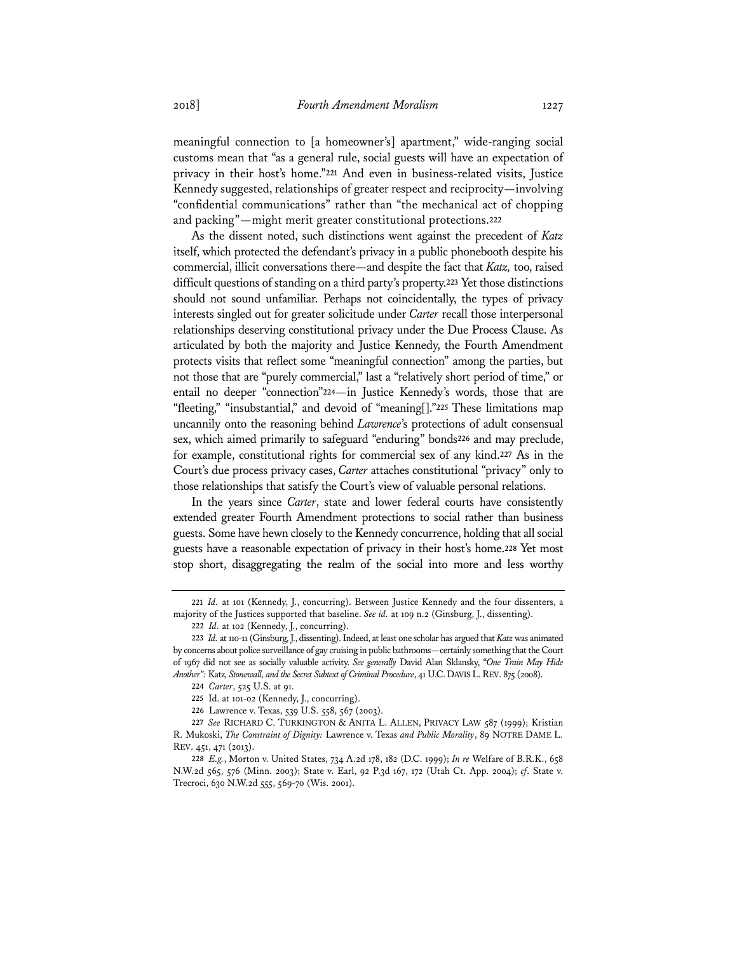meaningful connection to [a homeowner's] apartment," wide-ranging social customs mean that "as a general rule, social guests will have an expectation of privacy in their host's home."**<sup>221</sup>** And even in business-related visits, Justice Kennedy suggested, relationships of greater respect and reciprocity—involving "confidential communications" rather than "the mechanical act of chopping and packing"—might merit greater constitutional protections.**<sup>222</sup>**

As the dissent noted, such distinctions went against the precedent of *Katz* itself, which protected the defendant's privacy in a public phonebooth despite his commercial, illicit conversations there—and despite the fact that *Katz,* too, raised difficult questions of standing on a third party's property.**<sup>223</sup>** Yet those distinctions should not sound unfamiliar. Perhaps not coincidentally, the types of privacy interests singled out for greater solicitude under *Carter* recall those interpersonal relationships deserving constitutional privacy under the Due Process Clause. As articulated by both the majority and Justice Kennedy, the Fourth Amendment protects visits that reflect some "meaningful connection" among the parties, but not those that are "purely commercial," last a "relatively short period of time," or entail no deeper "connection"**<sup>224</sup>**—in Justice Kennedy's words, those that are "fleeting," "insubstantial," and devoid of "meaning[]."**<sup>225</sup>** These limitations map uncannily onto the reasoning behind *Lawrence*'s protections of adult consensual sex, which aimed primarily to safeguard "enduring" bonds**<sup>226</sup>** and may preclude, for example, constitutional rights for commercial sex of any kind.**<sup>227</sup>** As in the Court's due process privacy cases, *Carter* attaches constitutional "privacy" only to those relationships that satisfy the Court's view of valuable personal relations.

In the years since *Carter*, state and lower federal courts have consistently extended greater Fourth Amendment protections to social rather than business guests. Some have hewn closely to the Kennedy concurrence, holding that all social guests have a reasonable expectation of privacy in their host's home.**<sup>228</sup>** Yet most stop short, disaggregating the realm of the social into more and less worthy

**<sup>221</sup>** *Id.* at 101 (Kennedy, J., concurring). Between Justice Kennedy and the four dissenters, a majority of the Justices supported that baseline. *See id.* at 109 n.2 (Ginsburg, J., dissenting).

**<sup>222</sup>** *Id.* at 102 (Kennedy, J., concurring).

**<sup>223</sup>** *Id.* at 110-11 (Ginsburg, J., dissenting). Indeed, at least one scholar has argued that *Katz* was animated by concerns about police surveillance of gay cruising in public bathrooms—certainly something that the Court of 1967 did not see as socially valuable activity. *See generally* David Alan Sklansky, "*One Train May Hide Another":* Katz*, Stonewall, and the Secret Subtext of Criminal Procedure*, 41 U.C.DAVIS L.REV. 875 (2008).

**<sup>224</sup>** *Carter*, 525 U.S. at 91.

**<sup>225</sup>** Id. at 101-02 (Kennedy, J., concurring).

**<sup>226</sup>** Lawrence v. Texas, 539 U.S. 558, 567 (2003).

**<sup>227</sup>** *See* RICHARD C. TURKINGTON & ANITA L. ALLEN, PRIVACY LAW 587 (1999); Kristian R. Mukoski, *The Constraint of Dignity:* Lawrence v. Texas *and Public Morality*, 89 NOTRE DAME L. REV. 451, 471 (2013).

**<sup>228</sup>** *E.g.*, Morton v. United States, 734 A.2d 178, 182 (D.C. 1999); *In re* Welfare of B.R.K., 658 N.W.2d 565, 576 (Minn. 2003); State v. Earl, 92 P.3d 167, 172 (Utah Ct. App. 2004); *cf*. State v. Trecroci, 630 N.W.2d 555, 569-70 (Wis. 2001).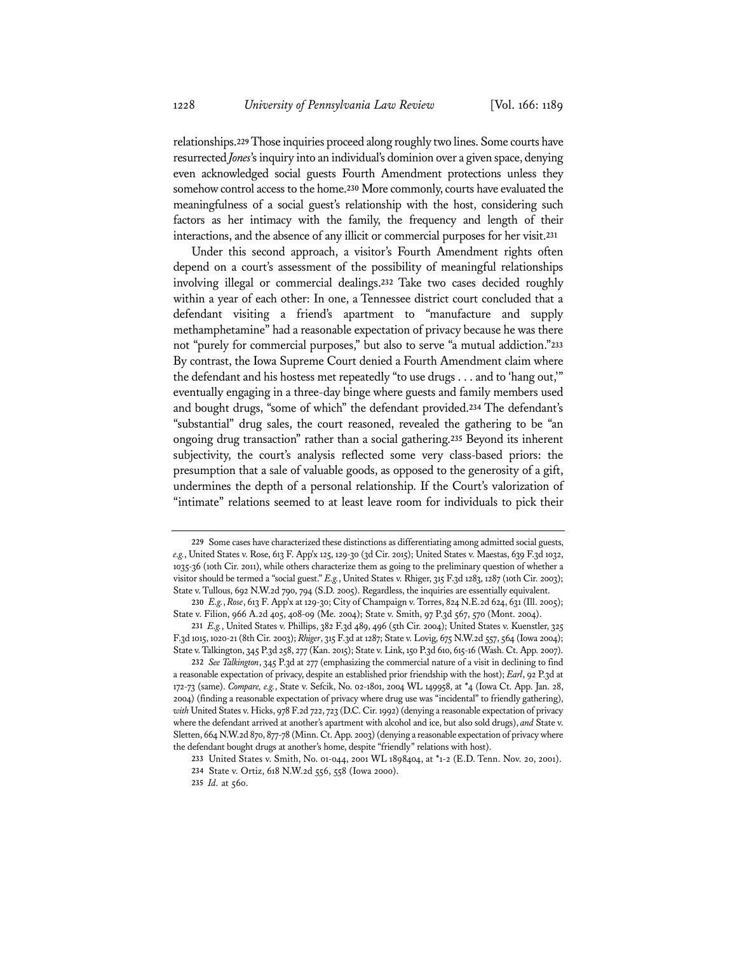relationships.**<sup>229</sup>** Those inquiries proceed along roughly two lines. Some courts have resurrected *Jones*'s inquiry into an individual's dominion over a given space, denying even acknowledged social guests Fourth Amendment protections unless they somehow control access to the home.**<sup>230</sup>** More commonly, courts have evaluated the meaningfulness of a social guest's relationship with the host, considering such factors as her intimacy with the family, the frequency and length of their interactions, and the absence of any illicit or commercial purposes for her visit.**<sup>231</sup>**

Under this second approach, a visitor's Fourth Amendment rights often depend on a court's assessment of the possibility of meaningful relationships involving illegal or commercial dealings.**<sup>232</sup>** Take two cases decided roughly within a year of each other: In one, a Tennessee district court concluded that a defendant visiting a friend's apartment to "manufacture and supply methamphetamine" had a reasonable expectation of privacy because he was there not "purely for commercial purposes," but also to serve "a mutual addiction."**<sup>233</sup>** By contrast, the Iowa Supreme Court denied a Fourth Amendment claim where the defendant and his hostess met repeatedly "to use drugs . . . and to 'hang out,'" eventually engaging in a three-day binge where guests and family members used and bought drugs, "some of which" the defendant provided.**<sup>234</sup>** The defendant's "substantial" drug sales, the court reasoned, revealed the gathering to be "an ongoing drug transaction" rather than a social gathering.**<sup>235</sup>** Beyond its inherent subjectivity, the court's analysis reflected some very class-based priors: the presumption that a sale of valuable goods, as opposed to the generosity of a gift, undermines the depth of a personal relationship. If the Court's valorization of "intimate" relations seemed to at least leave room for individuals to pick their

**<sup>229</sup>** Some cases have characterized these distinctions as differentiating among admitted social guests, *e.g.*, United States v. Rose, 613 F. App'x 125, 129-30 (3d Cir. 2015); United States v. Maestas, 639 F.3d 1032, 1035-36 (10th Cir. 2011), while others characterize them as going to the preliminary question of whether a visitor should be termed a "social guest." *E.g.*, United States v. Rhiger, 315 F.3d 1283, 1287 (10th Cir. 2003); State v. Tullous, 692 N.W.2d 790, 794 (S.D. 2005). Regardless, the inquiries are essentially equivalent.

**<sup>230</sup>** *E.g.*, *Rose*, 613 F. App'x at 129-30; City of Champaign v. Torres, 824 N.E.2d 624, 631 (Ill. 2005); State v. Filion, 966 A.2d 405, 408-09 (Me. 2004); State v. Smith, 97 P.3d 567, 570 (Mont. 2004).

**<sup>231</sup>** *E.g.*, United States v. Phillips, 382 F.3d 489, 496 (5th Cir. 2004); United States v. Kuenstler, 325 F.3d 1015, 1020-21 (8th Cir. 2003); *Rhiger*, 315 F.3d at 1287; State v. Lovig, 675 N.W.2d 557, 564 (Iowa 2004); State v. Talkington, 345 P.3d 258, 277 (Kan. 2015); State v. Link, 150 P.3d 610, 615-16 (Wash. Ct. App. 2007).

**<sup>232</sup>** *See Talkington*, 345 P.3d at 277 (emphasizing the commercial nature of a visit in declining to find a reasonable expectation of privacy, despite an established prior friendship with the host); *Earl*, 92 P.3d at 172-73 (same). *Compare, e.g.*, State v. Sefcik, No. 02-1801, 2004 WL 149958, at \*4 (Iowa Ct. App. Jan. 28, 2004) (finding a reasonable expectation of privacy where drug use was "incidental" to friendly gathering), *with* United States v. Hicks, 978 F.2d 722, 723 (D.C. Cir. 1992) (denying a reasonable expectation of privacy where the defendant arrived at another's apartment with alcohol and ice, but also sold drugs), *and* State v. Sletten, 664 N.W.2d 870, 877-78 (Minn. Ct. App. 2003) (denying a reasonable expectation of privacy where the defendant bought drugs at another's home, despite "friendly" relations with host).

**<sup>233</sup>** United States v. Smith, No. 01-044, 2001 WL 1898404, at \*1-2 (E.D. Tenn. Nov. 20, 2001).

**<sup>234</sup>** State v. Ortiz, 618 N.W.2d 556, 558 (Iowa 2000).

**<sup>235</sup>** *Id.* at 560.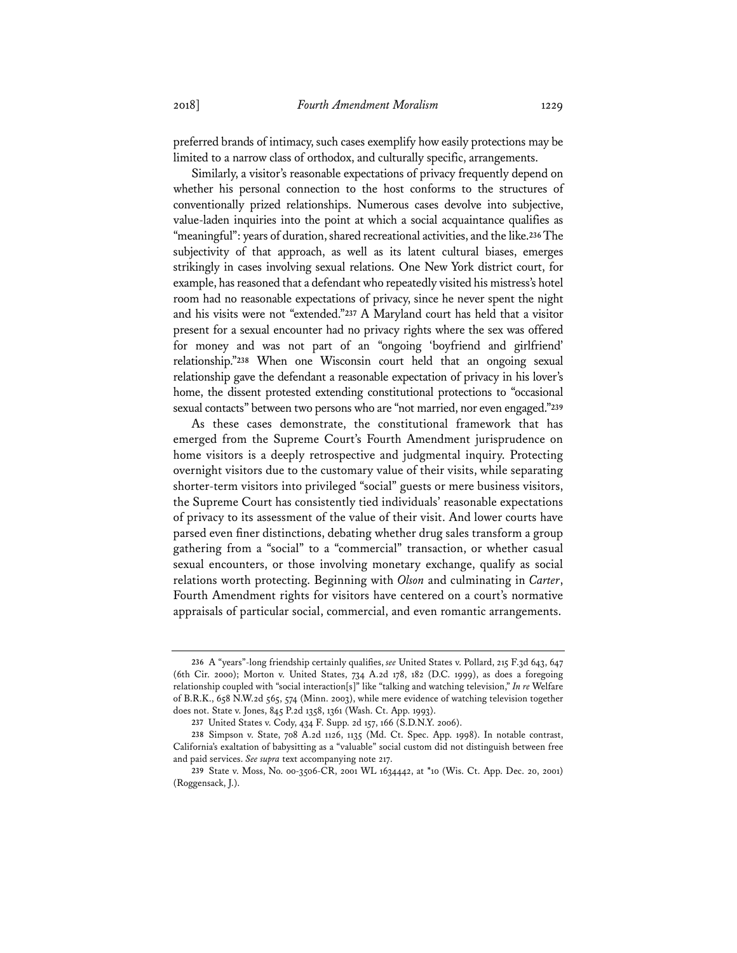preferred brands of intimacy, such cases exemplify how easily protections may be limited to a narrow class of orthodox, and culturally specific, arrangements.

Similarly, a visitor's reasonable expectations of privacy frequently depend on whether his personal connection to the host conforms to the structures of conventionally prized relationships. Numerous cases devolve into subjective, value-laden inquiries into the point at which a social acquaintance qualifies as "meaningful": years of duration, shared recreational activities, and the like.**<sup>236</sup>** The subjectivity of that approach, as well as its latent cultural biases, emerges strikingly in cases involving sexual relations. One New York district court, for example, has reasoned that a defendant who repeatedly visited his mistress's hotel room had no reasonable expectations of privacy, since he never spent the night and his visits were not "extended."**<sup>237</sup>** A Maryland court has held that a visitor present for a sexual encounter had no privacy rights where the sex was offered for money and was not part of an "ongoing 'boyfriend and girlfriend' relationship."**<sup>238</sup>** When one Wisconsin court held that an ongoing sexual relationship gave the defendant a reasonable expectation of privacy in his lover's home, the dissent protested extending constitutional protections to "occasional sexual contacts" between two persons who are "not married, nor even engaged."**<sup>239</sup>**

As these cases demonstrate, the constitutional framework that has emerged from the Supreme Court's Fourth Amendment jurisprudence on home visitors is a deeply retrospective and judgmental inquiry. Protecting overnight visitors due to the customary value of their visits, while separating shorter-term visitors into privileged "social" guests or mere business visitors, the Supreme Court has consistently tied individuals' reasonable expectations of privacy to its assessment of the value of their visit. And lower courts have parsed even finer distinctions, debating whether drug sales transform a group gathering from a "social" to a "commercial" transaction, or whether casual sexual encounters, or those involving monetary exchange, qualify as social relations worth protecting. Beginning with *Olson* and culminating in *Carter*, Fourth Amendment rights for visitors have centered on a court's normative appraisals of particular social, commercial, and even romantic arrangements.

**<sup>236</sup>** A "years"-long friendship certainly qualifies, *see* United States v. Pollard, 215 F.3d 643, 647 (6th Cir. 2000); Morton v. United States, 734 A.2d 178, 182 (D.C. 1999), as does a foregoing relationship coupled with "social interaction[s]" like "talking and watching television," *In re* Welfare of B.R.K., 658 N.W.2d 565, 574 (Minn. 2003), while mere evidence of watching television together does not. State v. Jones, 845 P.2d 1358, 1361 (Wash. Ct. App. 1993).

**<sup>237</sup>** United States v. Cody, 434 F. Supp. 2d 157, 166 (S.D.N.Y. 2006).

**<sup>238</sup>** Simpson v. State, 708 A.2d 1126, 1135 (Md. Ct. Spec. App. 1998). In notable contrast, California's exaltation of babysitting as a "valuable" social custom did not distinguish between free and paid services. *See supra* text accompanying note 217.

**<sup>239</sup>** State v. Moss, No. 00-3506-CR, 2001 WL 1634442, at \*10 (Wis. Ct. App. Dec. 20, 2001) (Roggensack, J.).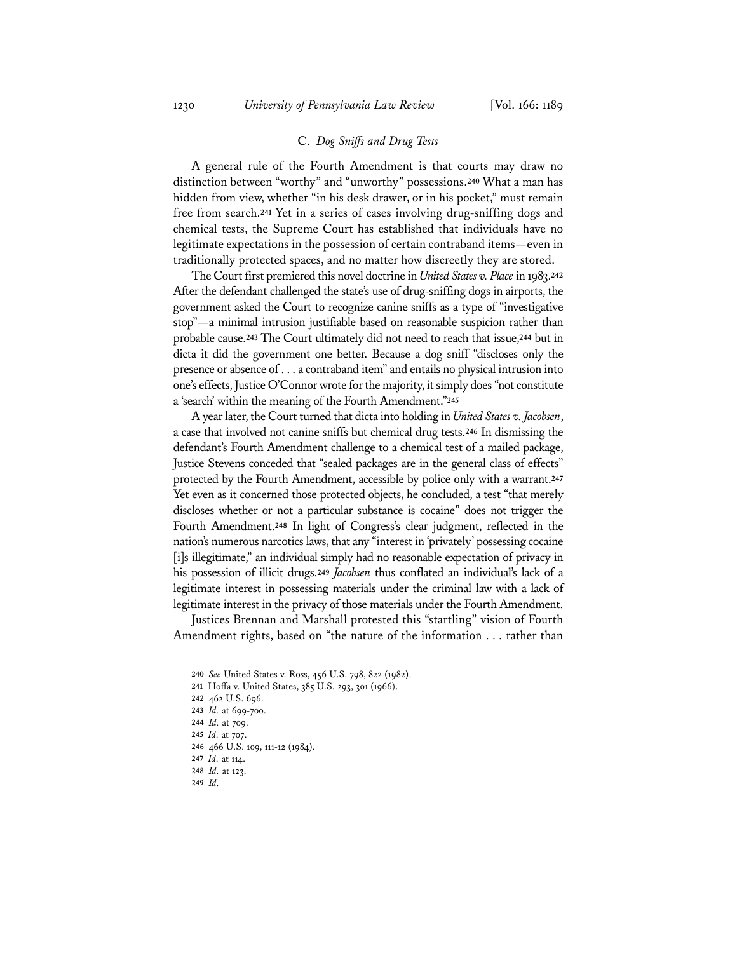## C. *Dog Sniffs and Drug Tests*

A general rule of the Fourth Amendment is that courts may draw no distinction between "worthy" and "unworthy" possessions.**<sup>240</sup>** What a man has hidden from view, whether "in his desk drawer, or in his pocket," must remain free from search.**<sup>241</sup>** Yet in a series of cases involving drug-sniffing dogs and chemical tests, the Supreme Court has established that individuals have no legitimate expectations in the possession of certain contraband items—even in traditionally protected spaces, and no matter how discreetly they are stored.

The Court first premiered this novel doctrine in *United States v. Place* in 1983.**<sup>242</sup>** After the defendant challenged the state's use of drug-sniffing dogs in airports, the government asked the Court to recognize canine sniffs as a type of "investigative stop"—a minimal intrusion justifiable based on reasonable suspicion rather than probable cause.**<sup>243</sup>** The Court ultimately did not need to reach that issue,**<sup>244</sup>** but in dicta it did the government one better. Because a dog sniff "discloses only the presence or absence of . . . a contraband item" and entails no physical intrusion into one's effects, Justice O'Connor wrote for the majority, it simply does "not constitute a 'search' within the meaning of the Fourth Amendment."**<sup>245</sup>**

A year later, the Court turned that dicta into holding in *United States v. Jacobsen*, a case that involved not canine sniffs but chemical drug tests.**<sup>246</sup>** In dismissing the defendant's Fourth Amendment challenge to a chemical test of a mailed package, Justice Stevens conceded that "sealed packages are in the general class of effects" protected by the Fourth Amendment, accessible by police only with a warrant.**<sup>247</sup>** Yet even as it concerned those protected objects, he concluded, a test "that merely discloses whether or not a particular substance is cocaine" does not trigger the Fourth Amendment.**<sup>248</sup>** In light of Congress's clear judgment, reflected in the nation's numerous narcotics laws, that any "interest in 'privately' possessing cocaine [i]s illegitimate," an individual simply had no reasonable expectation of privacy in his possession of illicit drugs.**<sup>249</sup>** *Jacobsen* thus conflated an individual's lack of a legitimate interest in possessing materials under the criminal law with a lack of legitimate interest in the privacy of those materials under the Fourth Amendment.

Justices Brennan and Marshall protested this "startling" vision of Fourth Amendment rights, based on "the nature of the information . . . rather than

**<sup>240</sup>** *See* United States v. Ross, 456 U.S. 798, 822 (1982).

**<sup>241</sup>** Hoffa v. United States, 385 U.S. 293, 301 (1966).

**<sup>242</sup>** 462 U.S. 696.

**<sup>243</sup>** *Id.* at 699-700.

**<sup>244</sup>** *Id.* at 709.

**<sup>245</sup>** *Id.* at 707.

**<sup>246</sup>** 466 U.S. 109, 111-12 (1984).

**<sup>247</sup>** *Id.* at 114.

**<sup>248</sup>** *Id.* at 123. **249** *Id.*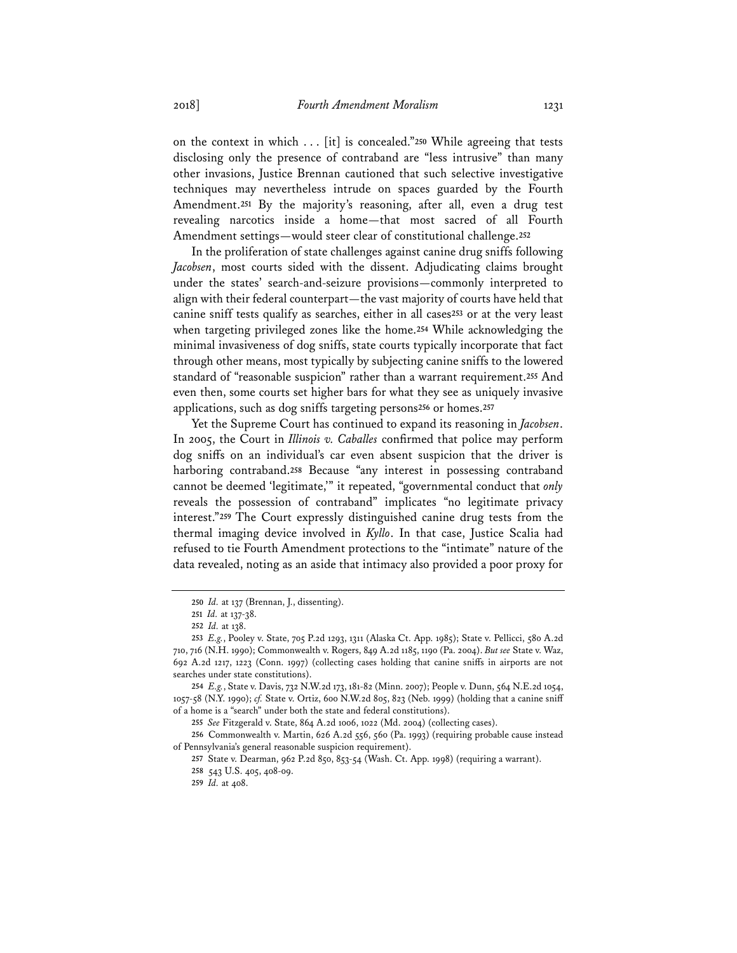on the context in which . . . [it] is concealed."**<sup>250</sup>** While agreeing that tests disclosing only the presence of contraband are "less intrusive" than many other invasions, Justice Brennan cautioned that such selective investigative techniques may nevertheless intrude on spaces guarded by the Fourth Amendment.**<sup>251</sup>** By the majority's reasoning, after all, even a drug test revealing narcotics inside a home—that most sacred of all Fourth Amendment settings—would steer clear of constitutional challenge.**<sup>252</sup>**

In the proliferation of state challenges against canine drug sniffs following *Jacobsen*, most courts sided with the dissent. Adjudicating claims brought under the states' search-and-seizure provisions—commonly interpreted to align with their federal counterpart—the vast majority of courts have held that canine sniff tests qualify as searches, either in all cases**<sup>253</sup>** or at the very least when targeting privileged zones like the home.**<sup>254</sup>** While acknowledging the minimal invasiveness of dog sniffs, state courts typically incorporate that fact through other means, most typically by subjecting canine sniffs to the lowered standard of "reasonable suspicion" rather than a warrant requirement.**<sup>255</sup>** And even then, some courts set higher bars for what they see as uniquely invasive applications, such as dog sniffs targeting persons**<sup>256</sup>** or homes.**<sup>257</sup>**

Yet the Supreme Court has continued to expand its reasoning in *Jacobsen*. In 2005, the Court in *Illinois v. Caballes* confirmed that police may perform dog sniffs on an individual's car even absent suspicion that the driver is harboring contraband.**<sup>258</sup>** Because "any interest in possessing contraband cannot be deemed 'legitimate,'" it repeated, "governmental conduct that *only* reveals the possession of contraband" implicates "no legitimate privacy interest."**<sup>259</sup>** The Court expressly distinguished canine drug tests from the thermal imaging device involved in *Kyllo*. In that case, Justice Scalia had refused to tie Fourth Amendment protections to the "intimate" nature of the data revealed, noting as an aside that intimacy also provided a poor proxy for

**<sup>250</sup>** *Id.* at 137 (Brennan, J., dissenting).

**<sup>251</sup>** *Id.* at 137-38.

**<sup>252</sup>** *Id.* at 138.

**<sup>253</sup>** *E.g.*, Pooley v. State, 705 P.2d 1293, 1311 (Alaska Ct. App. 1985); State v. Pellicci, 580 A.2d 710, 716 (N.H. 1990); Commonwealth v. Rogers, 849 A.2d 1185, 1190 (Pa. 2004). *But see* State v. Waz, 692 A.2d 1217, 1223 (Conn. 1997) (collecting cases holding that canine sniffs in airports are not searches under state constitutions).

**<sup>254</sup>** *E.g.*, State v. Davis, 732 N.W.2d 173, 181-82 (Minn. 2007); People v. Dunn, 564 N.E.2d 1054, 1057-58 (N.Y. 1990); *cf.* State v. Ortiz, 600 N.W.2d 805, 823 (Neb. 1999) (holding that a canine sniff of a home is a "search" under both the state and federal constitutions).

**<sup>255</sup>** *See* Fitzgerald v. State, 864 A.2d 1006, 1022 (Md. 2004) (collecting cases).

**<sup>256</sup>** Commonwealth v. Martin, 626 A.2d 556, 560 (Pa. 1993) (requiring probable cause instead of Pennsylvania's general reasonable suspicion requirement).

**<sup>257</sup>** State v. Dearman, 962 P.2d 850, 853-54 (Wash. Ct. App. 1998) (requiring a warrant).

**<sup>258</sup>** 543 U.S. 405, 408-09.

**<sup>259</sup>** *Id.* at 408.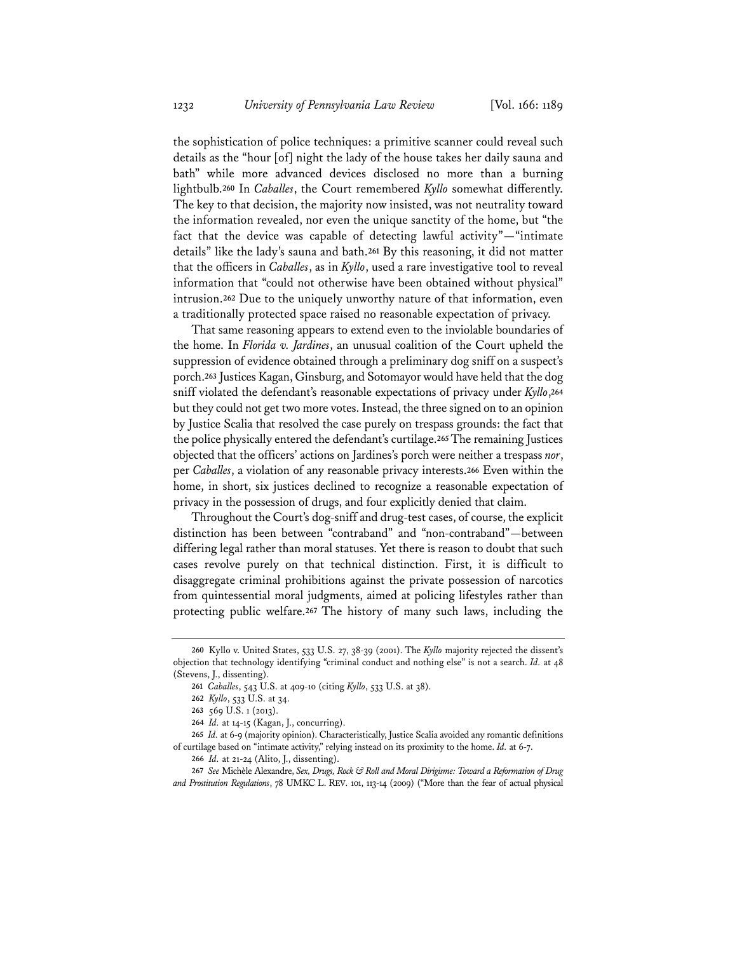the sophistication of police techniques: a primitive scanner could reveal such details as the "hour [of] night the lady of the house takes her daily sauna and bath" while more advanced devices disclosed no more than a burning lightbulb.**<sup>260</sup>** In *Caballes*, the Court remembered *Kyllo* somewhat differently. The key to that decision, the majority now insisted, was not neutrality toward the information revealed, nor even the unique sanctity of the home, but "the fact that the device was capable of detecting lawful activity"—"intimate details" like the lady's sauna and bath.**<sup>261</sup>** By this reasoning, it did not matter that the officers in *Caballes*, as in *Kyllo*, used a rare investigative tool to reveal information that "could not otherwise have been obtained without physical" intrusion.**<sup>262</sup>** Due to the uniquely unworthy nature of that information, even a traditionally protected space raised no reasonable expectation of privacy.

That same reasoning appears to extend even to the inviolable boundaries of the home. In *Florida v. Jardines*, an unusual coalition of the Court upheld the suppression of evidence obtained through a preliminary dog sniff on a suspect's porch.**<sup>263</sup>** Justices Kagan, Ginsburg, and Sotomayor would have held that the dog sniff violated the defendant's reasonable expectations of privacy under *Kyllo*,**<sup>264</sup>** but they could not get two more votes. Instead, the three signed on to an opinion by Justice Scalia that resolved the case purely on trespass grounds: the fact that the police physically entered the defendant's curtilage.**<sup>265</sup>** The remaining Justices objected that the officers' actions on Jardines's porch were neither a trespass *nor*, per *Caballes*, a violation of any reasonable privacy interests.**<sup>266</sup>** Even within the home, in short, six justices declined to recognize a reasonable expectation of privacy in the possession of drugs, and four explicitly denied that claim.

Throughout the Court's dog-sniff and drug-test cases, of course, the explicit distinction has been between "contraband" and "non-contraband"—between differing legal rather than moral statuses. Yet there is reason to doubt that such cases revolve purely on that technical distinction. First, it is difficult to disaggregate criminal prohibitions against the private possession of narcotics from quintessential moral judgments, aimed at policing lifestyles rather than protecting public welfare.**<sup>267</sup>** The history of many such laws, including the

**<sup>260</sup>** Kyllo v. United States, 533 U.S. 27, 38-39 (2001). The *Kyllo* majority rejected the dissent's objection that technology identifying "criminal conduct and nothing else" is not a search. *Id.* at 48 (Stevens, J., dissenting).

**<sup>261</sup>** *Caballes*, 543 U.S. at 409-10 (citing *Kyllo*, 533 U.S. at 38).

**<sup>262</sup>** *Kyllo*, 533 U.S. at 34.

**<sup>263</sup>** 569 U.S. 1 (2013).

**<sup>264</sup>** *Id.* at 14-15 (Kagan, J., concurring).

**<sup>265</sup>** *Id.* at 6-9 (majority opinion). Characteristically, Justice Scalia avoided any romantic definitions of curtilage based on "intimate activity," relying instead on its proximity to the home. *Id.* at 6-7.

**<sup>266</sup>** *Id.* at 21-24 (Alito, J., dissenting).

**<sup>267</sup>** *See* Michèle Alexandre, *Sex, Drugs, Rock & Roll and Moral Dirigisme: Toward a Reformation of Drug and Prostitution Regulations*, 78 UMKC L. REV. 101, 113-14 (2009) ("More than the fear of actual physical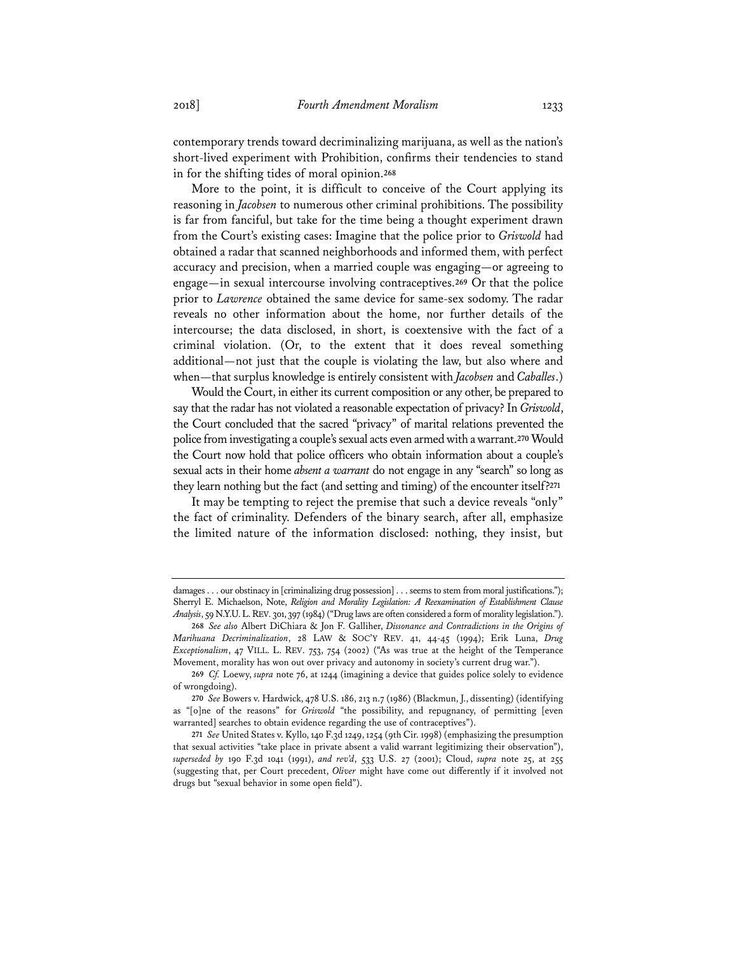contemporary trends toward decriminalizing marijuana, as well as the nation's short-lived experiment with Prohibition, confirms their tendencies to stand in for the shifting tides of moral opinion.**<sup>268</sup>**

More to the point, it is difficult to conceive of the Court applying its reasoning in *Jacobsen* to numerous other criminal prohibitions. The possibility is far from fanciful, but take for the time being a thought experiment drawn from the Court's existing cases: Imagine that the police prior to *Griswold* had obtained a radar that scanned neighborhoods and informed them, with perfect accuracy and precision, when a married couple was engaging—or agreeing to engage—in sexual intercourse involving contraceptives.**<sup>269</sup>** Or that the police prior to *Lawrence* obtained the same device for same-sex sodomy. The radar reveals no other information about the home, nor further details of the intercourse; the data disclosed, in short, is coextensive with the fact of a criminal violation. (Or, to the extent that it does reveal something additional—not just that the couple is violating the law, but also where and when—that surplus knowledge is entirely consistent with *Jacobsen* and *Caballes*.)

Would the Court, in either its current composition or any other, be prepared to say that the radar has not violated a reasonable expectation of privacy? In *Griswold*, the Court concluded that the sacred "privacy" of marital relations prevented the police from investigating a couple's sexual acts even armed with a warrant.**<sup>270</sup>** Would the Court now hold that police officers who obtain information about a couple's sexual acts in their home *absent a warrant* do not engage in any "search" so long as they learn nothing but the fact (and setting and timing) of the encounter itself?**<sup>271</sup>**

It may be tempting to reject the premise that such a device reveals "only" the fact of criminality. Defenders of the binary search, after all, emphasize the limited nature of the information disclosed: nothing, they insist, but

damages . . . our obstinacy in [criminalizing drug possession] . . . seems to stem from moral justifications."); Sherryl E. Michaelson, Note, *Religion and Morality Legislation: A Reexamination of Establishment Clause Analysis*, 59 N.Y.U.L.REV. 301, 397 (1984) ("Drug laws are often considered a form of morality legislation.").

**<sup>268</sup>** *See also* Albert DiChiara & Jon F. Galliher, *Dissonance and Contradictions in the Origins of Marihuana Decriminalization*, 28 LAW & SOC'Y REV. 41, 44-45 (1994); Erik Luna, *Drug Exceptionalism*, 47 VILL. L. REV. 753, 754 (2002) ("As was true at the height of the Temperance Movement, morality has won out over privacy and autonomy in society's current drug war.").

**<sup>269</sup>** *Cf.* Loewy, *supra* note 76, at 1244 (imagining a device that guides police solely to evidence of wrongdoing).

**<sup>270</sup>** *See* Bowers v. Hardwick, 478 U.S. 186, 213 n.7 (1986) (Blackmun, J., dissenting) (identifying as "[o]ne of the reasons" for *Griswold* "the possibility, and repugnancy, of permitting [even warranted] searches to obtain evidence regarding the use of contraceptives").

**<sup>271</sup>** *See* United States v. Kyllo, 140 F.3d 1249, 1254 (9th Cir. 1998) (emphasizing the presumption that sexual activities "take place in private absent a valid warrant legitimizing their observation"), *superseded by* 190 F.3d 1041 (1991), *and rev'd*, 533 U.S. 27 (2001); Cloud, *supra* note 25, at 255 (suggesting that, per Court precedent, *Oliver* might have come out differently if it involved not drugs but "sexual behavior in some open field").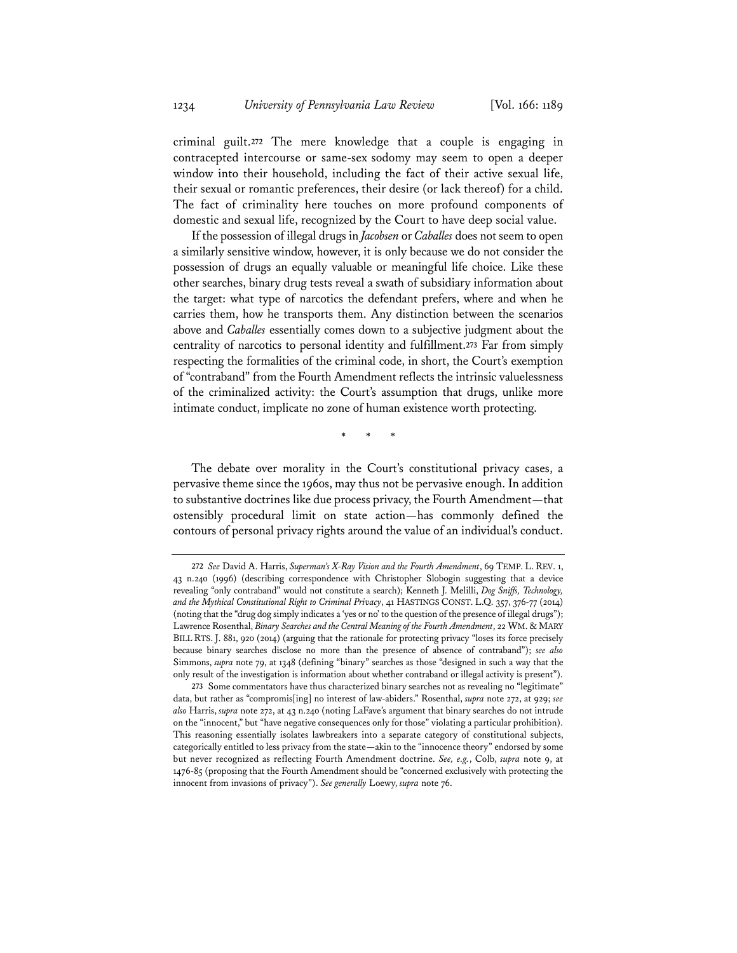criminal guilt.**<sup>272</sup>** The mere knowledge that a couple is engaging in contracepted intercourse or same-sex sodomy may seem to open a deeper window into their household, including the fact of their active sexual life, their sexual or romantic preferences, their desire (or lack thereof) for a child. The fact of criminality here touches on more profound components of domestic and sexual life, recognized by the Court to have deep social value.

If the possession of illegal drugs in *Jacobsen* or *Caballes* does not seem to open a similarly sensitive window, however, it is only because we do not consider the possession of drugs an equally valuable or meaningful life choice. Like these other searches, binary drug tests reveal a swath of subsidiary information about the target: what type of narcotics the defendant prefers, where and when he carries them, how he transports them. Any distinction between the scenarios above and *Caballes* essentially comes down to a subjective judgment about the centrality of narcotics to personal identity and fulfillment.**<sup>273</sup>** Far from simply respecting the formalities of the criminal code, in short, the Court's exemption of "contraband" from the Fourth Amendment reflects the intrinsic valuelessness of the criminalized activity: the Court's assumption that drugs, unlike more intimate conduct, implicate no zone of human existence worth protecting.

\* \* \*

The debate over morality in the Court's constitutional privacy cases, a pervasive theme since the 1960s, may thus not be pervasive enough. In addition to substantive doctrines like due process privacy, the Fourth Amendment—that ostensibly procedural limit on state action—has commonly defined the contours of personal privacy rights around the value of an individual's conduct.

**<sup>272</sup>** *See* David A. Harris, *Superman's X-Ray Vision and the Fourth Amendment*, 69 TEMP. L. REV. 1, 43 n.240 (1996) (describing correspondence with Christopher Slobogin suggesting that a device revealing "only contraband" would not constitute a search); Kenneth J. Melilli, *Dog Sniffs, Technology, and the Mythical Constitutional Right to Criminal Privacy*, 41 HASTINGS CONST. L.Q. 357, 376-77 (2014) (noting that the "drug dog simply indicates a 'yes or no' to the question of the presence of illegal drugs"); Lawrence Rosenthal, *Binary Searches and the Central Meaning of the Fourth Amendment*, 22 WM. & MARY BILL RTS. J. 881, 920 (2014) (arguing that the rationale for protecting privacy "loses its force precisely because binary searches disclose no more than the presence of absence of contraband"); *see also* Simmons, *supra* note 79, at 1348 (defining "binary" searches as those "designed in such a way that the only result of the investigation is information about whether contraband or illegal activity is present").

**<sup>273</sup>** Some commentators have thus characterized binary searches not as revealing no "legitimate" data, but rather as "compromis[ing] no interest of law-abiders." Rosenthal, *supra* note 272, at 929; *see also* Harris, *supra* note 272, at 43 n.240 (noting LaFave's argument that binary searches do not intrude on the "innocent," but "have negative consequences only for those" violating a particular prohibition). This reasoning essentially isolates lawbreakers into a separate category of constitutional subjects, categorically entitled to less privacy from the state—akin to the "innocence theory" endorsed by some but never recognized as reflecting Fourth Amendment doctrine. *See, e.g.*, Colb, *supra* note 9, at 1476-85 (proposing that the Fourth Amendment should be "concerned exclusively with protecting the innocent from invasions of privacy"). *See generally* Loewy, *supra* note 76.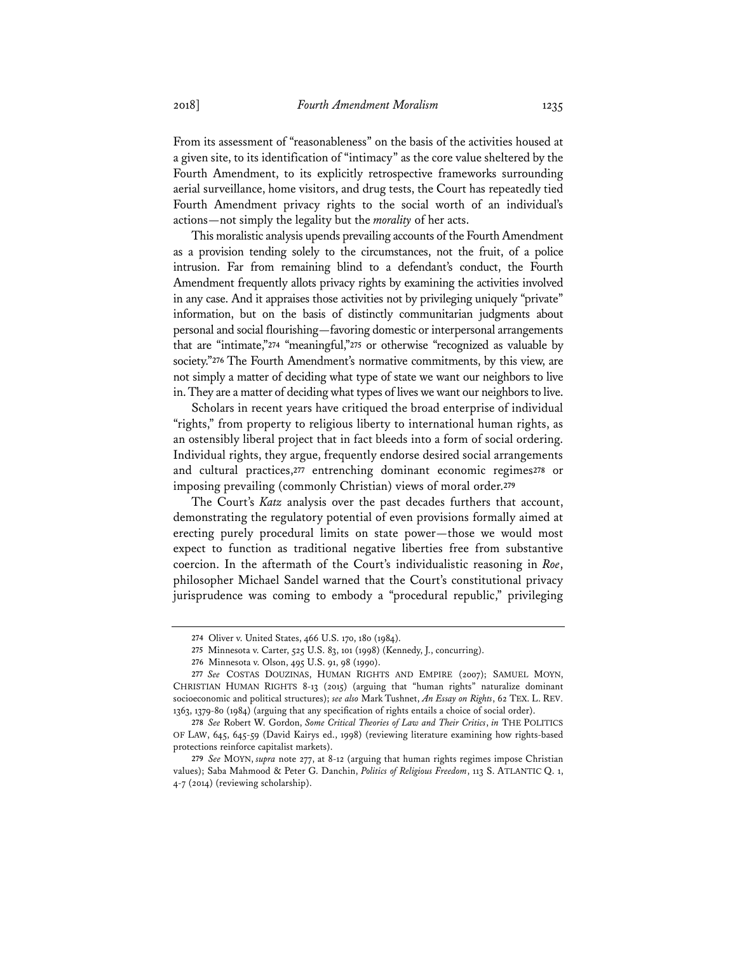From its assessment of "reasonableness" on the basis of the activities housed at a given site, to its identification of "intimacy" as the core value sheltered by the Fourth Amendment, to its explicitly retrospective frameworks surrounding aerial surveillance, home visitors, and drug tests, the Court has repeatedly tied Fourth Amendment privacy rights to the social worth of an individual's actions—not simply the legality but the *morality* of her acts.

This moralistic analysis upends prevailing accounts of the Fourth Amendment as a provision tending solely to the circumstances, not the fruit, of a police intrusion. Far from remaining blind to a defendant's conduct, the Fourth Amendment frequently allots privacy rights by examining the activities involved in any case. And it appraises those activities not by privileging uniquely "private" information, but on the basis of distinctly communitarian judgments about personal and social flourishing—favoring domestic or interpersonal arrangements that are "intimate,"**<sup>274</sup>** "meaningful,"**<sup>275</sup>** or otherwise "recognized as valuable by society."<sup>276</sup> The Fourth Amendment's normative commitments, by this view, are not simply a matter of deciding what type of state we want our neighbors to live in. They are a matter of deciding what types of lives we want our neighbors to live.

Scholars in recent years have critiqued the broad enterprise of individual "rights," from property to religious liberty to international human rights, as an ostensibly liberal project that in fact bleeds into a form of social ordering. Individual rights, they argue, frequently endorse desired social arrangements and cultural practices,**<sup>277</sup>** entrenching dominant economic regimes**<sup>278</sup>** or imposing prevailing (commonly Christian) views of moral order.**<sup>279</sup>**

The Court's *Katz* analysis over the past decades furthers that account, demonstrating the regulatory potential of even provisions formally aimed at erecting purely procedural limits on state power—those we would most expect to function as traditional negative liberties free from substantive coercion. In the aftermath of the Court's individualistic reasoning in *Roe*, philosopher Michael Sandel warned that the Court's constitutional privacy jurisprudence was coming to embody a "procedural republic," privileging

**<sup>274</sup>** Oliver v. United States, 466 U.S. 170, 180 (1984).

**<sup>275</sup>** Minnesota v. Carter, 525 U.S. 83, 101 (1998) (Kennedy, J., concurring).

**<sup>276</sup>** Minnesota v. Olson, 495 U.S. 91, 98 (1990).

**<sup>277</sup>** *See* COSTAS DOUZINAS, HUMAN RIGHTS AND EMPIRE (2007); SAMUEL MOYN, CHRISTIAN HUMAN RIGHTS 8-13 (2015) (arguing that "human rights" naturalize dominant socioeconomic and political structures); *see also* Mark Tushnet, *An Essay on Rights*, 62 TEX. L. REV. 1363, 1379-80 (1984) (arguing that any specification of rights entails a choice of social order).

**<sup>278</sup>** *See* Robert W. Gordon, *Some Critical Theories of Law and Their Critics*, *in* THE POLITICS OF LAW, 645, 645-59 (David Kairys ed., 1998) (reviewing literature examining how rights-based protections reinforce capitalist markets).

**<sup>279</sup>** *See* MOYN, *supra* note 277, at 8-12 (arguing that human rights regimes impose Christian values); Saba Mahmood & Peter G. Danchin, *Politics of Religious Freedom*, 113 S. ATLANTIC Q. 1, 4-7 (2014) (reviewing scholarship).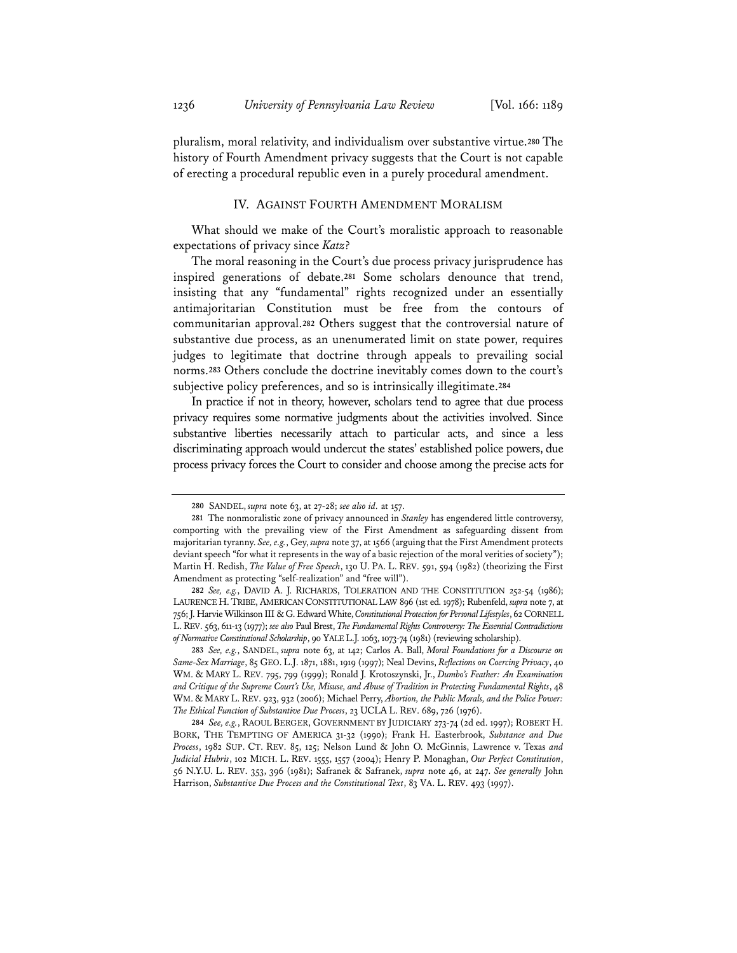pluralism, moral relativity, and individualism over substantive virtue.**<sup>280</sup>** The history of Fourth Amendment privacy suggests that the Court is not capable of erecting a procedural republic even in a purely procedural amendment.

## IV. AGAINST FOURTH AMENDMENT MORALISM

What should we make of the Court's moralistic approach to reasonable expectations of privacy since *Katz*?

The moral reasoning in the Court's due process privacy jurisprudence has inspired generations of debate.**<sup>281</sup>** Some scholars denounce that trend, insisting that any "fundamental" rights recognized under an essentially antimajoritarian Constitution must be free from the contours of communitarian approval.**<sup>282</sup>** Others suggest that the controversial nature of substantive due process, as an unenumerated limit on state power, requires judges to legitimate that doctrine through appeals to prevailing social norms.**<sup>283</sup>** Others conclude the doctrine inevitably comes down to the court's subjective policy preferences, and so is intrinsically illegitimate.**<sup>284</sup>**

In practice if not in theory, however, scholars tend to agree that due process privacy requires some normative judgments about the activities involved. Since substantive liberties necessarily attach to particular acts, and since a less discriminating approach would undercut the states' established police powers, due process privacy forces the Court to consider and choose among the precise acts for

**<sup>280</sup>** SANDEL, *supra* note 63, at 27-28; *see also id.* at 157.

**<sup>281</sup>** The nonmoralistic zone of privacy announced in *Stanley* has engendered little controversy, comporting with the prevailing view of the First Amendment as safeguarding dissent from majoritarian tyranny. *See, e.g.*, Gey, *supra* note 37, at 1566 (arguing that the First Amendment protects deviant speech "for what it represents in the way of a basic rejection of the moral verities of society"); Martin H. Redish, *The Value of Free Speech*, 130 U. PA. L. REV. 591, 594 (1982) (theorizing the First Amendment as protecting "self-realization" and "free will").

**<sup>282</sup>** *See, e.g.*, DAVID A. J. RICHARDS, TOLERATION AND THE CONSTITUTION 252-54 (1986); LAURENCE H.TRIBE, AMERICAN CONSTITUTIONAL LAW 896 (1st ed. 1978); Rubenfeld, *supra* note 7, at 756; J. Harvie Wilkinson III & G. Edward White, *Constitutional Protection for Personal Lifestyles*, 62 CORNELL L.REV. 563, 611-13 (1977); *see also* Paul Brest, *The Fundamental Rights Controversy: The Essential Contradictions of Normative Constitutional Scholarship*, 90 YALE L.J. 1063, 1073-74 (1981) (reviewing scholarship).

**<sup>283</sup>** *See, e.g.*, SANDEL, *supra* note 63, at 142; Carlos A. Ball, *Moral Foundations for a Discourse on Same-Sex Marriage*, 85 GEO. L.J. 1871, 1881, 1919 (1997); Neal Devins, *Reflections on Coercing Privacy*, 40 WM. & MARY L. REV. 795, 799 (1999); Ronald J. Krotoszynski, Jr., *Dumbo's Feather: An Examination and Critique of the Supreme Court's Use, Misuse, and Abuse of Tradition in Protecting Fundamental Rights*, 48 WM. & MARY L. REV. 923, 932 (2006); Michael Perry, *Abortion, the Public Morals, and the Police Power: The Ethical Function of Substantive Due Process*, 23 UCLA L. REV. 689, 726 (1976).

**<sup>284</sup>** *See, e.g.*, RAOUL BERGER, GOVERNMENT BY JUDICIARY 273-74 (2d ed. 1997); ROBERT H. BORK, THE TEMPTING OF AMERICA 31-32 (1990); Frank H. Easterbrook, *Substance and Due Process*, 1982 SUP. CT. REV. 85, 125; Nelson Lund & John O. McGinnis, Lawrence v. Texas *and Judicial Hubris*, 102 MICH. L. REV. 1555, 1557 (2004); Henry P. Monaghan, *Our Perfect Constitution*, 56 N.Y.U. L. REV. 353, 396 (1981); Safranek & Safranek, *supra* note 46, at 247. *See generally* John Harrison, *Substantive Due Process and the Constitutional Text*, 83 VA. L. REV. 493 (1997).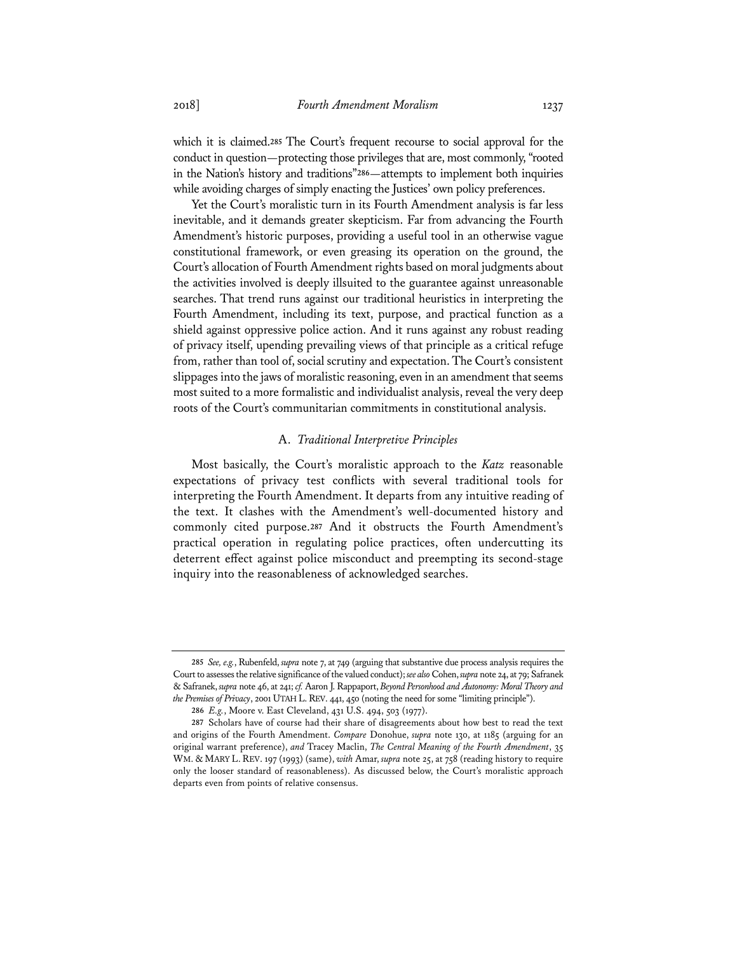which it is claimed.**<sup>285</sup>** The Court's frequent recourse to social approval for the conduct in question—protecting those privileges that are, most commonly, "rooted in the Nation's history and traditions"**<sup>286</sup>**—attempts to implement both inquiries while avoiding charges of simply enacting the Justices' own policy preferences.

Yet the Court's moralistic turn in its Fourth Amendment analysis is far less inevitable, and it demands greater skepticism. Far from advancing the Fourth Amendment's historic purposes, providing a useful tool in an otherwise vague constitutional framework, or even greasing its operation on the ground, the Court's allocation of Fourth Amendment rights based on moral judgments about the activities involved is deeply illsuited to the guarantee against unreasonable searches. That trend runs against our traditional heuristics in interpreting the Fourth Amendment, including its text, purpose, and practical function as a shield against oppressive police action. And it runs against any robust reading of privacy itself, upending prevailing views of that principle as a critical refuge from, rather than tool of, social scrutiny and expectation. The Court's consistent slippages into the jaws of moralistic reasoning, even in an amendment that seems most suited to a more formalistic and individualist analysis, reveal the very deep roots of the Court's communitarian commitments in constitutional analysis.

#### A. *Traditional Interpretive Principles*

Most basically, the Court's moralistic approach to the *Katz* reasonable expectations of privacy test conflicts with several traditional tools for interpreting the Fourth Amendment. It departs from any intuitive reading of the text. It clashes with the Amendment's well-documented history and commonly cited purpose.**<sup>287</sup>** And it obstructs the Fourth Amendment's practical operation in regulating police practices, often undercutting its deterrent effect against police misconduct and preempting its second-stage inquiry into the reasonableness of acknowledged searches.

**<sup>285</sup>** *See, e.g.*, Rubenfeld, *supra* note 7, at 749 (arguing that substantive due process analysis requires the Court to assesses the relative significance of the valued conduct); *see also* Cohen, *supra* note 24, at 79; Safranek & Safranek, *supra* note 46, at 241; *cf.* Aaron J. Rappaport, *Beyond Personhood and Autonomy: Moral Theory and the Premises of Privacy*, 2001 UTAH L.REV. 441, 450 (noting the need for some "limiting principle").

**<sup>286</sup>** *E.g.*, Moore v. East Cleveland, 431 U.S. 494, 503 (1977).

**<sup>287</sup>** Scholars have of course had their share of disagreements about how best to read the text and origins of the Fourth Amendment. *Compare* Donohue, *supra* note 130, at 1185 (arguing for an original warrant preference), *and* Tracey Maclin, *The Central Meaning of the Fourth Amendment*, 35 WM. & MARY L. REV. 197 (1993) (same), *with* Amar, *supra* note 25, at 758 (reading history to require only the looser standard of reasonableness). As discussed below, the Court's moralistic approach departs even from points of relative consensus.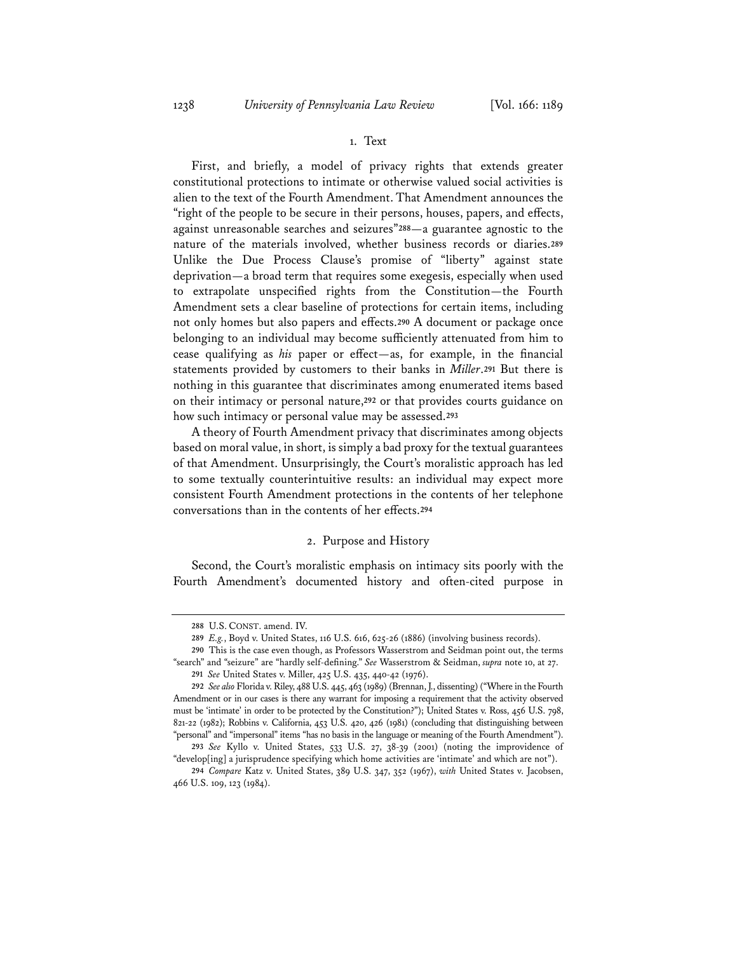## 1. Text

First, and briefly, a model of privacy rights that extends greater constitutional protections to intimate or otherwise valued social activities is alien to the text of the Fourth Amendment. That Amendment announces the "right of the people to be secure in their persons, houses, papers, and effects, against unreasonable searches and seizures"**<sup>288</sup>**—a guarantee agnostic to the nature of the materials involved, whether business records or diaries.**<sup>289</sup>** Unlike the Due Process Clause's promise of "liberty" against state deprivation—a broad term that requires some exegesis, especially when used to extrapolate unspecified rights from the Constitution—the Fourth Amendment sets a clear baseline of protections for certain items, including not only homes but also papers and effects.**<sup>290</sup>** A document or package once belonging to an individual may become sufficiently attenuated from him to cease qualifying as *his* paper or effect—as, for example, in the financial statements provided by customers to their banks in *Miller*.**<sup>291</sup>** But there is nothing in this guarantee that discriminates among enumerated items based on their intimacy or personal nature,**<sup>292</sup>** or that provides courts guidance on how such intimacy or personal value may be assessed.**<sup>293</sup>**

A theory of Fourth Amendment privacy that discriminates among objects based on moral value, in short, is simply a bad proxy for the textual guarantees of that Amendment. Unsurprisingly, the Court's moralistic approach has led to some textually counterintuitive results: an individual may expect more consistent Fourth Amendment protections in the contents of her telephone conversations than in the contents of her effects.**<sup>294</sup>**

#### 2. Purpose and History

Second, the Court's moralistic emphasis on intimacy sits poorly with the Fourth Amendment's documented history and often-cited purpose in

**<sup>288</sup>** U.S. CONST. amend. IV.

**<sup>289</sup>** *E.g.*, Boyd v. United States, 116 U.S. 616, 625-26 (1886) (involving business records).

**<sup>290</sup>** This is the case even though, as Professors Wasserstrom and Seidman point out, the terms "search" and "seizure" are "hardly self-defining." *See* Wasserstrom & Seidman, *supra* note 10, at 27.

**<sup>291</sup>** *See* United States v. Miller, 425 U.S. 435, 440-42 (1976).

**<sup>292</sup>** *See also* Florida v. Riley, 488 U.S. 445, 463 (1989) (Brennan, J., dissenting) ("Where in the Fourth Amendment or in our cases is there any warrant for imposing a requirement that the activity observed must be 'intimate' in order to be protected by the Constitution?"); United States v. Ross, 456 U.S. 798, 821-22 (1982); Robbins v. California, 453 U.S. 420, 426 (1981) (concluding that distinguishing between "personal" and "impersonal" items "has no basis in the language or meaning of the Fourth Amendment").

**<sup>293</sup>** *See* Kyllo v. United States, 533 U.S. 27, 38-39 (2001) (noting the improvidence of "develop[ing] a jurisprudence specifying which home activities are 'intimate' and which are not").

**<sup>294</sup>** *Compare* Katz v. United States, 389 U.S. 347, 352 (1967), *with* United States v. Jacobsen, 466 U.S. 109, 123 (1984).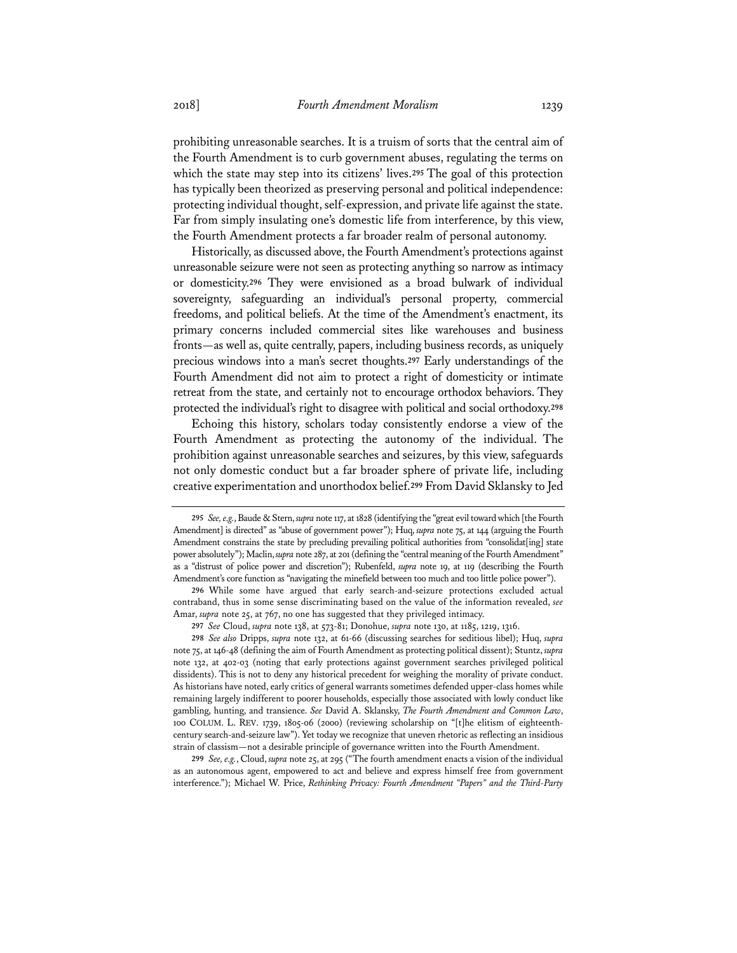prohibiting unreasonable searches. It is a truism of sorts that the central aim of the Fourth Amendment is to curb government abuses, regulating the terms on which the state may step into its citizens' lives.**<sup>295</sup>** The goal of this protection has typically been theorized as preserving personal and political independence: protecting individual thought, self-expression, and private life against the state. Far from simply insulating one's domestic life from interference, by this view, the Fourth Amendment protects a far broader realm of personal autonomy.

Historically, as discussed above, the Fourth Amendment's protections against unreasonable seizure were not seen as protecting anything so narrow as intimacy or domesticity.**<sup>296</sup>** They were envisioned as a broad bulwark of individual sovereignty, safeguarding an individual's personal property, commercial freedoms, and political beliefs. At the time of the Amendment's enactment, its primary concerns included commercial sites like warehouses and business fronts—as well as, quite centrally, papers, including business records, as uniquely precious windows into a man's secret thoughts.**<sup>297</sup>** Early understandings of the Fourth Amendment did not aim to protect a right of domesticity or intimate retreat from the state, and certainly not to encourage orthodox behaviors. They protected the individual's right to disagree with political and social orthodoxy.**<sup>298</sup>**

Echoing this history, scholars today consistently endorse a view of the Fourth Amendment as protecting the autonomy of the individual. The prohibition against unreasonable searches and seizures, by this view, safeguards not only domestic conduct but a far broader sphere of private life, including creative experimentation and unorthodox belief.**<sup>299</sup>** From David Sklansky to Jed

**297** *See* Cloud, *supra* note 138, at 573-81; Donohue, *supra* note 130, at 1185, 1219, 1316.

**298** *See also* Dripps, *supra* note 132, at 61-66 (discussing searches for seditious libel); Huq, *supra* note 75, at 146-48 (defining the aim of Fourth Amendment as protecting political dissent); Stuntz, *supra* note 132, at 402-03 (noting that early protections against government searches privileged political dissidents). This is not to deny any historical precedent for weighing the morality of private conduct. As historians have noted, early critics of general warrants sometimes defended upper-class homes while remaining largely indifferent to poorer households, especially those associated with lowly conduct like gambling, hunting, and transience. *See* David A. Sklansky, *The Fourth Amendment and Common Law*, 100 COLUM. L. REV. 1739, 1805-06 (2000) (reviewing scholarship on "[t]he elitism of eighteenthcentury search-and-seizure law"). Yet today we recognize that uneven rhetoric as reflecting an insidious strain of classism—not a desirable principle of governance written into the Fourth Amendment.

**299** *See, e.g.*, Cloud, *supra* note 25, at 295 ("The fourth amendment enacts a vision of the individual as an autonomous agent, empowered to act and believe and express himself free from government interference."); Michael W. Price, *Rethinking Privacy: Fourth Amendment "Papers" and the Third-Party* 

**<sup>295</sup>** *See, e.g.*, Baude & Stern, *supra* note 117, at 1828 (identifying the "great evil toward which [the Fourth Amendment] is directed" as "abuse of government power"); Huq, *supra* note 75, at 144 (arguing the Fourth Amendment constrains the state by precluding prevailing political authorities from "consolidat[ing] state power absolutely"); Maclin, *supra* note 287, at 201 (defining the "central meaning of the Fourth Amendment" as a "distrust of police power and discretion"); Rubenfeld, *supra* note 19, at 119 (describing the Fourth Amendment's core function as "navigating the minefield between too much and too little police power").

**<sup>296</sup>** While some have argued that early search-and-seizure protections excluded actual contraband, thus in some sense discriminating based on the value of the information revealed, *see* Amar, *supra* note 25, at 767, no one has suggested that they privileged intimacy.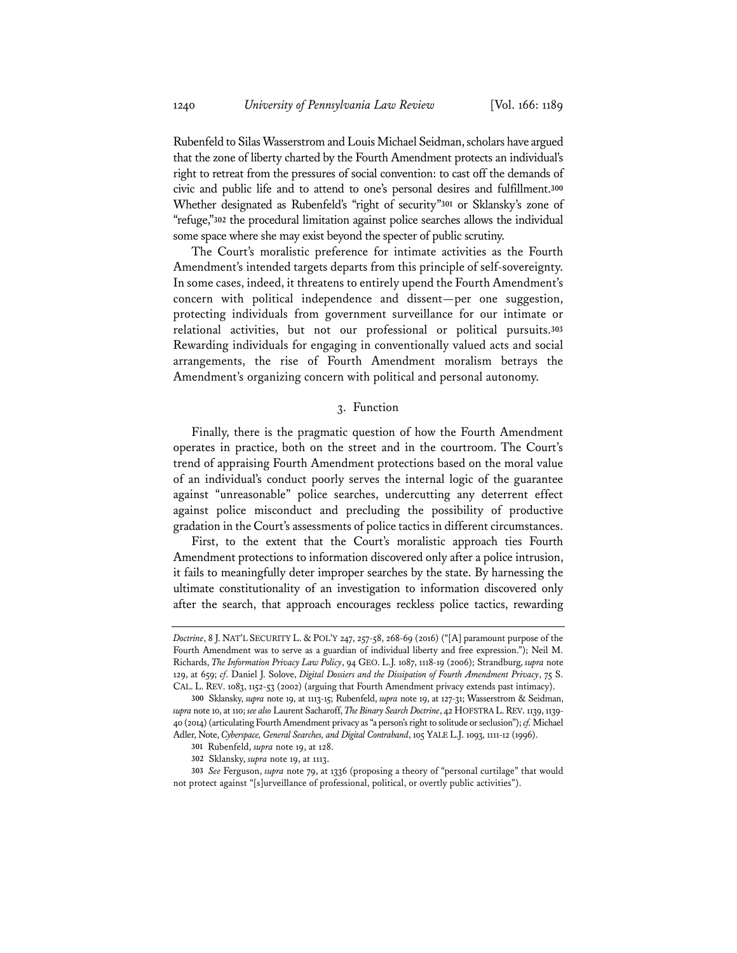Rubenfeld to Silas Wasserstrom and Louis Michael Seidman, scholars have argued that the zone of liberty charted by the Fourth Amendment protects an individual's right to retreat from the pressures of social convention: to cast off the demands of civic and public life and to attend to one's personal desires and fulfillment.**<sup>300</sup>** Whether designated as Rubenfeld's "right of security"**<sup>301</sup>** or Sklansky's zone of "refuge,"**<sup>302</sup>** the procedural limitation against police searches allows the individual some space where she may exist beyond the specter of public scrutiny.

The Court's moralistic preference for intimate activities as the Fourth Amendment's intended targets departs from this principle of self-sovereignty. In some cases, indeed, it threatens to entirely upend the Fourth Amendment's concern with political independence and dissent—per one suggestion, protecting individuals from government surveillance for our intimate or relational activities, but not our professional or political pursuits.**<sup>303</sup>** Rewarding individuals for engaging in conventionally valued acts and social arrangements, the rise of Fourth Amendment moralism betrays the Amendment's organizing concern with political and personal autonomy.

### 3. Function

Finally, there is the pragmatic question of how the Fourth Amendment operates in practice, both on the street and in the courtroom. The Court's trend of appraising Fourth Amendment protections based on the moral value of an individual's conduct poorly serves the internal logic of the guarantee against "unreasonable" police searches, undercutting any deterrent effect against police misconduct and precluding the possibility of productive gradation in the Court's assessments of police tactics in different circumstances.

First, to the extent that the Court's moralistic approach ties Fourth Amendment protections to information discovered only after a police intrusion, it fails to meaningfully deter improper searches by the state. By harnessing the ultimate constitutionality of an investigation to information discovered only after the search, that approach encourages reckless police tactics, rewarding

*Doctrine*, 8 J. NAT'L SECURITY L. & POL'Y 247, 257-58, 268-69 (2016) ("[A] paramount purpose of the Fourth Amendment was to serve as a guardian of individual liberty and free expression."); Neil M. Richards, *The Information Privacy Law Policy*, 94 GEO. L.J. 1087, 1118-19 (2006); Strandburg, *supra* note 129, at 659; *cf*. Daniel J. Solove, *Digital Dossiers and the Dissipation of Fourth Amendment Privacy*, 75 S. CAL. L. REV. 1083, 1152-53 (2002) (arguing that Fourth Amendment privacy extends past intimacy).

**<sup>300</sup>** Sklansky, *supra* note 19, at 1113-15; Rubenfeld, *supra* note 19, at 127-31; Wasserstrom & Seidman, *supra* note 10, at 110; *see also* Laurent Sacharoff, *The Binary Search Doctrine*, 42 HOFSTRA L.REV. 1139, 1139- 40 (2014) (articulating Fourth Amendment privacy as "a person's right to solitude or seclusion"); *cf.* Michael Adler, Note, *Cyberspace, General Searches, and Digital Contraband*, 105 YALE L.J. 1093, 1111-12 (1996).

**<sup>301</sup>** Rubenfeld, *supra* note 19, at 128.

**<sup>302</sup>** Sklansky, *supra* note 19, at 1113.

**<sup>303</sup>** *See* Ferguson, *supra* note 79, at 1336 (proposing a theory of "personal curtilage" that would not protect against "[s]urveillance of professional, political, or overtly public activities").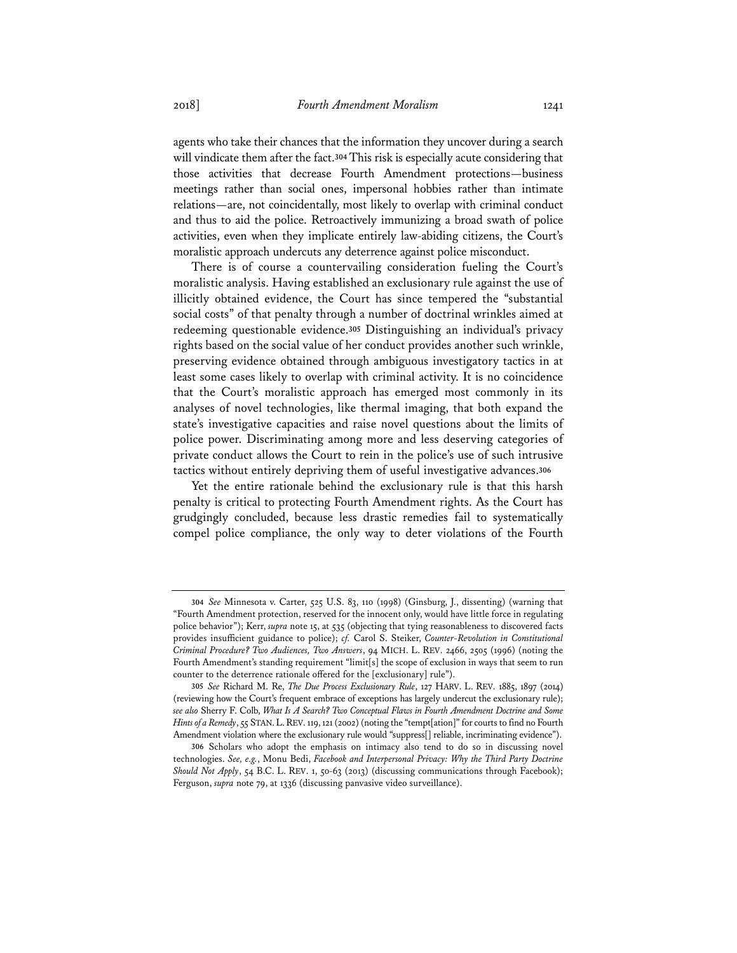agents who take their chances that the information they uncover during a search will vindicate them after the fact.**<sup>304</sup>** This risk is especially acute considering that those activities that decrease Fourth Amendment protections—business meetings rather than social ones, impersonal hobbies rather than intimate relations—are, not coincidentally, most likely to overlap with criminal conduct and thus to aid the police. Retroactively immunizing a broad swath of police activities, even when they implicate entirely law-abiding citizens, the Court's moralistic approach undercuts any deterrence against police misconduct.

There is of course a countervailing consideration fueling the Court's moralistic analysis. Having established an exclusionary rule against the use of illicitly obtained evidence, the Court has since tempered the "substantial social costs" of that penalty through a number of doctrinal wrinkles aimed at redeeming questionable evidence.**<sup>305</sup>** Distinguishing an individual's privacy rights based on the social value of her conduct provides another such wrinkle, preserving evidence obtained through ambiguous investigatory tactics in at least some cases likely to overlap with criminal activity. It is no coincidence that the Court's moralistic approach has emerged most commonly in its analyses of novel technologies, like thermal imaging, that both expand the state's investigative capacities and raise novel questions about the limits of police power. Discriminating among more and less deserving categories of private conduct allows the Court to rein in the police's use of such intrusive tactics without entirely depriving them of useful investigative advances.**<sup>306</sup>**

Yet the entire rationale behind the exclusionary rule is that this harsh penalty is critical to protecting Fourth Amendment rights. As the Court has grudgingly concluded, because less drastic remedies fail to systematically compel police compliance, the only way to deter violations of the Fourth

**<sup>304</sup>** *See* Minnesota v. Carter, 525 U.S. 83, 110 (1998) (Ginsburg, J., dissenting) (warning that "Fourth Amendment protection, reserved for the innocent only, would have little force in regulating police behavior"); Kerr, *supra* note 15, at 535 (objecting that tying reasonableness to discovered facts provides insufficient guidance to police); *cf.* Carol S. Steiker, *Counter-Revolution in Constitutional Criminal Procedure? Two Audiences, Two Answers*, 94 MICH. L. REV. 2466, 2505 (1996) (noting the Fourth Amendment's standing requirement "limit[s] the scope of exclusion in ways that seem to run counter to the deterrence rationale offered for the [exclusionary] rule").

**<sup>305</sup>** *See* Richard M. Re, *The Due Process Exclusionary Rule*, 127 HARV. L. REV. 1885, 1897 (2014) (reviewing how the Court's frequent embrace of exceptions has largely undercut the exclusionary rule); *see also* Sherry F. Colb, *What Is A Search? Two Conceptual Flaws in Fourth Amendment Doctrine and Some Hints of a Remedy*, 55 STAN.L.REV. 119, 121 (2002) (noting the "tempt[ation]" for courts to find no Fourth Amendment violation where the exclusionary rule would "suppress[] reliable, incriminating evidence").

**<sup>306</sup>** Scholars who adopt the emphasis on intimacy also tend to do so in discussing novel technologies. *See, e.g.*, Monu Bedi, *Facebook and Interpersonal Privacy: Why the Third Party Doctrine Should Not Apply*, 54 B.C. L. REV. 1, 50-63 (2013) (discussing communications through Facebook); Ferguson, *supra* note 79, at 1336 (discussing panvasive video surveillance).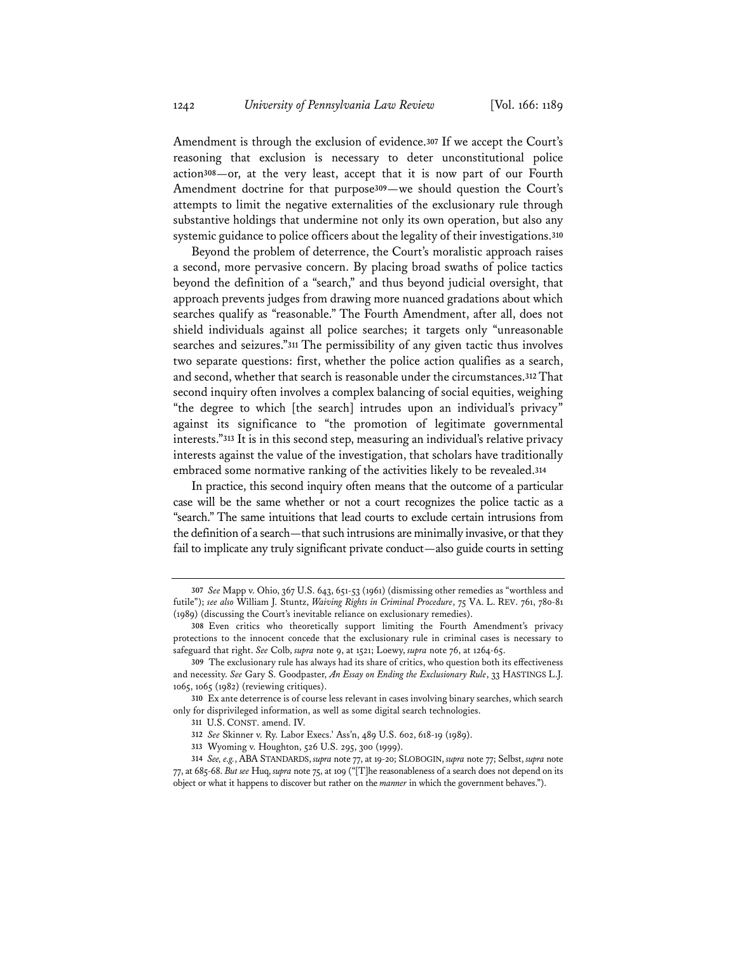Amendment is through the exclusion of evidence.**<sup>307</sup>** If we accept the Court's reasoning that exclusion is necessary to deter unconstitutional police action**<sup>308</sup>**—or, at the very least, accept that it is now part of our Fourth Amendment doctrine for that purpose**<sup>309</sup>**—we should question the Court's attempts to limit the negative externalities of the exclusionary rule through substantive holdings that undermine not only its own operation, but also any systemic guidance to police officers about the legality of their investigations.**<sup>310</sup>**

Beyond the problem of deterrence, the Court's moralistic approach raises a second, more pervasive concern. By placing broad swaths of police tactics beyond the definition of a "search," and thus beyond judicial oversight, that approach prevents judges from drawing more nuanced gradations about which searches qualify as "reasonable." The Fourth Amendment, after all, does not shield individuals against all police searches; it targets only "unreasonable searches and seizures."**<sup>311</sup>** The permissibility of any given tactic thus involves two separate questions: first, whether the police action qualifies as a search, and second, whether that search is reasonable under the circumstances.**<sup>312</sup>** That second inquiry often involves a complex balancing of social equities, weighing "the degree to which [the search] intrudes upon an individual's privacy" against its significance to "the promotion of legitimate governmental interests."**<sup>313</sup>** It is in this second step, measuring an individual's relative privacy interests against the value of the investigation, that scholars have traditionally embraced some normative ranking of the activities likely to be revealed.**<sup>314</sup>**

In practice, this second inquiry often means that the outcome of a particular case will be the same whether or not a court recognizes the police tactic as a "search." The same intuitions that lead courts to exclude certain intrusions from the definition of a search—that such intrusions are minimally invasive, or that they fail to implicate any truly significant private conduct—also guide courts in setting

**<sup>307</sup>** *See* Mapp v. Ohio, 367 U.S. 643, 651-53 (1961) (dismissing other remedies as "worthless and futile"); *see also* William J. Stuntz, *Waiving Rights in Criminal Procedure*, 75 VA. L. REV. 761, 780-81 (1989) (discussing the Court's inevitable reliance on exclusionary remedies).

**<sup>308</sup>** Even critics who theoretically support limiting the Fourth Amendment's privacy protections to the innocent concede that the exclusionary rule in criminal cases is necessary to safeguard that right. *See* Colb, *supra* note 9, at 1521; Loewy, *supra* note 76, at 1264-65.

**<sup>309</sup>** The exclusionary rule has always had its share of critics, who question both its effectiveness and necessity. *See* Gary S. Goodpaster, *An Essay on Ending the Exclusionary Rule*, 33 HASTINGS L.J. 1065, 1065 (1982) (reviewing critiques).

**<sup>310</sup>** Ex ante deterrence is of course less relevant in cases involving binary searches, which search only for disprivileged information, as well as some digital search technologies.

**<sup>311</sup>** U.S. CONST. amend. IV.

**<sup>312</sup>** *See* Skinner v. Ry. Labor Execs.' Ass'n, 489 U.S. 602, 618-19 (1989).

**<sup>313</sup>** Wyoming v. Houghton, 526 U.S. 295, 300 (1999).

**<sup>314</sup>** *See, e.g.*, ABA STANDARDS, *supra* note 77, at 19-20; SLOBOGIN, *supra* note 77; Selbst, *supra* note 77, at 685-68. *But see* Huq, *supra* note 75, at 109 ("[T]he reasonableness of a search does not depend on its object or what it happens to discover but rather on the *manner* in which the government behaves.").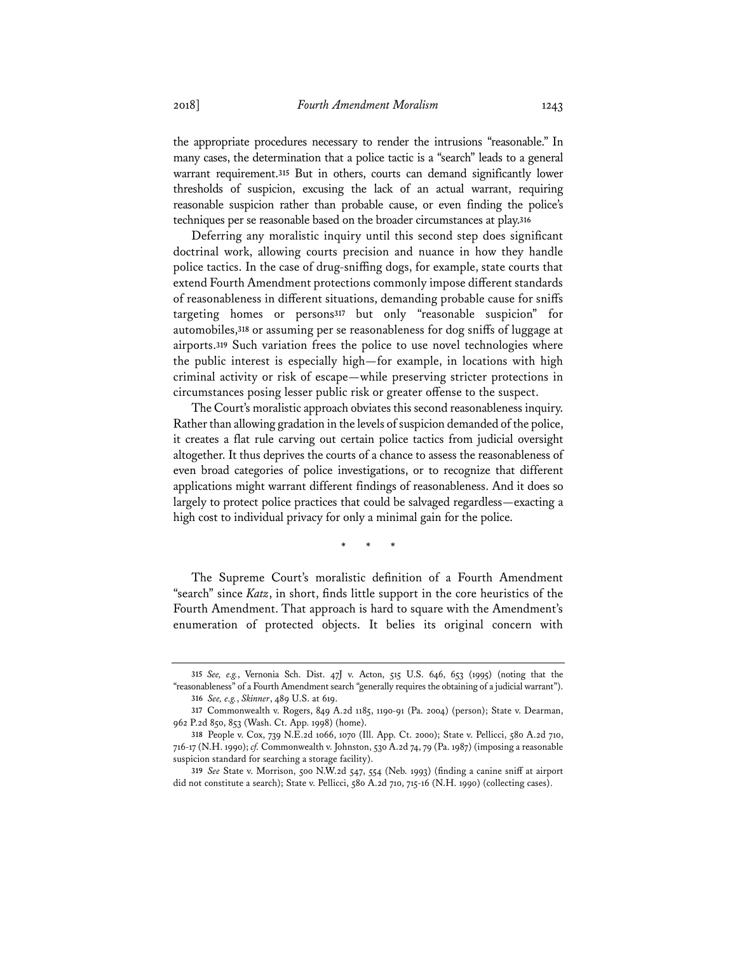the appropriate procedures necessary to render the intrusions "reasonable." In many cases, the determination that a police tactic is a "search" leads to a general warrant requirement.**<sup>315</sup>** But in others, courts can demand significantly lower thresholds of suspicion, excusing the lack of an actual warrant, requiring reasonable suspicion rather than probable cause, or even finding the police's techniques per se reasonable based on the broader circumstances at play.**<sup>316</sup>**

Deferring any moralistic inquiry until this second step does significant doctrinal work, allowing courts precision and nuance in how they handle police tactics. In the case of drug-sniffing dogs, for example, state courts that extend Fourth Amendment protections commonly impose different standards of reasonableness in different situations, demanding probable cause for sniffs targeting homes or persons**<sup>317</sup>** but only "reasonable suspicion" for automobiles,**<sup>318</sup>** or assuming per se reasonableness for dog sniffs of luggage at airports.**<sup>319</sup>** Such variation frees the police to use novel technologies where the public interest is especially high—for example, in locations with high criminal activity or risk of escape—while preserving stricter protections in circumstances posing lesser public risk or greater offense to the suspect.

The Court's moralistic approach obviates this second reasonableness inquiry. Rather than allowing gradation in the levels of suspicion demanded of the police, it creates a flat rule carving out certain police tactics from judicial oversight altogether. It thus deprives the courts of a chance to assess the reasonableness of even broad categories of police investigations, or to recognize that different applications might warrant different findings of reasonableness. And it does so largely to protect police practices that could be salvaged regardless—exacting a high cost to individual privacy for only a minimal gain for the police.

\* \* \*

The Supreme Court's moralistic definition of a Fourth Amendment "search" since *Katz*, in short, finds little support in the core heuristics of the Fourth Amendment. That approach is hard to square with the Amendment's enumeration of protected objects. It belies its original concern with

**<sup>315</sup>** *See, e.g.*, Vernonia Sch. Dist. 47J v. Acton, 515 U.S. 646, 653 (1995) (noting that the "reasonableness" of a Fourth Amendment search "generally requires the obtaining of a judicial warrant"). **316** *See, e.g.*, *Skinner*, 489 U.S. at 619.

**<sup>317</sup>** Commonwealth v. Rogers, 849 A.2d 1185, 1190-91 (Pa. 2004) (person); State v. Dearman, 962 P.2d 850, 853 (Wash. Ct. App. 1998) (home).

**<sup>318</sup>** People v. Cox, 739 N.E.2d 1066, 1070 (Ill. App. Ct. 2000); State v. Pellicci, 580 A.2d 710, 716-17 (N.H. 1990); *cf.* Commonwealth v. Johnston, 530 A.2d 74, 79 (Pa. 1987) (imposing a reasonable suspicion standard for searching a storage facility).

**<sup>319</sup>** *See* State v. Morrison, 500 N.W.2d 547, 554 (Neb. 1993) (finding a canine sniff at airport did not constitute a search); State v. Pellicci, 580 A.2d 710, 715-16 (N.H. 1990) (collecting cases).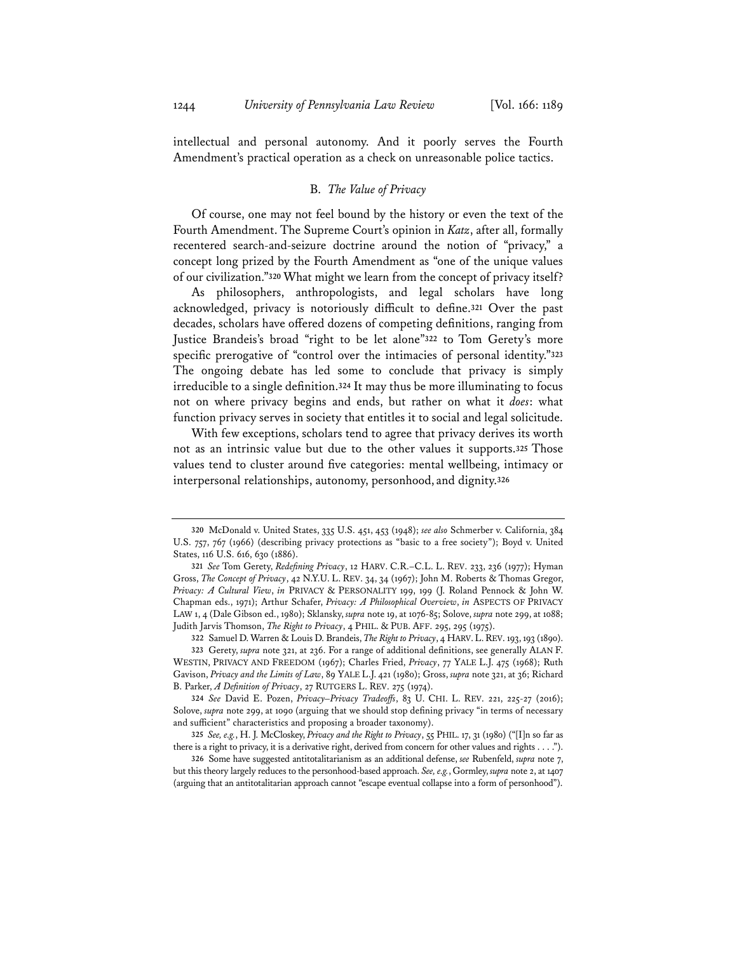intellectual and personal autonomy. And it poorly serves the Fourth Amendment's practical operation as a check on unreasonable police tactics.

#### B. *The Value of Privacy*

Of course, one may not feel bound by the history or even the text of the Fourth Amendment. The Supreme Court's opinion in *Katz*, after all, formally recentered search-and-seizure doctrine around the notion of "privacy," a concept long prized by the Fourth Amendment as "one of the unique values of our civilization."**<sup>320</sup>** What might we learn from the concept of privacy itself?

As philosophers, anthropologists, and legal scholars have long acknowledged, privacy is notoriously difficult to define.**<sup>321</sup>** Over the past decades, scholars have offered dozens of competing definitions, ranging from Justice Brandeis's broad "right to be let alone"**<sup>322</sup>** to Tom Gerety's more specific prerogative of "control over the intimacies of personal identity."**<sup>323</sup>** The ongoing debate has led some to conclude that privacy is simply irreducible to a single definition.**<sup>324</sup>** It may thus be more illuminating to focus not on where privacy begins and ends, but rather on what it *does*: what function privacy serves in society that entitles it to social and legal solicitude.

With few exceptions, scholars tend to agree that privacy derives its worth not as an intrinsic value but due to the other values it supports.**<sup>325</sup>** Those values tend to cluster around five categories: mental wellbeing, intimacy or interpersonal relationships, autonomy, personhood, and dignity.**<sup>326</sup>**

**<sup>320</sup>** McDonald v. United States, 335 U.S. 451, 453 (1948); *see also* Schmerber v. California, 384 U.S. 757, 767 (1966) (describing privacy protections as "basic to a free society"); Boyd v. United States, 116 U.S. 616, 630 (1886).

**<sup>321</sup>** *See* Tom Gerety, *Redefining Privacy*, 12 HARV. C.R.–C.L. L. REV. 233, 236 (1977); Hyman Gross, *The Concept of Privacy*, 42 N.Y.U. L. REV. 34, 34 (1967); John M. Roberts & Thomas Gregor, *Privacy: A Cultural View*, *in* PRIVACY & PERSONALITY 199, 199 (J. Roland Pennock & John W. Chapman eds., 1971); Arthur Schafer, *Privacy: A Philosophical Overview*, *in* ASPECTS OF PRIVACY LAW 1, 4 (Dale Gibson ed., 1980); Sklansky, *supra* note 19, at 1076-85; Solove, *supra* note 299, at 1088; Judith Jarvis Thomson, *The Right to Privacy*, 4 PHIL. & PUB. AFF. 295, 295 (1975).

**<sup>322</sup>** Samuel D. Warren & Louis D. Brandeis, *The Right to Privacy*, 4 HARV.L.REV. 193, 193 (1890).

**<sup>323</sup>** Gerety, *supra* note 321, at 236. For a range of additional definitions, see generally ALAN F. WESTIN, PRIVACY AND FREEDOM (1967); Charles Fried, *Privacy*, 77 YALE L.J. 475 (1968); Ruth Gavison, *Privacy and the Limits of Law*, 89 YALE L.J. 421 (1980); Gross, *supra* note 321, at 36; Richard B. Parker, *A Definition of Privacy*, 27 RUTGERS L. REV. 275 (1974).

**<sup>324</sup>** *See* David E. Pozen, *Privacy–Privacy Tradeoffs*, 83 U. CHI. L. REV. 221, 225-27 (2016); Solove, *supra* note 299, at 1090 (arguing that we should stop defining privacy "in terms of necessary and sufficient" characteristics and proposing a broader taxonomy).

**<sup>325</sup>** *See, e.g.*, H. J. McCloskey, *Privacy and the Right to Privacy*, 55 PHIL. 17, 31 (1980) ("[I]n so far as there is a right to privacy, it is a derivative right, derived from concern for other values and rights . . . .").

**<sup>326</sup>** Some have suggested antitotalitarianism as an additional defense, *see* Rubenfeld, *supra* note 7, but this theory largely reduces to the personhood-based approach. *See, e.g.*, Gormley, *supra* note 2, at 1407 (arguing that an antitotalitarian approach cannot "escape eventual collapse into a form of personhood").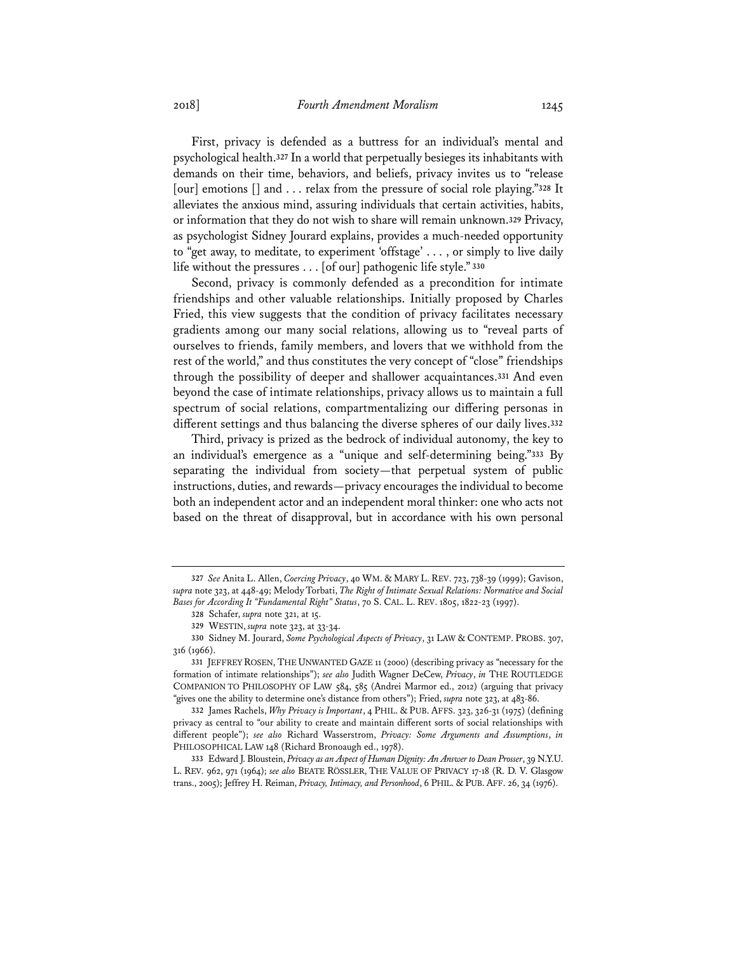First, privacy is defended as a buttress for an individual's mental and psychological health.**<sup>327</sup>** In a world that perpetually besieges its inhabitants with demands on their time, behaviors, and beliefs, privacy invites us to "release [our] emotions [] and . . . relax from the pressure of social role playing."**<sup>328</sup>** It alleviates the anxious mind, assuring individuals that certain activities, habits, or information that they do not wish to share will remain unknown.**<sup>329</sup>** Privacy, as psychologist Sidney Jourard explains, provides a much-needed opportunity to "get away, to meditate, to experiment 'offstage' . . . , or simply to live daily life without the pressures . . . [of our] pathogenic life style."**<sup>330</sup>**

Second, privacy is commonly defended as a precondition for intimate friendships and other valuable relationships. Initially proposed by Charles Fried, this view suggests that the condition of privacy facilitates necessary gradients among our many social relations, allowing us to "reveal parts of ourselves to friends, family members, and lovers that we withhold from the rest of the world," and thus constitutes the very concept of "close" friendships through the possibility of deeper and shallower acquaintances.**<sup>331</sup>** And even beyond the case of intimate relationships, privacy allows us to maintain a full spectrum of social relations, compartmentalizing our differing personas in different settings and thus balancing the diverse spheres of our daily lives.**<sup>332</sup>**

Third, privacy is prized as the bedrock of individual autonomy, the key to an individual's emergence as a "unique and self-determining being."**<sup>333</sup>** By separating the individual from society—that perpetual system of public instructions, duties, and rewards—privacy encourages the individual to become both an independent actor and an independent moral thinker: one who acts not based on the threat of disapproval, but in accordance with his own personal

**<sup>327</sup>** *See* Anita L. Allen, *Coercing Privacy*, 40 WM. & MARY L. REV. 723, 738-39 (1999); Gavison, *supra* note 323, at 448-49; Melody Torbati, *The Right of Intimate Sexual Relations: Normative and Social Bases for According It "Fundamental Right" Status*, 70 S. CAL. L. REV. 1805, 1822-23 (1997).

**<sup>328</sup>** Schafer, *supra* note 321, at 15.

**<sup>329</sup>** WESTIN, *supra* note 323, at 33-34.

**<sup>330</sup>** Sidney M. Jourard, *Some Psychological Aspects of Privacy*, 31 LAW & CONTEMP. PROBS. 307, 316 (1966).

**<sup>331</sup>** JEFFREY ROSEN, THE UNWANTED GAZE 11 (2000) (describing privacy as "necessary for the formation of intimate relationships"); *see also* Judith Wagner DeCew, *Privacy*, *in* THE ROUTLEDGE COMPANION TO PHILOSOPHY OF LAW 584, 585 (Andrei Marmor ed., 2012) (arguing that privacy "gives one the ability to determine one's distance from others"); Fried, *supra* note 323, at 483-86.

**<sup>332</sup>** James Rachels, *Why Privacy is Important*, 4 PHIL. & PUB. AFFS. 323, 326-31 (1975) (defining privacy as central to "our ability to create and maintain different sorts of social relationships with different people"); *see also* Richard Wasserstrom, *Privacy: Some Arguments and Assumptions*, *in* PHILOSOPHICAL LAW 148 (Richard Bronoaugh ed., 1978).

**<sup>333</sup>** Edward J. Bloustein, *Privacy as an Aspect of Human Dignity: An Answer to Dean Prosser*, 39 N.Y.U. L. REV. 962, 971 (1964); *see also* BEATE RÖSSLER, THE VALUE OF PRIVACY 17-18 (R. D. V. Glasgow trans., 2005); Jeffrey H. Reiman, *Privacy, Intimacy, and Personhood*, 6 PHIL. & PUB. AFF. 26, 34 (1976).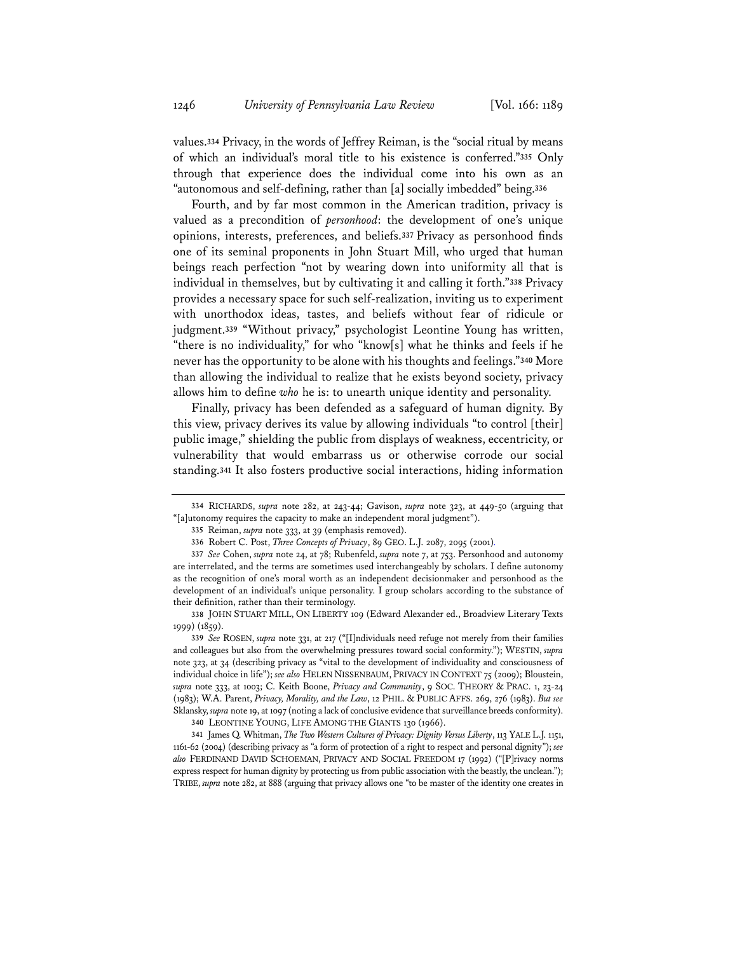values.**<sup>334</sup>** Privacy, in the words of Jeffrey Reiman, is the "social ritual by means of which an individual's moral title to his existence is conferred."**<sup>335</sup>** Only through that experience does the individual come into his own as an "autonomous and self-defining, rather than [a] socially imbedded" being.**<sup>336</sup>**

Fourth, and by far most common in the American tradition, privacy is valued as a precondition of *personhood*: the development of one's unique opinions, interests, preferences, and beliefs.**<sup>337</sup>**Privacy as personhood finds one of its seminal proponents in John Stuart Mill, who urged that human beings reach perfection "not by wearing down into uniformity all that is individual in themselves, but by cultivating it and calling it forth."**<sup>338</sup>** Privacy provides a necessary space for such self-realization, inviting us to experiment with unorthodox ideas, tastes, and beliefs without fear of ridicule or judgment.**<sup>339</sup>** "Without privacy," psychologist Leontine Young has written, "there is no individuality," for who "know[s] what he thinks and feels if he never has the opportunity to be alone with his thoughts and feelings."**<sup>340</sup>** More than allowing the individual to realize that he exists beyond society, privacy allows him to define *who* he is: to unearth unique identity and personality.

Finally, privacy has been defended as a safeguard of human dignity. By this view, privacy derives its value by allowing individuals "to control [their] public image," shielding the public from displays of weakness, eccentricity, or vulnerability that would embarrass us or otherwise corrode our social standing.**<sup>341</sup>** It also fosters productive social interactions, hiding information

**<sup>334</sup>** RICHARDS, *supra* note 282, at 243-44; Gavison, *supra* note 323, at 449-50 (arguing that "[a]utonomy requires the capacity to make an independent moral judgment").

**<sup>335</sup>** Reiman, *supra* note 333, at 39 (emphasis removed).

**<sup>336</sup>** Robert C. Post, *Three Concepts of Privacy*, 89 GEO. L.J. 2087, 2095 (2001)*.*

**<sup>337</sup>** *See* Cohen, *supra* note 24, at 78; Rubenfeld, *supra* note 7, at 753. Personhood and autonomy are interrelated, and the terms are sometimes used interchangeably by scholars. I define autonomy as the recognition of one's moral worth as an independent decisionmaker and personhood as the development of an individual's unique personality. I group scholars according to the substance of their definition, rather than their terminology.

**<sup>338</sup>** JOHN STUART MILL, ON LIBERTY 109 (Edward Alexander ed., Broadview Literary Texts 1999) (1859).

**<sup>339</sup>** *See* ROSEN, *supra* note 331, at 217 ("[I]ndividuals need refuge not merely from their families and colleagues but also from the overwhelming pressures toward social conformity."); WESTIN, *supra* note 323, at 34 (describing privacy as "vital to the development of individuality and consciousness of individual choice in life"); *see also* HELEN NISSENBAUM, PRIVACY IN CONTEXT 75 (2009); Bloustein, *supra* note 333, at 1003; C. Keith Boone, *Privacy and Community*, 9 SOC. THEORY & PRAC. 1, 23-24 (1983); W.A. Parent, *Privacy, Morality, and the Law*, 12 PHIL. & PUBLIC AFFS. 269, 276 (1983). *But see* Sklansky, *supra* note 19, at 1097 (noting a lack of conclusive evidence that surveillance breeds conformity).

**<sup>340</sup>** LEONTINE YOUNG, LIFE AMONG THE GIANTS 130 (1966).

**<sup>341</sup>** James Q. Whitman, *The Two Western Cultures of Privacy: Dignity Versus Liberty*, 113 YALE L.J. 1151, 1161-62 (2004) (describing privacy as "a form of protection of a right to respect and personal dignity"); *see also* FERDINAND DAVID SCHOEMAN, PRIVACY AND SOCIAL FREEDOM 17 (1992) ("[P]rivacy norms express respect for human dignity by protecting us from public association with the beastly, the unclean."); TRIBE, *supra* note 282, at 888 (arguing that privacy allows one "to be master of the identity one creates in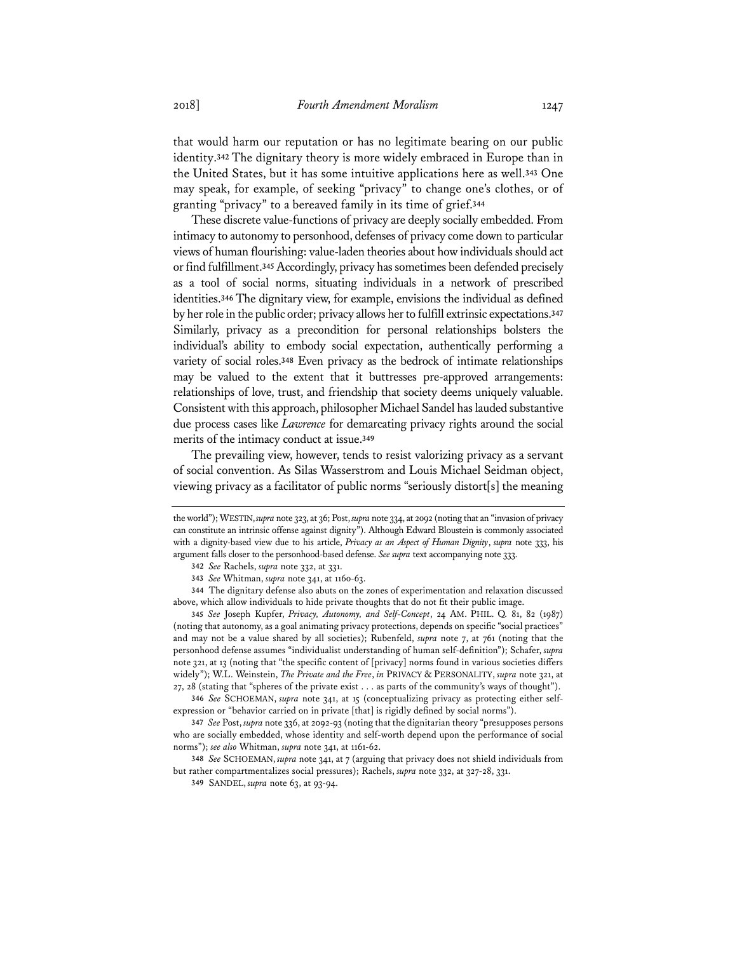that would harm our reputation or has no legitimate bearing on our public identity.**<sup>342</sup>** The dignitary theory is more widely embraced in Europe than in the United States, but it has some intuitive applications here as well.**<sup>343</sup>** One may speak, for example, of seeking "privacy" to change one's clothes, or of granting "privacy" to a bereaved family in its time of grief.**<sup>344</sup>**

These discrete value-functions of privacy are deeply socially embedded. From intimacy to autonomy to personhood, defenses of privacy come down to particular views of human flourishing: value-laden theories about how individuals should act or find fulfillment.**<sup>345</sup>** Accordingly, privacy has sometimes been defended precisely as a tool of social norms, situating individuals in a network of prescribed identities.**<sup>346</sup>** The dignitary view, for example, envisions the individual as defined by her role in the public order; privacy allows her to fulfill extrinsic expectations.**<sup>347</sup>** Similarly, privacy as a precondition for personal relationships bolsters the individual's ability to embody social expectation, authentically performing a variety of social roles.**<sup>348</sup>** Even privacy as the bedrock of intimate relationships may be valued to the extent that it buttresses pre-approved arrangements: relationships of love, trust, and friendship that society deems uniquely valuable. Consistent with this approach, philosopher Michael Sandel has lauded substantive due process cases like *Lawrence* for demarcating privacy rights around the social merits of the intimacy conduct at issue.**<sup>349</sup>**

The prevailing view, however, tends to resist valorizing privacy as a servant of social convention. As Silas Wasserstrom and Louis Michael Seidman object, viewing privacy as a facilitator of public norms "seriously distort[s] the meaning

the world"); WESTIN,*supra* note 323, at 36; Post, *supra* note 334, at 2092 (noting that an "invasion of privacy can constitute an intrinsic offense against dignity"). Although Edward Bloustein is commonly associated with a dignity-based view due to his article, *Privacy as an Aspect of Human Dignity*, *supra* note 333, his argument falls closer to the personhood-based defense. *See supra* text accompanying note 333.

**<sup>342</sup>** *See* Rachels, *supra* note 332, at 331.

**<sup>343</sup>** *See* Whitman, *supra* note 341, at 1160-63.

**<sup>344</sup>** The dignitary defense also abuts on the zones of experimentation and relaxation discussed above, which allow individuals to hide private thoughts that do not fit their public image.

**<sup>345</sup>** *See* Joseph Kupfer, *Privacy, Autonomy, and Self-Concept*, 24 AM. PHIL. Q. 81, 82 (1987) (noting that autonomy, as a goal animating privacy protections, depends on specific "social practices" and may not be a value shared by all societies); Rubenfeld, *supra* note 7, at 761 (noting that the personhood defense assumes "individualist understanding of human self-definition"); Schafer, *supra* note 321, at 13 (noting that "the specific content of [privacy] norms found in various societies differs widely"); W.L. Weinstein, *The Private and the Free*, *in* PRIVACY & PERSONALITY, *supra* note 321, at 27, 28 (stating that "spheres of the private exist . . . as parts of the community's ways of thought").

**<sup>346</sup>** *See* SCHOEMAN, *supra* note 341, at 15 (conceptualizing privacy as protecting either selfexpression or "behavior carried on in private [that] is rigidly defined by social norms").

**<sup>347</sup>** *See* Post, *supra* note 336, at 2092-93 (noting that the dignitarian theory "presupposes persons who are socially embedded, whose identity and self-worth depend upon the performance of social norms"); *see also* Whitman, *supra* note 341, at 1161-62.

**<sup>348</sup>** *See* SCHOEMAN, *supra* note 341, at 7 (arguing that privacy does not shield individuals from but rather compartmentalizes social pressures); Rachels, *supra* note 332, at 327-28, 331.

**<sup>349</sup>** SANDEL, *supra* note 63, at 93-94.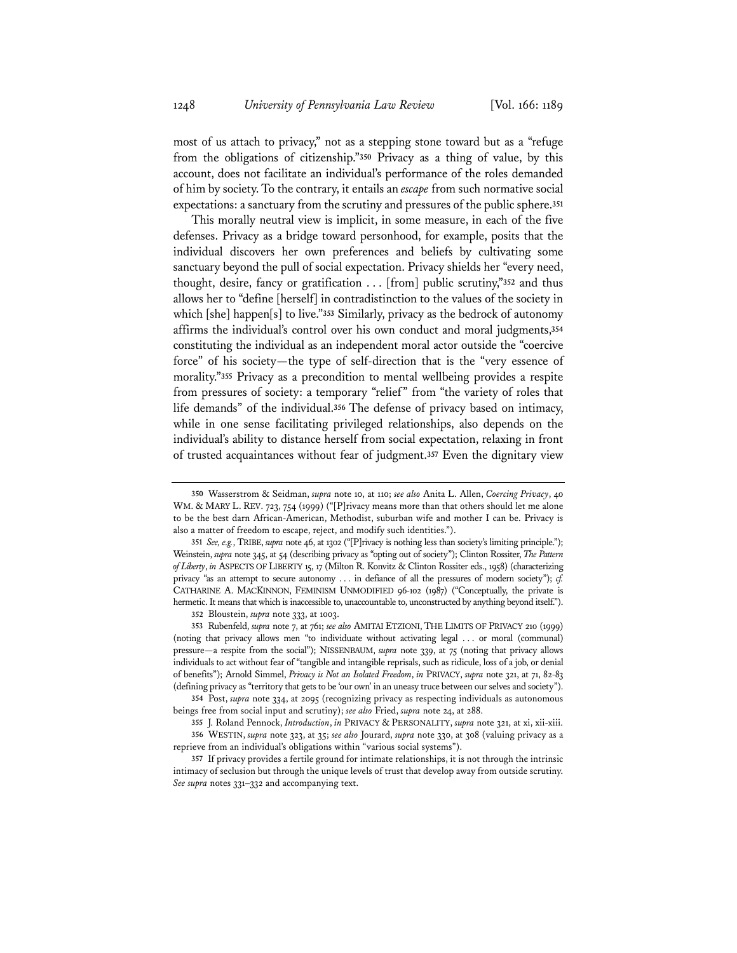most of us attach to privacy," not as a stepping stone toward but as a "refuge from the obligations of citizenship."**<sup>350</sup>** Privacy as a thing of value, by this account, does not facilitate an individual's performance of the roles demanded of him by society. To the contrary, it entails an *escape* from such normative social expectations: a sanctuary from the scrutiny and pressures of the public sphere.**<sup>351</sup>**

This morally neutral view is implicit, in some measure, in each of the five defenses. Privacy as a bridge toward personhood, for example, posits that the individual discovers her own preferences and beliefs by cultivating some sanctuary beyond the pull of social expectation. Privacy shields her "every need, thought, desire, fancy or gratification . . . [from] public scrutiny,"**<sup>352</sup>** and thus allows her to "define [herself] in contradistinction to the values of the society in which [she] happen[s] to live."**<sup>353</sup>** Similarly, privacy as the bedrock of autonomy affirms the individual's control over his own conduct and moral judgments,**<sup>354</sup>** constituting the individual as an independent moral actor outside the "coercive force" of his society—the type of self-direction that is the "very essence of morality."**<sup>355</sup>** Privacy as a precondition to mental wellbeing provides a respite from pressures of society: a temporary "relief" from "the variety of roles that life demands" of the individual.**<sup>356</sup>** The defense of privacy based on intimacy, while in one sense facilitating privileged relationships, also depends on the individual's ability to distance herself from social expectation, relaxing in front of trusted acquaintances without fear of judgment.**<sup>357</sup>** Even the dignitary view

**354** Post, *supra* note 334, at 2095 (recognizing privacy as respecting individuals as autonomous beings free from social input and scrutiny); *see also* Fried, *supra* note 24, at 288.

**<sup>350</sup>** Wasserstrom & Seidman, *supra* note 10, at 110; *see also* Anita L. Allen, *Coercing Privacy*, 40 WM. & MARY L. REV. 723, 754 (1999) ("[P]rivacy means more than that others should let me alone to be the best darn African-American, Methodist, suburban wife and mother I can be. Privacy is also a matter of freedom to escape, reject, and modify such identities.").

**<sup>351</sup>** *See, e.g.*, TRIBE, *supra* note 46, at 1302 ("[P]rivacy is nothing less than society's limiting principle."); Weinstein, *supra* note 345, at 54 (describing privacy as "opting out of society"); Clinton Rossiter, *The Pattern of Liberty*, *in* ASPECTS OF LIBERTY 15, 17 (Milton R. Konvitz & Clinton Rossiter eds., 1958) (characterizing privacy "as an attempt to secure autonomy . . . in defiance of all the pressures of modern society"); *cf.* CATHARINE A. MACKINNON, FEMINISM UNMODIFIED 96-102 (1987) ("Conceptually, the private is hermetic. It means that which is inaccessible to, unaccountable to, unconstructed by anything beyond itself.").

**<sup>352</sup>** Bloustein, *supra* note 333, at 1003.

**<sup>353</sup>** Rubenfeld, *supra* note 7, at 761; *see also* AMITAI ETZIONI, THE LIMITS OF PRIVACY 210 (1999) (noting that privacy allows men "to individuate without activating legal . . . or moral (communal) pressure—a respite from the social"); NISSENBAUM, *supra* note 339, at 75 (noting that privacy allows individuals to act without fear of "tangible and intangible reprisals, such as ridicule, loss of a job, or denial of benefits"); Arnold Simmel, *Privacy is Not an Isolated Freedom*, *in* PRIVACY, *supra* note 321, at 71, 82-83 (defining privacy as "territory that gets to be 'our own' in an uneasy truce between our selves and society").

**<sup>355</sup>** J. Roland Pennock, *Introduction*, *in* PRIVACY & PERSONALITY, *supra* note 321, at xi, xii-xiii. **356** WESTIN, *supra* note 323, at 35; *see also* Jourard, *supra* note 330, at 308 (valuing privacy as a reprieve from an individual's obligations within "various social systems").

**<sup>357</sup>** If privacy provides a fertile ground for intimate relationships, it is not through the intrinsic intimacy of seclusion but through the unique levels of trust that develop away from outside scrutiny. *See supra* notes 331–332 and accompanying text.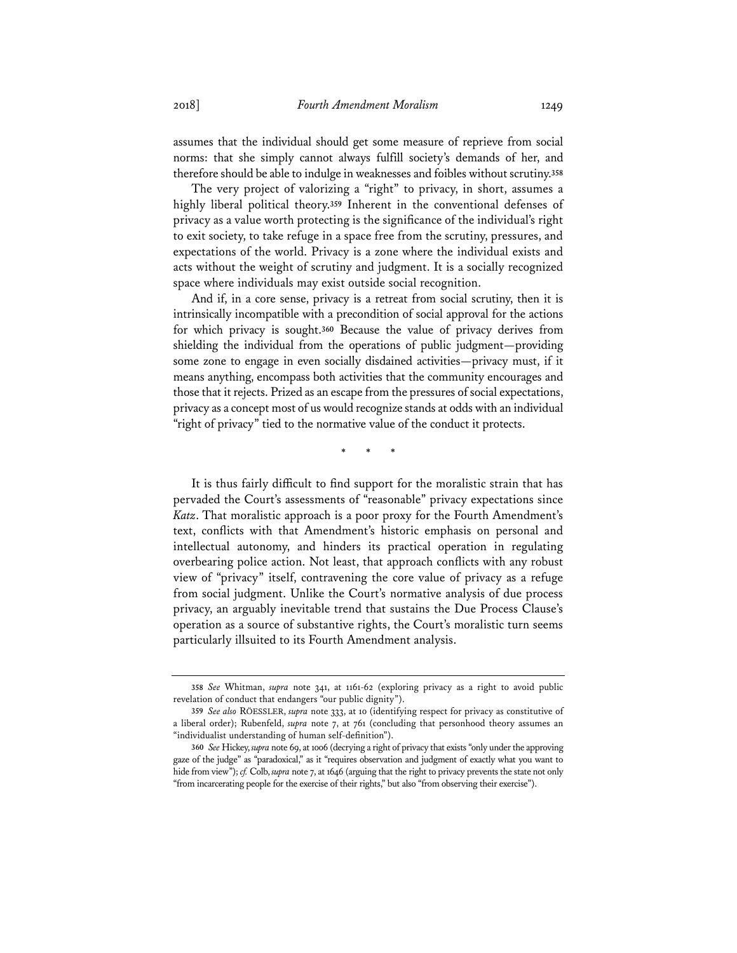assumes that the individual should get some measure of reprieve from social norms: that she simply cannot always fulfill society's demands of her, and therefore should be able to indulge in weaknesses and foibles without scrutiny.**<sup>358</sup>**

The very project of valorizing a "right" to privacy, in short, assumes a highly liberal political theory.**<sup>359</sup>** Inherent in the conventional defenses of privacy as a value worth protecting is the significance of the individual's right to exit society, to take refuge in a space free from the scrutiny, pressures, and expectations of the world. Privacy is a zone where the individual exists and acts without the weight of scrutiny and judgment. It is a socially recognized space where individuals may exist outside social recognition.

And if, in a core sense, privacy is a retreat from social scrutiny, then it is intrinsically incompatible with a precondition of social approval for the actions for which privacy is sought.**<sup>360</sup>** Because the value of privacy derives from shielding the individual from the operations of public judgment—providing some zone to engage in even socially disdained activities—privacy must, if it means anything, encompass both activities that the community encourages and those that it rejects. Prized as an escape from the pressures of social expectations, privacy as a concept most of us would recognize stands at odds with an individual "right of privacy" tied to the normative value of the conduct it protects.

\* \* \*

It is thus fairly difficult to find support for the moralistic strain that has pervaded the Court's assessments of "reasonable" privacy expectations since *Katz*. That moralistic approach is a poor proxy for the Fourth Amendment's text, conflicts with that Amendment's historic emphasis on personal and intellectual autonomy, and hinders its practical operation in regulating overbearing police action. Not least, that approach conflicts with any robust view of "privacy" itself, contravening the core value of privacy as a refuge from social judgment. Unlike the Court's normative analysis of due process privacy, an arguably inevitable trend that sustains the Due Process Clause's operation as a source of substantive rights, the Court's moralistic turn seems particularly illsuited to its Fourth Amendment analysis.

**<sup>358</sup>** *See* Whitman, *supra* note 341, at 1161-62 (exploring privacy as a right to avoid public revelation of conduct that endangers "our public dignity").

**<sup>359</sup>** *See also* RÖESSLER, *supra* note 333, at 10 (identifying respect for privacy as constitutive of a liberal order); Rubenfeld, *supra* note 7, at 761 (concluding that personhood theory assumes an "individualist understanding of human self-definition").

**<sup>360</sup>** *See* Hickey, *supra* note 69, at 1006 (decrying a right of privacy that exists "only under the approving gaze of the judge" as "paradoxical," as it "requires observation and judgment of exactly what you want to hide from view"); *cf.* Colb, *supra* note 7, at 1646 (arguing that the right to privacy prevents the state not only "from incarcerating people for the exercise of their rights," but also "from observing their exercise").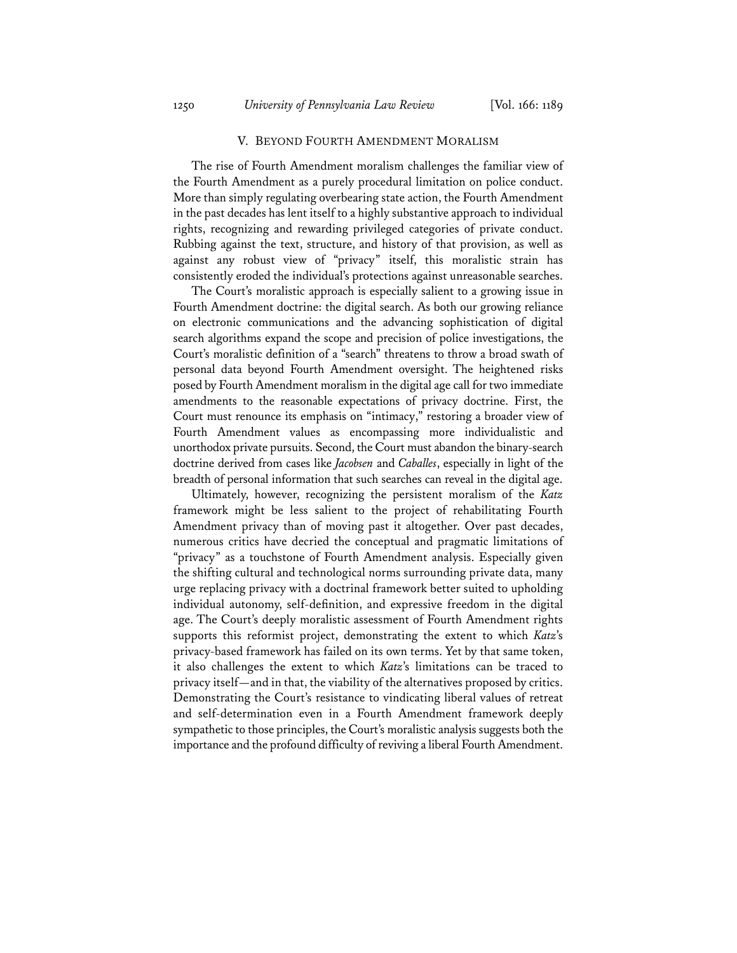# V. BEYOND FOURTH AMENDMENT MORALISM

The rise of Fourth Amendment moralism challenges the familiar view of the Fourth Amendment as a purely procedural limitation on police conduct. More than simply regulating overbearing state action, the Fourth Amendment in the past decades has lent itself to a highly substantive approach to individual rights, recognizing and rewarding privileged categories of private conduct. Rubbing against the text, structure, and history of that provision, as well as against any robust view of "privacy" itself, this moralistic strain has consistently eroded the individual's protections against unreasonable searches.

The Court's moralistic approach is especially salient to a growing issue in Fourth Amendment doctrine: the digital search. As both our growing reliance on electronic communications and the advancing sophistication of digital search algorithms expand the scope and precision of police investigations, the Court's moralistic definition of a "search" threatens to throw a broad swath of personal data beyond Fourth Amendment oversight. The heightened risks posed by Fourth Amendment moralism in the digital age call for two immediate amendments to the reasonable expectations of privacy doctrine. First, the Court must renounce its emphasis on "intimacy," restoring a broader view of Fourth Amendment values as encompassing more individualistic and unorthodox private pursuits. Second, the Court must abandon the binary-search doctrine derived from cases like *Jacobsen* and *Caballes*, especially in light of the breadth of personal information that such searches can reveal in the digital age.

Ultimately, however, recognizing the persistent moralism of the *Katz* framework might be less salient to the project of rehabilitating Fourth Amendment privacy than of moving past it altogether. Over past decades, numerous critics have decried the conceptual and pragmatic limitations of "privacy" as a touchstone of Fourth Amendment analysis. Especially given the shifting cultural and technological norms surrounding private data, many urge replacing privacy with a doctrinal framework better suited to upholding individual autonomy, self-definition, and expressive freedom in the digital age. The Court's deeply moralistic assessment of Fourth Amendment rights supports this reformist project, demonstrating the extent to which *Katz*'s privacy-based framework has failed on its own terms. Yet by that same token, it also challenges the extent to which *Katz*'s limitations can be traced to privacy itself—and in that, the viability of the alternatives proposed by critics. Demonstrating the Court's resistance to vindicating liberal values of retreat and self-determination even in a Fourth Amendment framework deeply sympathetic to those principles, the Court's moralistic analysis suggests both the importance and the profound difficulty of reviving a liberal Fourth Amendment.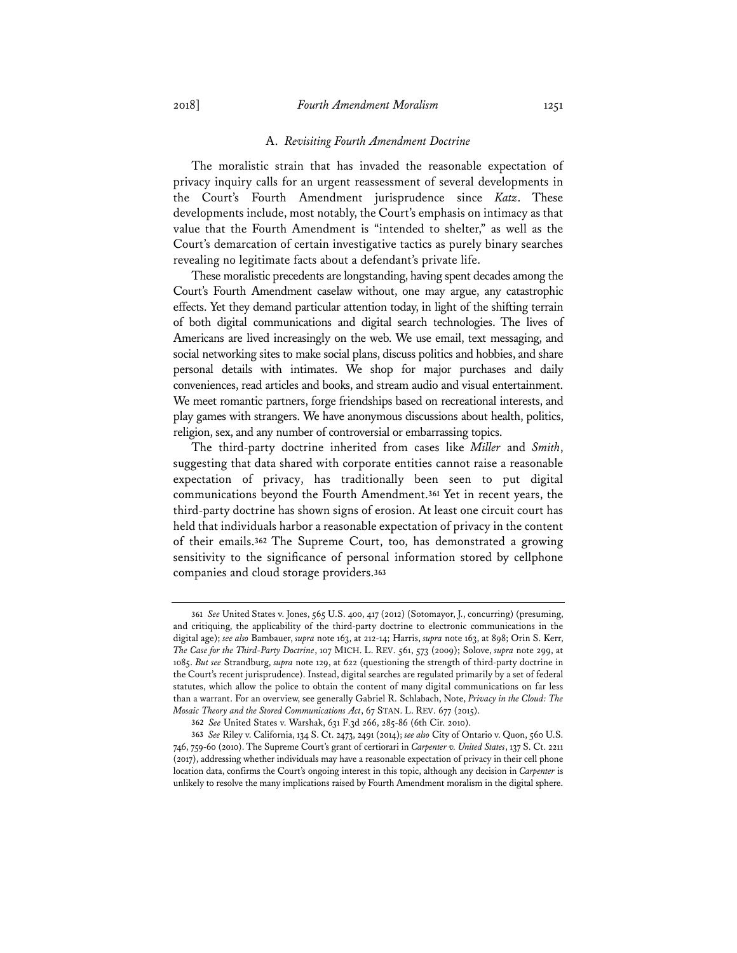#### A. *Revisiting Fourth Amendment Doctrine*

The moralistic strain that has invaded the reasonable expectation of privacy inquiry calls for an urgent reassessment of several developments in the Court's Fourth Amendment jurisprudence since *Katz*. These developments include, most notably, the Court's emphasis on intimacy as that value that the Fourth Amendment is "intended to shelter," as well as the Court's demarcation of certain investigative tactics as purely binary searches revealing no legitimate facts about a defendant's private life.

These moralistic precedents are longstanding, having spent decades among the Court's Fourth Amendment caselaw without, one may argue, any catastrophic effects. Yet they demand particular attention today, in light of the shifting terrain of both digital communications and digital search technologies. The lives of Americans are lived increasingly on the web. We use email, text messaging, and social networking sites to make social plans, discuss politics and hobbies, and share personal details with intimates. We shop for major purchases and daily conveniences, read articles and books, and stream audio and visual entertainment. We meet romantic partners, forge friendships based on recreational interests, and play games with strangers. We have anonymous discussions about health, politics, religion, sex, and any number of controversial or embarrassing topics.

The third-party doctrine inherited from cases like *Miller* and *Smith*, suggesting that data shared with corporate entities cannot raise a reasonable expectation of privacy, has traditionally been seen to put digital communications beyond the Fourth Amendment.**<sup>361</sup>** Yet in recent years, the third-party doctrine has shown signs of erosion. At least one circuit court has held that individuals harbor a reasonable expectation of privacy in the content of their emails.**<sup>362</sup>** The Supreme Court, too, has demonstrated a growing sensitivity to the significance of personal information stored by cellphone companies and cloud storage providers.**<sup>363</sup>**

**<sup>361</sup>** *See* United States v. Jones, 565 U.S. 400, 417 (2012) (Sotomayor, J., concurring) (presuming, and critiquing, the applicability of the third-party doctrine to electronic communications in the digital age); *see also* Bambauer, *supra* note 163, at 212-14; Harris, *supra* note 163, at 898; Orin S. Kerr, *The Case for the Third-Party Doctrine*, 107 MICH. L. REV. 561, 573 (2009); Solove, *supra* note 299, at 1085. *But see* Strandburg, *supra* note 129, at 622 (questioning the strength of third-party doctrine in the Court's recent jurisprudence). Instead, digital searches are regulated primarily by a set of federal statutes, which allow the police to obtain the content of many digital communications on far less than a warrant. For an overview, see generally Gabriel R. Schlabach, Note, *Privacy in the Cloud: The Mosaic Theory and the Stored Communications Act*, 67 STAN. L. REV. 677 (2015).

**<sup>362</sup>** *See* United States v. Warshak, 631 F.3d 266, 285-86 (6th Cir. 2010).

**<sup>363</sup>** *See* Riley v. California, 134 S. Ct. 2473, 2491 (2014); *see also* City of Ontario v. Quon, 560 U.S. 746, 759-60 (2010). The Supreme Court's grant of certiorari in *Carpenter v. United States*, 137 S. Ct. 2211 (2017), addressing whether individuals may have a reasonable expectation of privacy in their cell phone location data, confirms the Court's ongoing interest in this topic, although any decision in *Carpenter* is unlikely to resolve the many implications raised by Fourth Amendment moralism in the digital sphere.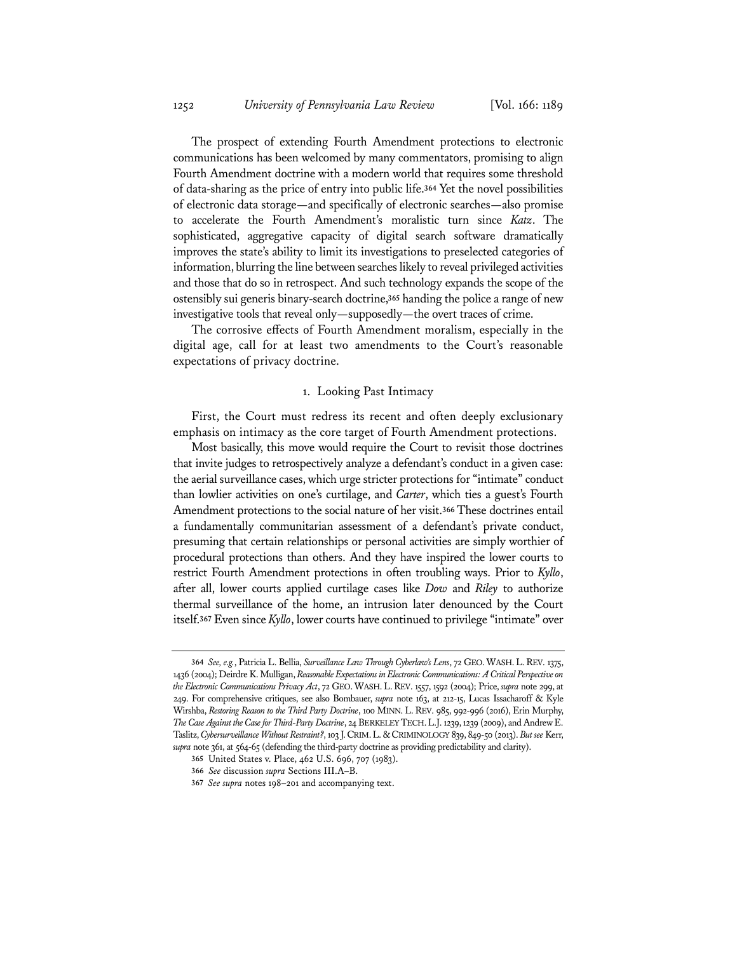The prospect of extending Fourth Amendment protections to electronic communications has been welcomed by many commentators, promising to align Fourth Amendment doctrine with a modern world that requires some threshold of data-sharing as the price of entry into public life.**<sup>364</sup>** Yet the novel possibilities of electronic data storage—and specifically of electronic searches—also promise to accelerate the Fourth Amendment's moralistic turn since *Katz*. The sophisticated, aggregative capacity of digital search software dramatically improves the state's ability to limit its investigations to preselected categories of information, blurring the line between searches likely to reveal privileged activities and those that do so in retrospect. And such technology expands the scope of the ostensibly sui generis binary-search doctrine,**<sup>365</sup>** handing the police a range of new investigative tools that reveal only—supposedly—the overt traces of crime.

The corrosive effects of Fourth Amendment moralism, especially in the digital age, call for at least two amendments to the Court's reasonable expectations of privacy doctrine.

### 1. Looking Past Intimacy

First, the Court must redress its recent and often deeply exclusionary emphasis on intimacy as the core target of Fourth Amendment protections.

Most basically, this move would require the Court to revisit those doctrines that invite judges to retrospectively analyze a defendant's conduct in a given case: the aerial surveillance cases, which urge stricter protections for "intimate" conduct than lowlier activities on one's curtilage, and *Carter*, which ties a guest's Fourth Amendment protections to the social nature of her visit.**<sup>366</sup>** These doctrines entail a fundamentally communitarian assessment of a defendant's private conduct, presuming that certain relationships or personal activities are simply worthier of procedural protections than others. And they have inspired the lower courts to restrict Fourth Amendment protections in often troubling ways. Prior to *Kyllo*, after all, lower courts applied curtilage cases like *Dow* and *Riley* to authorize thermal surveillance of the home, an intrusion later denounced by the Court itself.**<sup>367</sup>** Even since *Kyllo*, lower courts have continued to privilege "intimate" over

**<sup>364</sup>** *See, e.g.*, Patricia L. Bellia, *Surveillance Law Through Cyberlaw's Lens*, 72 GEO.WASH.L.REV. 1375, 1436 (2004); Deirdre K. Mulligan, *Reasonable Expectations in Electronic Communications: A Critical Perspective on the Electronic Communications Privacy Act*, 72 GEO.WASH.L.REV. 1557, 1592 (2004); Price, *supra* note 299, at 249. For comprehensive critiques, see also Bombauer, *supra* note 163, at 212-15, Lucas Issacharoff & Kyle Wirshba, *Restoring Reason to the Third Party Doctrine*, 100 MINN. L.REV. 985, 992-996 (2016), Erin Murphy, *The Case Against the Case for Third-Party Doctrine*, 24 BERKELEY TECH.L.J. 1239, 1239 (2009), and Andrew E. Taslitz, *Cybersurveillance Without Restraint?*, 103 J.CRIM.L.&CRIMINOLOGY 839, 849-50 (2013). *But see* Kerr, *supra* note 361, at 564-65 (defending the third-party doctrine as providing predictability and clarity).

**<sup>365</sup>** United States v. Place, 462 U.S. 696, 707 (1983).

**<sup>366</sup>** *See* discussion *supra* Sections III.A–B.

**<sup>367</sup>** *See supra* notes 198–201 and accompanying text.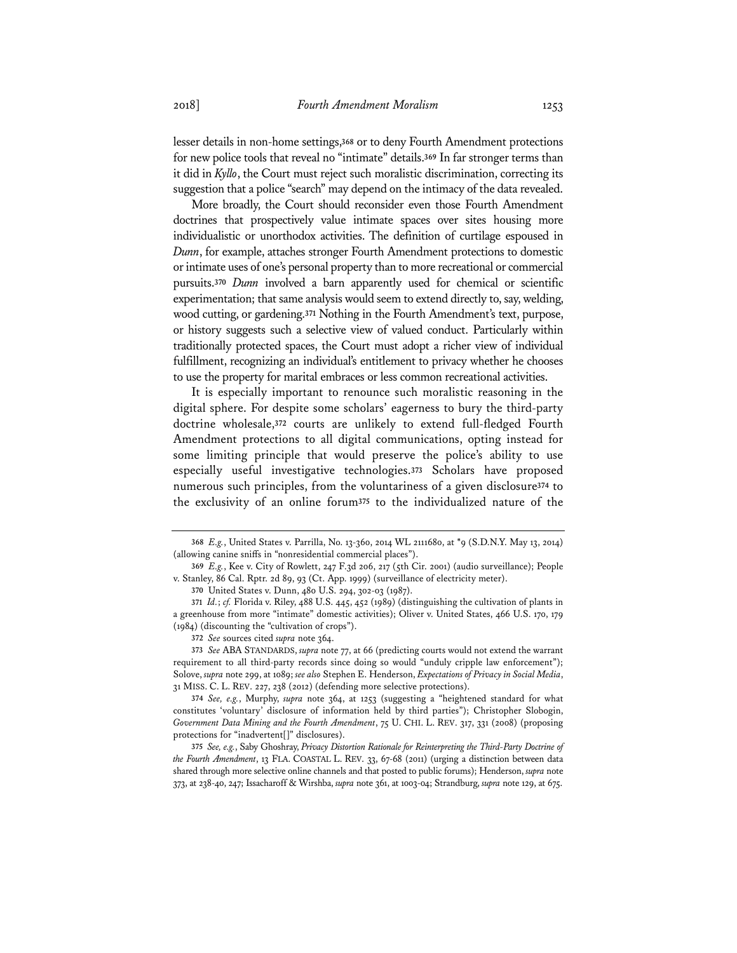lesser details in non-home settings,**<sup>368</sup>** or to deny Fourth Amendment protections for new police tools that reveal no "intimate" details.**<sup>369</sup>** In far stronger terms than it did in *Kyllo*, the Court must reject such moralistic discrimination, correcting its suggestion that a police "search" may depend on the intimacy of the data revealed.

More broadly, the Court should reconsider even those Fourth Amendment doctrines that prospectively value intimate spaces over sites housing more individualistic or unorthodox activities. The definition of curtilage espoused in *Dunn*, for example, attaches stronger Fourth Amendment protections to domestic or intimate uses of one's personal property than to more recreational or commercial pursuits.**<sup>370</sup>** *Dunn* involved a barn apparently used for chemical or scientific experimentation; that same analysis would seem to extend directly to, say, welding, wood cutting, or gardening.**<sup>371</sup>** Nothing in the Fourth Amendment's text, purpose, or history suggests such a selective view of valued conduct. Particularly within traditionally protected spaces, the Court must adopt a richer view of individual fulfillment, recognizing an individual's entitlement to privacy whether he chooses to use the property for marital embraces or less common recreational activities.

It is especially important to renounce such moralistic reasoning in the digital sphere. For despite some scholars' eagerness to bury the third-party doctrine wholesale,**<sup>372</sup>** courts are unlikely to extend full-fledged Fourth Amendment protections to all digital communications, opting instead for some limiting principle that would preserve the police's ability to use especially useful investigative technologies.**<sup>373</sup>** Scholars have proposed numerous such principles, from the voluntariness of a given disclosure**<sup>374</sup>** to the exclusivity of an online forum**<sup>375</sup>** to the individualized nature of the

**<sup>368</sup>** *E.g.*, United States v. Parrilla, No. 13-360, 2014 WL 2111680, at \*9 (S.D.N.Y. May 13, 2014) (allowing canine sniffs in "nonresidential commercial places").

**<sup>369</sup>** *E.g.*, Kee v. City of Rowlett, 247 F.3d 206, 217 (5th Cir. 2001) (audio surveillance); People v. Stanley, 86 Cal. Rptr. 2d 89, 93 (Ct. App. 1999) (surveillance of electricity meter).

**<sup>370</sup>** United States v. Dunn, 480 U.S. 294, 302-03 (1987).

**<sup>371</sup>** *Id.*; *cf.* Florida v. Riley, 488 U.S. 445, 452 (1989) (distinguishing the cultivation of plants in a greenhouse from more "intimate" domestic activities); Oliver v. United States, 466 U.S. 170, 179 (1984) (discounting the "cultivation of crops").

**<sup>372</sup>** *See* sources cited *supra* note 364.

**<sup>373</sup>** *See* ABA STANDARDS, *supra* note 77, at 66 (predicting courts would not extend the warrant requirement to all third-party records since doing so would "unduly cripple law enforcement"); Solove, *supra* note 299, at 1089; *see also* Stephen E. Henderson, *Expectations of Privacy in Social Media*, 31 MISS. C. L. REV. 227, 238 (2012) (defending more selective protections).

**<sup>374</sup>** *See, e.g.*, Murphy, *supra* note 364, at 1253 (suggesting a "heightened standard for what constitutes 'voluntary' disclosure of information held by third parties"); Christopher Slobogin, *Government Data Mining and the Fourth Amendment*, 75 U. CHI. L. REV. 317, 331 (2008) (proposing protections for "inadvertent[]" disclosures).

**<sup>375</sup>** *See, e.g.*, Saby Ghoshray, *Privacy Distortion Rationale for Reinterpreting the Third-Party Doctrine of the Fourth Amendment*, 13 FLA. COASTAL L. REV. 33, 67-68 (2011) (urging a distinction between data shared through more selective online channels and that posted to public forums); Henderson, *supra* note 373, at 238-40, 247; Issacharoff & Wirshba, *supra* note 361, at 1003-04; Strandburg, *supra* note 129, at 675.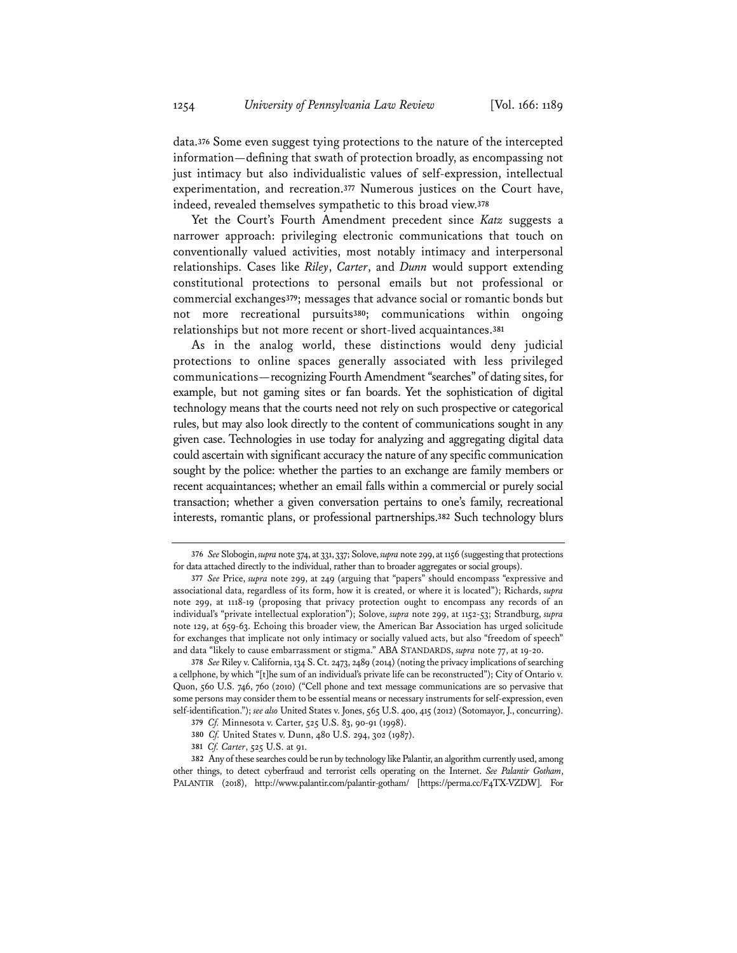data.**<sup>376</sup>** Some even suggest tying protections to the nature of the intercepted information—defining that swath of protection broadly, as encompassing not just intimacy but also individualistic values of self-expression, intellectual experimentation, and recreation.**<sup>377</sup>** Numerous justices on the Court have, indeed, revealed themselves sympathetic to this broad view.**<sup>378</sup>**

Yet the Court's Fourth Amendment precedent since *Katz* suggests a narrower approach: privileging electronic communications that touch on conventionally valued activities, most notably intimacy and interpersonal relationships. Cases like *Riley*, *Carter*, and *Dunn* would support extending constitutional protections to personal emails but not professional or commercial exchanges**<sup>379</sup>**; messages that advance social or romantic bonds but not more recreational pursuits**<sup>380</sup>**; communications within ongoing relationships but not more recent or short-lived acquaintances.**<sup>381</sup>**

As in the analog world, these distinctions would deny judicial protections to online spaces generally associated with less privileged communications—recognizing Fourth Amendment "searches" of dating sites, for example, but not gaming sites or fan boards. Yet the sophistication of digital technology means that the courts need not rely on such prospective or categorical rules, but may also look directly to the content of communications sought in any given case. Technologies in use today for analyzing and aggregating digital data could ascertain with significant accuracy the nature of any specific communication sought by the police: whether the parties to an exchange are family members or recent acquaintances; whether an email falls within a commercial or purely social transaction; whether a given conversation pertains to one's family, recreational interests, romantic plans, or professional partnerships.**<sup>382</sup>** Such technology blurs

**<sup>376</sup>** *See* Slobogin, *supra* note 374, at 331, 337; Solove, *supra* note 299, at 1156 (suggesting that protections for data attached directly to the individual, rather than to broader aggregates or social groups).

**<sup>377</sup>** *See* Price, *supra* note 299, at 249 (arguing that "papers" should encompass "expressive and associational data, regardless of its form, how it is created, or where it is located"); Richards, *supra* note 299, at 1118-19 (proposing that privacy protection ought to encompass any records of an individual's "private intellectual exploration"); Solove, *supra* note 299, at 1152-53; Strandburg, *supra* note 129, at 659-63. Echoing this broader view, the American Bar Association has urged solicitude for exchanges that implicate not only intimacy or socially valued acts, but also "freedom of speech" and data "likely to cause embarrassment or stigma." ABA STANDARDS, *supra* note 77, at 19-20.

**<sup>378</sup>** *See* Riley v. California, 134 S. Ct. 2473, 2489 (2014) (noting the privacy implications of searching a cellphone, by which "[t]he sum of an individual's private life can be reconstructed"); City of Ontario v. Quon, 560 U.S. 746, 760 (2010) ("Cell phone and text message communications are so pervasive that some persons may consider them to be essential means or necessary instruments for self-expression, even self-identification."); *see also* United States v. Jones, 565 U.S. 400, 415 (2012) (Sotomayor, J., concurring).

**<sup>379</sup>** *Cf.* Minnesota v. Carter, 525 U.S. 83, 90-91 (1998).

**<sup>380</sup>** *Cf.* United States v. Dunn, 480 U.S. 294, 302 (1987).

**<sup>381</sup>** *Cf. Carter*, 525 U.S. at 91.

**<sup>382</sup>** Any of these searches could be run by technology like Palantir, an algorithm currently used, among other things, to detect cyberfraud and terrorist cells operating on the Internet. *See Palantir Gotham*, PALANTIR (2018), http://www.palantir.com/palantir-gotham/ [https://perma.cc/F4TX-VZDW]. For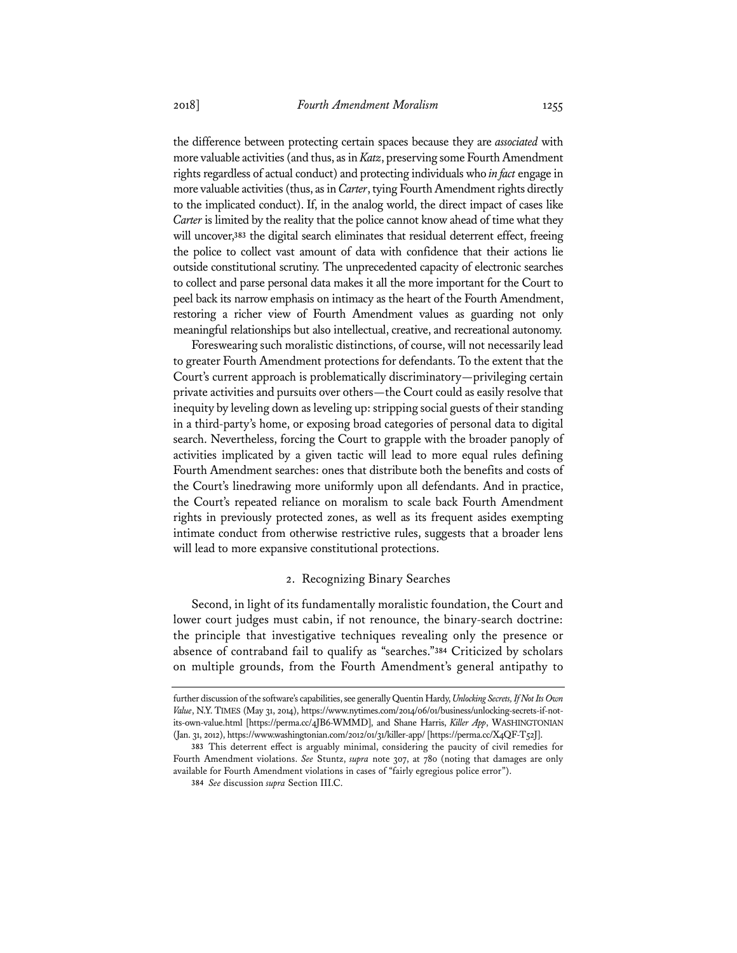the difference between protecting certain spaces because they are *associated* with more valuable activities (and thus, as in *Katz*, preserving some Fourth Amendment rights regardless of actual conduct) and protecting individuals who *in fact* engage in more valuable activities (thus, as in *Carter*, tying Fourth Amendment rights directly to the implicated conduct). If, in the analog world, the direct impact of cases like *Carter* is limited by the reality that the police cannot know ahead of time what they will uncover,**<sup>383</sup>** the digital search eliminates that residual deterrent effect, freeing the police to collect vast amount of data with confidence that their actions lie outside constitutional scrutiny. The unprecedented capacity of electronic searches to collect and parse personal data makes it all the more important for the Court to peel back its narrow emphasis on intimacy as the heart of the Fourth Amendment, restoring a richer view of Fourth Amendment values as guarding not only meaningful relationships but also intellectual, creative, and recreational autonomy.

Foreswearing such moralistic distinctions, of course, will not necessarily lead to greater Fourth Amendment protections for defendants. To the extent that the Court's current approach is problematically discriminatory—privileging certain private activities and pursuits over others—the Court could as easily resolve that inequity by leveling down as leveling up: stripping social guests of their standing in a third-party's home, or exposing broad categories of personal data to digital search. Nevertheless, forcing the Court to grapple with the broader panoply of activities implicated by a given tactic will lead to more equal rules defining Fourth Amendment searches: ones that distribute both the benefits and costs of the Court's linedrawing more uniformly upon all defendants. And in practice, the Court's repeated reliance on moralism to scale back Fourth Amendment rights in previously protected zones, as well as its frequent asides exempting intimate conduct from otherwise restrictive rules, suggests that a broader lens will lead to more expansive constitutional protections.

#### 2. Recognizing Binary Searches

Second, in light of its fundamentally moralistic foundation, the Court and lower court judges must cabin, if not renounce, the binary-search doctrine: the principle that investigative techniques revealing only the presence or absence of contraband fail to qualify as "searches."**<sup>384</sup>** Criticized by scholars on multiple grounds, from the Fourth Amendment's general antipathy to

further discussion of the software's capabilities, see generally Quentin Hardy, *Unlocking Secrets, If Not Its Own Value*, N.Y. TIMES (May 31, 2014), https://www.nytimes.com/2014/06/01/business/unlocking-secrets-if-notits-own-value.html [https://perma.cc/4JB6-WMMD], and Shane Harris, *Killer App*, WASHINGTONIAN (Jan. 31, 2012), https://www.washingtonian.com/2012/01/31/killer-app/ [https://perma.cc/X4QF-T52J].

**<sup>383</sup>** This deterrent effect is arguably minimal, considering the paucity of civil remedies for Fourth Amendment violations. *See* Stuntz, *supra* note 307, at 780 (noting that damages are only available for Fourth Amendment violations in cases of "fairly egregious police error").

**<sup>384</sup>** *See* discussion *supra* Section III.C.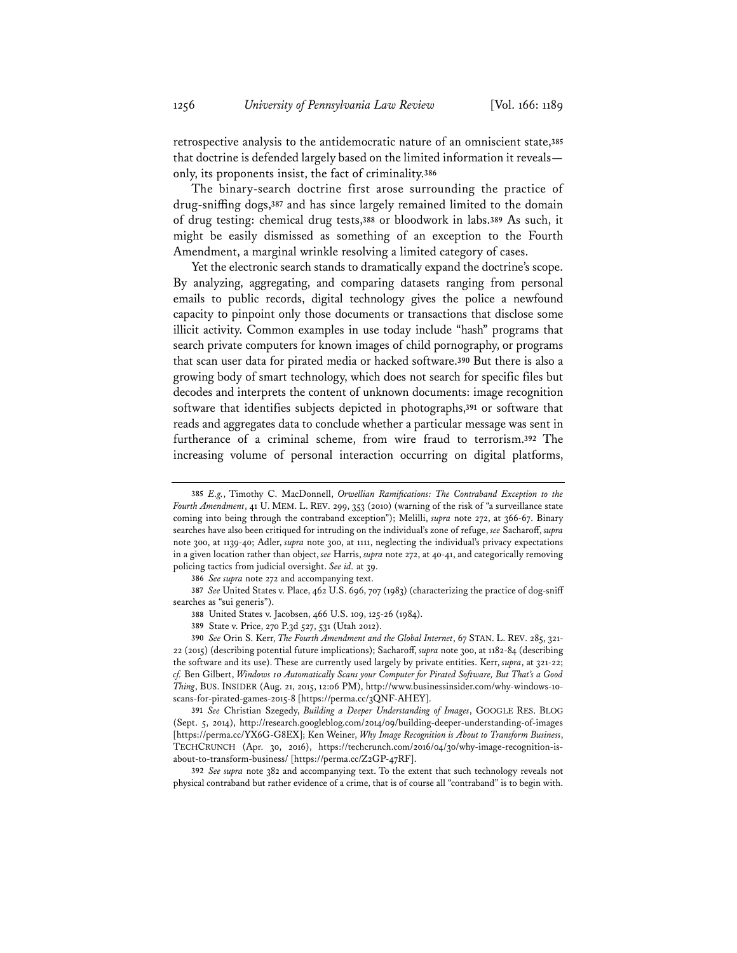retrospective analysis to the antidemocratic nature of an omniscient state,**<sup>385</sup>** that doctrine is defended largely based on the limited information it reveals only, its proponents insist, the fact of criminality.**<sup>386</sup>**

The binary-search doctrine first arose surrounding the practice of drug-sniffing dogs,**<sup>387</sup>** and has since largely remained limited to the domain of drug testing: chemical drug tests,**<sup>388</sup>** or bloodwork in labs.**<sup>389</sup>** As such, it might be easily dismissed as something of an exception to the Fourth Amendment, a marginal wrinkle resolving a limited category of cases.

Yet the electronic search stands to dramatically expand the doctrine's scope. By analyzing, aggregating, and comparing datasets ranging from personal emails to public records, digital technology gives the police a newfound capacity to pinpoint only those documents or transactions that disclose some illicit activity. Common examples in use today include "hash" programs that search private computers for known images of child pornography, or programs that scan user data for pirated media or hacked software.**<sup>390</sup>** But there is also a growing body of smart technology, which does not search for specific files but decodes and interprets the content of unknown documents: image recognition software that identifies subjects depicted in photographs,**<sup>391</sup>** or software that reads and aggregates data to conclude whether a particular message was sent in furtherance of a criminal scheme, from wire fraud to terrorism.**<sup>392</sup>** The increasing volume of personal interaction occurring on digital platforms,

**386** *See supra* note 272 and accompanying text.

**387** *See* United States v. Place, 462 U.S. 696, 707 (1983) (characterizing the practice of dog-sniff searches as "sui generis").

**388** United States v. Jacobsen, 466 U.S. 109, 125-26 (1984).

**389** State v. Price, 270 P.3d 527, 531 (Utah 2012).

**392** *See supra* note 382 and accompanying text. To the extent that such technology reveals not physical contraband but rather evidence of a crime, that is of course all "contraband" is to begin with.

**<sup>385</sup>** *E.g.*, Timothy C. MacDonnell, *Orwellian Ramifications: The Contraband Exception to the Fourth Amendment*, 41 U. MEM. L. REV. 299, 353 (2010) (warning of the risk of "a surveillance state coming into being through the contraband exception"); Melilli, *supra* note 272, at 366-67. Binary searches have also been critiqued for intruding on the individual's zone of refuge, *see* Sacharoff, *supra* note 300, at 1139-40; Adler, *supra* note 300, at 1111, neglecting the individual's privacy expectations in a given location rather than object, *see* Harris, *supra* note 272, at 40-41, and categorically removing policing tactics from judicial oversight. *See id.* at 39.

**<sup>390</sup>** *See* Orin S. Kerr, *The Fourth Amendment and the Global Internet*, 67 STAN. L. REV. 285, 321- 22 (2015) (describing potential future implications); Sacharoff, *supra* note 300, at 1182-84 (describing the software and its use). These are currently used largely by private entities. Kerr, *supra*, at 321-22; *cf.* Ben Gilbert, *Windows 10 Automatically Scans your Computer for Pirated Software, But That's a Good Thing*, BUS. INSIDER (Aug. 21, 2015, 12:06 PM), http://www.businessinsider.com/why-windows-10 scans-for-pirated-games-2015-8 [https://perma.cc/3QNF-AHEY].

**<sup>391</sup>** *See* Christian Szegedy, *Building a Deeper Understanding of Images*, GOOGLE RES. BLOG (Sept. 5, 2014), http://research.googleblog.com/2014/09/building-deeper-understanding-of-images [https://perma.cc/YX6G-G8EX]; Ken Weiner, *Why Image Recognition is About to Transform Business*, TECHCRUNCH (Apr. 30, 2016), https://techcrunch.com/2016/04/30/why-image-recognition-isabout-to-transform-business/ [https://perma.cc/Z2GP-47RF].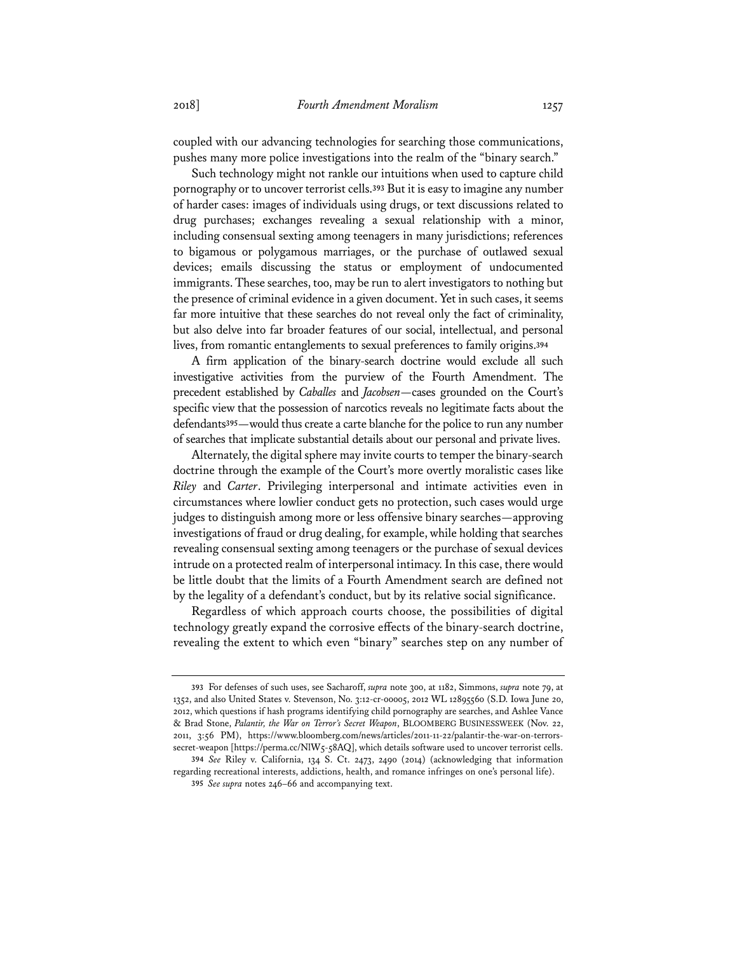coupled with our advancing technologies for searching those communications, pushes many more police investigations into the realm of the "binary search."

Such technology might not rankle our intuitions when used to capture child pornography or to uncover terrorist cells.**<sup>393</sup>** But it is easy to imagine any number of harder cases: images of individuals using drugs, or text discussions related to drug purchases; exchanges revealing a sexual relationship with a minor, including consensual sexting among teenagers in many jurisdictions; references to bigamous or polygamous marriages, or the purchase of outlawed sexual devices; emails discussing the status or employment of undocumented immigrants. These searches, too, may be run to alert investigators to nothing but the presence of criminal evidence in a given document. Yet in such cases, it seems far more intuitive that these searches do not reveal only the fact of criminality, but also delve into far broader features of our social, intellectual, and personal lives, from romantic entanglements to sexual preferences to family origins.**<sup>394</sup>**

A firm application of the binary-search doctrine would exclude all such investigative activities from the purview of the Fourth Amendment. The precedent established by *Caballes* and *Jacobsen*—cases grounded on the Court's specific view that the possession of narcotics reveals no legitimate facts about the defendants**<sup>395</sup>**—would thus create a carte blanche for the police to run any number of searches that implicate substantial details about our personal and private lives.

Alternately, the digital sphere may invite courts to temper the binary-search doctrine through the example of the Court's more overtly moralistic cases like *Riley* and *Carter*. Privileging interpersonal and intimate activities even in circumstances where lowlier conduct gets no protection, such cases would urge judges to distinguish among more or less offensive binary searches—approving investigations of fraud or drug dealing, for example, while holding that searches revealing consensual sexting among teenagers or the purchase of sexual devices intrude on a protected realm of interpersonal intimacy. In this case, there would be little doubt that the limits of a Fourth Amendment search are defined not by the legality of a defendant's conduct, but by its relative social significance.

Regardless of which approach courts choose, the possibilities of digital technology greatly expand the corrosive effects of the binary-search doctrine, revealing the extent to which even "binary" searches step on any number of

**<sup>393</sup>** For defenses of such uses, see Sacharoff, *supra* note 300, at 1182, Simmons, *supra* note 79, at 1352, and also United States v. Stevenson, No. 3:12-cr-00005, 2012 WL 12895560 (S.D. Iowa June 20, 2012, which questions if hash programs identifying child pornography are searches, and Ashlee Vance & Brad Stone, *Palantir, the War on Terror's Secret Weapon*, BLOOMBERG BUSINESSWEEK (Nov. 22, 2011, 3:56 PM), https://www.bloomberg.com/news/articles/2011-11-22/palantir-the-war-on-terrorssecret-weapon [https://perma.cc/NlW5-58AQ], which details software used to uncover terrorist cells.

**<sup>394</sup>** *See* Riley v. California, 134 S. Ct. 2473, 2490 (2014) (acknowledging that information regarding recreational interests, addictions, health, and romance infringes on one's personal life). **395** *See supra* notes 246–66 and accompanying text.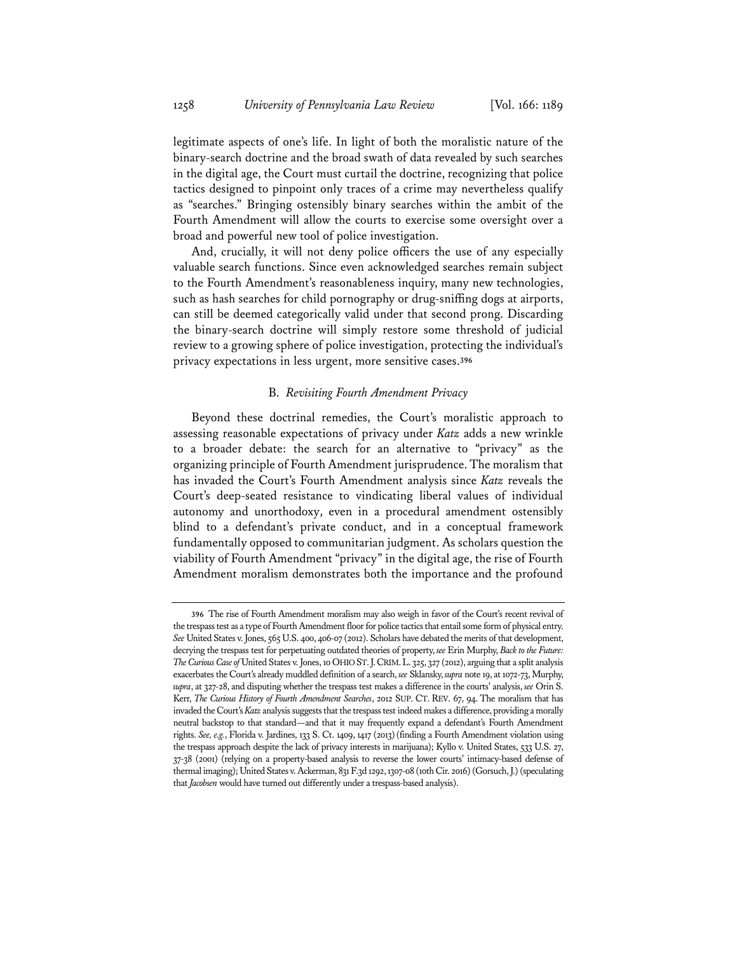legitimate aspects of one's life. In light of both the moralistic nature of the binary-search doctrine and the broad swath of data revealed by such searches in the digital age, the Court must curtail the doctrine, recognizing that police tactics designed to pinpoint only traces of a crime may nevertheless qualify as "searches." Bringing ostensibly binary searches within the ambit of the Fourth Amendment will allow the courts to exercise some oversight over a broad and powerful new tool of police investigation.

And, crucially, it will not deny police officers the use of any especially valuable search functions. Since even acknowledged searches remain subject to the Fourth Amendment's reasonableness inquiry, many new technologies, such as hash searches for child pornography or drug-sniffing dogs at airports, can still be deemed categorically valid under that second prong. Discarding the binary-search doctrine will simply restore some threshold of judicial review to a growing sphere of police investigation, protecting the individual's privacy expectations in less urgent, more sensitive cases.**<sup>396</sup>**

#### B. *Revisiting Fourth Amendment Privacy*

Beyond these doctrinal remedies, the Court's moralistic approach to assessing reasonable expectations of privacy under *Katz* adds a new wrinkle to a broader debate: the search for an alternative to "privacy" as the organizing principle of Fourth Amendment jurisprudence. The moralism that has invaded the Court's Fourth Amendment analysis since *Katz* reveals the Court's deep-seated resistance to vindicating liberal values of individual autonomy and unorthodoxy, even in a procedural amendment ostensibly blind to a defendant's private conduct, and in a conceptual framework fundamentally opposed to communitarian judgment. As scholars question the viability of Fourth Amendment "privacy" in the digital age, the rise of Fourth Amendment moralism demonstrates both the importance and the profound

**<sup>396</sup>** The rise of Fourth Amendment moralism may also weigh in favor of the Court's recent revival of the trespass test as a type of Fourth Amendment floor for police tactics that entail some form of physical entry. *See* United States v. Jones, 565 U.S. 400, 406-07 (2012). Scholars have debated the merits of that development, decrying the trespass test for perpetuating outdated theories of property, *see* Erin Murphy, *Back to the Future: The Curious Case of* United States v. Jones, 10 OHIO ST.J.CRIM.L. 325, 327 (2012), arguing that a split analysis exacerbates the Court's already muddled definition of a search, *see* Sklansky, *supra* note 19, at 1072-73, Murphy, *supra*, at 327-28, and disputing whether the trespass test makes a difference in the courts' analysis, *see* Orin S. Kerr, *The Curious History of Fourth Amendment Searches*, 2012 SUP. CT. REV. 67, 94. The moralism that has invaded the Court's *Katz* analysis suggests that the trespass test indeed makes a difference, providing a morally neutral backstop to that standard—and that it may frequently expand a defendant's Fourth Amendment rights. *See, e.g.*, Florida v. Jardines, 133 S. Ct. 1409, 1417 (2013)(finding a Fourth Amendment violation using the trespass approach despite the lack of privacy interests in marijuana); Kyllo v. United States, 533 U.S. 27, 37-38 (2001) (relying on a property-based analysis to reverse the lower courts' intimacy-based defense of thermal imaging); United States v. Ackerman, 831 F.3d 1292, 1307-08 (10th Cir. 2016) (Gorsuch, J.) (speculating that *Jacobsen* would have turned out differently under a trespass-based analysis).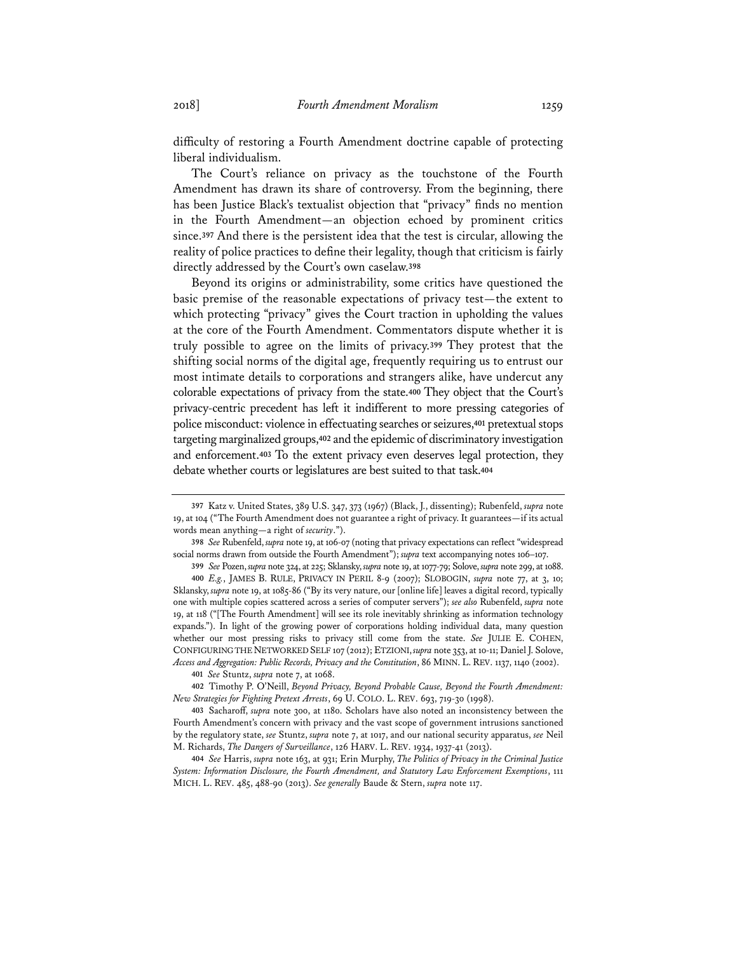difficulty of restoring a Fourth Amendment doctrine capable of protecting liberal individualism.

The Court's reliance on privacy as the touchstone of the Fourth Amendment has drawn its share of controversy. From the beginning, there has been Justice Black's textualist objection that "privacy" finds no mention in the Fourth Amendment—an objection echoed by prominent critics since.**<sup>397</sup>** And there is the persistent idea that the test is circular, allowing the reality of police practices to define their legality, though that criticism is fairly directly addressed by the Court's own caselaw.**<sup>398</sup>**

Beyond its origins or administrability, some critics have questioned the basic premise of the reasonable expectations of privacy test—the extent to which protecting "privacy" gives the Court traction in upholding the values at the core of the Fourth Amendment. Commentators dispute whether it is truly possible to agree on the limits of privacy.**<sup>399</sup>** They protest that the shifting social norms of the digital age, frequently requiring us to entrust our most intimate details to corporations and strangers alike, have undercut any colorable expectations of privacy from the state.**<sup>400</sup>** They object that the Court's privacy-centric precedent has left it indifferent to more pressing categories of police misconduct: violence in effectuating searches or seizures,**<sup>401</sup>** pretextual stops targeting marginalized groups,**<sup>402</sup>** and the epidemic of discriminatory investigation and enforcement.**<sup>403</sup>** To the extent privacy even deserves legal protection, they debate whether courts or legislatures are best suited to that task.**<sup>404</sup>**

**398** *See* Rubenfeld, *supra* note 19, at 106-07 (noting that privacy expectations can reflect "widespread social norms drawn from outside the Fourth Amendment"); *supra* text accompanying notes 106–107.

**399** *See* Pozen, *supra* note 324, at 225; Sklansky, *supra* note 19, at 1077-79; Solove, *supra* note 299, at 1088. **400** *E.g.*, JAMES B. RULE, PRIVACY IN PERIL 8-9 (2007); SLOBOGIN, *supra* note 77, at 3, 10; Sklansky, *supra* note 19, at 1085-86 ("By its very nature, our [online life] leaves a digital record, typically one with multiple copies scattered across a series of computer servers"); *see also* Rubenfeld, *supra* note 19, at 118 ("[The Fourth Amendment] will see its role inevitably shrinking as information technology expands."). In light of the growing power of corporations holding individual data, many question whether our most pressing risks to privacy still come from the state. *See* JULIE E. COHEN, CONFIGURING THE NETWORKED SELF 107 (2012); ETZIONI, *supra* note 353, at 10-11; Daniel J. Solove, *Access and Aggregation: Public Records, Privacy and the Constitution*, 86 MINN. L. REV. 1137, 1140 (2002).

**401** *See* Stuntz, *supra* note 7, at 1068.

**402** Timothy P. O'Neill, *Beyond Privacy, Beyond Probable Cause, Beyond the Fourth Amendment: New Strategies for Fighting Pretext Arrests*, 69 U. COLO. L. REV. 693, 719-30 (1998).

**403** Sacharoff, *supra* note 300, at 1180. Scholars have also noted an inconsistency between the Fourth Amendment's concern with privacy and the vast scope of government intrusions sanctioned by the regulatory state, *see* Stuntz, *supra* note 7, at 1017, and our national security apparatus, *see* Neil M. Richards, *The Dangers of Surveillance*, 126 HARV. L. REV. 1934, 1937-41 (2013).

**404** *See* Harris, *supra* note 163, at 931; Erin Murphy, *The Politics of Privacy in the Criminal Justice System: Information Disclosure, the Fourth Amendment, and Statutory Law Enforcement Exemptions*, 111 MICH. L. REV. 485, 488-90 (2013). *See generally* Baude & Stern, *supra* note 117.

**<sup>397</sup>** Katz v. United States, 389 U.S. 347, 373 (1967) (Black, J., dissenting); Rubenfeld, *supra* note 19, at 104 ("The Fourth Amendment does not guarantee a right of privacy. It guarantees—if its actual words mean anything—a right of *security*.").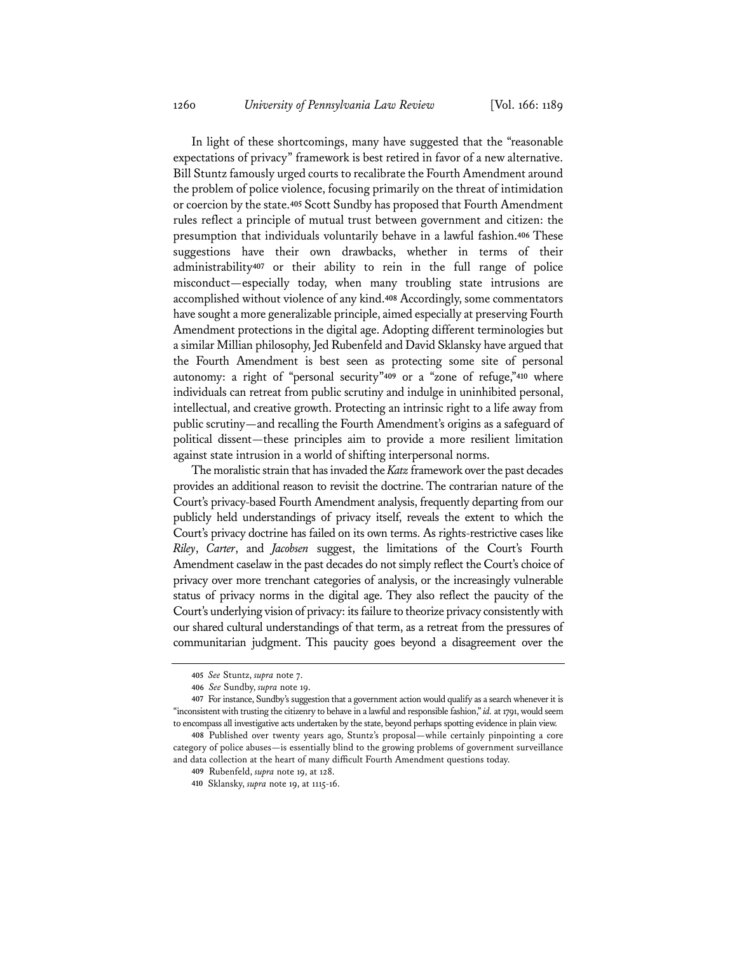In light of these shortcomings, many have suggested that the "reasonable expectations of privacy" framework is best retired in favor of a new alternative. Bill Stuntz famously urged courts to recalibrate the Fourth Amendment around the problem of police violence, focusing primarily on the threat of intimidation or coercion by the state.**<sup>405</sup>** Scott Sundby has proposed that Fourth Amendment rules reflect a principle of mutual trust between government and citizen: the presumption that individuals voluntarily behave in a lawful fashion.**<sup>406</sup>** These suggestions have their own drawbacks, whether in terms of their administrability**<sup>407</sup>** or their ability to rein in the full range of police misconduct—especially today, when many troubling state intrusions are accomplished without violence of any kind.**<sup>408</sup>** Accordingly, some commentators have sought a more generalizable principle, aimed especially at preserving Fourth Amendment protections in the digital age. Adopting different terminologies but a similar Millian philosophy, Jed Rubenfeld and David Sklansky have argued that the Fourth Amendment is best seen as protecting some site of personal autonomy: a right of "personal security"**<sup>409</sup>** or a "zone of refuge,"**<sup>410</sup>** where individuals can retreat from public scrutiny and indulge in uninhibited personal, intellectual, and creative growth. Protecting an intrinsic right to a life away from public scrutiny—and recalling the Fourth Amendment's origins as a safeguard of political dissent—these principles aim to provide a more resilient limitation against state intrusion in a world of shifting interpersonal norms.

The moralistic strain that has invaded the *Katz* framework over the past decades provides an additional reason to revisit the doctrine. The contrarian nature of the Court's privacy-based Fourth Amendment analysis, frequently departing from our publicly held understandings of privacy itself, reveals the extent to which the Court's privacy doctrine has failed on its own terms. As rights-restrictive cases like *Riley*, *Carter*, and *Jacobsen* suggest, the limitations of the Court's Fourth Amendment caselaw in the past decades do not simply reflect the Court's choice of privacy over more trenchant categories of analysis, or the increasingly vulnerable status of privacy norms in the digital age. They also reflect the paucity of the Court's underlying vision of privacy: its failure to theorize privacy consistently with our shared cultural understandings of that term, as a retreat from the pressures of communitarian judgment. This paucity goes beyond a disagreement over the

**<sup>405</sup>** *See* Stuntz, *supra* note 7.

**<sup>406</sup>** *See* Sundby, *supra* note 19.

**<sup>407</sup>** For instance, Sundby's suggestion that a government action would qualify as a search whenever it is "inconsistent with trusting the citizenry to behave in a lawful and responsible fashion," *id.* at 1791, would seem to encompass all investigative acts undertaken by the state, beyond perhaps spotting evidence in plain view.

**<sup>408</sup>** Published over twenty years ago, Stuntz's proposal—while certainly pinpointing a core category of police abuses—is essentially blind to the growing problems of government surveillance and data collection at the heart of many difficult Fourth Amendment questions today.

**<sup>409</sup>** Rubenfeld, *supra* note 19, at 128.

**<sup>410</sup>** Sklansky, *supra* note 19, at 1115-16.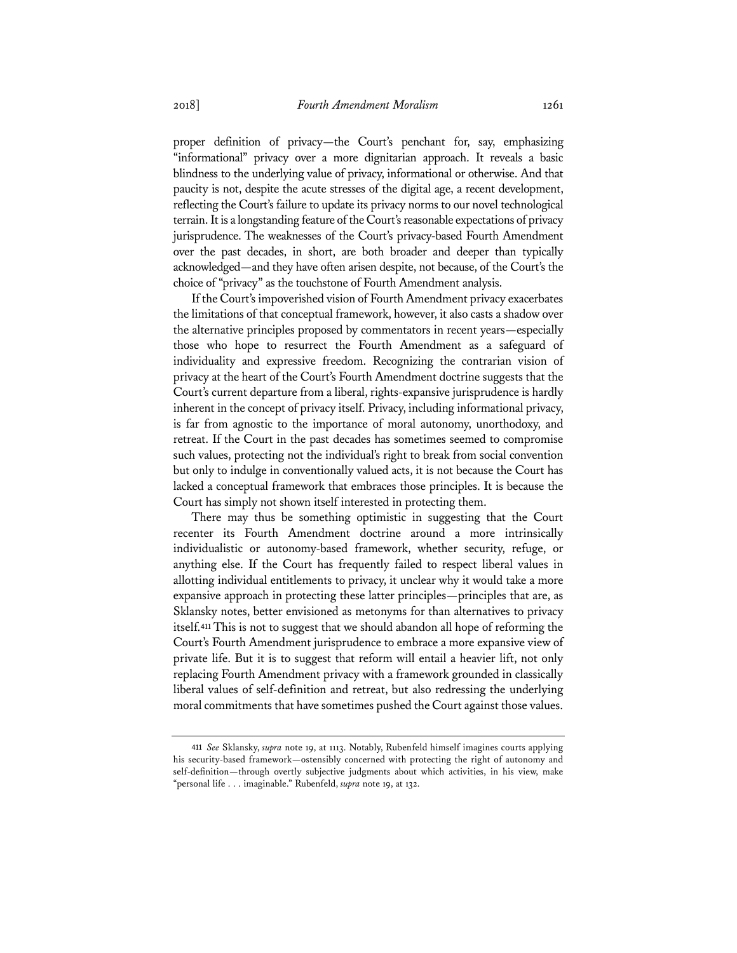proper definition of privacy—the Court's penchant for, say, emphasizing "informational" privacy over a more dignitarian approach. It reveals a basic blindness to the underlying value of privacy, informational or otherwise. And that paucity is not, despite the acute stresses of the digital age, a recent development, reflecting the Court's failure to update its privacy norms to our novel technological terrain. It is a longstanding feature of the Court's reasonable expectations of privacy jurisprudence. The weaknesses of the Court's privacy-based Fourth Amendment over the past decades, in short, are both broader and deeper than typically acknowledged—and they have often arisen despite, not because, of the Court's the choice of "privacy" as the touchstone of Fourth Amendment analysis.

If the Court's impoverished vision of Fourth Amendment privacy exacerbates the limitations of that conceptual framework, however, it also casts a shadow over the alternative principles proposed by commentators in recent years—especially those who hope to resurrect the Fourth Amendment as a safeguard of individuality and expressive freedom. Recognizing the contrarian vision of privacy at the heart of the Court's Fourth Amendment doctrine suggests that the Court's current departure from a liberal, rights-expansive jurisprudence is hardly inherent in the concept of privacy itself. Privacy, including informational privacy, is far from agnostic to the importance of moral autonomy, unorthodoxy, and retreat. If the Court in the past decades has sometimes seemed to compromise such values, protecting not the individual's right to break from social convention but only to indulge in conventionally valued acts, it is not because the Court has lacked a conceptual framework that embraces those principles. It is because the Court has simply not shown itself interested in protecting them.

There may thus be something optimistic in suggesting that the Court recenter its Fourth Amendment doctrine around a more intrinsically individualistic or autonomy-based framework, whether security, refuge, or anything else. If the Court has frequently failed to respect liberal values in allotting individual entitlements to privacy, it unclear why it would take a more expansive approach in protecting these latter principles—principles that are, as Sklansky notes, better envisioned as metonyms for than alternatives to privacy itself.**<sup>411</sup>** This is not to suggest that we should abandon all hope of reforming the Court's Fourth Amendment jurisprudence to embrace a more expansive view of private life. But it is to suggest that reform will entail a heavier lift, not only replacing Fourth Amendment privacy with a framework grounded in classically liberal values of self-definition and retreat, but also redressing the underlying moral commitments that have sometimes pushed the Court against those values.

**<sup>411</sup>** *See* Sklansky, *supra* note 19, at 1113. Notably, Rubenfeld himself imagines courts applying his security-based framework—ostensibly concerned with protecting the right of autonomy and self-definition—through overtly subjective judgments about which activities, in his view, make "personal life . . . imaginable." Rubenfeld, *supra* note 19, at 132.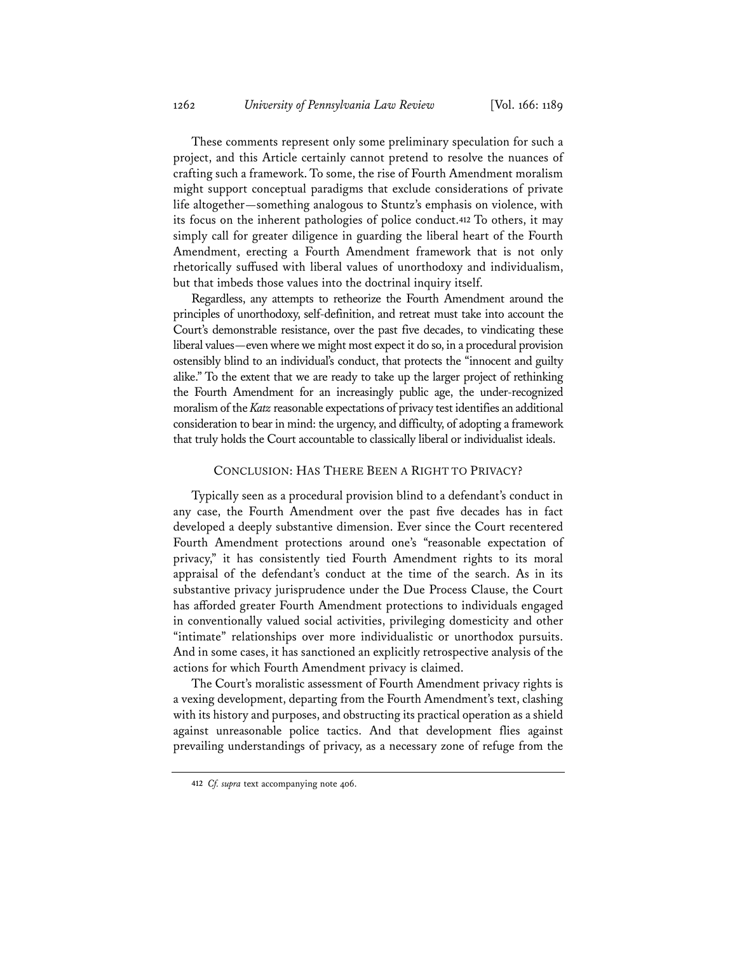These comments represent only some preliminary speculation for such a project, and this Article certainly cannot pretend to resolve the nuances of crafting such a framework. To some, the rise of Fourth Amendment moralism might support conceptual paradigms that exclude considerations of private life altogether—something analogous to Stuntz's emphasis on violence, with its focus on the inherent pathologies of police conduct.**<sup>412</sup>** To others, it may simply call for greater diligence in guarding the liberal heart of the Fourth Amendment, erecting a Fourth Amendment framework that is not only rhetorically suffused with liberal values of unorthodoxy and individualism, but that imbeds those values into the doctrinal inquiry itself.

Regardless, any attempts to retheorize the Fourth Amendment around the principles of unorthodoxy, self-definition, and retreat must take into account the Court's demonstrable resistance, over the past five decades, to vindicating these liberal values—even where we might most expect it do so, in a procedural provision ostensibly blind to an individual's conduct, that protects the "innocent and guilty alike." To the extent that we are ready to take up the larger project of rethinking the Fourth Amendment for an increasingly public age, the under-recognized moralism of the *Katz* reasonable expectations of privacy test identifies an additional consideration to bear in mind: the urgency, and difficulty, of adopting a framework that truly holds the Court accountable to classically liberal or individualist ideals.

## CONCLUSION: HAS THERE BEEN A RIGHT TO PRIVACY?

Typically seen as a procedural provision blind to a defendant's conduct in any case, the Fourth Amendment over the past five decades has in fact developed a deeply substantive dimension. Ever since the Court recentered Fourth Amendment protections around one's "reasonable expectation of privacy," it has consistently tied Fourth Amendment rights to its moral appraisal of the defendant's conduct at the time of the search. As in its substantive privacy jurisprudence under the Due Process Clause, the Court has afforded greater Fourth Amendment protections to individuals engaged in conventionally valued social activities, privileging domesticity and other "intimate" relationships over more individualistic or unorthodox pursuits. And in some cases, it has sanctioned an explicitly retrospective analysis of the actions for which Fourth Amendment privacy is claimed.

The Court's moralistic assessment of Fourth Amendment privacy rights is a vexing development, departing from the Fourth Amendment's text, clashing with its history and purposes, and obstructing its practical operation as a shield against unreasonable police tactics. And that development flies against prevailing understandings of privacy, as a necessary zone of refuge from the

**<sup>412</sup>** *Cf. supra* text accompanying note 406.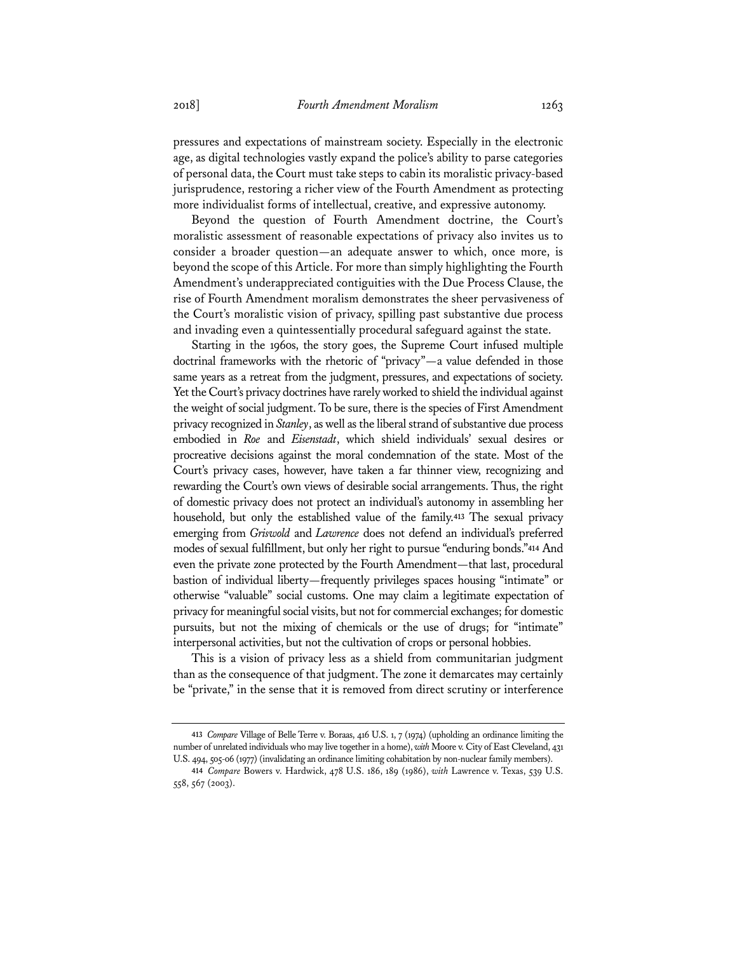pressures and expectations of mainstream society. Especially in the electronic age, as digital technologies vastly expand the police's ability to parse categories of personal data, the Court must take steps to cabin its moralistic privacy-based jurisprudence, restoring a richer view of the Fourth Amendment as protecting more individualist forms of intellectual, creative, and expressive autonomy.

Beyond the question of Fourth Amendment doctrine, the Court's moralistic assessment of reasonable expectations of privacy also invites us to consider a broader question—an adequate answer to which, once more, is beyond the scope of this Article. For more than simply highlighting the Fourth Amendment's underappreciated contiguities with the Due Process Clause, the rise of Fourth Amendment moralism demonstrates the sheer pervasiveness of the Court's moralistic vision of privacy, spilling past substantive due process and invading even a quintessentially procedural safeguard against the state.

Starting in the 1960s, the story goes, the Supreme Court infused multiple doctrinal frameworks with the rhetoric of "privacy"—a value defended in those same years as a retreat from the judgment, pressures, and expectations of society. Yet the Court's privacy doctrines have rarely worked to shield the individual against the weight of social judgment. To be sure, there is the species of First Amendment privacy recognized in *Stanley*, as well as the liberal strand of substantive due process embodied in *Roe* and *Eisenstadt*, which shield individuals' sexual desires or procreative decisions against the moral condemnation of the state. Most of the Court's privacy cases, however, have taken a far thinner view, recognizing and rewarding the Court's own views of desirable social arrangements. Thus, the right of domestic privacy does not protect an individual's autonomy in assembling her household, but only the established value of the family.**<sup>413</sup>** The sexual privacy emerging from *Griswold* and *Lawrence* does not defend an individual's preferred modes of sexual fulfillment, but only her right to pursue "enduring bonds."**<sup>414</sup>** And even the private zone protected by the Fourth Amendment—that last, procedural bastion of individual liberty—frequently privileges spaces housing "intimate" or otherwise "valuable" social customs. One may claim a legitimate expectation of privacy for meaningful social visits, but not for commercial exchanges; for domestic pursuits, but not the mixing of chemicals or the use of drugs; for "intimate" interpersonal activities, but not the cultivation of crops or personal hobbies.

This is a vision of privacy less as a shield from communitarian judgment than as the consequence of that judgment. The zone it demarcates may certainly be "private," in the sense that it is removed from direct scrutiny or interference

**<sup>413</sup>** *Compare* Village of Belle Terre v. Boraas, 416 U.S. 1, 7 (1974) (upholding an ordinance limiting the number of unrelated individuals who may live together in a home), *with* Moore v. City of East Cleveland, 431 U.S. 494, 505-06 (1977) (invalidating an ordinance limiting cohabitation by non-nuclear family members).

**<sup>414</sup>** *Compare* Bowers v. Hardwick, 478 U.S. 186, 189 (1986), *with* Lawrence v. Texas, 539 U.S. 558, 567 (2003).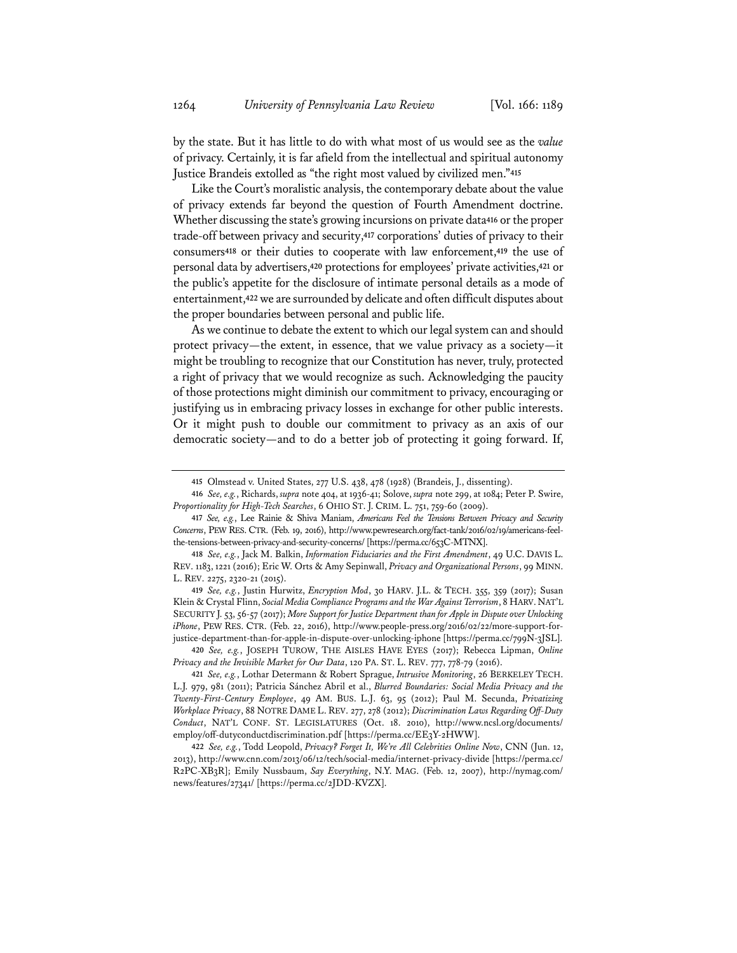by the state. But it has little to do with what most of us would see as the *value* of privacy. Certainly, it is far afield from the intellectual and spiritual autonomy Justice Brandeis extolled as "the right most valued by civilized men."**<sup>415</sup>**

Like the Court's moralistic analysis, the contemporary debate about the value of privacy extends far beyond the question of Fourth Amendment doctrine. Whether discussing the state's growing incursions on private data**<sup>416</sup>** or the proper trade-off between privacy and security,**<sup>417</sup>** corporations' duties of privacy to their consumers**<sup>418</sup>** or their duties to cooperate with law enforcement,**<sup>419</sup>** the use of personal data by advertisers,**<sup>420</sup>** protections for employees' private activities,**<sup>421</sup>** or the public's appetite for the disclosure of intimate personal details as a mode of entertainment,**<sup>422</sup>** we are surrounded by delicate and often difficult disputes about the proper boundaries between personal and public life.

As we continue to debate the extent to which our legal system can and should protect privacy—the extent, in essence, that we value privacy as a society—it might be troubling to recognize that our Constitution has never, truly, protected a right of privacy that we would recognize as such. Acknowledging the paucity of those protections might diminish our commitment to privacy, encouraging or justifying us in embracing privacy losses in exchange for other public interests. Or it might push to double our commitment to privacy as an axis of our democratic society—and to do a better job of protecting it going forward. If,

**419** *See, e.g.*, Justin Hurwitz, *Encryption Mod*, 30 HARV. J.L. & TECH. 355, 359 (2017); Susan Klein & Crystal Flinn, *Social Media Compliance Programs and the War Against Terrorism*, 8 HARV.NAT'L SECURITY J. 53, 56-57 (2017); *More Support for Justice Department than for Apple in Dispute over Unlocking iPhone*, PEW RES. CTR. (Feb. 22, 2016), http://www.people-press.org/2016/02/22/more-support-forjustice-department-than-for-apple-in-dispute-over-unlocking-iphone [https://perma.cc/799N-3JSL].

**420** *See, e.g.*, JOSEPH TUROW, THE AISLES HAVE EYES (2017); Rebecca Lipman, *Online Privacy and the Invisible Market for Our Data*, 120 PA. ST. L. REV. 777, 778-79 (2016).

**<sup>415</sup>** Olmstead v. United States, 277 U.S. 438, 478 (1928) (Brandeis, J., dissenting).

**<sup>416</sup>** *See, e.g.*, Richards, *supra* note 404, at 1936-41; Solove, *supra* note 299, at 1084; Peter P. Swire, *Proportionality for High-Tech Searches*, 6 OHIO ST. J. CRIM. L. 751, 759-60 (2009).

**<sup>417</sup>** *See, e.g.*, Lee Rainie & Shiva Maniam, *Americans Feel the Tensions Between Privacy and Security Concerns*, PEW RES. CTR. (Feb. 19, 2016), http://www.pewresearch.org/fact-tank/2016/02/19/americans-feelthe-tensions-between-privacy-and-security-concerns/ [https://perma.cc/653C-MTNX].

**<sup>418</sup>** *See, e.g.*, Jack M. Balkin, *Information Fiduciaries and the First Amendment*, 49 U.C. DAVIS L. REV. 1183, 1221 (2016); Eric W. Orts & Amy Sepinwall, *Privacy and Organizational Persons*, 99 MINN. L. REV. 2275, 2320-21 (2015).

**<sup>421</sup>** *See, e.g.*, Lothar Determann & Robert Sprague, *Intrusive Monitoring*, 26 BERKELEY TECH. L.J. 979, 981 (2011); Patricia Sánchez Abril et al., *Blurred Boundaries: Social Media Privacy and the Twenty-First-Century Employee*, 49 AM. BUS. L.J. 63, 95 (2012); Paul M. Secunda, *Privatizing Workplace Privacy*, 88 NOTRE DAME L. REV. 277, 278 (2012); *Discrimination Laws Regarding Off-Duty Conduct*, NAT'L CONF. ST. LEGISLATURES (Oct. 18. 2010), http://www.ncsl.org/documents/ employ/off-dutyconductdiscrimination.pdf [https://perma.cc/EE3Y-2HWW].

**<sup>422</sup>** *See, e.g.*, Todd Leopold, *Privacy? Forget It, We're All Celebrities Online Now*, CNN (Jun. 12, 2013), http://www.cnn.com/2013/06/12/tech/social-media/internet-privacy-divide [https://perma.cc/ R2PC-XB3R]; Emily Nussbaum, *Say Everything*, N.Y. MAG. (Feb. 12, 2007), http://nymag.com/ news/features/27341/ [https://perma.cc/2JDD-KVZX].